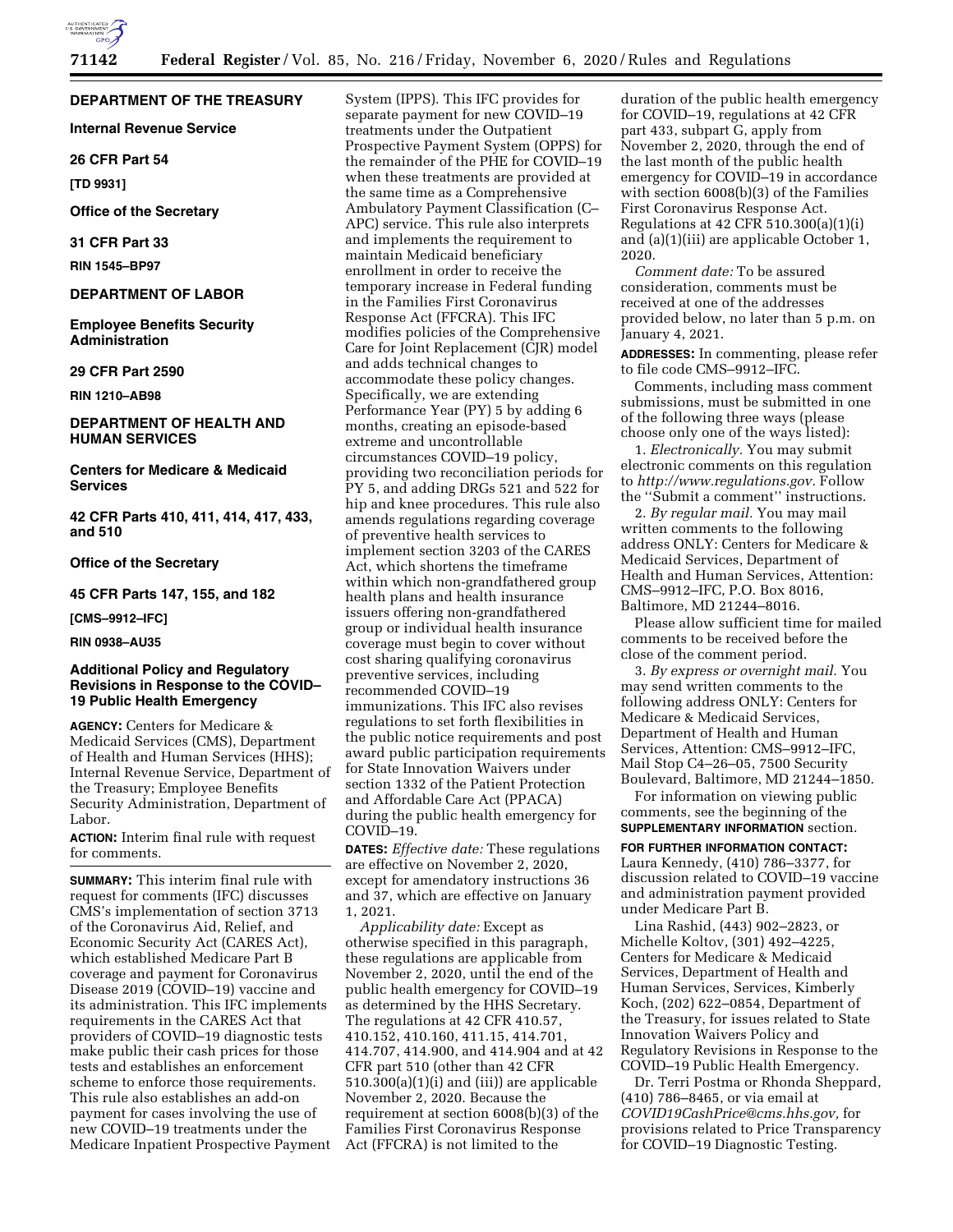

# **DEPARTMENT OF THE TREASURY**

**Internal Revenue Service** 

**26 CFR Part 54** 

**[TD 9931]** 

# **Office of the Secretary**

**31 CFR Part 33** 

**RIN 1545–BP97** 

## **DEPARTMENT OF LABOR**

**Employee Benefits Security Administration** 

# **29 CFR Part 2590**

**RIN 1210–AB98** 

# **DEPARTMENT OF HEALTH AND HUMAN SERVICES**

**Centers for Medicare & Medicaid Services** 

**42 CFR Parts 410, 411, 414, 417, 433, and 510** 

# **Office of the Secretary**

**45 CFR Parts 147, 155, and 182** 

**[CMS–9912–IFC]** 

# **RIN 0938–AU35**

# **Additional Policy and Regulatory Revisions in Response to the COVID– 19 Public Health Emergency**

**AGENCY:** Centers for Medicare & Medicaid Services (CMS), Department of Health and Human Services (HHS); Internal Revenue Service, Department of the Treasury; Employee Benefits Security Administration, Department of Labor.

**ACTION:** Interim final rule with request for comments.

**SUMMARY:** This interim final rule with request for comments (IFC) discusses CMS's implementation of section 3713 of the Coronavirus Aid, Relief, and Economic Security Act (CARES Act), which established Medicare Part B coverage and payment for Coronavirus Disease 2019 (COVID–19) vaccine and its administration. This IFC implements requirements in the CARES Act that providers of COVID–19 diagnostic tests make public their cash prices for those tests and establishes an enforcement scheme to enforce those requirements. This rule also establishes an add-on payment for cases involving the use of new COVID–19 treatments under the Medicare Inpatient Prospective Payment System (IPPS). This IFC provides for separate payment for new COVID–19 treatments under the Outpatient Prospective Payment System (OPPS) for the remainder of the PHE for COVID–19 when these treatments are provided at the same time as a Comprehensive Ambulatory Payment Classification (C– APC) service. This rule also interprets and implements the requirement to maintain Medicaid beneficiary enrollment in order to receive the temporary increase in Federal funding in the Families First Coronavirus Response Act (FFCRA). This IFC modifies policies of the Comprehensive Care for Joint Replacement (CJR) model and adds technical changes to accommodate these policy changes. Specifically, we are extending Performance Year (PY) 5 by adding 6 months, creating an episode-based extreme and uncontrollable circumstances COVID–19 policy, providing two reconciliation periods for PY 5, and adding DRGs 521 and 522 for hip and knee procedures. This rule also amends regulations regarding coverage of preventive health services to implement section 3203 of the CARES Act, which shortens the timeframe within which non-grandfathered group health plans and health insurance issuers offering non-grandfathered group or individual health insurance coverage must begin to cover without cost sharing qualifying coronavirus preventive services, including recommended COVID–19 immunizations. This IFC also revises regulations to set forth flexibilities in the public notice requirements and post award public participation requirements for State Innovation Waivers under section 1332 of the Patient Protection and Affordable Care Act (PPACA) during the public health emergency for COVID–19.

**DATES:** *Effective date:* These regulations are effective on November 2, 2020, except for amendatory instructions 36 and 37, which are effective on January 1, 2021.

*Applicability date:* Except as otherwise specified in this paragraph, these regulations are applicable from November 2, 2020, until the end of the public health emergency for COVID–19 as determined by the HHS Secretary. The regulations at 42 CFR 410.57, 410.152, 410.160, 411.15, 414.701, 414.707, 414.900, and 414.904 and at 42 CFR part 510 (other than 42 CFR 510.300(a)(1)(i) and (iii)) are applicable November 2, 2020. Because the requirement at section 6008(b)(3) of the Families First Coronavirus Response Act (FFCRA) is not limited to the

duration of the public health emergency for COVID–19, regulations at 42 CFR part 433, subpart G, apply from November 2, 2020, through the end of the last month of the public health emergency for COVID–19 in accordance with section 6008(b)(3) of the Families First Coronavirus Response Act. Regulations at 42 CFR 510.300(a)(1)(i) and (a)(1)(iii) are applicable October 1, 2020.

*Comment date:* To be assured consideration, comments must be received at one of the addresses provided below, no later than 5 p.m. on January 4, 2021.

**ADDRESSES:** In commenting, please refer to file code CMS–9912–IFC.

Comments, including mass comment submissions, must be submitted in one of the following three ways (please choose only one of the ways listed):

1. *Electronically.* You may submit electronic comments on this regulation to *http://www.regulations.gov.* Follow the ''Submit a comment'' instructions.

2. *By regular mail.* You may mail written comments to the following address ONLY: Centers for Medicare & Medicaid Services, Department of Health and Human Services, Attention: CMS–9912–IFC, P.O. Box 8016, Baltimore, MD 21244–8016.

Please allow sufficient time for mailed comments to be received before the close of the comment period.

3. *By express or overnight mail.* You may send written comments to the following address ONLY: Centers for Medicare & Medicaid Services, Department of Health and Human Services, Attention: CMS–9912–IFC, Mail Stop C4–26–05, 7500 Security Boulevard, Baltimore, MD 21244–1850.

For information on viewing public comments, see the beginning of the **SUPPLEMENTARY INFORMATION** section.

**FOR FURTHER INFORMATION CONTACT:**  Laura Kennedy, (410) 786–3377, for discussion related to COVID–19 vaccine and administration payment provided under Medicare Part B.

Lina Rashid, (443) 902–2823, or Michelle Koltov, (301) 492–4225, Centers for Medicare & Medicaid Services, Department of Health and Human Services, Services, Kimberly Koch, (202) 622–0854, Department of the Treasury, for issues related to State Innovation Waivers Policy and Regulatory Revisions in Response to the COVID–19 Public Health Emergency.

Dr. Terri Postma or Rhonda Sheppard, (410) 786–8465, or via email at *COVID19CashPrice@cms.hhs.gov,* for provisions related to Price Transparency for COVID–19 Diagnostic Testing.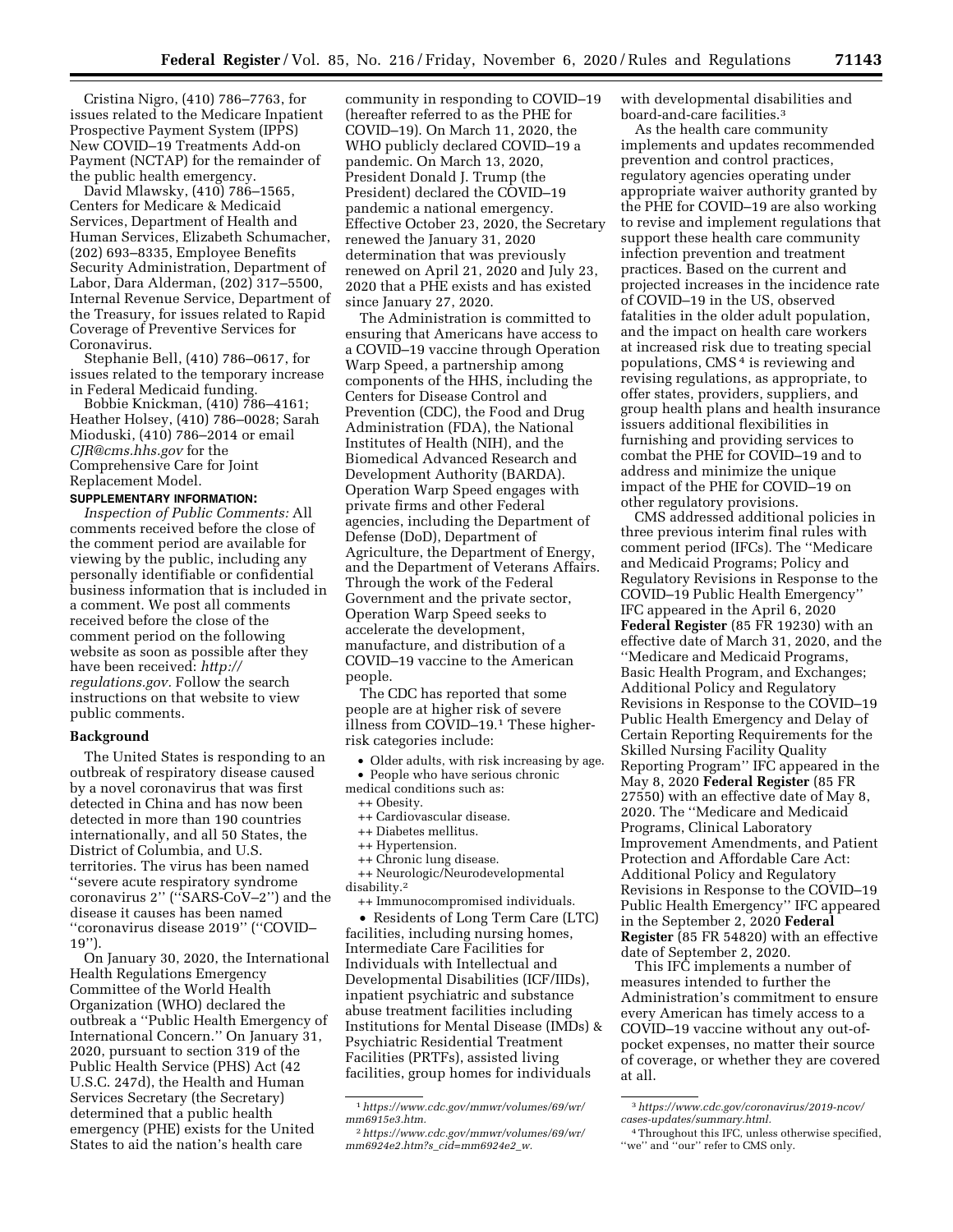Cristina Nigro, (410) 786–7763, for issues related to the Medicare Inpatient Prospective Payment System (IPPS) New COVID–19 Treatments Add-on Payment (NCTAP) for the remainder of the public health emergency.

David Mlawsky, (410) 786–1565, Centers for Medicare & Medicaid Services, Department of Health and Human Services, Elizabeth Schumacher, (202) 693–8335, Employee Benefits Security Administration, Department of Labor, Dara Alderman, (202) 317–5500, Internal Revenue Service, Department of the Treasury, for issues related to Rapid Coverage of Preventive Services for Coronavirus.

Stephanie Bell, (410) 786–0617, for issues related to the temporary increase in Federal Medicaid funding.

Bobbie Knickman, (410) 786–4161; Heather Holsey, (410) 786–0028; Sarah Mioduski, (410) 786–2014 or email *CJR@cms.hhs.gov* for the Comprehensive Care for Joint Replacement Model.

#### **SUPPLEMENTARY INFORMATION:**

*Inspection of Public Comments:* All comments received before the close of the comment period are available for viewing by the public, including any personally identifiable or confidential business information that is included in a comment. We post all comments received before the close of the comment period on the following website as soon as possible after they have been received: *http:// regulations.gov.* Follow the search instructions on that website to view public comments.

## **Background**

The United States is responding to an outbreak of respiratory disease caused by a novel coronavirus that was first detected in China and has now been detected in more than 190 countries internationally, and all 50 States, the District of Columbia, and U.S. territories. The virus has been named ''severe acute respiratory syndrome coronavirus 2'' (''SARS-CoV–2'') and the disease it causes has been named ''coronavirus disease 2019'' (''COVID– 19'').

On January 30, 2020, the International Health Regulations Emergency Committee of the World Health Organization (WHO) declared the outbreak a ''Public Health Emergency of International Concern.'' On January 31, 2020, pursuant to section 319 of the Public Health Service (PHS) Act (42 U.S.C. 247d), the Health and Human Services Secretary (the Secretary) determined that a public health emergency (PHE) exists for the United States to aid the nation's health care

community in responding to COVID–19 (hereafter referred to as the PHE for COVID–19). On March 11, 2020, the WHO publicly declared COVID–19 a pandemic. On March 13, 2020, President Donald J. Trump (the President) declared the COVID–19 pandemic a national emergency. Effective October 23, 2020, the Secretary renewed the January 31, 2020 determination that was previously renewed on April 21, 2020 and July 23, 2020 that a PHE exists and has existed since January 27, 2020.

The Administration is committed to ensuring that Americans have access to a COVID–19 vaccine through Operation Warp Speed, a partnership among components of the HHS, including the Centers for Disease Control and Prevention (CDC), the Food and Drug Administration (FDA), the National Institutes of Health (NIH), and the Biomedical Advanced Research and Development Authority (BARDA). Operation Warp Speed engages with private firms and other Federal agencies, including the Department of Defense (DoD), Department of Agriculture, the Department of Energy, and the Department of Veterans Affairs. Through the work of the Federal Government and the private sector, Operation Warp Speed seeks to accelerate the development, manufacture, and distribution of a COVID–19 vaccine to the American people.

The CDC has reported that some people are at higher risk of severe illness from COVID–19.1 These higherrisk categories include:

• Older adults, with risk increasing by age. • People who have serious chronic

- medical conditions such as:
	- ++ Obesity.
	- ++ Cardiovascular disease.
	- ++ Diabetes mellitus. ++ Hypertension.
	- ++ Chronic lung disease.

++ Neurologic/Neurodevelopmental disability.2

++ Immunocompromised individuals.

• Residents of Long Term Care (LTC) facilities, including nursing homes, Intermediate Care Facilities for Individuals with Intellectual and Developmental Disabilities (ICF/IIDs), inpatient psychiatric and substance abuse treatment facilities including Institutions for Mental Disease (IMDs) & Psychiatric Residential Treatment Facilities (PRTFs), assisted living facilities, group homes for individuals

with developmental disabilities and board-and-care facilities.3

As the health care community implements and updates recommended prevention and control practices, regulatory agencies operating under appropriate waiver authority granted by the PHE for COVID–19 are also working to revise and implement regulations that support these health care community infection prevention and treatment practices. Based on the current and projected increases in the incidence rate of COVID–19 in the US, observed fatalities in the older adult population, and the impact on health care workers at increased risk due to treating special populations, CMS 4 is reviewing and revising regulations, as appropriate, to offer states, providers, suppliers, and group health plans and health insurance issuers additional flexibilities in furnishing and providing services to combat the PHE for COVID–19 and to address and minimize the unique impact of the PHE for COVID–19 on other regulatory provisions.

CMS addressed additional policies in three previous interim final rules with comment period (IFCs). The ''Medicare and Medicaid Programs; Policy and Regulatory Revisions in Response to the COVID–19 Public Health Emergency'' IFC appeared in the April 6, 2020 **Federal Register** (85 FR 19230) with an effective date of March 31, 2020, and the ''Medicare and Medicaid Programs, Basic Health Program, and Exchanges; Additional Policy and Regulatory Revisions in Response to the COVID–19 Public Health Emergency and Delay of Certain Reporting Requirements for the Skilled Nursing Facility Quality Reporting Program'' IFC appeared in the May 8, 2020 **Federal Register** (85 FR 27550) with an effective date of May 8, 2020. The ''Medicare and Medicaid Programs, Clinical Laboratory Improvement Amendments, and Patient Protection and Affordable Care Act: Additional Policy and Regulatory Revisions in Response to the COVID–19 Public Health Emergency'' IFC appeared in the September 2, 2020 **Federal Register** (85 FR 54820) with an effective date of September 2, 2020.

This IFC implements a number of measures intended to further the Administration's commitment to ensure every American has timely access to a COVID–19 vaccine without any out-ofpocket expenses, no matter their source of coverage, or whether they are covered at all.

<sup>1</sup>*https://www.cdc.gov/mmwr/volumes/69/wr/ mm6915e3.htm.* 

<sup>2</sup>*https://www.cdc.gov/mmwr/volumes/69/wr/ mm6924e2.htm?s*\_*cid=mm6924e2*\_*w.* 

<sup>3</sup>*https://www.cdc.gov/coronavirus/2019-ncov/ cases-updates/summary.html.* 

<sup>4</sup>Throughout this IFC, unless otherwise specified, "we" and "our" refer to CMS only.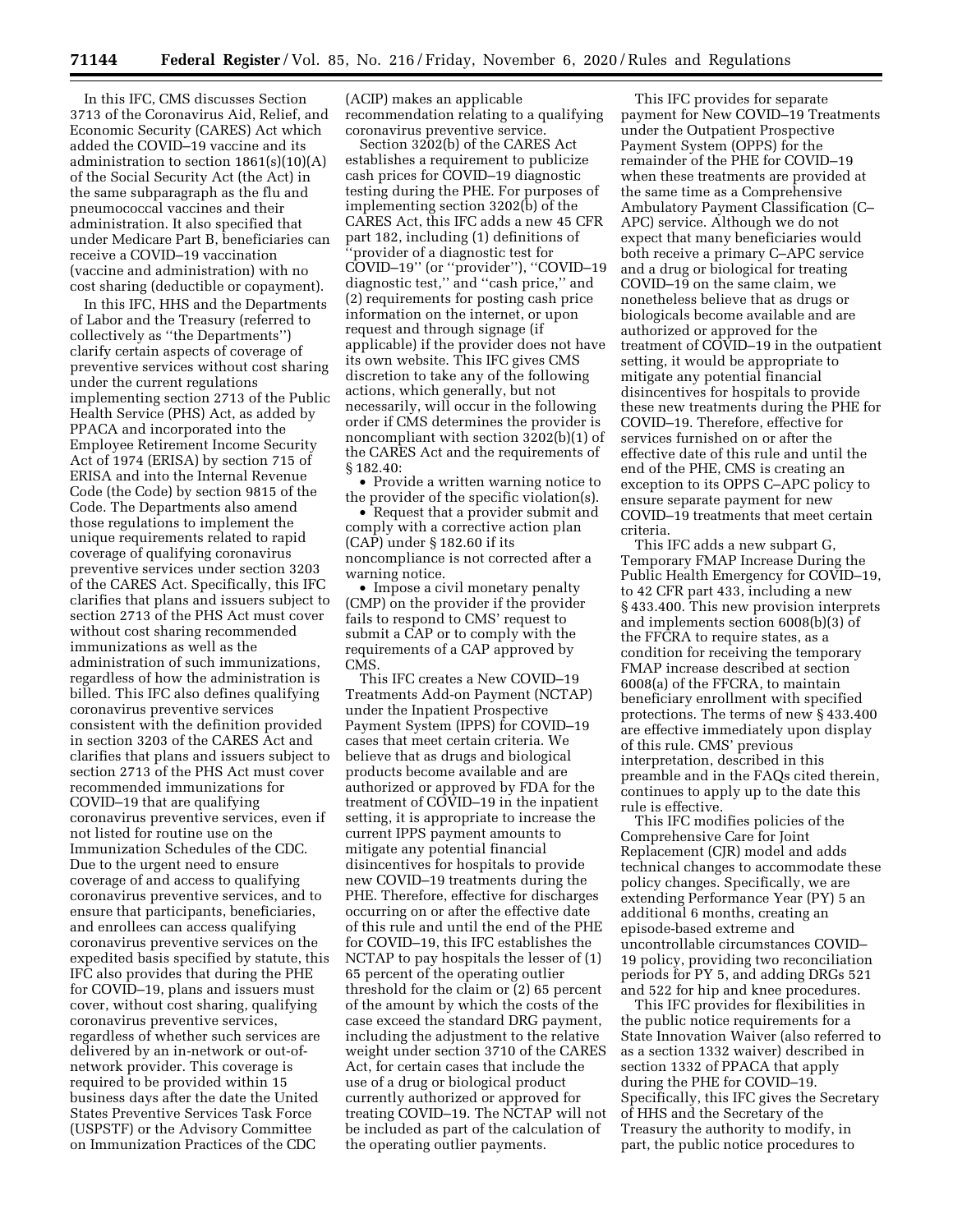In this IFC, CMS discusses Section 3713 of the Coronavirus Aid, Relief, and Economic Security (CARES) Act which added the COVID–19 vaccine and its administration to section 1861(s)(10)(A) of the Social Security Act (the Act) in the same subparagraph as the flu and pneumococcal vaccines and their administration. It also specified that under Medicare Part B, beneficiaries can receive a COVID–19 vaccination (vaccine and administration) with no cost sharing (deductible or copayment).

In this IFC, HHS and the Departments of Labor and the Treasury (referred to collectively as ''the Departments'') clarify certain aspects of coverage of preventive services without cost sharing under the current regulations implementing section 2713 of the Public Health Service (PHS) Act, as added by PPACA and incorporated into the Employee Retirement Income Security Act of 1974 (ERISA) by section 715 of ERISA and into the Internal Revenue Code (the Code) by section 9815 of the Code. The Departments also amend those regulations to implement the unique requirements related to rapid coverage of qualifying coronavirus preventive services under section 3203 of the CARES Act. Specifically, this IFC clarifies that plans and issuers subject to section 2713 of the PHS Act must cover without cost sharing recommended immunizations as well as the administration of such immunizations, regardless of how the administration is billed. This IFC also defines qualifying coronavirus preventive services consistent with the definition provided in section 3203 of the CARES Act and clarifies that plans and issuers subject to section 2713 of the PHS Act must cover recommended immunizations for COVID–19 that are qualifying coronavirus preventive services, even if not listed for routine use on the Immunization Schedules of the CDC. Due to the urgent need to ensure coverage of and access to qualifying coronavirus preventive services, and to ensure that participants, beneficiaries, and enrollees can access qualifying coronavirus preventive services on the expedited basis specified by statute, this IFC also provides that during the PHE for COVID–19, plans and issuers must cover, without cost sharing, qualifying coronavirus preventive services, regardless of whether such services are delivered by an in-network or out-ofnetwork provider. This coverage is required to be provided within 15 business days after the date the United States Preventive Services Task Force (USPSTF) or the Advisory Committee on Immunization Practices of the CDC

(ACIP) makes an applicable recommendation relating to a qualifying coronavirus preventive service.

Section 3202(b) of the CARES Act establishes a requirement to publicize cash prices for COVID–19 diagnostic testing during the PHE. For purposes of implementing section 3202(b) of the CARES Act, this IFC adds a new 45 CFR part 182, including (1) definitions of ''provider of a diagnostic test for COVID–19'' (or ''provider''), ''COVID–19 diagnostic test,'' and ''cash price,'' and (2) requirements for posting cash price information on the internet, or upon request and through signage (if applicable) if the provider does not have its own website. This IFC gives CMS discretion to take any of the following actions, which generally, but not necessarily, will occur in the following order if CMS determines the provider is noncompliant with section 3202(b)(1) of the CARES Act and the requirements of § 182.40:

• Provide a written warning notice to the provider of the specific violation(s).

• Request that a provider submit and comply with a corrective action plan (CAP) under § 182.60 if its noncompliance is not corrected after a warning notice.

• Impose a civil monetary penalty (CMP) on the provider if the provider fails to respond to CMS' request to submit a CAP or to comply with the requirements of a CAP approved by CMS.

This IFC creates a New COVID–19 Treatments Add-on Payment (NCTAP) under the Inpatient Prospective Payment System (IPPS) for COVID–19 cases that meet certain criteria. We believe that as drugs and biological products become available and are authorized or approved by FDA for the treatment of COVID–19 in the inpatient setting, it is appropriate to increase the current IPPS payment amounts to mitigate any potential financial disincentives for hospitals to provide new COVID–19 treatments during the PHE. Therefore, effective for discharges occurring on or after the effective date of this rule and until the end of the PHE for COVID–19, this IFC establishes the NCTAP to pay hospitals the lesser of (1) 65 percent of the operating outlier threshold for the claim or (2) 65 percent of the amount by which the costs of the case exceed the standard DRG payment, including the adjustment to the relative weight under section 3710 of the CARES Act, for certain cases that include the use of a drug or biological product currently authorized or approved for treating COVID–19. The NCTAP will not be included as part of the calculation of the operating outlier payments.

This IFC provides for separate payment for New COVID–19 Treatments under the Outpatient Prospective Payment System (OPPS) for the remainder of the PHE for COVID–19 when these treatments are provided at the same time as a Comprehensive Ambulatory Payment Classification (C– APC) service. Although we do not expect that many beneficiaries would both receive a primary C–APC service and a drug or biological for treating COVID–19 on the same claim, we nonetheless believe that as drugs or biologicals become available and are authorized or approved for the treatment of COVID–19 in the outpatient setting, it would be appropriate to mitigate any potential financial disincentives for hospitals to provide these new treatments during the PHE for COVID–19. Therefore, effective for services furnished on or after the effective date of this rule and until the end of the PHE, CMS is creating an exception to its OPPS C–APC policy to ensure separate payment for new COVID–19 treatments that meet certain criteria.

This IFC adds a new subpart G, Temporary FMAP Increase During the Public Health Emergency for COVID–19, to 42 CFR part 433, including a new § 433.400. This new provision interprets and implements section 6008(b)(3) of the FFCRA to require states, as a condition for receiving the temporary FMAP increase described at section 6008(a) of the FFCRA, to maintain beneficiary enrollment with specified protections. The terms of new § 433.400 are effective immediately upon display of this rule. CMS' previous interpretation, described in this preamble and in the FAQs cited therein, continues to apply up to the date this rule is effective.

This IFC modifies policies of the Comprehensive Care for Joint Replacement (CJR) model and adds technical changes to accommodate these policy changes. Specifically, we are extending Performance Year (PY) 5 an additional 6 months, creating an episode-based extreme and uncontrollable circumstances COVID– 19 policy, providing two reconciliation periods for PY 5, and adding DRGs 521 and 522 for hip and knee procedures.

This IFC provides for flexibilities in the public notice requirements for a State Innovation Waiver (also referred to as a section 1332 waiver) described in section 1332 of PPACA that apply during the PHE for COVID–19. Specifically, this IFC gives the Secretary of HHS and the Secretary of the Treasury the authority to modify, in part, the public notice procedures to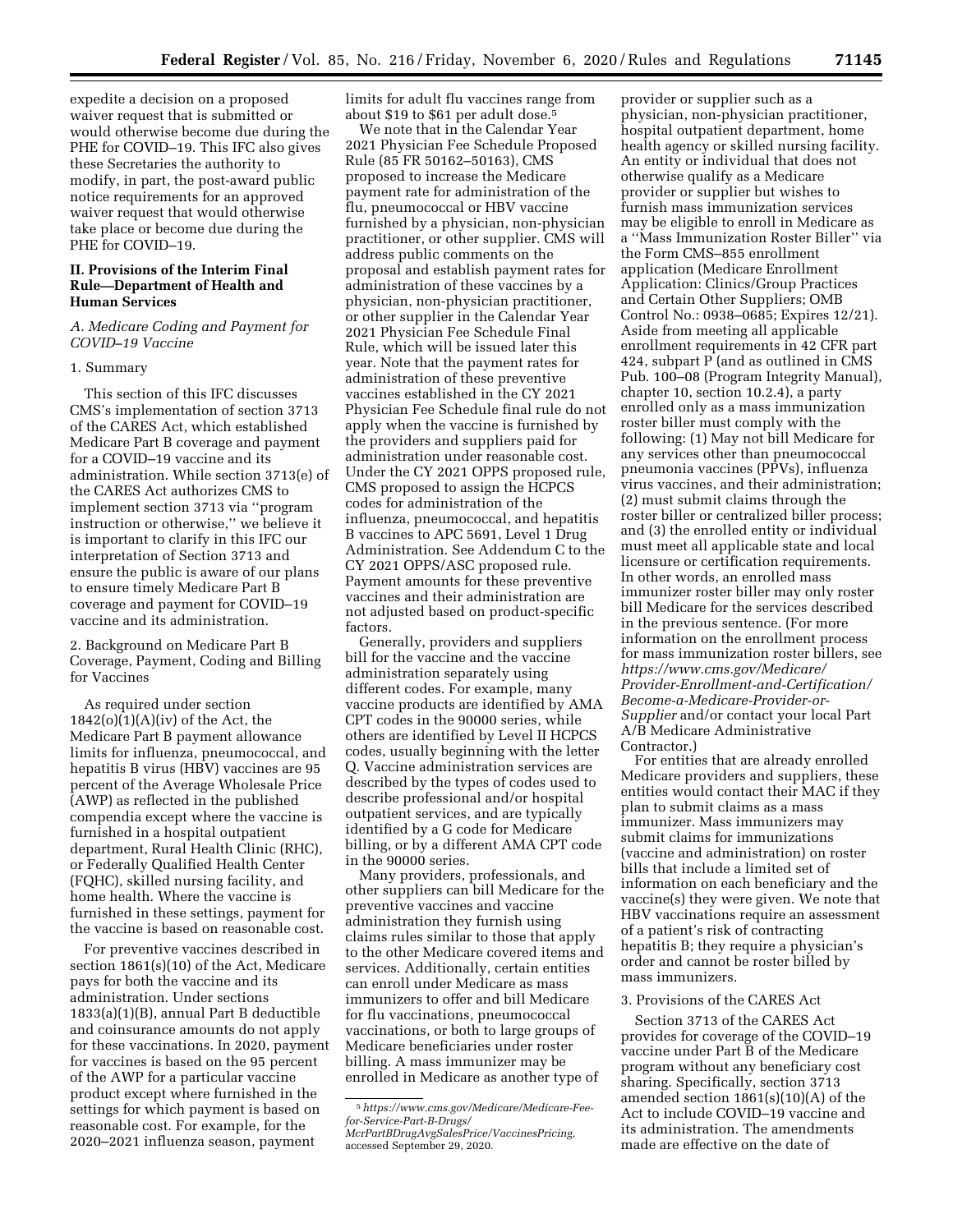expedite a decision on a proposed waiver request that is submitted or would otherwise become due during the PHE for COVID–19. This IFC also gives these Secretaries the authority to modify, in part, the post-award public notice requirements for an approved waiver request that would otherwise take place or become due during the PHE for COVID–19.

# **II. Provisions of the Interim Final Rule—Department of Health and Human Services**

# *A. Medicare Coding and Payment for COVID–19 Vaccine*

#### 1. Summary

This section of this IFC discusses CMS's implementation of section 3713 of the CARES Act, which established Medicare Part B coverage and payment for a COVID–19 vaccine and its administration. While section 3713(e) of the CARES Act authorizes CMS to implement section 3713 via ''program instruction or otherwise,'' we believe it is important to clarify in this IFC our interpretation of Section 3713 and ensure the public is aware of our plans to ensure timely Medicare Part B coverage and payment for COVID–19 vaccine and its administration.

2. Background on Medicare Part B Coverage, Payment, Coding and Billing for Vaccines

As required under section 1842(o)(1)(A)(iv) of the Act, the Medicare Part B payment allowance limits for influenza, pneumococcal, and hepatitis B virus (HBV) vaccines are 95 percent of the Average Wholesale Price (AWP) as reflected in the published compendia except where the vaccine is furnished in a hospital outpatient department, Rural Health Clinic (RHC), or Federally Qualified Health Center (FQHC), skilled nursing facility, and home health. Where the vaccine is furnished in these settings, payment for the vaccine is based on reasonable cost.

For preventive vaccines described in section 1861(s)(10) of the Act, Medicare pays for both the vaccine and its administration. Under sections 1833(a)(1)(B), annual Part B deductible and coinsurance amounts do not apply for these vaccinations. In 2020, payment for vaccines is based on the 95 percent of the AWP for a particular vaccine product except where furnished in the settings for which payment is based on reasonable cost. For example, for the 2020–2021 influenza season, payment

limits for adult flu vaccines range from about \$19 to \$61 per adult dose.5

We note that in the Calendar Year 2021 Physician Fee Schedule Proposed Rule (85 FR 50162–50163), CMS proposed to increase the Medicare payment rate for administration of the flu, pneumococcal or HBV vaccine furnished by a physician, non-physician practitioner, or other supplier. CMS will address public comments on the proposal and establish payment rates for administration of these vaccines by a physician, non-physician practitioner, or other supplier in the Calendar Year 2021 Physician Fee Schedule Final Rule, which will be issued later this year. Note that the payment rates for administration of these preventive vaccines established in the CY 2021 Physician Fee Schedule final rule do not apply when the vaccine is furnished by the providers and suppliers paid for administration under reasonable cost. Under the CY 2021 OPPS proposed rule, CMS proposed to assign the HCPCS codes for administration of the influenza, pneumococcal, and hepatitis B vaccines to APC 5691, Level 1 Drug Administration. See Addendum C to the CY 2021 OPPS/ASC proposed rule. Payment amounts for these preventive vaccines and their administration are not adjusted based on product-specific factors.

Generally, providers and suppliers bill for the vaccine and the vaccine administration separately using different codes. For example, many vaccine products are identified by AMA CPT codes in the 90000 series, while others are identified by Level II HCPCS codes, usually beginning with the letter Q. Vaccine administration services are described by the types of codes used to describe professional and/or hospital outpatient services, and are typically identified by a G code for Medicare billing, or by a different AMA CPT code in the 90000 series.

Many providers, professionals, and other suppliers can bill Medicare for the preventive vaccines and vaccine administration they furnish using claims rules similar to those that apply to the other Medicare covered items and services. Additionally, certain entities can enroll under Medicare as mass immunizers to offer and bill Medicare for flu vaccinations, pneumococcal vaccinations, or both to large groups of Medicare beneficiaries under roster billing. A mass immunizer may be enrolled in Medicare as another type of

provider or supplier such as a physician, non-physician practitioner, hospital outpatient department, home health agency or skilled nursing facility. An entity or individual that does not otherwise qualify as a Medicare provider or supplier but wishes to furnish mass immunization services may be eligible to enroll in Medicare as a ''Mass Immunization Roster Biller'' via the Form CMS–855 enrollment application (Medicare Enrollment Application: Clinics/Group Practices and Certain Other Suppliers; OMB Control No.: 0938–0685; Expires 12/21). Aside from meeting all applicable enrollment requirements in 42 CFR part 424, subpart P (and as outlined in CMS Pub. 100–08 (Program Integrity Manual), chapter 10, section 10.2.4), a party enrolled only as a mass immunization roster biller must comply with the following: (1) May not bill Medicare for any services other than pneumococcal pneumonia vaccines (PPVs), influenza virus vaccines, and their administration; (2) must submit claims through the roster biller or centralized biller process; and (3) the enrolled entity or individual must meet all applicable state and local licensure or certification requirements. In other words, an enrolled mass immunizer roster biller may only roster bill Medicare for the services described in the previous sentence. (For more information on the enrollment process for mass immunization roster billers, see *https://www.cms.gov/Medicare/ Provider-Enrollment-and-Certification/ Become-a-Medicare-Provider-or-Supplier* and/or contact your local Part A/B Medicare Administrative Contractor.)

For entities that are already enrolled Medicare providers and suppliers, these entities would contact their MAC if they plan to submit claims as a mass immunizer. Mass immunizers may submit claims for immunizations (vaccine and administration) on roster bills that include a limited set of information on each beneficiary and the vaccine(s) they were given. We note that HBV vaccinations require an assessment of a patient's risk of contracting hepatitis B; they require a physician's order and cannot be roster billed by mass immunizers.

# 3. Provisions of the CARES Act

Section 3713 of the CARES Act provides for coverage of the COVID–19 vaccine under Part B of the Medicare program without any beneficiary cost sharing. Specifically, section 3713 amended section 1861(s)(10)(A) of the Act to include COVID–19 vaccine and its administration. The amendments made are effective on the date of

<sup>5</sup>*https://www.cms.gov/Medicare/Medicare-Feefor-Service-Part-B-Drugs/* 

*McrPartBDrugAvgSalesPrice/VaccinesPricing,*  accessed September 29, 2020.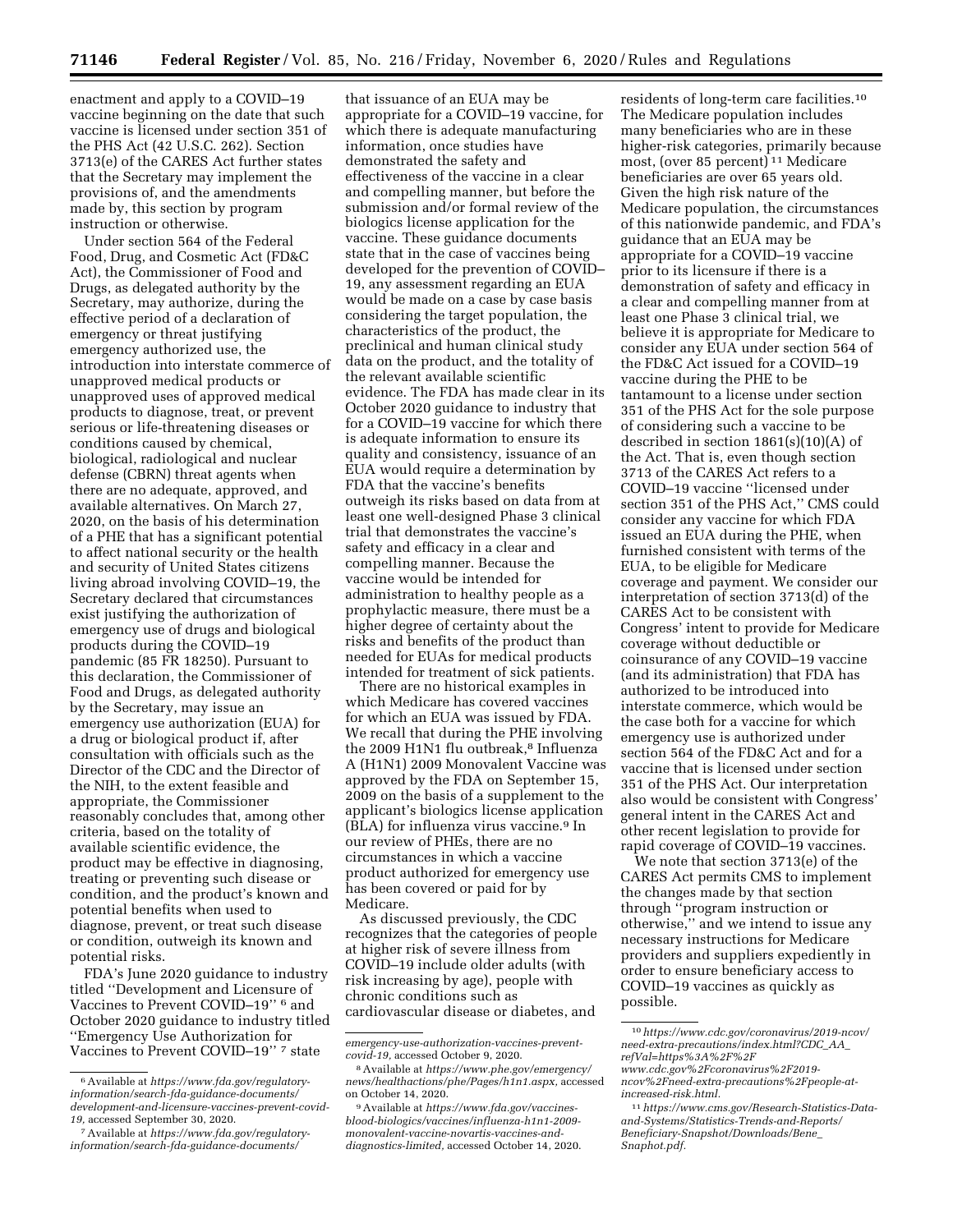enactment and apply to a COVID–19 vaccine beginning on the date that such vaccine is licensed under section 351 of the PHS Act (42 U.S.C. 262). Section 3713(e) of the CARES Act further states that the Secretary may implement the provisions of, and the amendments made by, this section by program instruction or otherwise.

Under section 564 of the Federal Food, Drug, and Cosmetic Act (FD&C Act), the Commissioner of Food and Drugs, as delegated authority by the Secretary, may authorize, during the effective period of a declaration of emergency or threat justifying emergency authorized use, the introduction into interstate commerce of unapproved medical products or unapproved uses of approved medical products to diagnose, treat, or prevent serious or life-threatening diseases or conditions caused by chemical, biological, radiological and nuclear defense (CBRN) threat agents when there are no adequate, approved, and available alternatives. On March 27, 2020, on the basis of his determination of a PHE that has a significant potential to affect national security or the health and security of United States citizens living abroad involving COVID–19, the Secretary declared that circumstances exist justifying the authorization of emergency use of drugs and biological products during the COVID–19 pandemic (85 FR 18250). Pursuant to this declaration, the Commissioner of Food and Drugs, as delegated authority by the Secretary, may issue an emergency use authorization (EUA) for a drug or biological product if, after consultation with officials such as the Director of the CDC and the Director of the NIH, to the extent feasible and appropriate, the Commissioner reasonably concludes that, among other criteria, based on the totality of available scientific evidence, the product may be effective in diagnosing, treating or preventing such disease or condition, and the product's known and potential benefits when used to diagnose, prevent, or treat such disease or condition, outweigh its known and potential risks.

FDA's June 2020 guidance to industry titled ''Development and Licensure of Vaccines to Prevent COVID–19'' 6 and October 2020 guidance to industry titled ''Emergency Use Authorization for Vaccines to Prevent COVID–19'' 7 state

that issuance of an EUA may be appropriate for a COVID–19 vaccine, for which there is adequate manufacturing information, once studies have demonstrated the safety and effectiveness of the vaccine in a clear and compelling manner, but before the submission and/or formal review of the biologics license application for the vaccine. These guidance documents state that in the case of vaccines being developed for the prevention of COVID– 19, any assessment regarding an EUA would be made on a case by case basis considering the target population, the characteristics of the product, the preclinical and human clinical study data on the product, and the totality of the relevant available scientific evidence. The FDA has made clear in its October 2020 guidance to industry that for a COVID–19 vaccine for which there is adequate information to ensure its quality and consistency, issuance of an EUA would require a determination by FDA that the vaccine's benefits outweigh its risks based on data from at least one well-designed Phase 3 clinical trial that demonstrates the vaccine's safety and efficacy in a clear and compelling manner. Because the vaccine would be intended for administration to healthy people as a prophylactic measure, there must be a higher degree of certainty about the risks and benefits of the product than needed for EUAs for medical products intended for treatment of sick patients.

There are no historical examples in which Medicare has covered vaccines for which an EUA was issued by FDA. We recall that during the PHE involving the 2009 H1N1 flu outbreak,<sup>8</sup> Influenza A (H1N1) 2009 Monovalent Vaccine was approved by the FDA on September 15, 2009 on the basis of a supplement to the applicant's biologics license application (BLA) for influenza virus vaccine.9 In our review of PHEs, there are no circumstances in which a vaccine product authorized for emergency use has been covered or paid for by Medicare.

As discussed previously, the CDC recognizes that the categories of people at higher risk of severe illness from COVID–19 include older adults (with risk increasing by age), people with chronic conditions such as cardiovascular disease or diabetes, and

residents of long-term care facilities.10 The Medicare population includes many beneficiaries who are in these higher-risk categories, primarily because most, (over 85 percent) 11 Medicare beneficiaries are over 65 years old. Given the high risk nature of the Medicare population, the circumstances of this nationwide pandemic, and FDA's guidance that an EUA may be appropriate for a COVID–19 vaccine prior to its licensure if there is a demonstration of safety and efficacy in a clear and compelling manner from at least one Phase 3 clinical trial, we believe it is appropriate for Medicare to consider any EUA under section 564 of the FD&C Act issued for a COVID–19 vaccine during the PHE to be tantamount to a license under section 351 of the PHS Act for the sole purpose of considering such a vaccine to be described in section 1861(s)(10)(A) of the Act. That is, even though section 3713 of the CARES Act refers to a COVID–19 vaccine ''licensed under section 351 of the PHS Act,'' CMS could consider any vaccine for which FDA issued an EUA during the PHE, when furnished consistent with terms of the EUA, to be eligible for Medicare coverage and payment. We consider our interpretation of section 3713(d) of the CARES Act to be consistent with Congress' intent to provide for Medicare coverage without deductible or coinsurance of any COVID–19 vaccine (and its administration) that FDA has authorized to be introduced into interstate commerce, which would be the case both for a vaccine for which emergency use is authorized under section 564 of the FD&C Act and for a vaccine that is licensed under section 351 of the PHS Act. Our interpretation also would be consistent with Congress' general intent in the CARES Act and other recent legislation to provide for rapid coverage of COVID–19 vaccines.

We note that section 3713(e) of the CARES Act permits CMS to implement the changes made by that section through ''program instruction or otherwise,'' and we intend to issue any necessary instructions for Medicare providers and suppliers expediently in order to ensure beneficiary access to COVID–19 vaccines as quickly as possible.

<sup>6</sup>Available at *https://www.fda.gov/regulatoryinformation/search-fda-guidance-documents/ development-and-licensure-vaccines-prevent-covid-19,* accessed September 30, 2020.

<sup>7</sup>Available at *https://www.fda.gov/regulatoryinformation/search-fda-guidance-documents/* 

*emergency-use-authorization-vaccines-preventcovid-19,* accessed October 9, 2020.

<sup>8</sup>Available at *https://www.phe.gov/emergency/ news/healthactions/phe/Pages/h1n1.aspx,* accessed on October 14, 2020.

<sup>9</sup>Available at *https://www.fda.gov/vaccinesblood-biologics/vaccines/influenza-h1n1-2009 monovalent-vaccine-novartis-vaccines-anddiagnostics-limited,* accessed October 14, 2020.

<sup>10</sup>*https://www.cdc.gov/coronavirus/2019-ncov/ need-extra-precautions/index.html?CDC*\_*AA*\_ *refVal=https%3A%2F%2F*

*www.cdc.gov%2Fcoronavirus%2F2019 ncov%2Fneed-extra-precautions%2Fpeople-atincreased-risk.html.* 

<sup>11</sup>*https://www.cms.gov/Research-Statistics-Dataand-Systems/Statistics-Trends-and-Reports/ Beneficiary-Snapshot/Downloads/Bene*\_ *Snaphot.pdf.*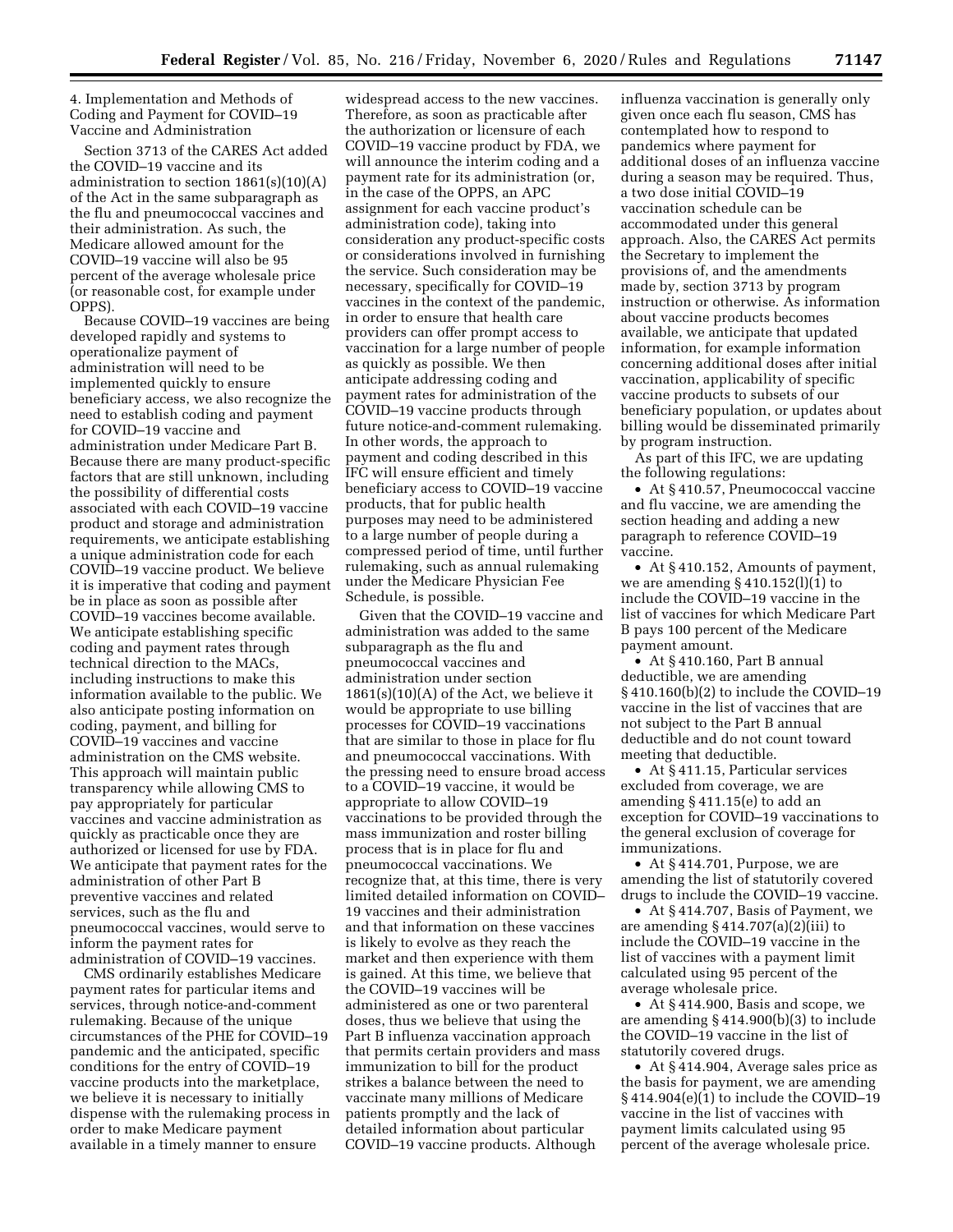4. Implementation and Methods of Coding and Payment for COVID–19 Vaccine and Administration

Section 3713 of the CARES Act added the COVID–19 vaccine and its administration to section  $1861(s)(10)(A)$ of the Act in the same subparagraph as the flu and pneumococcal vaccines and their administration. As such, the Medicare allowed amount for the COVID–19 vaccine will also be 95 percent of the average wholesale price (or reasonable cost, for example under OPPS).

Because COVID–19 vaccines are being developed rapidly and systems to operationalize payment of administration will need to be implemented quickly to ensure beneficiary access, we also recognize the need to establish coding and payment for COVID–19 vaccine and administration under Medicare Part B. Because there are many product-specific factors that are still unknown, including the possibility of differential costs associated with each COVID–19 vaccine product and storage and administration requirements, we anticipate establishing a unique administration code for each COVID–19 vaccine product. We believe it is imperative that coding and payment be in place as soon as possible after COVID–19 vaccines become available. We anticipate establishing specific coding and payment rates through technical direction to the MACs, including instructions to make this information available to the public. We also anticipate posting information on coding, payment, and billing for COVID–19 vaccines and vaccine administration on the CMS website. This approach will maintain public transparency while allowing CMS to pay appropriately for particular vaccines and vaccine administration as quickly as practicable once they are authorized or licensed for use by FDA. We anticipate that payment rates for the administration of other Part B preventive vaccines and related services, such as the flu and pneumococcal vaccines, would serve to inform the payment rates for administration of COVID–19 vaccines.

CMS ordinarily establishes Medicare payment rates for particular items and services, through notice-and-comment rulemaking. Because of the unique circumstances of the PHE for COVID–19 pandemic and the anticipated, specific conditions for the entry of COVID–19 vaccine products into the marketplace, we believe it is necessary to initially dispense with the rulemaking process in order to make Medicare payment available in a timely manner to ensure

widespread access to the new vaccines. Therefore, as soon as practicable after the authorization or licensure of each COVID–19 vaccine product by FDA, we will announce the interim coding and a payment rate for its administration (or, in the case of the OPPS, an APC assignment for each vaccine product's administration code), taking into consideration any product-specific costs or considerations involved in furnishing the service. Such consideration may be necessary, specifically for COVID–19 vaccines in the context of the pandemic, in order to ensure that health care providers can offer prompt access to vaccination for a large number of people as quickly as possible. We then anticipate addressing coding and payment rates for administration of the COVID–19 vaccine products through future notice-and-comment rulemaking. In other words, the approach to payment and coding described in this IFC will ensure efficient and timely beneficiary access to COVID–19 vaccine products, that for public health purposes may need to be administered to a large number of people during a compressed period of time, until further rulemaking, such as annual rulemaking under the Medicare Physician Fee Schedule, is possible.

Given that the COVID–19 vaccine and administration was added to the same subparagraph as the flu and pneumococcal vaccines and administration under section  $1861(s)(10)(A)$  of the Act, we believe it would be appropriate to use billing processes for COVID–19 vaccinations that are similar to those in place for flu and pneumococcal vaccinations. With the pressing need to ensure broad access to a COVID–19 vaccine, it would be appropriate to allow COVID–19 vaccinations to be provided through the mass immunization and roster billing process that is in place for flu and pneumococcal vaccinations. We recognize that, at this time, there is very limited detailed information on COVID– 19 vaccines and their administration and that information on these vaccines is likely to evolve as they reach the market and then experience with them is gained. At this time, we believe that the COVID–19 vaccines will be administered as one or two parenteral doses, thus we believe that using the Part B influenza vaccination approach that permits certain providers and mass immunization to bill for the product strikes a balance between the need to vaccinate many millions of Medicare patients promptly and the lack of detailed information about particular COVID–19 vaccine products. Although

influenza vaccination is generally only given once each flu season, CMS has contemplated how to respond to pandemics where payment for additional doses of an influenza vaccine during a season may be required. Thus, a two dose initial COVID–19 vaccination schedule can be accommodated under this general approach. Also, the CARES Act permits the Secretary to implement the provisions of, and the amendments made by, section 3713 by program instruction or otherwise. As information about vaccine products becomes available, we anticipate that updated information, for example information concerning additional doses after initial vaccination, applicability of specific vaccine products to subsets of our beneficiary population, or updates about billing would be disseminated primarily by program instruction.

As part of this IFC, we are updating the following regulations:

• At § 410.57, Pneumococcal vaccine and flu vaccine, we are amending the section heading and adding a new paragraph to reference COVID–19 vaccine.

• At §410.152, Amounts of payment, we are amending  $\S 410.152(l)(1)$  to include the COVID–19 vaccine in the list of vaccines for which Medicare Part B pays 100 percent of the Medicare payment amount.

• At §410.160, Part B annual deductible, we are amending § 410.160(b)(2) to include the COVID–19 vaccine in the list of vaccines that are not subject to the Part B annual deductible and do not count toward meeting that deductible.

• At §411.15, Particular services excluded from coverage, we are amending § 411.15(e) to add an exception for COVID–19 vaccinations to the general exclusion of coverage for immunizations.

• At § 414.701, Purpose, we are amending the list of statutorily covered drugs to include the COVID–19 vaccine.

• At § 414.707, Basis of Payment, we are amending  $\S 414.707(a)(2)(iii)$  to include the COVID–19 vaccine in the list of vaccines with a payment limit calculated using 95 percent of the average wholesale price.

• At §414.900, Basis and scope, we are amending § 414.900(b)(3) to include the COVID–19 vaccine in the list of statutorily covered drugs.

• At § 414.904, Average sales price as the basis for payment, we are amending § 414.904(e)(1) to include the COVID–19 vaccine in the list of vaccines with payment limits calculated using 95 percent of the average wholesale price.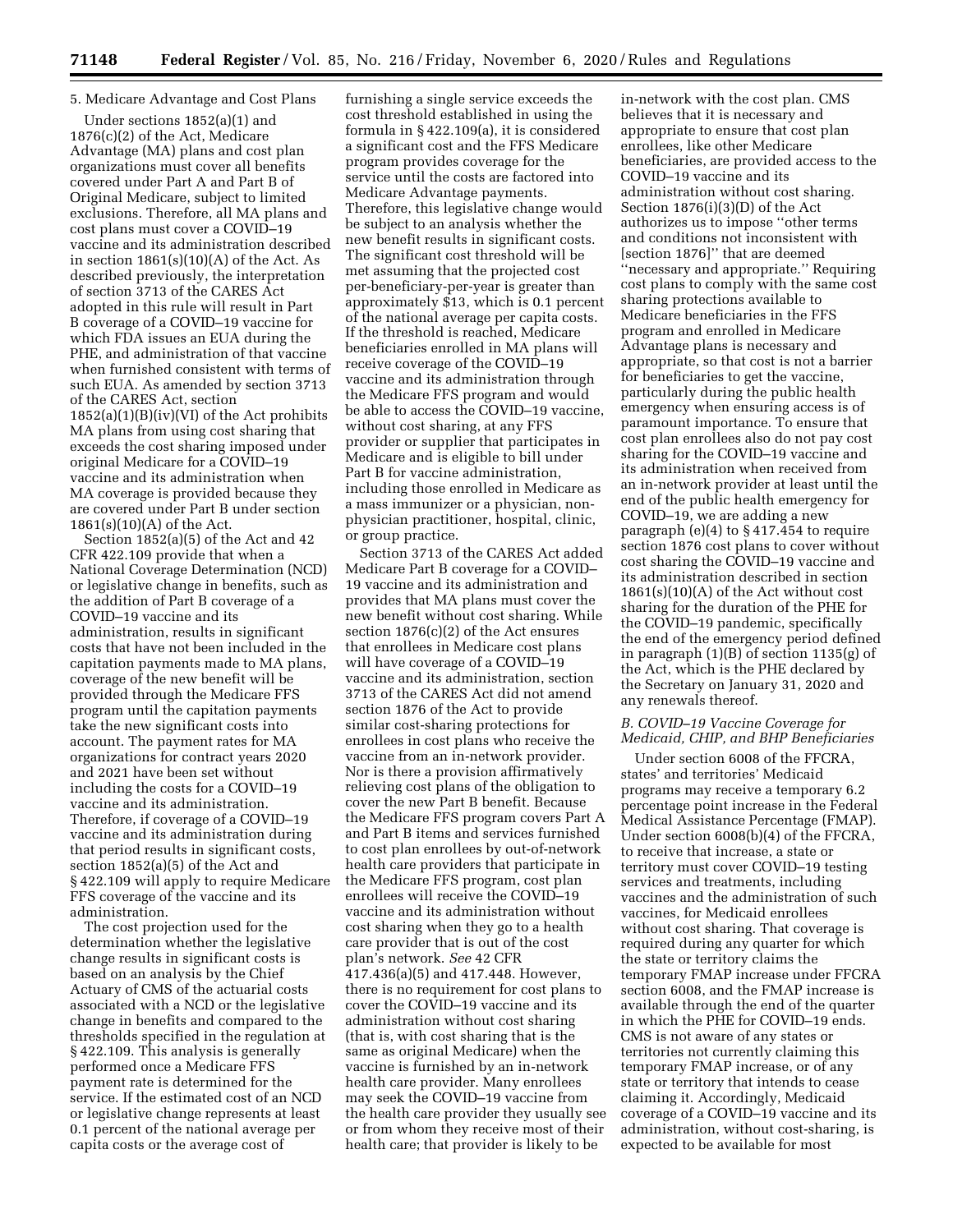# 5. Medicare Advantage and Cost Plans

Under sections 1852(a)(1) and 1876(c)(2) of the Act, Medicare Advantage (MA) plans and cost plan organizations must cover all benefits covered under Part A and Part B of Original Medicare, subject to limited exclusions. Therefore, all MA plans and cost plans must cover a COVID–19 vaccine and its administration described in section  $1861(s)(10)(A)$  of the Act. As described previously, the interpretation of section 3713 of the CARES Act adopted in this rule will result in Part B coverage of a COVID–19 vaccine for which FDA issues an EUA during the PHE, and administration of that vaccine when furnished consistent with terms of such EUA. As amended by section 3713 of the CARES Act, section 1852(a)(1)(B)(iv)(VI) of the Act prohibits MA plans from using cost sharing that exceeds the cost sharing imposed under original Medicare for a COVID–19 vaccine and its administration when MA coverage is provided because they are covered under Part B under section  $1861(s)(10)(A)$  of the Act.

Section 1852(a)(5) of the Act and 42 CFR 422.109 provide that when a National Coverage Determination (NCD) or legislative change in benefits, such as the addition of Part B coverage of a COVID–19 vaccine and its administration, results in significant costs that have not been included in the capitation payments made to MA plans, coverage of the new benefit will be provided through the Medicare FFS program until the capitation payments take the new significant costs into account. The payment rates for MA organizations for contract years 2020 and 2021 have been set without including the costs for a COVID–19 vaccine and its administration. Therefore, if coverage of a COVID–19 vaccine and its administration during that period results in significant costs, section 1852(a)(5) of the Act and § 422.109 will apply to require Medicare FFS coverage of the vaccine and its administration.

The cost projection used for the determination whether the legislative change results in significant costs is based on an analysis by the Chief Actuary of CMS of the actuarial costs associated with a NCD or the legislative change in benefits and compared to the thresholds specified in the regulation at § 422.109. This analysis is generally performed once a Medicare FFS payment rate is determined for the service. If the estimated cost of an NCD or legislative change represents at least 0.1 percent of the national average per capita costs or the average cost of

furnishing a single service exceeds the cost threshold established in using the formula in § 422.109(a), it is considered a significant cost and the FFS Medicare program provides coverage for the service until the costs are factored into Medicare Advantage payments. Therefore, this legislative change would be subject to an analysis whether the new benefit results in significant costs. The significant cost threshold will be met assuming that the projected cost per-beneficiary-per-year is greater than approximately \$13, which is 0.1 percent of the national average per capita costs. If the threshold is reached, Medicare beneficiaries enrolled in MA plans will receive coverage of the COVID–19 vaccine and its administration through the Medicare FFS program and would be able to access the COVID–19 vaccine, without cost sharing, at any FFS provider or supplier that participates in Medicare and is eligible to bill under Part B for vaccine administration, including those enrolled in Medicare as a mass immunizer or a physician, nonphysician practitioner, hospital, clinic, or group practice.

Section 3713 of the CARES Act added Medicare Part B coverage for a COVID– 19 vaccine and its administration and provides that MA plans must cover the new benefit without cost sharing. While section 1876(c)(2) of the Act ensures that enrollees in Medicare cost plans will have coverage of a COVID–19 vaccine and its administration, section 3713 of the CARES Act did not amend section 1876 of the Act to provide similar cost-sharing protections for enrollees in cost plans who receive the vaccine from an in-network provider. Nor is there a provision affirmatively relieving cost plans of the obligation to cover the new Part B benefit. Because the Medicare FFS program covers Part A and Part B items and services furnished to cost plan enrollees by out-of-network health care providers that participate in the Medicare FFS program, cost plan enrollees will receive the COVID–19 vaccine and its administration without cost sharing when they go to a health care provider that is out of the cost plan's network. *See* 42 CFR 417.436(a)(5) and 417.448. However, there is no requirement for cost plans to cover the COVID–19 vaccine and its administration without cost sharing (that is, with cost sharing that is the same as original Medicare) when the vaccine is furnished by an in-network health care provider. Many enrollees may seek the COVID–19 vaccine from the health care provider they usually see or from whom they receive most of their health care; that provider is likely to be

in-network with the cost plan. CMS believes that it is necessary and appropriate to ensure that cost plan enrollees, like other Medicare beneficiaries, are provided access to the COVID–19 vaccine and its administration without cost sharing. Section 1876(i)(3)(D) of the Act authorizes us to impose ''other terms and conditions not inconsistent with [section 1876]'' that are deemed ''necessary and appropriate.'' Requiring cost plans to comply with the same cost sharing protections available to Medicare beneficiaries in the FFS program and enrolled in Medicare Advantage plans is necessary and appropriate, so that cost is not a barrier for beneficiaries to get the vaccine, particularly during the public health emergency when ensuring access is of paramount importance. To ensure that cost plan enrollees also do not pay cost sharing for the COVID–19 vaccine and its administration when received from an in-network provider at least until the end of the public health emergency for COVID–19, we are adding a new paragraph (e)(4) to § 417.454 to require section 1876 cost plans to cover without cost sharing the COVID–19 vaccine and its administration described in section  $1861(s)(10)(A)$  of the Act without cost sharing for the duration of the PHE for the COVID–19 pandemic, specifically the end of the emergency period defined in paragraph (1)(B) of section 1135(g) of the Act, which is the PHE declared by the Secretary on January 31, 2020 and any renewals thereof.

# *B. COVID–19 Vaccine Coverage for Medicaid, CHIP, and BHP Beneficiaries*

Under section 6008 of the FFCRA, states' and territories' Medicaid programs may receive a temporary 6.2 percentage point increase in the Federal Medical Assistance Percentage (FMAP). Under section 6008(b)(4) of the FFCRA, to receive that increase, a state or territory must cover COVID–19 testing services and treatments, including vaccines and the administration of such vaccines, for Medicaid enrollees without cost sharing. That coverage is required during any quarter for which the state or territory claims the temporary FMAP increase under FFCRA section 6008, and the FMAP increase is available through the end of the quarter in which the PHE for COVID–19 ends. CMS is not aware of any states or territories not currently claiming this temporary FMAP increase, or of any state or territory that intends to cease claiming it. Accordingly, Medicaid coverage of a COVID–19 vaccine and its administration, without cost-sharing, is expected to be available for most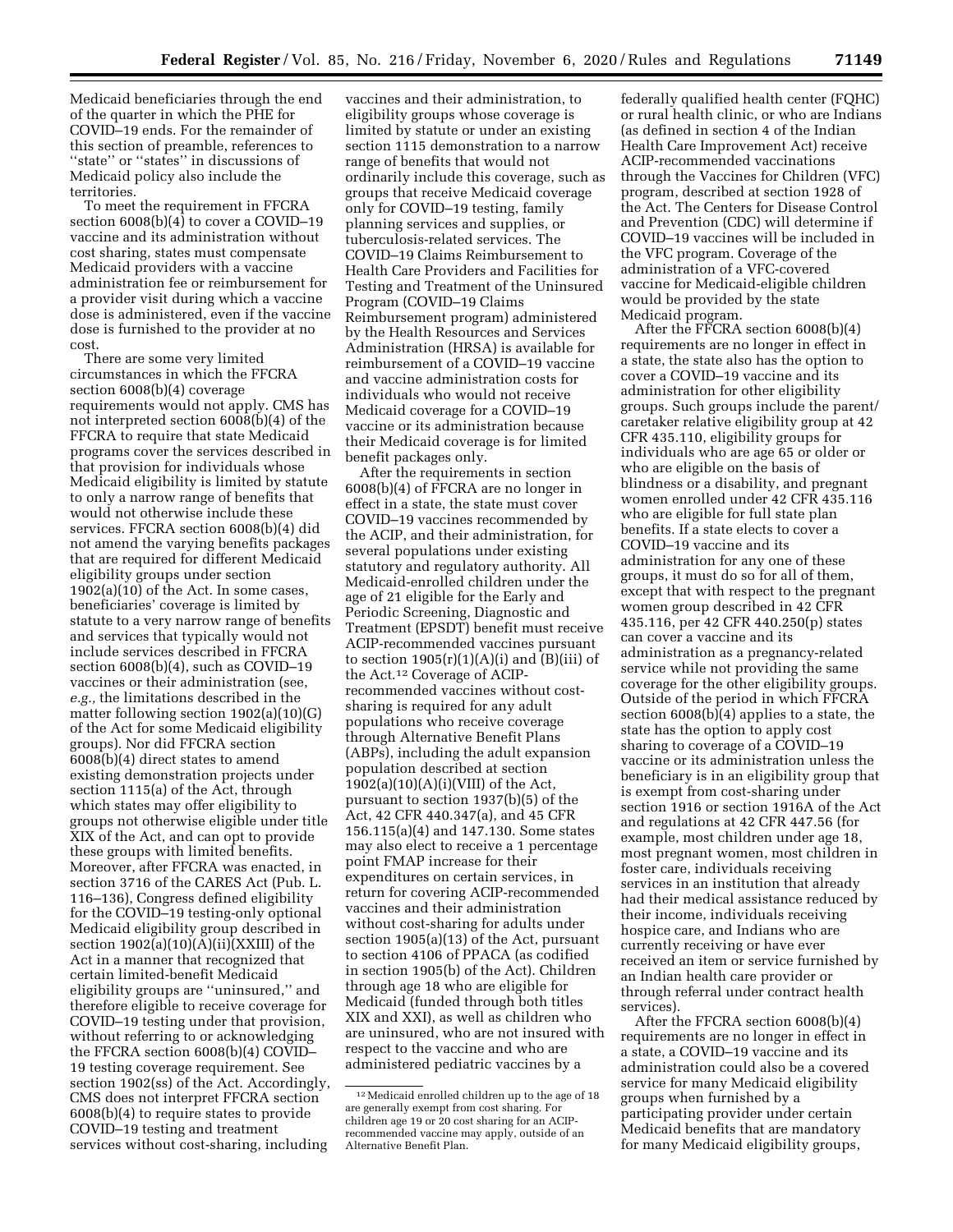Medicaid beneficiaries through the end of the quarter in which the PHE for COVID–19 ends. For the remainder of this section of preamble, references to "state" or "states" in discussions of Medicaid policy also include the territories.

To meet the requirement in FFCRA section 6008(b)(4) to cover a COVID–19 vaccine and its administration without cost sharing, states must compensate Medicaid providers with a vaccine administration fee or reimbursement for a provider visit during which a vaccine dose is administered, even if the vaccine dose is furnished to the provider at no cost.

There are some very limited circumstances in which the FFCRA section 6008(b)(4) coverage requirements would not apply. CMS has not interpreted section 6008(b)(4) of the FFCRA to require that state Medicaid programs cover the services described in that provision for individuals whose Medicaid eligibility is limited by statute to only a narrow range of benefits that would not otherwise include these services. FFCRA section 6008(b)(4) did not amend the varying benefits packages that are required for different Medicaid eligibility groups under section  $1902(a)(10)$  of the Act. In some cases, beneficiaries' coverage is limited by statute to a very narrow range of benefits and services that typically would not include services described in FFCRA section 6008(b)(4), such as COVID–19 vaccines or their administration (see, *e.g.,* the limitations described in the matter following section 1902(a)(10)(G) of the Act for some Medicaid eligibility groups). Nor did FFCRA section 6008(b)(4) direct states to amend existing demonstration projects under section 1115(a) of the Act, through which states may offer eligibility to groups not otherwise eligible under title XIX of the Act, and can opt to provide these groups with limited benefits. Moreover, after FFCRA was enacted, in section 3716 of the CARES Act (Pub. L. 116–136), Congress defined eligibility for the COVID–19 testing-only optional Medicaid eligibility group described in section  $1902(a)(10)(\overline{A})(ii)(XXIII)$  of the Act in a manner that recognized that certain limited-benefit Medicaid eligibility groups are ''uninsured,'' and therefore eligible to receive coverage for COVID–19 testing under that provision, without referring to or acknowledging the FFCRA section 6008(b)(4) COVID– 19 testing coverage requirement. See section 1902(ss) of the Act. Accordingly, CMS does not interpret FFCRA section 6008(b)(4) to require states to provide COVID–19 testing and treatment services without cost-sharing, including

vaccines and their administration, to eligibility groups whose coverage is limited by statute or under an existing section 1115 demonstration to a narrow range of benefits that would not ordinarily include this coverage, such as groups that receive Medicaid coverage only for COVID–19 testing, family planning services and supplies, or tuberculosis-related services. The COVID–19 Claims Reimbursement to Health Care Providers and Facilities for Testing and Treatment of the Uninsured Program (COVID–19 Claims Reimbursement program) administered by the Health Resources and Services Administration (HRSA) is available for reimbursement of a COVID–19 vaccine and vaccine administration costs for individuals who would not receive Medicaid coverage for a COVID–19 vaccine or its administration because their Medicaid coverage is for limited benefit packages only.

After the requirements in section 6008(b)(4) of FFCRA are no longer in effect in a state, the state must cover COVID–19 vaccines recommended by the ACIP, and their administration, for several populations under existing statutory and regulatory authority. All Medicaid-enrolled children under the age of 21 eligible for the Early and Periodic Screening, Diagnostic and Treatment (EPSDT) benefit must receive ACIP-recommended vaccines pursuant to section  $1905(r)(1)(A)(i)$  and  $(B)(iii)$  of the Act.12 Coverage of ACIPrecommended vaccines without costsharing is required for any adult populations who receive coverage through Alternative Benefit Plans (ABPs), including the adult expansion population described at section  $1902(a)(10)(A)(i)(VIII)$  of the Act, pursuant to section 1937(b)(5) of the Act, 42 CFR 440.347(a), and 45 CFR 156.115(a)(4) and 147.130. Some states may also elect to receive a 1 percentage point FMAP increase for their expenditures on certain services, in return for covering ACIP-recommended vaccines and their administration without cost-sharing for adults under section 1905(a)(13) of the Act, pursuant to section 4106 of PPACA (as codified in section 1905(b) of the Act). Children through age 18 who are eligible for Medicaid (funded through both titles XIX and XXI), as well as children who are uninsured, who are not insured with respect to the vaccine and who are administered pediatric vaccines by a

federally qualified health center (FQHC) or rural health clinic, or who are Indians (as defined in section 4 of the Indian Health Care Improvement Act) receive ACIP-recommended vaccinations through the Vaccines for Children (VFC) program, described at section 1928 of the Act. The Centers for Disease Control and Prevention (CDC) will determine if COVID–19 vaccines will be included in the VFC program. Coverage of the administration of a VFC-covered vaccine for Medicaid-eligible children would be provided by the state Medicaid program.

After the FFCRA section 6008(b)(4) requirements are no longer in effect in a state, the state also has the option to cover a COVID–19 vaccine and its administration for other eligibility groups. Such groups include the parent/ caretaker relative eligibility group at 42 CFR 435.110, eligibility groups for individuals who are age 65 or older or who are eligible on the basis of blindness or a disability, and pregnant women enrolled under 42 CFR 435.116 who are eligible for full state plan benefits. If a state elects to cover a COVID–19 vaccine and its administration for any one of these groups, it must do so for all of them, except that with respect to the pregnant women group described in 42 CFR 435.116, per 42 CFR 440.250(p) states can cover a vaccine and its administration as a pregnancy-related service while not providing the same coverage for the other eligibility groups. Outside of the period in which FFCRA section 6008(b)(4) applies to a state, the state has the option to apply cost sharing to coverage of a COVID–19 vaccine or its administration unless the beneficiary is in an eligibility group that is exempt from cost-sharing under section 1916 or section 1916A of the Act and regulations at 42 CFR 447.56 (for example, most children under age 18, most pregnant women, most children in foster care, individuals receiving services in an institution that already had their medical assistance reduced by their income, individuals receiving hospice care, and Indians who are currently receiving or have ever received an item or service furnished by an Indian health care provider or through referral under contract health services).

After the FFCRA section 6008(b)(4) requirements are no longer in effect in a state, a COVID–19 vaccine and its administration could also be a covered service for many Medicaid eligibility groups when furnished by a participating provider under certain Medicaid benefits that are mandatory for many Medicaid eligibility groups,

<sup>12</sup>Medicaid enrolled children up to the age of 18 are generally exempt from cost sharing. For children age 19 or 20 cost sharing for an ACIPrecommended vaccine may apply, outside of an Alternative Benefit Plan.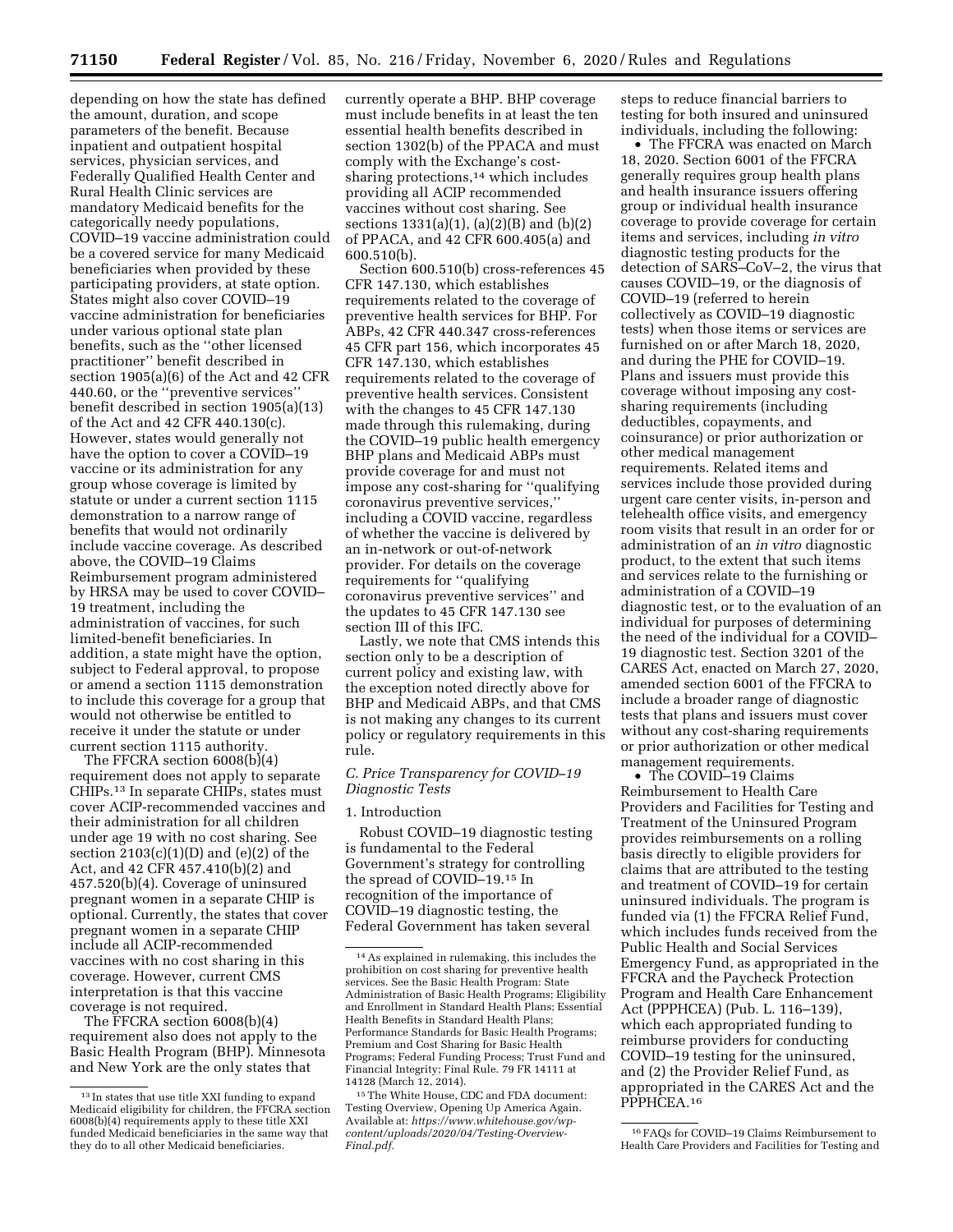depending on how the state has defined the amount, duration, and scope parameters of the benefit. Because inpatient and outpatient hospital services, physician services, and Federally Qualified Health Center and Rural Health Clinic services are mandatory Medicaid benefits for the categorically needy populations, COVID–19 vaccine administration could be a covered service for many Medicaid beneficiaries when provided by these participating providers, at state option. States might also cover COVID–19 vaccine administration for beneficiaries under various optional state plan benefits, such as the ''other licensed practitioner'' benefit described in section 1905(a)(6) of the Act and 42 CFR 440.60, or the ''preventive services'' benefit described in section 1905(a)(13) of the Act and 42 CFR 440.130(c). However, states would generally not have the option to cover a COVID–19 vaccine or its administration for any group whose coverage is limited by statute or under a current section 1115 demonstration to a narrow range of benefits that would not ordinarily include vaccine coverage. As described above, the COVID–19 Claims Reimbursement program administered by HRSA may be used to cover COVID– 19 treatment, including the administration of vaccines, for such limited-benefit beneficiaries. In addition, a state might have the option, subject to Federal approval, to propose or amend a section 1115 demonstration to include this coverage for a group that would not otherwise be entitled to receive it under the statute or under current section 1115 authority.

The FFCRA section 6008(b)(4) requirement does not apply to separate CHIPs.13 In separate CHIPs, states must cover ACIP-recommended vaccines and their administration for all children under age 19 with no cost sharing. See section  $2103(c)(1)(D)$  and  $(e)(2)$  of the Act, and 42 CFR 457.410(b)(2) and 457.520(b)(4). Coverage of uninsured pregnant women in a separate CHIP is optional. Currently, the states that cover pregnant women in a separate CHIP include all ACIP-recommended vaccines with no cost sharing in this coverage. However, current CMS interpretation is that this vaccine coverage is not required.

The FFCRA section 6008(b)(4) requirement also does not apply to the Basic Health Program (BHP). Minnesota and New York are the only states that

currently operate a BHP. BHP coverage must include benefits in at least the ten essential health benefits described in section 1302(b) of the PPACA and must comply with the Exchange's costsharing protections,<sup>14</sup> which includes providing all ACIP recommended vaccines without cost sharing. See sections 1331(a)(1), (a)(2)(B) and (b)(2) of PPACA, and 42 CFR 600.405(a) and 600.510(b).

Section 600.510(b) cross-references 45 CFR 147.130, which establishes requirements related to the coverage of preventive health services for BHP. For ABPs, 42 CFR 440.347 cross-references 45 CFR part 156, which incorporates 45 CFR 147.130, which establishes requirements related to the coverage of preventive health services. Consistent with the changes to 45 CFR 147.130 made through this rulemaking, during the COVID–19 public health emergency BHP plans and Medicaid ABPs must provide coverage for and must not impose any cost-sharing for ''qualifying coronavirus preventive services,'' including a COVID vaccine, regardless of whether the vaccine is delivered by an in-network or out-of-network provider. For details on the coverage requirements for ''qualifying coronavirus preventive services'' and the updates to 45 CFR 147.130 see section III of this IFC.

Lastly, we note that CMS intends this section only to be a description of current policy and existing law, with the exception noted directly above for BHP and Medicaid ABPs, and that CMS is not making any changes to its current policy or regulatory requirements in this rule.

# *C. Price Transparency for COVID–19 Diagnostic Tests*

### 1. Introduction

Robust COVID–19 diagnostic testing is fundamental to the Federal Government's strategy for controlling the spread of COVID–19.15 In recognition of the importance of COVID–19 diagnostic testing, the Federal Government has taken several

steps to reduce financial barriers to testing for both insured and uninsured individuals, including the following:

• The FFCRA was enacted on March 18, 2020. Section 6001 of the FFCRA generally requires group health plans and health insurance issuers offering group or individual health insurance coverage to provide coverage for certain items and services, including *in vitro*  diagnostic testing products for the detection of SARS–CoV–2, the virus that causes COVID–19, or the diagnosis of COVID–19 (referred to herein collectively as COVID–19 diagnostic tests) when those items or services are furnished on or after March 18, 2020, and during the PHE for COVID–19. Plans and issuers must provide this coverage without imposing any costsharing requirements (including deductibles, copayments, and coinsurance) or prior authorization or other medical management requirements. Related items and services include those provided during urgent care center visits, in-person and telehealth office visits, and emergency room visits that result in an order for or administration of an *in vitro* diagnostic product, to the extent that such items and services relate to the furnishing or administration of a COVID–19 diagnostic test, or to the evaluation of an individual for purposes of determining the need of the individual for a COVID– 19 diagnostic test. Section 3201 of the CARES Act, enacted on March 27, 2020, amended section 6001 of the FFCRA to include a broader range of diagnostic tests that plans and issuers must cover without any cost-sharing requirements or prior authorization or other medical management requirements.

• The COVID-19 Claims Reimbursement to Health Care Providers and Facilities for Testing and Treatment of the Uninsured Program provides reimbursements on a rolling basis directly to eligible providers for claims that are attributed to the testing and treatment of COVID–19 for certain uninsured individuals. The program is funded via (1) the FFCRA Relief Fund, which includes funds received from the Public Health and Social Services Emergency Fund, as appropriated in the FFCRA and the Paycheck Protection Program and Health Care Enhancement Act (PPPHCEA) (Pub. L. 116–139), which each appropriated funding to reimburse providers for conducting COVID–19 testing for the uninsured, and (2) the Provider Relief Fund, as appropriated in the CARES Act and the PPPHCEA.16

<sup>13</sup> In states that use title XXI funding to expand Medicaid eligibility for children, the FFCRA section 6008(b)(4) requirements apply to these title XXI funded Medicaid beneficiaries in the same way that they do to all other Medicaid beneficiaries.

<sup>14</sup>As explained in rulemaking, this includes the prohibition on cost sharing for preventive health services. See the Basic Health Program: State Administration of Basic Health Programs; Eligibility and Enrollment in Standard Health Plans; Essential Health Benefits in Standard Health Plans; Performance Standards for Basic Health Programs; Premium and Cost Sharing for Basic Health Programs; Federal Funding Process; Trust Fund and Financial Integrity; Final Rule. 79 FR 14111 at 14128 (March 12, 2014).

<sup>15</sup>The White House, CDC and FDA document: Testing Overview, Opening Up America Again. Available at: *https://www.whitehouse.gov/wpcontent/uploads/2020/04/Testing-Overview-Final.pdf.* 

<sup>16</sup>FAQs for COVID–19 Claims Reimbursement to Health Care Providers and Facilities for Testing and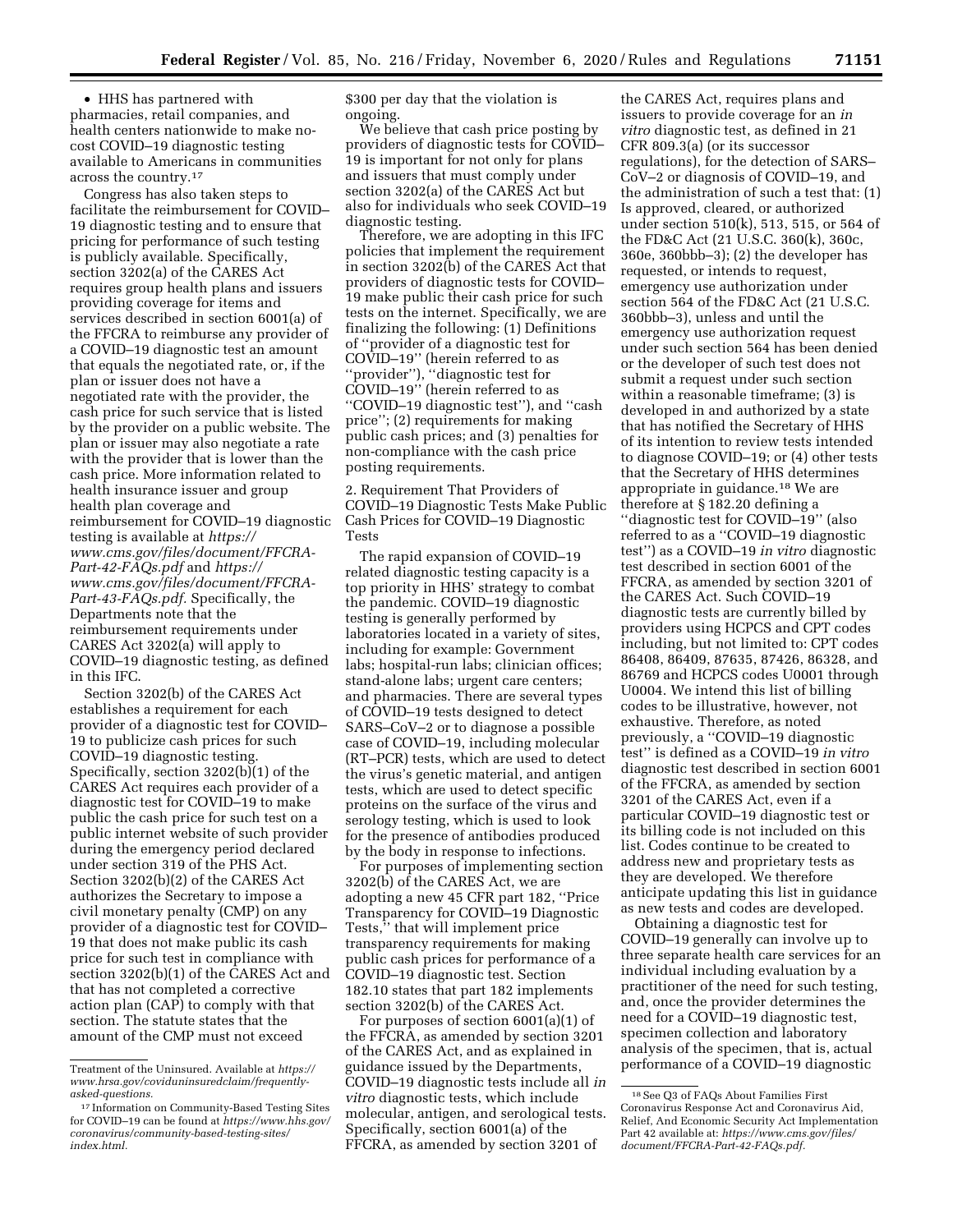• HHS has partnered with pharmacies, retail companies, and health centers nationwide to make nocost COVID–19 diagnostic testing available to Americans in communities across the country.17

Congress has also taken steps to facilitate the reimbursement for COVID– 19 diagnostic testing and to ensure that pricing for performance of such testing is publicly available. Specifically, section 3202(a) of the CARES Act requires group health plans and issuers providing coverage for items and services described in section 6001(a) of the FFCRA to reimburse any provider of a COVID–19 diagnostic test an amount that equals the negotiated rate, or, if the plan or issuer does not have a negotiated rate with the provider, the cash price for such service that is listed by the provider on a public website. The plan or issuer may also negotiate a rate with the provider that is lower than the cash price. More information related to health insurance issuer and group health plan coverage and reimbursement for COVID–19 diagnostic testing is available at *https:// www.cms.gov/files/document/FFCRA-Part-42-FAQs.pdf* and *https:// www.cms.gov/files/document/FFCRA-Part-43-FAQs.pdf.* Specifically, the Departments note that the reimbursement requirements under CARES Act 3202(a) will apply to COVID–19 diagnostic testing, as defined in this IFC.

Section 3202(b) of the CARES Act establishes a requirement for each provider of a diagnostic test for COVID– 19 to publicize cash prices for such COVID–19 diagnostic testing. Specifically, section 3202(b)(1) of the CARES Act requires each provider of a diagnostic test for COVID–19 to make public the cash price for such test on a public internet website of such provider during the emergency period declared under section 319 of the PHS Act. Section 3202(b)(2) of the CARES Act authorizes the Secretary to impose a civil monetary penalty (CMP) on any provider of a diagnostic test for COVID– 19 that does not make public its cash price for such test in compliance with section 3202(b)(1) of the CARES Act and that has not completed a corrective action plan (CAP) to comply with that section. The statute states that the amount of the CMP must not exceed

\$300 per day that the violation is ongoing.

We believe that cash price posting by providers of diagnostic tests for COVID– 19 is important for not only for plans and issuers that must comply under section 3202(a) of the CARES Act but also for individuals who seek COVID–19 diagnostic testing.

Therefore, we are adopting in this IFC policies that implement the requirement in section 3202(b) of the CARES Act that providers of diagnostic tests for COVID– 19 make public their cash price for such tests on the internet. Specifically, we are finalizing the following: (1) Definitions of ''provider of a diagnostic test for COVID–19'' (herein referred to as ''provider''), ''diagnostic test for COVID–19'' (herein referred to as ''COVID–19 diagnostic test''), and ''cash price''; (2) requirements for making public cash prices; and (3) penalties for non-compliance with the cash price posting requirements.

2. Requirement That Providers of COVID–19 Diagnostic Tests Make Public Cash Prices for COVID–19 Diagnostic Tests

The rapid expansion of COVID–19 related diagnostic testing capacity is a top priority in HHS' strategy to combat the pandemic. COVID–19 diagnostic testing is generally performed by laboratories located in a variety of sites, including for example: Government labs; hospital-run labs; clinician offices; stand-alone labs; urgent care centers; and pharmacies. There are several types of COVID–19 tests designed to detect SARS–CoV–2 or to diagnose a possible case of COVID–19, including molecular (RT–PCR) tests, which are used to detect the virus's genetic material, and antigen tests, which are used to detect specific proteins on the surface of the virus and serology testing, which is used to look for the presence of antibodies produced by the body in response to infections.

For purposes of implementing section 3202(b) of the CARES Act, we are adopting a new 45 CFR part 182, ''Price Transparency for COVID–19 Diagnostic Tests,'' that will implement price transparency requirements for making public cash prices for performance of a COVID–19 diagnostic test. Section 182.10 states that part 182 implements section 3202(b) of the CARES Act.

For purposes of section 6001(a)(1) of the FFCRA, as amended by section 3201 of the CARES Act, and as explained in guidance issued by the Departments, COVID–19 diagnostic tests include all *in vitro* diagnostic tests, which include molecular, antigen, and serological tests. Specifically, section 6001(a) of the FFCRA, as amended by section 3201 of

the CARES Act, requires plans and issuers to provide coverage for an *in vitro* diagnostic test, as defined in 21 CFR 809.3(a) (or its successor regulations), for the detection of SARS– CoV–2 or diagnosis of COVID–19, and the administration of such a test that: (1) Is approved, cleared, or authorized under section 510(k), 513, 515, or 564 of the FD&C Act (21 U.S.C. 360(k), 360c, 360e, 360bbb–3); (2) the developer has requested, or intends to request, emergency use authorization under section 564 of the FD&C Act (21 U.S.C. 360bbb–3), unless and until the emergency use authorization request under such section 564 has been denied or the developer of such test does not submit a request under such section within a reasonable timeframe; (3) is developed in and authorized by a state that has notified the Secretary of HHS of its intention to review tests intended to diagnose COVID–19; or (4) other tests that the Secretary of HHS determines appropriate in guidance.18 We are therefore at § 182.20 defining a ''diagnostic test for COVID–19'' (also referred to as a ''COVID–19 diagnostic test'') as a COVID–19 *in vitro* diagnostic test described in section 6001 of the FFCRA, as amended by section 3201 of the CARES Act. Such COVID–19 diagnostic tests are currently billed by providers using HCPCS and CPT codes including, but not limited to: CPT codes 86408, 86409, 87635, 87426, 86328, and 86769 and HCPCS codes U0001 through U0004. We intend this list of billing codes to be illustrative, however, not exhaustive. Therefore, as noted previously, a ''COVID–19 diagnostic test'' is defined as a COVID–19 *in vitro*  diagnostic test described in section 6001 of the FFCRA, as amended by section 3201 of the CARES Act, even if a particular COVID–19 diagnostic test or its billing code is not included on this list. Codes continue to be created to address new and proprietary tests as they are developed. We therefore anticipate updating this list in guidance as new tests and codes are developed.

Obtaining a diagnostic test for COVID–19 generally can involve up to three separate health care services for an individual including evaluation by a practitioner of the need for such testing, and, once the provider determines the need for a COVID–19 diagnostic test, specimen collection and laboratory analysis of the specimen, that is, actual performance of a COVID–19 diagnostic

Treatment of the Uninsured. Available at *https:// www.hrsa.gov/coviduninsuredclaim/frequentlyasked-questions.* 

<sup>17</sup> Information on Community-Based Testing Sites for COVID–19 can be found at *https://www.hhs.gov/ coronavirus/community-based-testing-sites/ index.html.* 

<sup>18</sup>See Q3 of FAQs About Families First Coronavirus Response Act and Coronavirus Aid, Relief, And Economic Security Act Implementation Part 42 available at: *https://www.cms.gov/files/ document/FFCRA-Part-42-FAQs.pdf.*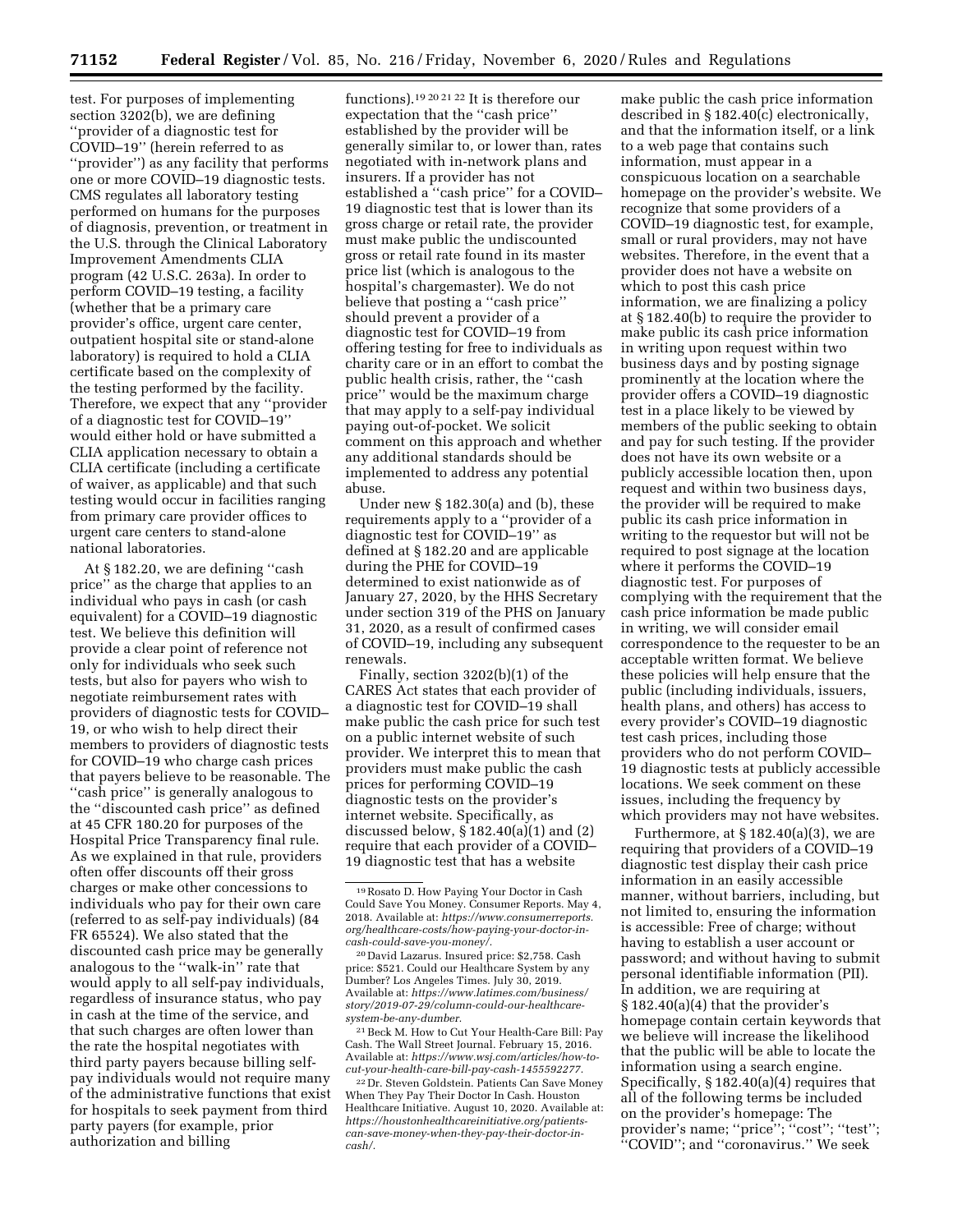test. For purposes of implementing section 3202(b), we are defining ''provider of a diagnostic test for COVID–19'' (herein referred to as ''provider'') as any facility that performs one or more COVID–19 diagnostic tests. CMS regulates all laboratory testing performed on humans for the purposes of diagnosis, prevention, or treatment in the U.S. through the Clinical Laboratory Improvement Amendments CLIA program (42 U.S.C. 263a). In order to perform COVID–19 testing, a facility (whether that be a primary care provider's office, urgent care center, outpatient hospital site or stand-alone laboratory) is required to hold a CLIA certificate based on the complexity of the testing performed by the facility. Therefore, we expect that any ''provider of a diagnostic test for COVID–19'' would either hold or have submitted a CLIA application necessary to obtain a CLIA certificate (including a certificate of waiver, as applicable) and that such testing would occur in facilities ranging from primary care provider offices to urgent care centers to stand-alone national laboratories.

At § 182.20, we are defining ''cash price'' as the charge that applies to an individual who pays in cash (or cash equivalent) for a COVID–19 diagnostic test. We believe this definition will provide a clear point of reference not only for individuals who seek such tests, but also for payers who wish to negotiate reimbursement rates with providers of diagnostic tests for COVID– 19, or who wish to help direct their members to providers of diagnostic tests for COVID–19 who charge cash prices that payers believe to be reasonable. The ''cash price'' is generally analogous to the ''discounted cash price'' as defined at 45 CFR 180.20 for purposes of the Hospital Price Transparency final rule. As we explained in that rule, providers often offer discounts off their gross charges or make other concessions to individuals who pay for their own care (referred to as self-pay individuals) (84 FR 65524). We also stated that the discounted cash price may be generally analogous to the ''walk-in'' rate that would apply to all self-pay individuals, regardless of insurance status, who pay in cash at the time of the service, and that such charges are often lower than the rate the hospital negotiates with third party payers because billing selfpay individuals would not require many of the administrative functions that exist for hospitals to seek payment from third party payers (for example, prior authorization and billing

functions).19 20 21 22 It is therefore our expectation that the ''cash price'' established by the provider will be generally similar to, or lower than, rates negotiated with in-network plans and insurers. If a provider has not established a ''cash price'' for a COVID– 19 diagnostic test that is lower than its gross charge or retail rate, the provider must make public the undiscounted gross or retail rate found in its master price list (which is analogous to the hospital's chargemaster). We do not believe that posting a "cash price" should prevent a provider of a diagnostic test for COVID–19 from offering testing for free to individuals as charity care or in an effort to combat the public health crisis, rather, the ''cash price'' would be the maximum charge that may apply to a self-pay individual paying out-of-pocket. We solicit comment on this approach and whether any additional standards should be implemented to address any potential abuse.

Under new § 182.30(a) and (b), these requirements apply to a ''provider of a diagnostic test for COVID–19'' as defined at § 182.20 and are applicable during the PHE for COVID–19 determined to exist nationwide as of January 27, 2020, by the HHS Secretary under section 319 of the PHS on January 31, 2020, as a result of confirmed cases of COVID–19, including any subsequent renewals.

Finally, section 3202(b)(1) of the CARES Act states that each provider of a diagnostic test for COVID–19 shall make public the cash price for such test on a public internet website of such provider. We interpret this to mean that providers must make public the cash prices for performing COVID–19 diagnostic tests on the provider's internet website. Specifically, as discussed below, § 182.40(a)(1) and (2) require that each provider of a COVID– 19 diagnostic test that has a website

20 David Lazarus. Insured price: \$2,758. Cash price: \$521. Could our Healthcare System by any Dumber? Los Angeles Times. July 30, 2019. Available at: *https://www.latimes.com/business/ story/2019-07-29/column-could-our-healthcaresystem-be-any-dumber.* 

21Beck M. How to Cut Your Health-Care Bill: Pay Cash. The Wall Street Journal. February 15, 2016. Available at: *https://www.wsj.com/articles/how-tocut-your-health-care-bill-pay-cash-1455592277.* 

22 Dr. Steven Goldstein. Patients Can Save Money When They Pay Their Doctor In Cash. Houston Healthcare Initiative. August 10, 2020. Available at: *https://houstonhealthcareinitiative.org/patientscan-save-money-when-they-pay-their-doctor-incash/.* 

make public the cash price information described in § 182.40(c) electronically, and that the information itself, or a link to a web page that contains such information, must appear in a conspicuous location on a searchable homepage on the provider's website. We recognize that some providers of a COVID–19 diagnostic test, for example, small or rural providers, may not have websites. Therefore, in the event that a provider does not have a website on which to post this cash price information, we are finalizing a policy at § 182.40(b) to require the provider to make public its cash price information in writing upon request within two business days and by posting signage prominently at the location where the provider offers a COVID–19 diagnostic test in a place likely to be viewed by members of the public seeking to obtain and pay for such testing. If the provider does not have its own website or a publicly accessible location then, upon request and within two business days, the provider will be required to make public its cash price information in writing to the requestor but will not be required to post signage at the location where it performs the COVID–19 diagnostic test. For purposes of complying with the requirement that the cash price information be made public in writing, we will consider email correspondence to the requester to be an acceptable written format. We believe these policies will help ensure that the public (including individuals, issuers, health plans, and others) has access to every provider's COVID–19 diagnostic test cash prices, including those providers who do not perform COVID– 19 diagnostic tests at publicly accessible locations. We seek comment on these issues, including the frequency by which providers may not have websites.

Furthermore, at  $\S 182.40(a)(3)$ , we are requiring that providers of a COVID–19 diagnostic test display their cash price information in an easily accessible manner, without barriers, including, but not limited to, ensuring the information is accessible: Free of charge; without having to establish a user account or password; and without having to submit personal identifiable information (PII). In addition, we are requiring at § 182.40(a)(4) that the provider's homepage contain certain keywords that we believe will increase the likelihood that the public will be able to locate the information using a search engine. Specifically, § 182.40(a)(4) requires that all of the following terms be included on the provider's homepage: The provider's name; ''price''; ''cost''; ''test''; ''COVID''; and ''coronavirus.'' We seek

<sup>19</sup>Rosato D. How Paying Your Doctor in Cash Could Save You Money. Consumer Reports. May 4, 2018. Available at: *https://www.consumerreports. org/healthcare-costs/how-paying-your-doctor-incash-could-save-you-money/.*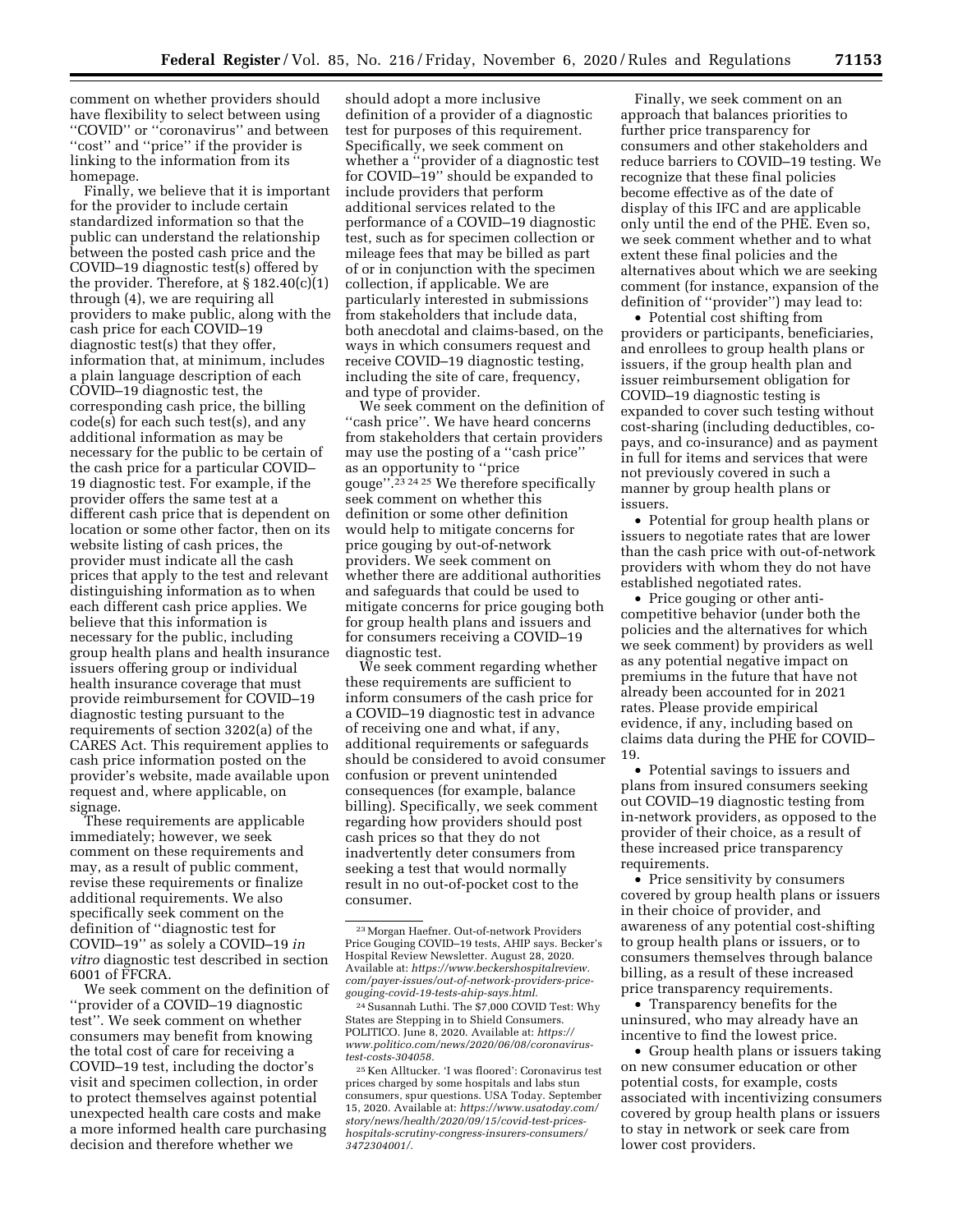comment on whether providers should have flexibility to select between using ''COVID'' or ''coronavirus'' and between "cost" and "price" if the provider is linking to the information from its homepage.

Finally, we believe that it is important for the provider to include certain standardized information so that the public can understand the relationship between the posted cash price and the COVID–19 diagnostic test(s) offered by the provider. Therefore, at  $\S 182.40(c)(1)$ through (4), we are requiring all providers to make public, along with the cash price for each COVID–19 diagnostic test(s) that they offer, information that, at minimum, includes a plain language description of each COVID–19 diagnostic test, the corresponding cash price, the billing code(s) for each such test(s), and any additional information as may be necessary for the public to be certain of the cash price for a particular COVID– 19 diagnostic test. For example, if the provider offers the same test at a different cash price that is dependent on location or some other factor, then on its website listing of cash prices, the provider must indicate all the cash prices that apply to the test and relevant distinguishing information as to when each different cash price applies. We believe that this information is necessary for the public, including group health plans and health insurance issuers offering group or individual health insurance coverage that must provide reimbursement for COVID–19 diagnostic testing pursuant to the requirements of section 3202(a) of the CARES Act. This requirement applies to cash price information posted on the provider's website, made available upon request and, where applicable, on signage.

These requirements are applicable immediately; however, we seek comment on these requirements and may, as a result of public comment, revise these requirements or finalize additional requirements. We also specifically seek comment on the definition of ''diagnostic test for COVID–19'' as solely a COVID–19 *in vitro* diagnostic test described in section 6001 of FFCRA.

We seek comment on the definition of ''provider of a COVID–19 diagnostic test''. We seek comment on whether consumers may benefit from knowing the total cost of care for receiving a COVID–19 test, including the doctor's visit and specimen collection, in order to protect themselves against potential unexpected health care costs and make a more informed health care purchasing decision and therefore whether we

should adopt a more inclusive definition of a provider of a diagnostic test for purposes of this requirement. Specifically, we seek comment on whether a ''provider of a diagnostic test for COVID–19'' should be expanded to include providers that perform additional services related to the performance of a COVID–19 diagnostic test, such as for specimen collection or mileage fees that may be billed as part of or in conjunction with the specimen collection, if applicable. We are particularly interested in submissions from stakeholders that include data, both anecdotal and claims-based, on the ways in which consumers request and receive COVID–19 diagnostic testing, including the site of care, frequency, and type of provider.

We seek comment on the definition of ''cash price''. We have heard concerns from stakeholders that certain providers may use the posting of a ''cash price'' as an opportunity to ''price gouge''.23 24 25 We therefore specifically seek comment on whether this definition or some other definition would help to mitigate concerns for price gouging by out-of-network providers. We seek comment on whether there are additional authorities and safeguards that could be used to mitigate concerns for price gouging both for group health plans and issuers and for consumers receiving a COVID–19 diagnostic test.

We seek comment regarding whether these requirements are sufficient to inform consumers of the cash price for a COVID–19 diagnostic test in advance of receiving one and what, if any, additional requirements or safeguards should be considered to avoid consumer confusion or prevent unintended consequences (for example, balance billing). Specifically, we seek comment regarding how providers should post cash prices so that they do not inadvertently deter consumers from seeking a test that would normally result in no out-of-pocket cost to the consumer.

Finally, we seek comment on an approach that balances priorities to further price transparency for consumers and other stakeholders and reduce barriers to COVID–19 testing. We recognize that these final policies become effective as of the date of display of this IFC and are applicable only until the end of the PHE. Even so, we seek comment whether and to what extent these final policies and the alternatives about which we are seeking comment (for instance, expansion of the definition of ''provider'') may lead to:

• Potential cost shifting from providers or participants, beneficiaries, and enrollees to group health plans or issuers, if the group health plan and issuer reimbursement obligation for COVID–19 diagnostic testing is expanded to cover such testing without cost-sharing (including deductibles, copays, and co-insurance) and as payment in full for items and services that were not previously covered in such a manner by group health plans or issuers.

• Potential for group health plans or issuers to negotiate rates that are lower than the cash price with out-of-network providers with whom they do not have established negotiated rates.

• Price gouging or other anticompetitive behavior (under both the policies and the alternatives for which we seek comment) by providers as well as any potential negative impact on premiums in the future that have not already been accounted for in 2021 rates. Please provide empirical evidence, if any, including based on claims data during the PHE for COVID– 19.

• Potential savings to issuers and plans from insured consumers seeking out COVID–19 diagnostic testing from in-network providers, as opposed to the provider of their choice, as a result of these increased price transparency requirements.

• Price sensitivity by consumers covered by group health plans or issuers in their choice of provider, and awareness of any potential cost-shifting to group health plans or issuers, or to consumers themselves through balance billing, as a result of these increased price transparency requirements.

• Transparency benefits for the uninsured, who may already have an incentive to find the lowest price.

• Group health plans or issuers taking on new consumer education or other potential costs, for example, costs associated with incentivizing consumers covered by group health plans or issuers to stay in network or seek care from lower cost providers.

<sup>23</sup>Morgan Haefner. Out-of-network Providers Price Gouging COVID–19 tests, AHIP says. Becker's Hospital Review Newsletter. August 28, 2020. Available at: *https://www.beckershospitalreview. com/payer-issues/out-of-network-providers-pricegouging-covid-19-tests-ahip-says.html.* 

<sup>24</sup>Susannah Luthi. The \$7,000 COVID Test: Why States are Stepping in to Shield Consumers. POLITICO. June 8, 2020. Available at: *https:// www.politico.com/news/2020/06/08/coronavirustest-costs-304058.* 

<sup>25</sup> Ken Alltucker. 'I was floored': Coronavirus test prices charged by some hospitals and labs stun consumers, spur questions. USA Today. September 15, 2020. Available at: *https://www.usatoday.com/ story/news/health/2020/09/15/covid-test-priceshospitals-scrutiny-congress-insurers-consumers/ 3472304001/.*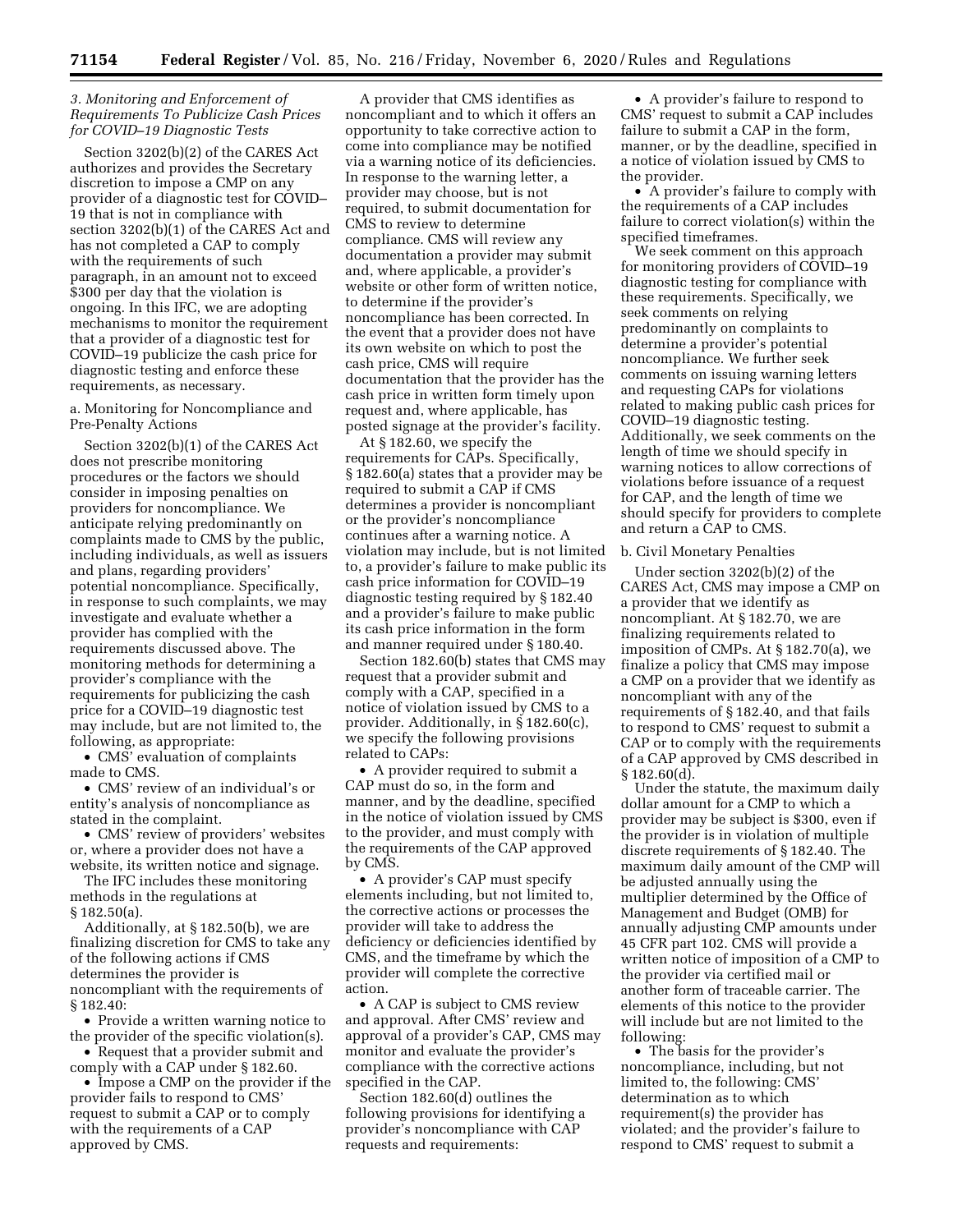# *3. Monitoring and Enforcement of Requirements To Publicize Cash Prices for COVID–19 Diagnostic Tests*

Section 3202(b)(2) of the CARES Act authorizes and provides the Secretary discretion to impose a CMP on any provider of a diagnostic test for COVID– 19 that is not in compliance with section 3202(b)(1) of the CARES Act and has not completed a CAP to comply with the requirements of such paragraph, in an amount not to exceed \$300 per day that the violation is ongoing. In this IFC, we are adopting mechanisms to monitor the requirement that a provider of a diagnostic test for COVID–19 publicize the cash price for diagnostic testing and enforce these requirements, as necessary.

a. Monitoring for Noncompliance and Pre-Penalty Actions

Section 3202(b)(1) of the CARES Act does not prescribe monitoring procedures or the factors we should consider in imposing penalties on providers for noncompliance. We anticipate relying predominantly on complaints made to CMS by the public, including individuals, as well as issuers and plans, regarding providers' potential noncompliance. Specifically, in response to such complaints, we may investigate and evaluate whether a provider has complied with the requirements discussed above. The monitoring methods for determining a provider's compliance with the requirements for publicizing the cash price for a COVID–19 diagnostic test may include, but are not limited to, the following, as appropriate:

• CMS' evaluation of complaints made to CMS.

• CMS' review of an individual's or entity's analysis of noncompliance as stated in the complaint.

• CMS' review of providers' websites or, where a provider does not have a website, its written notice and signage.

The IFC includes these monitoring methods in the regulations at § 182.50(a).

Additionally, at § 182.50(b), we are finalizing discretion for CMS to take any of the following actions if CMS determines the provider is noncompliant with the requirements of § 182.40:

• Provide a written warning notice to the provider of the specific violation(s).

• Request that a provider submit and comply with a CAP under § 182.60.

• Impose a CMP on the provider if the provider fails to respond to CMS' request to submit a CAP or to comply with the requirements of a CAP approved by CMS.

A provider that CMS identifies as noncompliant and to which it offers an opportunity to take corrective action to come into compliance may be notified via a warning notice of its deficiencies. In response to the warning letter, a provider may choose, but is not required, to submit documentation for CMS to review to determine compliance. CMS will review any documentation a provider may submit and, where applicable, a provider's website or other form of written notice, to determine if the provider's noncompliance has been corrected. In the event that a provider does not have its own website on which to post the cash price, CMS will require documentation that the provider has the cash price in written form timely upon request and, where applicable, has posted signage at the provider's facility.

At § 182.60, we specify the requirements for CAPs. Specifically, § 182.60(a) states that a provider may be required to submit a CAP if CMS determines a provider is noncompliant or the provider's noncompliance continues after a warning notice. A violation may include, but is not limited to, a provider's failure to make public its cash price information for COVID–19 diagnostic testing required by § 182.40 and a provider's failure to make public its cash price information in the form and manner required under § 180.40.

Section 182.60(b) states that CMS may request that a provider submit and comply with a CAP, specified in a notice of violation issued by CMS to a provider. Additionally, in § 182.60(c), we specify the following provisions related to CAPs:

• A provider required to submit a CAP must do so, in the form and manner, and by the deadline, specified in the notice of violation issued by CMS to the provider, and must comply with the requirements of the CAP approved by CMS.

• A provider's CAP must specify elements including, but not limited to, the corrective actions or processes the provider will take to address the deficiency or deficiencies identified by CMS, and the timeframe by which the provider will complete the corrective action.

• A CAP is subject to CMS review and approval. After CMS' review and approval of a provider's CAP, CMS may monitor and evaluate the provider's compliance with the corrective actions specified in the CAP.

Section 182.60(d) outlines the following provisions for identifying a provider's noncompliance with CAP requests and requirements:

• A provider's failure to respond to CMS' request to submit a CAP includes failure to submit a CAP in the form, manner, or by the deadline, specified in a notice of violation issued by CMS to the provider.

• A provider's failure to comply with the requirements of a CAP includes failure to correct violation(s) within the specified timeframes.

We seek comment on this approach for monitoring providers of COVID–19 diagnostic testing for compliance with these requirements. Specifically, we seek comments on relying predominantly on complaints to determine a provider's potential noncompliance. We further seek comments on issuing warning letters and requesting CAPs for violations related to making public cash prices for COVID–19 diagnostic testing. Additionally, we seek comments on the length of time we should specify in warning notices to allow corrections of violations before issuance of a request for CAP, and the length of time we should specify for providers to complete and return a CAP to CMS.

b. Civil Monetary Penalties

Under section 3202(b)(2) of the CARES Act, CMS may impose a CMP on a provider that we identify as noncompliant. At § 182.70, we are finalizing requirements related to imposition of CMPs. At § 182.70(a), we finalize a policy that CMS may impose a CMP on a provider that we identify as noncompliant with any of the requirements of § 182.40, and that fails to respond to CMS' request to submit a CAP or to comply with the requirements of a CAP approved by CMS described in  $§ 182.60(d).$ 

Under the statute, the maximum daily dollar amount for a CMP to which a provider may be subject is \$300, even if the provider is in violation of multiple discrete requirements of § 182.40. The maximum daily amount of the CMP will be adjusted annually using the multiplier determined by the Office of Management and Budget (OMB) for annually adjusting CMP amounts under 45 CFR part 102. CMS will provide a written notice of imposition of a CMP to the provider via certified mail or another form of traceable carrier. The elements of this notice to the provider will include but are not limited to the following:

• The basis for the provider's noncompliance, including, but not limited to, the following: CMS' determination as to which requirement(s) the provider has violated; and the provider's failure to respond to CMS' request to submit a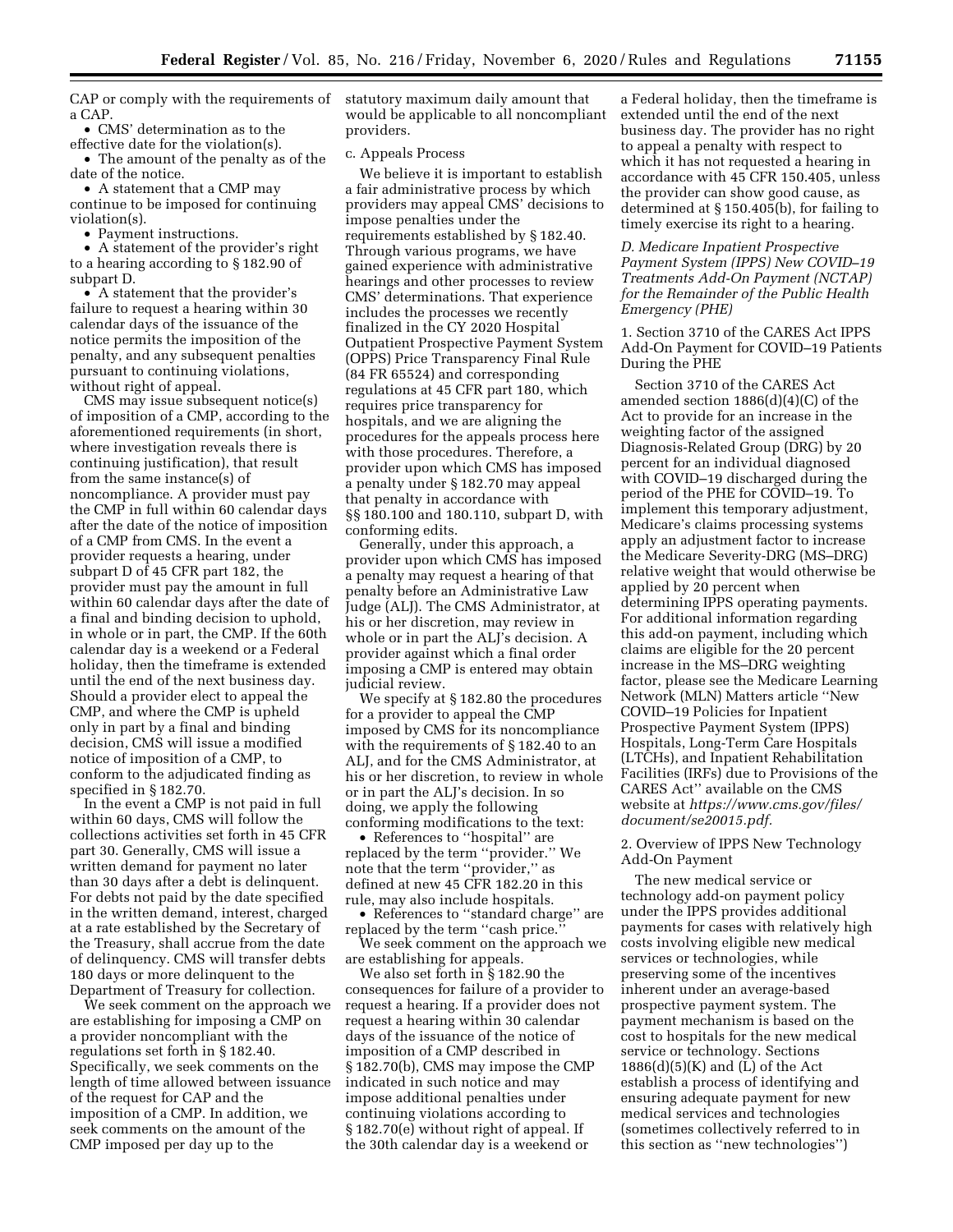CAP or comply with the requirements of statutory maximum daily amount that a CAP.

• CMS' determination as to the effective date for the violation(s). • The amount of the penalty as of the

date of the notice. • A statement that a CMP may

continue to be imposed for continuing violation(s).

• Payment instructions.

• A statement of the provider's right to a hearing according to § 182.90 of subpart D.

• A statement that the provider's failure to request a hearing within 30 calendar days of the issuance of the notice permits the imposition of the penalty, and any subsequent penalties pursuant to continuing violations, without right of appeal.

CMS may issue subsequent notice(s) of imposition of a CMP, according to the aforementioned requirements (in short, where investigation reveals there is continuing justification), that result from the same instance(s) of noncompliance. A provider must pay the CMP in full within 60 calendar days after the date of the notice of imposition of a CMP from CMS. In the event a provider requests a hearing, under subpart D of 45 CFR part 182, the provider must pay the amount in full within 60 calendar days after the date of a final and binding decision to uphold, in whole or in part, the CMP. If the 60th calendar day is a weekend or a Federal holiday, then the timeframe is extended until the end of the next business day. Should a provider elect to appeal the CMP, and where the CMP is upheld only in part by a final and binding decision, CMS will issue a modified notice of imposition of a CMP, to conform to the adjudicated finding as specified in § 182.70.

In the event a CMP is not paid in full within 60 days, CMS will follow the collections activities set forth in 45 CFR part 30. Generally, CMS will issue a written demand for payment no later than 30 days after a debt is delinquent. For debts not paid by the date specified in the written demand, interest, charged at a rate established by the Secretary of the Treasury, shall accrue from the date of delinquency. CMS will transfer debts 180 days or more delinquent to the Department of Treasury for collection.

We seek comment on the approach we are establishing for imposing a CMP on a provider noncompliant with the regulations set forth in § 182.40. Specifically, we seek comments on the length of time allowed between issuance of the request for CAP and the imposition of a CMP. In addition, we seek comments on the amount of the CMP imposed per day up to the

would be applicable to all noncompliant providers.

## c. Appeals Process

We believe it is important to establish a fair administrative process by which providers may appeal CMS' decisions to impose penalties under the requirements established by § 182.40. Through various programs, we have gained experience with administrative hearings and other processes to review CMS' determinations. That experience includes the processes we recently finalized in the CY 2020 Hospital Outpatient Prospective Payment System (OPPS) Price Transparency Final Rule (84 FR 65524) and corresponding regulations at 45 CFR part 180, which requires price transparency for hospitals, and we are aligning the procedures for the appeals process here with those procedures. Therefore, a provider upon which CMS has imposed a penalty under § 182.70 may appeal that penalty in accordance with §§ 180.100 and 180.110, subpart D, with conforming edits.

Generally, under this approach, a provider upon which CMS has imposed a penalty may request a hearing of that penalty before an Administrative Law Judge (ALJ). The CMS Administrator, at his or her discretion, may review in whole or in part the ALJ's decision. A provider against which a final order imposing a CMP is entered may obtain judicial review.

We specify at § 182.80 the procedures for a provider to appeal the CMP imposed by CMS for its noncompliance with the requirements of § 182.40 to an ALJ, and for the CMS Administrator, at his or her discretion, to review in whole or in part the ALJ's decision. In so doing, we apply the following conforming modifications to the text:

• References to ''hospital'' are replaced by the term ''provider.'' We note that the term ''provider,'' as defined at new 45 CFR 182.20 in this rule, may also include hospitals.

• References to ''standard charge'' are replaced by the term ''cash price.''

We seek comment on the approach we are establishing for appeals.

We also set forth in § 182.90 the consequences for failure of a provider to request a hearing. If a provider does not request a hearing within 30 calendar days of the issuance of the notice of imposition of a CMP described in § 182.70(b), CMS may impose the CMP indicated in such notice and may impose additional penalties under continuing violations according to § 182.70(e) without right of appeal. If the 30th calendar day is a weekend or

a Federal holiday, then the timeframe is extended until the end of the next business day. The provider has no right to appeal a penalty with respect to which it has not requested a hearing in accordance with 45 CFR 150.405, unless the provider can show good cause, as determined at § 150.405(b), for failing to timely exercise its right to a hearing.

# *D. Medicare Inpatient Prospective Payment System (IPPS) New COVID–19 Treatments Add-On Payment (NCTAP) for the Remainder of the Public Health Emergency (PHE)*

1. Section 3710 of the CARES Act IPPS Add-On Payment for COVID–19 Patients During the PHE

Section 3710 of the CARES Act amended section 1886(d)(4)(C) of the Act to provide for an increase in the weighting factor of the assigned Diagnosis-Related Group (DRG) by 20 percent for an individual diagnosed with COVID–19 discharged during the period of the PHE for COVID–19. To implement this temporary adjustment, Medicare's claims processing systems apply an adjustment factor to increase the Medicare Severity-DRG (MS–DRG) relative weight that would otherwise be applied by 20 percent when determining IPPS operating payments. For additional information regarding this add-on payment, including which claims are eligible for the 20 percent increase in the MS–DRG weighting factor, please see the Medicare Learning Network (MLN) Matters article ''New COVID–19 Policies for Inpatient Prospective Payment System (IPPS) Hospitals, Long-Term Care Hospitals (LTCHs), and Inpatient Rehabilitation Facilities (IRFs) due to Provisions of the CARES Act'' available on the CMS website at *https://www.cms.gov/files/ document/se20015.pdf.* 

# 2. Overview of IPPS New Technology Add-On Payment

The new medical service or technology add-on payment policy under the IPPS provides additional payments for cases with relatively high costs involving eligible new medical services or technologies, while preserving some of the incentives inherent under an average-based prospective payment system. The payment mechanism is based on the cost to hospitals for the new medical service or technology. Sections  $1886(d)(5)(K)$  and  $(\overline{L})$  of the Act establish a process of identifying and ensuring adequate payment for new medical services and technologies (sometimes collectively referred to in this section as ''new technologies'')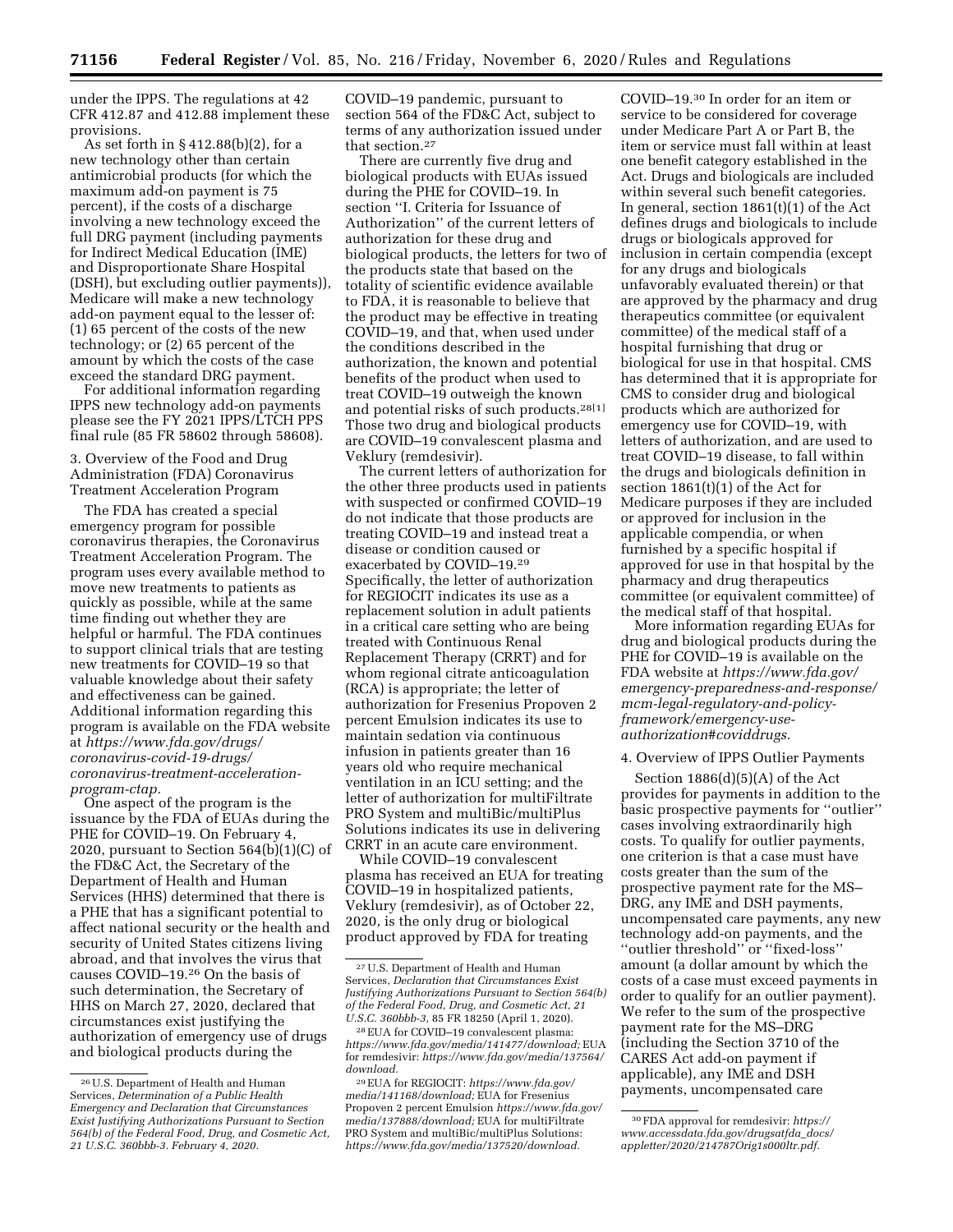under the IPPS. The regulations at 42 CFR 412.87 and 412.88 implement these provisions.

As set forth in § 412.88(b)(2), for a new technology other than certain antimicrobial products (for which the maximum add-on payment is 75 percent), if the costs of a discharge involving a new technology exceed the full DRG payment (including payments for Indirect Medical Education (IME) and Disproportionate Share Hospital (DSH), but excluding outlier payments)), Medicare will make a new technology add-on payment equal to the lesser of: (1) 65 percent of the costs of the new technology; or (2) 65 percent of the amount by which the costs of the case exceed the standard DRG payment.

For additional information regarding IPPS new technology add-on payments please see the FY 2021 IPPS/LTCH PPS final rule (85 FR 58602 through 58608).

3. Overview of the Food and Drug Administration (FDA) Coronavirus Treatment Acceleration Program

The FDA has created a special emergency program for possible coronavirus therapies, the Coronavirus Treatment Acceleration Program. The program uses every available method to move new treatments to patients as quickly as possible, while at the same time finding out whether they are helpful or harmful. The FDA continues to support clinical trials that are testing new treatments for COVID–19 so that valuable knowledge about their safety and effectiveness can be gained. Additional information regarding this program is available on the FDA website at *https://www.fda.gov/drugs/ coronavirus-covid-19-drugs/ coronavirus-treatment-accelerationprogram-ctap.* 

One aspect of the program is the issuance by the FDA of EUAs during the PHE for COVID–19. On February 4, 2020, pursuant to Section  $564(b)(1)(C)$  of the FD&C Act, the Secretary of the Department of Health and Human Services (HHS) determined that there is a PHE that has a significant potential to affect national security or the health and security of United States citizens living abroad, and that involves the virus that causes COVID–19.26 On the basis of such determination, the Secretary of HHS on March 27, 2020, declared that circumstances exist justifying the authorization of emergency use of drugs and biological products during the

COVID–19 pandemic, pursuant to section 564 of the FD&C Act, subject to terms of any authorization issued under that section.27

There are currently five drug and biological products with EUAs issued during the PHE for COVID–19. In section ''I. Criteria for Issuance of Authorization'' of the current letters of authorization for these drug and biological products, the letters for two of the products state that based on the totality of scientific evidence available to FDA, it is reasonable to believe that the product may be effective in treating COVID–19, and that, when used under the conditions described in the authorization, the known and potential benefits of the product when used to treat COVID–19 outweigh the known and potential risks of such products.28[1] Those two drug and biological products are COVID–19 convalescent plasma and Veklury (remdesivir).

The current letters of authorization for the other three products used in patients with suspected or confirmed COVID–19 do not indicate that those products are treating COVID–19 and instead treat a disease or condition caused or exacerbated by COVID–19.29 Specifically, the letter of authorization for REGIOCIT indicates its use as a replacement solution in adult patients in a critical care setting who are being treated with Continuous Renal Replacement Therapy (CRRT) and for whom regional citrate anticoagulation (RCA) is appropriate; the letter of authorization for Fresenius Propoven 2 percent Emulsion indicates its use to maintain sedation via continuous infusion in patients greater than 16 years old who require mechanical ventilation in an ICU setting; and the letter of authorization for multiFiltrate PRO System and multiBic/multiPlus Solutions indicates its use in delivering CRRT in an acute care environment.

While COVID–19 convalescent plasma has received an EUA for treating COVID–19 in hospitalized patients, Veklury (remdesivir), as of October 22, 2020, is the only drug or biological product approved by FDA for treating

COVID–19.30 In order for an item or service to be considered for coverage under Medicare Part A or Part B, the item or service must fall within at least one benefit category established in the Act. Drugs and biologicals are included within several such benefit categories. In general, section 1861(t)(1) of the Act defines drugs and biologicals to include drugs or biologicals approved for inclusion in certain compendia (except for any drugs and biologicals unfavorably evaluated therein) or that are approved by the pharmacy and drug therapeutics committee (or equivalent committee) of the medical staff of a hospital furnishing that drug or biological for use in that hospital. CMS has determined that it is appropriate for CMS to consider drug and biological products which are authorized for emergency use for COVID–19, with letters of authorization, and are used to treat COVID–19 disease, to fall within the drugs and biologicals definition in section 1861(t)(1) of the Act for Medicare purposes if they are included or approved for inclusion in the applicable compendia, or when furnished by a specific hospital if approved for use in that hospital by the pharmacy and drug therapeutics committee (or equivalent committee) of the medical staff of that hospital.

More information regarding EUAs for drug and biological products during the PHE for COVID–19 is available on the FDA website at *https://www.fda.gov/ emergency-preparedness-and-response/ mcm-legal-regulatory-and-policyframework/emergency-useauthorization#coviddrugs.* 

#### 4. Overview of IPPS Outlier Payments

Section  $1886(d)(5)(A)$  of the Act provides for payments in addition to the basic prospective payments for ''outlier'' cases involving extraordinarily high costs. To qualify for outlier payments, one criterion is that a case must have costs greater than the sum of the prospective payment rate for the MS– DRG, any IME and DSH payments, uncompensated care payments, any new technology add-on payments, and the ''outlier threshold'' or ''fixed-loss'' amount (a dollar amount by which the costs of a case must exceed payments in order to qualify for an outlier payment). We refer to the sum of the prospective payment rate for the MS–DRG (including the Section 3710 of the CARES Act add-on payment if applicable), any IME and DSH payments, uncompensated care

<sup>26</sup>U.S. Department of Health and Human Services, *Determination of a Public Health Emergency and Declaration that Circumstances Exist Justifying Authorizations Pursuant to Section 564(b) of the Federal Food, Drug, and Cosmetic Act, 21 U.S.C. 360bbb-3. February 4, 2020.* 

<sup>27</sup>U.S. Department of Health and Human Services, *Declaration that Circumstances Exist Justifying Authorizations Pursuant to Section 564(b) of the Federal Food, Drug, and Cosmetic Act, 21 U.S.C. 360bbb-3,* 85 FR 18250 (April 1, 2020).

<sup>28</sup>EUA for COVID–19 convalescent plasma: *https://www.fda.gov/media/141477/download;* EUA for remdesivir: *https://www.fda.gov/media/137564/ download.* 

<sup>29</sup>EUA for REGIOCIT: *https://www.fda.gov/ media/141168/download;* EUA for Fresenius Propoven 2 percent Emulsion *https://www.fda.gov/ media/137888/download;* EUA for multiFiltrate PRO System and multiBic/multiPlus Solutions: *https://www.fda.gov/media/137520/download.* 

<sup>30</sup>FDA approval for remdesivir: *https:// www.accessdata.fda.gov/drugsatfda*\_*docs/ appletter/2020/214787Orig1s000ltr.pdf.*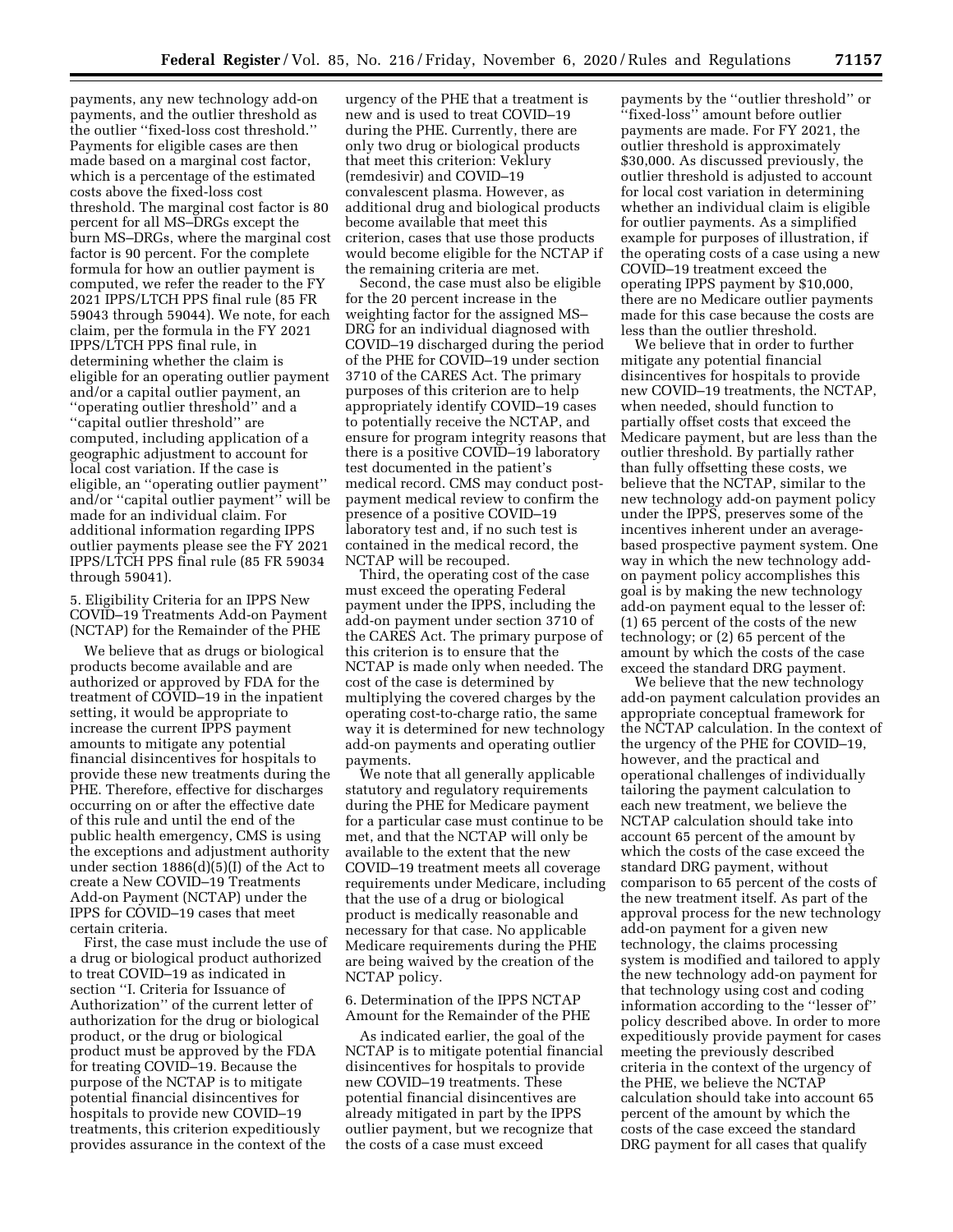payments, any new technology add-on payments, and the outlier threshold as the outlier ''fixed-loss cost threshold.'' Payments for eligible cases are then made based on a marginal cost factor, which is a percentage of the estimated costs above the fixed-loss cost threshold. The marginal cost factor is 80 percent for all MS–DRGs except the burn MS–DRGs, where the marginal cost factor is 90 percent. For the complete formula for how an outlier payment is computed, we refer the reader to the FY 2021 IPPS/LTCH PPS final rule (85 FR 59043 through 59044). We note, for each claim, per the formula in the FY 2021 IPPS/LTCH PPS final rule, in determining whether the claim is eligible for an operating outlier payment and/or a capital outlier payment, an ''operating outlier threshold'' and a ''capital outlier threshold'' are computed, including application of a geographic adjustment to account for local cost variation. If the case is eligible, an ''operating outlier payment'' and/or ''capital outlier payment'' will be made for an individual claim. For additional information regarding IPPS outlier payments please see the FY 2021 IPPS/LTCH PPS final rule (85 FR 59034 through 59041).

5. Eligibility Criteria for an IPPS New COVID–19 Treatments Add-on Payment (NCTAP) for the Remainder of the PHE

We believe that as drugs or biological products become available and are authorized or approved by FDA for the treatment of COVID–19 in the inpatient setting, it would be appropriate to increase the current IPPS payment amounts to mitigate any potential financial disincentives for hospitals to provide these new treatments during the PHE. Therefore, effective for discharges occurring on or after the effective date of this rule and until the end of the public health emergency, CMS is using the exceptions and adjustment authority under section 1886(d)(5)(I) of the Act to create a New COVID–19 Treatments Add-on Payment (NCTAP) under the IPPS for COVID–19 cases that meet certain criteria.

First, the case must include the use of a drug or biological product authorized to treat COVID–19 as indicated in section ''I. Criteria for Issuance of Authorization'' of the current letter of authorization for the drug or biological product, or the drug or biological product must be approved by the FDA for treating COVID–19. Because the purpose of the NCTAP is to mitigate potential financial disincentives for hospitals to provide new COVID–19 treatments, this criterion expeditiously provides assurance in the context of the

urgency of the PHE that a treatment is new and is used to treat COVID–19 during the PHE. Currently, there are only two drug or biological products that meet this criterion: Veklury (remdesivir) and COVID–19 convalescent plasma. However, as additional drug and biological products become available that meet this criterion, cases that use those products would become eligible for the NCTAP if the remaining criteria are met.

Second, the case must also be eligible for the 20 percent increase in the weighting factor for the assigned MS– DRG for an individual diagnosed with COVID–19 discharged during the period of the PHE for COVID–19 under section 3710 of the CARES Act. The primary purposes of this criterion are to help appropriately identify COVID–19 cases to potentially receive the NCTAP, and ensure for program integrity reasons that there is a positive COVID–19 laboratory test documented in the patient's medical record. CMS may conduct postpayment medical review to confirm the presence of a positive COVID–19 laboratory test and, if no such test is contained in the medical record, the NCTAP will be recouped.

Third, the operating cost of the case must exceed the operating Federal payment under the IPPS, including the add-on payment under section 3710 of the CARES Act. The primary purpose of this criterion is to ensure that the NCTAP is made only when needed. The cost of the case is determined by multiplying the covered charges by the operating cost-to-charge ratio, the same way it is determined for new technology add-on payments and operating outlier payments.

We note that all generally applicable statutory and regulatory requirements during the PHE for Medicare payment for a particular case must continue to be met, and that the NCTAP will only be available to the extent that the new COVID–19 treatment meets all coverage requirements under Medicare, including that the use of a drug or biological product is medically reasonable and necessary for that case. No applicable Medicare requirements during the PHE are being waived by the creation of the NCTAP policy.

6. Determination of the IPPS NCTAP Amount for the Remainder of the PHE

As indicated earlier, the goal of the NCTAP is to mitigate potential financial disincentives for hospitals to provide new COVID–19 treatments. These potential financial disincentives are already mitigated in part by the IPPS outlier payment, but we recognize that the costs of a case must exceed

payments by the ''outlier threshold'' or ''fixed-loss'' amount before outlier payments are made. For FY 2021, the outlier threshold is approximately \$30,000. As discussed previously, the outlier threshold is adjusted to account for local cost variation in determining whether an individual claim is eligible for outlier payments. As a simplified example for purposes of illustration, if the operating costs of a case using a new COVID–19 treatment exceed the operating IPPS payment by \$10,000, there are no Medicare outlier payments made for this case because the costs are less than the outlier threshold.

We believe that in order to further mitigate any potential financial disincentives for hospitals to provide new COVID–19 treatments, the NCTAP, when needed, should function to partially offset costs that exceed the Medicare payment, but are less than the outlier threshold. By partially rather than fully offsetting these costs, we believe that the NCTAP, similar to the new technology add-on payment policy under the IPPS, preserves some of the incentives inherent under an averagebased prospective payment system. One way in which the new technology addon payment policy accomplishes this goal is by making the new technology add-on payment equal to the lesser of: (1) 65 percent of the costs of the new technology; or (2) 65 percent of the amount by which the costs of the case exceed the standard DRG payment.

We believe that the new technology add-on payment calculation provides an appropriate conceptual framework for the NCTAP calculation. In the context of the urgency of the PHE for COVID–19, however, and the practical and operational challenges of individually tailoring the payment calculation to each new treatment, we believe the NCTAP calculation should take into account 65 percent of the amount by which the costs of the case exceed the standard DRG payment, without comparison to 65 percent of the costs of the new treatment itself. As part of the approval process for the new technology add-on payment for a given new technology, the claims processing system is modified and tailored to apply the new technology add-on payment for that technology using cost and coding information according to the ''lesser of'' policy described above. In order to more expeditiously provide payment for cases meeting the previously described criteria in the context of the urgency of the PHE, we believe the NCTAP calculation should take into account 65 percent of the amount by which the costs of the case exceed the standard DRG payment for all cases that qualify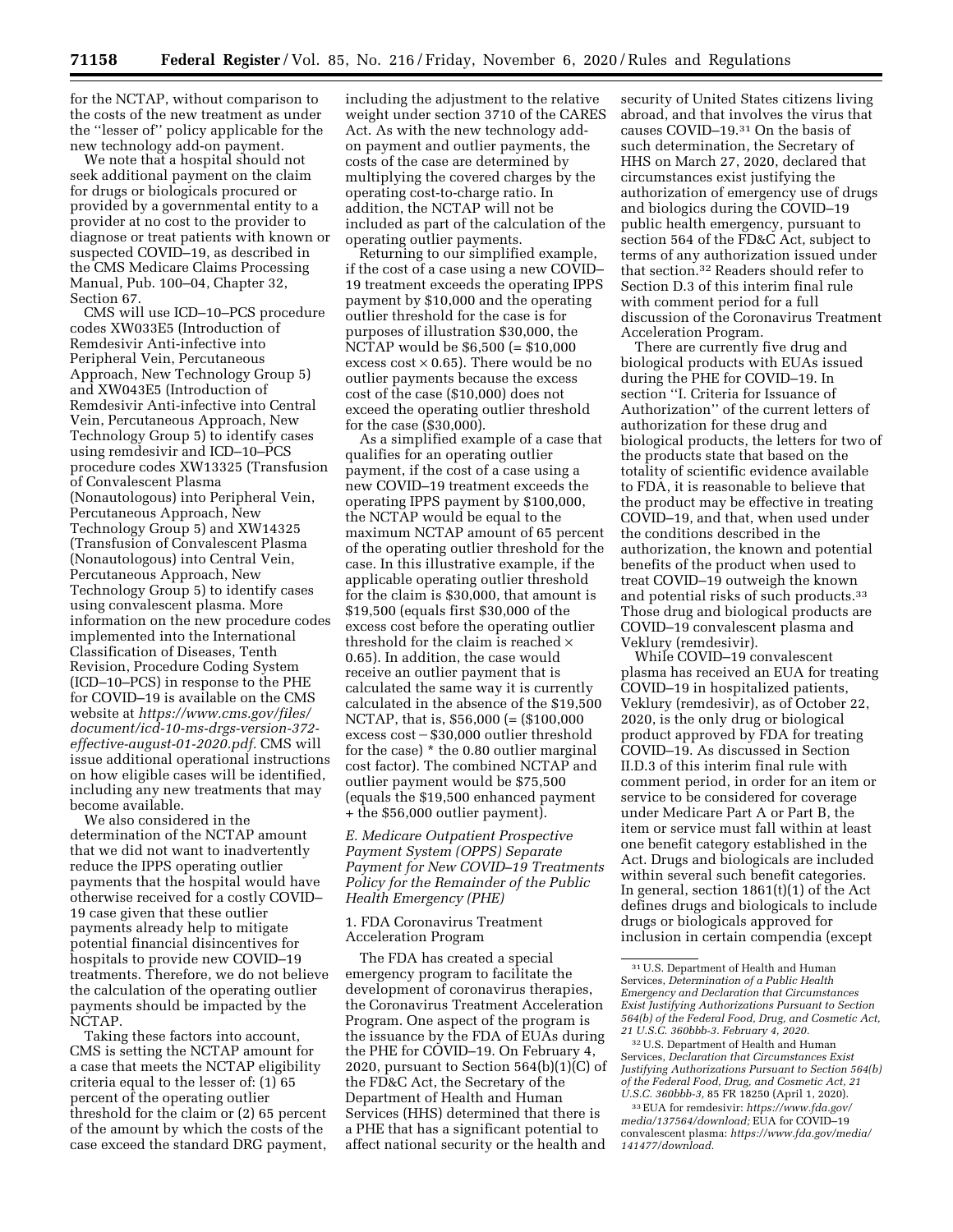for the NCTAP, without comparison to the costs of the new treatment as under the ''lesser of'' policy applicable for the new technology add-on payment.

We note that a hospital should not seek additional payment on the claim for drugs or biologicals procured or provided by a governmental entity to a provider at no cost to the provider to diagnose or treat patients with known or suspected COVID–19, as described in the CMS Medicare Claims Processing Manual, Pub. 100–04, Chapter 32, Section 67.

CMS will use ICD–10–PCS procedure codes XW033E5 (Introduction of Remdesivir Anti-infective into Peripheral Vein, Percutaneous Approach, New Technology Group 5) and XW043E5 (Introduction of Remdesivir Anti-infective into Central Vein, Percutaneous Approach, New Technology Group 5) to identify cases using remdesivir and ICD–10–PCS procedure codes XW13325 (Transfusion of Convalescent Plasma (Nonautologous) into Peripheral Vein, Percutaneous Approach, New Technology Group 5) and XW14325 (Transfusion of Convalescent Plasma (Nonautologous) into Central Vein, Percutaneous Approach, New Technology Group 5) to identify cases using convalescent plasma. More information on the new procedure codes implemented into the International Classification of Diseases, Tenth Revision, Procedure Coding System (ICD–10–PCS) in response to the PHE for COVID–19 is available on the CMS website at *https://www.cms.gov/files/ document/icd-10-ms-drgs-version-372 effective-august-01-2020.pdf.* CMS will issue additional operational instructions on how eligible cases will be identified, including any new treatments that may become available.

We also considered in the determination of the NCTAP amount that we did not want to inadvertently reduce the IPPS operating outlier payments that the hospital would have otherwise received for a costly COVID– 19 case given that these outlier payments already help to mitigate potential financial disincentives for hospitals to provide new COVID–19 treatments. Therefore, we do not believe the calculation of the operating outlier payments should be impacted by the NCTAP.

Taking these factors into account, CMS is setting the NCTAP amount for a case that meets the NCTAP eligibility criteria equal to the lesser of: (1) 65 percent of the operating outlier threshold for the claim or (2) 65 percent of the amount by which the costs of the case exceed the standard DRG payment,

including the adjustment to the relative weight under section 3710 of the CARES Act. As with the new technology addon payment and outlier payments, the costs of the case are determined by multiplying the covered charges by the operating cost-to-charge ratio. In addition, the NCTAP will not be included as part of the calculation of the operating outlier payments.

Returning to our simplified example, if the cost of a case using a new COVID– 19 treatment exceeds the operating IPPS payment by \$10,000 and the operating outlier threshold for the case is for purposes of illustration \$30,000, the NCTAP would be \$6,500 (= \$10,000 excess cost  $\times$  0.65). There would be no outlier payments because the excess cost of the case (\$10,000) does not exceed the operating outlier threshold for the case (\$30,000).

As a simplified example of a case that qualifies for an operating outlier payment, if the cost of a case using a new COVID–19 treatment exceeds the operating IPPS payment by \$100,000, the NCTAP would be equal to the maximum NCTAP amount of 65 percent of the operating outlier threshold for the case. In this illustrative example, if the applicable operating outlier threshold for the claim is \$30,000, that amount is \$19,500 (equals first \$30,000 of the excess cost before the operating outlier threshold for the claim is reached  $\times$ 0.65). In addition, the case would receive an outlier payment that is calculated the same way it is currently calculated in the absence of the \$19,500 NCTAP, that is, \$56,000 (= (\$100,000 excess  $\cos t - $30,000$  outlier threshold for the case) \* the 0.80 outlier marginal cost factor). The combined NCTAP and outlier payment would be \$75,500 (equals the \$19,500 enhanced payment + the \$56,000 outlier payment).

*E. Medicare Outpatient Prospective Payment System (OPPS) Separate Payment for New COVID–19 Treatments Policy for the Remainder of the Public Health Emergency (PHE)* 

## 1. FDA Coronavirus Treatment Acceleration Program

The FDA has created a special emergency program to facilitate the development of coronavirus therapies, the Coronavirus Treatment Acceleration Program. One aspect of the program is the issuance by the FDA of EUAs during the PHE for COVID–19. On February 4, 2020, pursuant to Section 564(b)(1)(C) of the FD&C Act, the Secretary of the Department of Health and Human Services (HHS) determined that there is a PHE that has a significant potential to affect national security or the health and

security of United States citizens living abroad, and that involves the virus that causes COVID–19.31 On the basis of such determination, the Secretary of HHS on March 27, 2020, declared that circumstances exist justifying the authorization of emergency use of drugs and biologics during the COVID–19 public health emergency, pursuant to section 564 of the FD&C Act, subject to terms of any authorization issued under that section.32 Readers should refer to Section D.3 of this interim final rule with comment period for a full discussion of the Coronavirus Treatment Acceleration Program.

There are currently five drug and biological products with EUAs issued during the PHE for COVID–19. In section ''I. Criteria for Issuance of Authorization'' of the current letters of authorization for these drug and biological products, the letters for two of the products state that based on the totality of scientific evidence available to FDA, it is reasonable to believe that the product may be effective in treating COVID–19, and that, when used under the conditions described in the authorization, the known and potential benefits of the product when used to treat COVID–19 outweigh the known and potential risks of such products.33 Those drug and biological products are COVID–19 convalescent plasma and Veklury (remdesivir).

While COVID–19 convalescent plasma has received an EUA for treating COVID–19 in hospitalized patients, Veklury (remdesivir), as of October 22, 2020, is the only drug or biological product approved by FDA for treating COVID–19. As discussed in Section II.D.3 of this interim final rule with comment period, in order for an item or service to be considered for coverage under Medicare Part A or Part B, the item or service must fall within at least one benefit category established in the Act. Drugs and biologicals are included within several such benefit categories. In general, section 1861(t)(1) of the Act defines drugs and biologicals to include drugs or biologicals approved for inclusion in certain compendia (except

<sup>31</sup>U.S. Department of Health and Human Services, *Determination of a Public Health Emergency and Declaration that Circumstances Exist Justifying Authorizations Pursuant to Section 564(b) of the Federal Food, Drug, and Cosmetic Act, 21 U.S.C. 360bbb-3. February 4, 2020.* 

<sup>32</sup>U.S. Department of Health and Human Services, *Declaration that Circumstances Exist Justifying Authorizations Pursuant to Section 564(b) of the Federal Food, Drug, and Cosmetic Act, 21 U.S.C. 360bbb-3,* 85 FR 18250 (April 1, 2020).

<sup>33</sup>EUA for remdesivir: *https://www.fda.gov/ media/137564/download;* EUA for COVID–19 convalescent plasma: *https://www.fda.gov/media/ 141477/download.*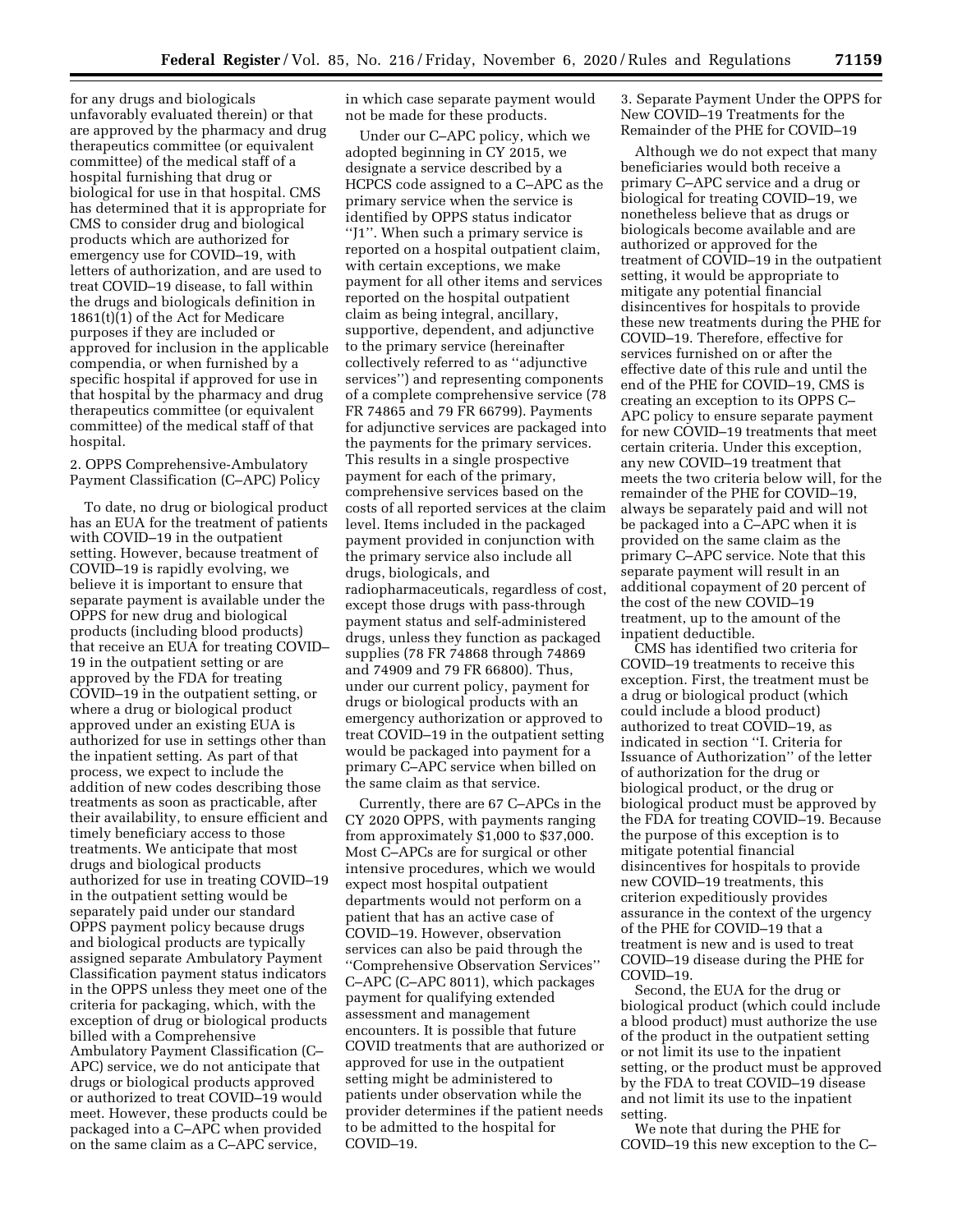for any drugs and biologicals unfavorably evaluated therein) or that are approved by the pharmacy and drug therapeutics committee (or equivalent committee) of the medical staff of a hospital furnishing that drug or biological for use in that hospital. CMS has determined that it is appropriate for CMS to consider drug and biological products which are authorized for emergency use for COVID–19, with letters of authorization, and are used to treat COVID–19 disease, to fall within the drugs and biologicals definition in 1861(t)(1) of the Act for Medicare purposes if they are included or approved for inclusion in the applicable compendia, or when furnished by a specific hospital if approved for use in that hospital by the pharmacy and drug therapeutics committee (or equivalent committee) of the medical staff of that hospital.

# 2. OPPS Comprehensive-Ambulatory Payment Classification (C–APC) Policy

To date, no drug or biological product has an EUA for the treatment of patients with COVID–19 in the outpatient setting. However, because treatment of COVID–19 is rapidly evolving, we believe it is important to ensure that separate payment is available under the OPPS for new drug and biological products (including blood products) that receive an EUA for treating COVID– 19 in the outpatient setting or are approved by the FDA for treating COVID–19 in the outpatient setting, or where a drug or biological product approved under an existing EUA is authorized for use in settings other than the inpatient setting. As part of that process, we expect to include the addition of new codes describing those treatments as soon as practicable, after their availability, to ensure efficient and timely beneficiary access to those treatments. We anticipate that most drugs and biological products authorized for use in treating COVID–19 in the outpatient setting would be separately paid under our standard OPPS payment policy because drugs and biological products are typically assigned separate Ambulatory Payment Classification payment status indicators in the OPPS unless they meet one of the criteria for packaging, which, with the exception of drug or biological products billed with a Comprehensive Ambulatory Payment Classification (C– APC) service, we do not anticipate that drugs or biological products approved or authorized to treat COVID–19 would meet. However, these products could be packaged into a C–APC when provided on the same claim as a C–APC service,

in which case separate payment would not be made for these products.

Under our C–APC policy, which we adopted beginning in CY 2015, we designate a service described by a HCPCS code assigned to a C–APC as the primary service when the service is identified by OPPS status indicator ''J1''. When such a primary service is reported on a hospital outpatient claim, with certain exceptions, we make payment for all other items and services reported on the hospital outpatient claim as being integral, ancillary, supportive, dependent, and adjunctive to the primary service (hereinafter collectively referred to as ''adjunctive services'') and representing components of a complete comprehensive service (78 FR 74865 and 79 FR 66799). Payments for adjunctive services are packaged into the payments for the primary services. This results in a single prospective payment for each of the primary, comprehensive services based on the costs of all reported services at the claim level. Items included in the packaged payment provided in conjunction with the primary service also include all drugs, biologicals, and radiopharmaceuticals, regardless of cost, except those drugs with pass-through payment status and self-administered drugs, unless they function as packaged supplies (78 FR 74868 through 74869 and 74909 and 79 FR 66800). Thus, under our current policy, payment for drugs or biological products with an emergency authorization or approved to treat COVID–19 in the outpatient setting would be packaged into payment for a primary C–APC service when billed on the same claim as that service.

Currently, there are 67 C–APCs in the CY 2020 OPPS, with payments ranging from approximately \$1,000 to \$37,000. Most C–APCs are for surgical or other intensive procedures, which we would expect most hospital outpatient departments would not perform on a patient that has an active case of COVID–19. However, observation services can also be paid through the ''Comprehensive Observation Services'' C–APC (C–APC 8011), which packages payment for qualifying extended assessment and management encounters. It is possible that future COVID treatments that are authorized or approved for use in the outpatient setting might be administered to patients under observation while the provider determines if the patient needs to be admitted to the hospital for COVID–19.

3. Separate Payment Under the OPPS for New COVID–19 Treatments for the Remainder of the PHE for COVID–19

Although we do not expect that many beneficiaries would both receive a primary C–APC service and a drug or biological for treating COVID–19, we nonetheless believe that as drugs or biologicals become available and are authorized or approved for the treatment of COVID–19 in the outpatient setting, it would be appropriate to mitigate any potential financial disincentives for hospitals to provide these new treatments during the PHE for COVID–19. Therefore, effective for services furnished on or after the effective date of this rule and until the end of the PHE for COVID–19, CMS is creating an exception to its OPPS C– APC policy to ensure separate payment for new COVID–19 treatments that meet certain criteria. Under this exception, any new COVID–19 treatment that meets the two criteria below will, for the remainder of the PHE for COVID–19, always be separately paid and will not be packaged into a C–APC when it is provided on the same claim as the primary C–APC service. Note that this separate payment will result in an additional copayment of 20 percent of the cost of the new COVID–19 treatment, up to the amount of the inpatient deductible.

CMS has identified two criteria for COVID–19 treatments to receive this exception. First, the treatment must be a drug or biological product (which could include a blood product) authorized to treat COVID–19, as indicated in section ''I. Criteria for Issuance of Authorization'' of the letter of authorization for the drug or biological product, or the drug or biological product must be approved by the FDA for treating COVID–19. Because the purpose of this exception is to mitigate potential financial disincentives for hospitals to provide new COVID–19 treatments, this criterion expeditiously provides assurance in the context of the urgency of the PHE for COVID–19 that a treatment is new and is used to treat COVID–19 disease during the PHE for COVID–19.

Second, the EUA for the drug or biological product (which could include a blood product) must authorize the use of the product in the outpatient setting or not limit its use to the inpatient setting, or the product must be approved by the FDA to treat COVID–19 disease and not limit its use to the inpatient setting.

We note that during the PHE for COVID–19 this new exception to the C–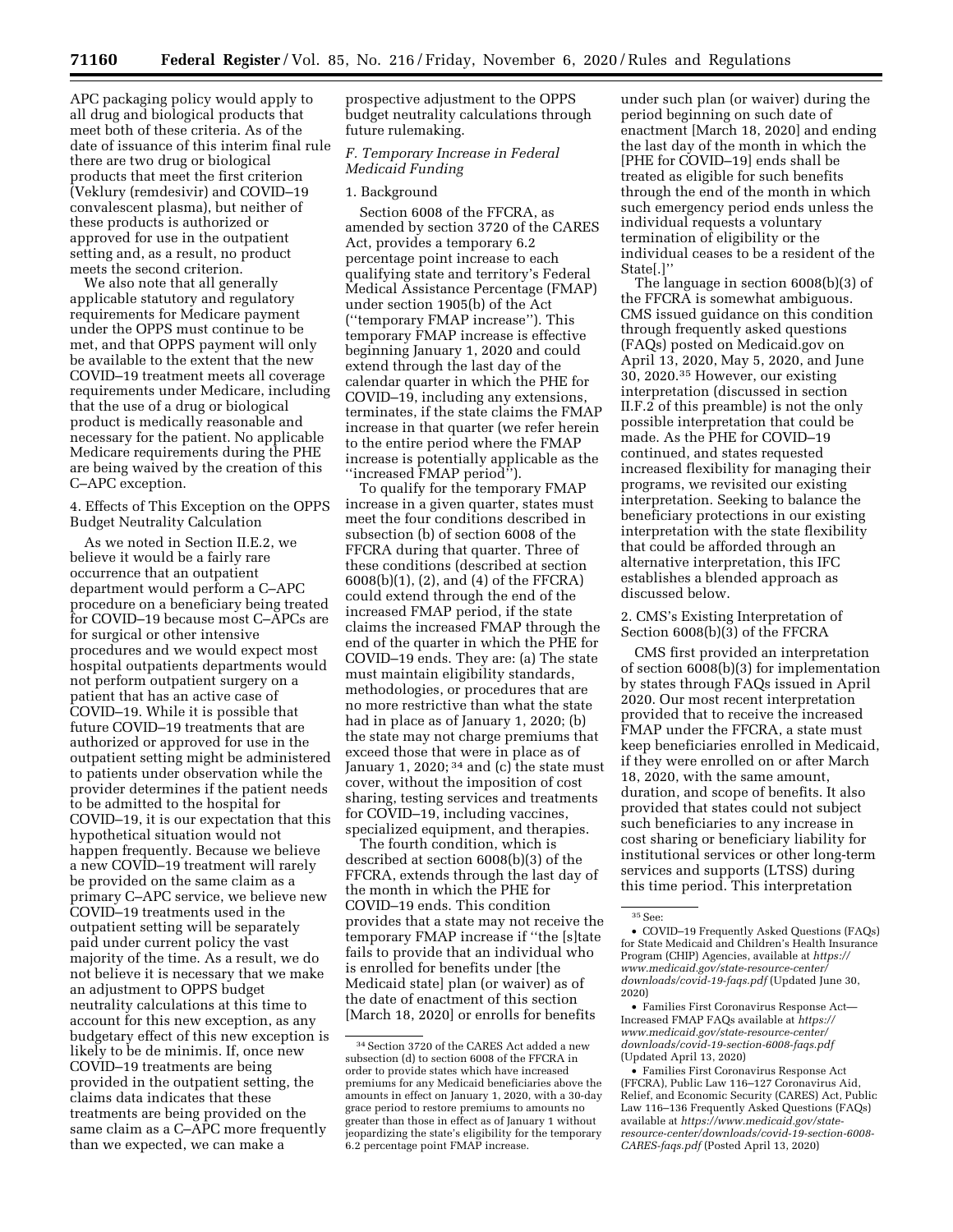APC packaging policy would apply to all drug and biological products that meet both of these criteria. As of the date of issuance of this interim final rule there are two drug or biological products that meet the first criterion (Veklury (remdesivir) and COVID–19 convalescent plasma), but neither of these products is authorized or approved for use in the outpatient setting and, as a result, no product meets the second criterion.

We also note that all generally applicable statutory and regulatory requirements for Medicare payment under the OPPS must continue to be met, and that OPPS payment will only be available to the extent that the new COVID–19 treatment meets all coverage requirements under Medicare, including that the use of a drug or biological product is medically reasonable and necessary for the patient. No applicable Medicare requirements during the PHE are being waived by the creation of this C–APC exception.

4. Effects of This Exception on the OPPS Budget Neutrality Calculation

As we noted in Section II.E.2, we believe it would be a fairly rare occurrence that an outpatient department would perform a C–APC procedure on a beneficiary being treated for COVID–19 because most C–APCs are for surgical or other intensive procedures and we would expect most hospital outpatients departments would not perform outpatient surgery on a patient that has an active case of COVID–19. While it is possible that future COVID–19 treatments that are authorized or approved for use in the outpatient setting might be administered to patients under observation while the provider determines if the patient needs to be admitted to the hospital for COVID–19, it is our expectation that this hypothetical situation would not happen frequently. Because we believe a new COVID–19 treatment will rarely be provided on the same claim as a primary C–APC service, we believe new COVID–19 treatments used in the outpatient setting will be separately paid under current policy the vast majority of the time. As a result, we do not believe it is necessary that we make an adjustment to OPPS budget neutrality calculations at this time to account for this new exception, as any budgetary effect of this new exception is likely to be de minimis. If, once new COVID–19 treatments are being provided in the outpatient setting, the claims data indicates that these treatments are being provided on the same claim as a C–APC more frequently than we expected, we can make a

prospective adjustment to the OPPS budget neutrality calculations through future rulemaking.

# *F. Temporary Increase in Federal Medicaid Funding*

#### 1. Background

Section 6008 of the FFCRA, as amended by section 3720 of the CARES Act, provides a temporary 6.2 percentage point increase to each qualifying state and territory's Federal Medical Assistance Percentage (FMAP) under section 1905(b) of the Act (''temporary FMAP increase''). This temporary FMAP increase is effective beginning January 1, 2020 and could extend through the last day of the calendar quarter in which the PHE for COVID–19, including any extensions, terminates, if the state claims the FMAP increase in that quarter (we refer herein to the entire period where the FMAP increase is potentially applicable as the ''increased FMAP period'').

To qualify for the temporary FMAP increase in a given quarter, states must meet the four conditions described in subsection (b) of section 6008 of the FFCRA during that quarter. Three of these conditions (described at section 6008(b)(1), (2), and (4) of the FFCRA) could extend through the end of the increased FMAP period, if the state claims the increased FMAP through the end of the quarter in which the PHE for COVID–19 ends. They are: (a) The state must maintain eligibility standards, methodologies, or procedures that are no more restrictive than what the state had in place as of January 1, 2020; (b) the state may not charge premiums that exceed those that were in place as of January 1, 2020;  $34$  and (c) the state must cover, without the imposition of cost sharing, testing services and treatments for COVID–19, including vaccines, specialized equipment, and therapies.

The fourth condition, which is described at section 6008(b)(3) of the FFCRA, extends through the last day of the month in which the PHE for COVID–19 ends. This condition provides that a state may not receive the temporary FMAP increase if ''the [s]tate fails to provide that an individual who is enrolled for benefits under [the Medicaid state] plan (or waiver) as of the date of enactment of this section [March 18, 2020] or enrolls for benefits

under such plan (or waiver) during the period beginning on such date of enactment [March 18, 2020] and ending the last day of the month in which the [PHE for COVID–19] ends shall be treated as eligible for such benefits through the end of the month in which such emergency period ends unless the individual requests a voluntary termination of eligibility or the individual ceases to be a resident of the State[.]''

The language in section 6008(b)(3) of the FFCRA is somewhat ambiguous. CMS issued guidance on this condition through frequently asked questions (FAQs) posted on Medicaid.gov on April 13, 2020, May 5, 2020, and June 30, 2020.35 However, our existing interpretation (discussed in section II.F.2 of this preamble) is not the only possible interpretation that could be made. As the PHE for COVID–19 continued, and states requested increased flexibility for managing their programs, we revisited our existing interpretation. Seeking to balance the beneficiary protections in our existing interpretation with the state flexibility that could be afforded through an alternative interpretation, this IFC establishes a blended approach as discussed below.

2. CMS's Existing Interpretation of Section 6008(b)(3) of the FFCRA

CMS first provided an interpretation of section 6008(b)(3) for implementation by states through FAQs issued in April 2020. Our most recent interpretation provided that to receive the increased FMAP under the FFCRA, a state must keep beneficiaries enrolled in Medicaid, if they were enrolled on or after March 18, 2020, with the same amount, duration, and scope of benefits. It also provided that states could not subject such beneficiaries to any increase in cost sharing or beneficiary liability for institutional services or other long-term services and supports (LTSS) during this time period. This interpretation

• Families First Coronavirus Response Act— Increased FMAP FAQs available at *https:// www.medicaid.gov/state-resource-center/ downloads/covid-19-section-6008-faqs.pdf*  (Updated April 13, 2020)

<sup>34</sup>Section 3720 of the CARES Act added a new subsection (d) to section 6008 of the FFCRA in order to provide states which have increased premiums for any Medicaid beneficiaries above the amounts in effect on January 1, 2020, with a 30-day grace period to restore premiums to amounts no greater than those in effect as of January 1 without jeopardizing the state's eligibility for the temporary 6.2 percentage point FMAP increase.

<sup>35</sup>See:

<sup>•</sup> COVID–19 Frequently Asked Questions (FAQs) for State Medicaid and Children's Health Insurance Program (CHIP) Agencies, available at *https:// www.medicaid.gov/state-resource-center/ downloads/covid-19-faqs.pdf* (Updated June 30, 2020)

<sup>•</sup> Families First Coronavirus Response Act (FFCRA), Public Law 116–127 Coronavirus Aid, Relief, and Economic Security (CARES) Act, Public Law 116–136 Frequently Asked Questions (FAQs) available at *https://www.medicaid.gov/stateresource-center/downloads/covid-19-section-6008- CARES-faqs.pdf* (Posted April 13, 2020)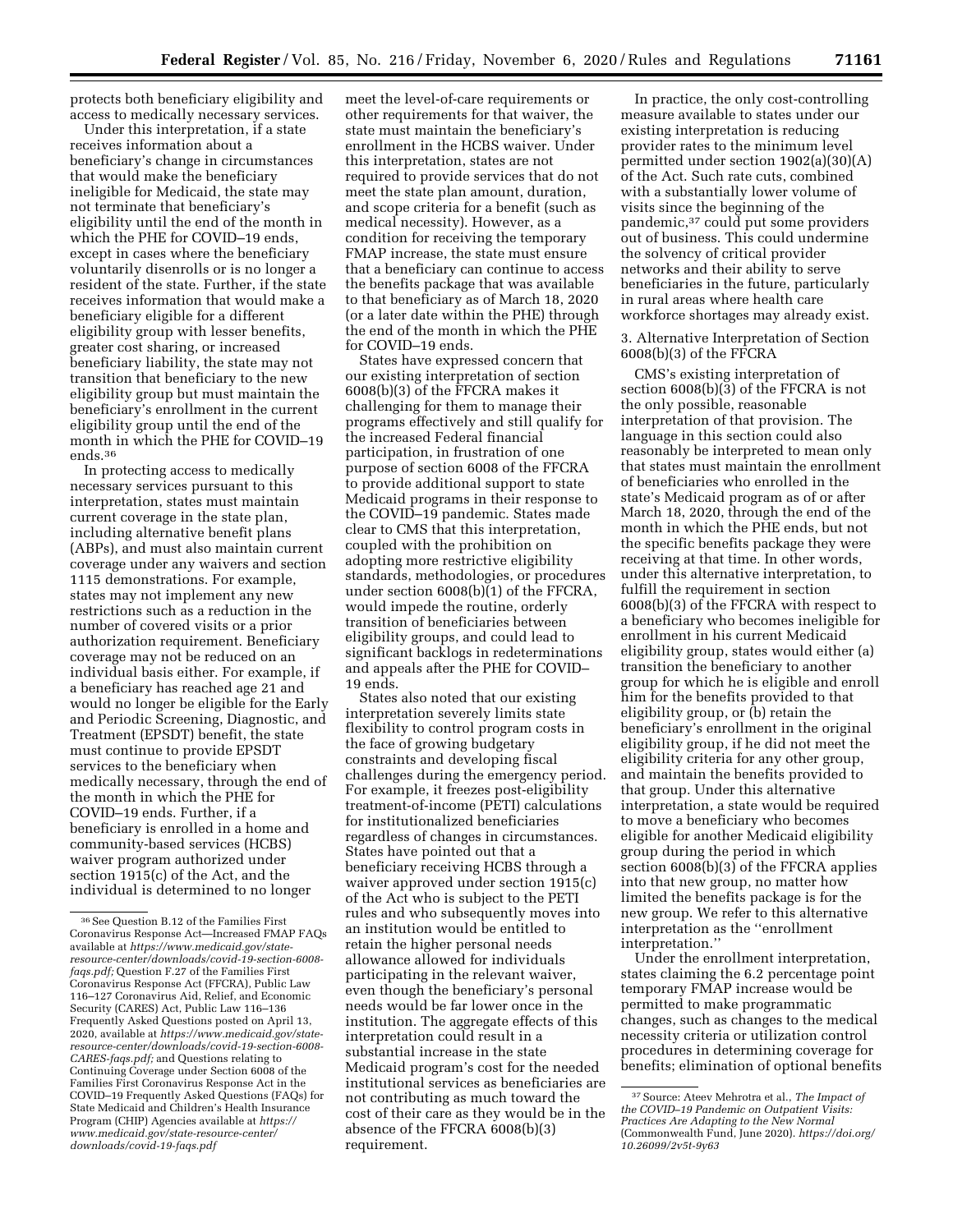protects both beneficiary eligibility and access to medically necessary services.

Under this interpretation, if a state receives information about a beneficiary's change in circumstances that would make the beneficiary ineligible for Medicaid, the state may not terminate that beneficiary's eligibility until the end of the month in which the PHE for COVID–19 ends, except in cases where the beneficiary voluntarily disenrolls or is no longer a resident of the state. Further, if the state receives information that would make a beneficiary eligible for a different eligibility group with lesser benefits, greater cost sharing, or increased beneficiary liability, the state may not transition that beneficiary to the new eligibility group but must maintain the beneficiary's enrollment in the current eligibility group until the end of the month in which the PHE for COVID–19 ends.36

In protecting access to medically necessary services pursuant to this interpretation, states must maintain current coverage in the state plan, including alternative benefit plans (ABPs), and must also maintain current coverage under any waivers and section 1115 demonstrations. For example, states may not implement any new restrictions such as a reduction in the number of covered visits or a prior authorization requirement. Beneficiary coverage may not be reduced on an individual basis either. For example, if a beneficiary has reached age 21 and would no longer be eligible for the Early and Periodic Screening, Diagnostic, and Treatment (EPSDT) benefit, the state must continue to provide EPSDT services to the beneficiary when medically necessary, through the end of the month in which the PHE for COVID–19 ends. Further, if a beneficiary is enrolled in a home and community-based services (HCBS) waiver program authorized under section 1915(c) of the Act, and the individual is determined to no longer

meet the level-of-care requirements or other requirements for that waiver, the state must maintain the beneficiary's enrollment in the HCBS waiver. Under this interpretation, states are not required to provide services that do not meet the state plan amount, duration, and scope criteria for a benefit (such as medical necessity). However, as a condition for receiving the temporary FMAP increase, the state must ensure that a beneficiary can continue to access the benefits package that was available to that beneficiary as of March 18, 2020 (or a later date within the PHE) through the end of the month in which the PHE for COVID–19 ends.

States have expressed concern that our existing interpretation of section 6008(b)(3) of the FFCRA makes it challenging for them to manage their programs effectively and still qualify for the increased Federal financial participation, in frustration of one purpose of section 6008 of the FFCRA to provide additional support to state Medicaid programs in their response to the COVID–19 pandemic. States made clear to CMS that this interpretation, coupled with the prohibition on adopting more restrictive eligibility standards, methodologies, or procedures under section 6008(b)(1) of the FFCRA, would impede the routine, orderly transition of beneficiaries between eligibility groups, and could lead to significant backlogs in redeterminations and appeals after the PHE for COVID– 19 ends.

States also noted that our existing interpretation severely limits state flexibility to control program costs in the face of growing budgetary constraints and developing fiscal challenges during the emergency period. For example, it freezes post-eligibility treatment-of-income (PETI) calculations for institutionalized beneficiaries regardless of changes in circumstances. States have pointed out that a beneficiary receiving HCBS through a waiver approved under section 1915(c) of the Act who is subject to the PETI rules and who subsequently moves into an institution would be entitled to retain the higher personal needs allowance allowed for individuals participating in the relevant waiver, even though the beneficiary's personal needs would be far lower once in the institution. The aggregate effects of this interpretation could result in a substantial increase in the state Medicaid program's cost for the needed institutional services as beneficiaries are not contributing as much toward the cost of their care as they would be in the absence of the FFCRA 6008(b)(3) requirement.

In practice, the only cost-controlling measure available to states under our existing interpretation is reducing provider rates to the minimum level permitted under section 1902(a)(30)(A) of the Act. Such rate cuts, combined with a substantially lower volume of visits since the beginning of the pandemic,37 could put some providers out of business. This could undermine the solvency of critical provider networks and their ability to serve beneficiaries in the future, particularly in rural areas where health care workforce shortages may already exist.

3. Alternative Interpretation of Section 6008(b)(3) of the FFCRA

CMS's existing interpretation of section 6008(b)(3) of the FFCRA is not the only possible, reasonable interpretation of that provision. The language in this section could also reasonably be interpreted to mean only that states must maintain the enrollment of beneficiaries who enrolled in the state's Medicaid program as of or after March 18, 2020, through the end of the month in which the PHE ends, but not the specific benefits package they were receiving at that time. In other words, under this alternative interpretation, to fulfill the requirement in section 6008(b)(3) of the FFCRA with respect to a beneficiary who becomes ineligible for enrollment in his current Medicaid eligibility group, states would either (a) transition the beneficiary to another group for which he is eligible and enroll him for the benefits provided to that eligibility group, or (b) retain the beneficiary's enrollment in the original eligibility group, if he did not meet the eligibility criteria for any other group, and maintain the benefits provided to that group. Under this alternative interpretation, a state would be required to move a beneficiary who becomes eligible for another Medicaid eligibility group during the period in which section 6008(b)(3) of the FFCRA applies into that new group, no matter how limited the benefits package is for the new group. We refer to this alternative interpretation as the ''enrollment interpretation.''

Under the enrollment interpretation, states claiming the 6.2 percentage point temporary FMAP increase would be permitted to make programmatic changes, such as changes to the medical necessity criteria or utilization control procedures in determining coverage for benefits; elimination of optional benefits

<sup>36</sup>See Question B.12 of the Families First Coronavirus Response Act—Increased FMAP FAQs available at *https://www.medicaid.gov/stateresource-center/downloads/covid-19-section-6008 faqs.pdf;* Question F.27 of the Families First Coronavirus Response Act (FFCRA), Public Law 116–127 Coronavirus Aid, Relief, and Economic Security (CARES) Act, Public Law 116–136 Frequently Asked Questions posted on April 13, 2020, available at *https://www.medicaid.gov/stateresource-center/downloads/covid-19-section-6008- CARES-faqs.pdf;* and Questions relating to Continuing Coverage under Section 6008 of the Families First Coronavirus Response Act in the COVID–19 Frequently Asked Questions (FAQs) for State Medicaid and Children's Health Insurance Program (CHIP) Agencies available at *https:// www.medicaid.gov/state-resource-center/ downloads/covid-19-faqs.pdf* 

<sup>37</sup>Source: Ateev Mehrotra et al., *The Impact of the COVID–19 Pandemic on Outpatient Visits: Practices Are Adapting to the New Normal*  (Commonwealth Fund, June 2020). *https://doi.org/ 10.26099/2v5t-9y63*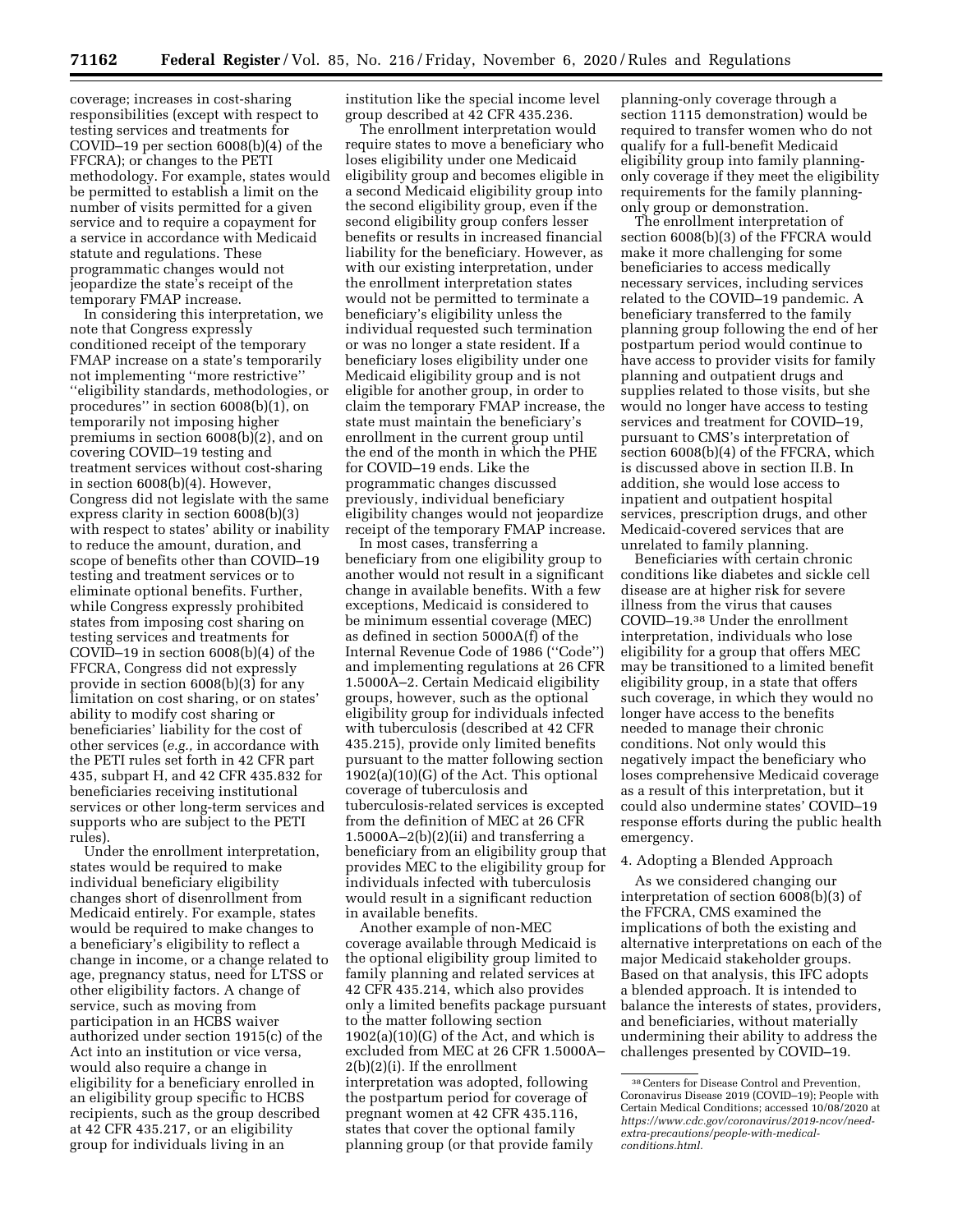coverage; increases in cost-sharing responsibilities (except with respect to testing services and treatments for COVID–19 per section 6008(b)(4) of the FFCRA); or changes to the PETI methodology. For example, states would be permitted to establish a limit on the number of visits permitted for a given service and to require a copayment for a service in accordance with Medicaid statute and regulations. These programmatic changes would not jeopardize the state's receipt of the temporary FMAP increase.

In considering this interpretation, we note that Congress expressly conditioned receipt of the temporary FMAP increase on a state's temporarily not implementing ''more restrictive'' ''eligibility standards, methodologies, or procedures'' in section 6008(b)(1), on temporarily not imposing higher premiums in section 6008(b)(2), and on covering COVID–19 testing and treatment services without cost-sharing in section 6008(b)(4). However, Congress did not legislate with the same express clarity in section 6008(b)(3) with respect to states' ability or inability to reduce the amount, duration, and scope of benefits other than COVID–19 testing and treatment services or to eliminate optional benefits. Further, while Congress expressly prohibited states from imposing cost sharing on testing services and treatments for COVID–19 in section 6008(b)(4) of the FFCRA, Congress did not expressly provide in section 6008(b)(3) for any limitation on cost sharing, or on states' ability to modify cost sharing or beneficiaries' liability for the cost of other services (*e.g.,* in accordance with the PETI rules set forth in 42 CFR part 435, subpart H, and 42 CFR 435.832 for beneficiaries receiving institutional services or other long-term services and supports who are subject to the PETI rules).

Under the enrollment interpretation, states would be required to make individual beneficiary eligibility changes short of disenrollment from Medicaid entirely. For example, states would be required to make changes to a beneficiary's eligibility to reflect a change in income, or a change related to age, pregnancy status, need for LTSS or other eligibility factors. A change of service, such as moving from participation in an HCBS waiver authorized under section 1915(c) of the Act into an institution or vice versa, would also require a change in eligibility for a beneficiary enrolled in an eligibility group specific to HCBS recipients, such as the group described at 42 CFR 435.217, or an eligibility group for individuals living in an

institution like the special income level group described at 42 CFR 435.236.

The enrollment interpretation would require states to move a beneficiary who loses eligibility under one Medicaid eligibility group and becomes eligible in a second Medicaid eligibility group into the second eligibility group, even if the second eligibility group confers lesser benefits or results in increased financial liability for the beneficiary. However, as with our existing interpretation, under the enrollment interpretation states would not be permitted to terminate a beneficiary's eligibility unless the individual requested such termination or was no longer a state resident. If a beneficiary loses eligibility under one Medicaid eligibility group and is not eligible for another group, in order to claim the temporary FMAP increase, the state must maintain the beneficiary's enrollment in the current group until the end of the month in which the PHE for COVID–19 ends. Like the programmatic changes discussed previously, individual beneficiary eligibility changes would not jeopardize receipt of the temporary FMAP increase.

In most cases, transferring a beneficiary from one eligibility group to another would not result in a significant change in available benefits. With a few exceptions, Medicaid is considered to be minimum essential coverage (MEC) as defined in section 5000A(f) of the Internal Revenue Code of 1986 (''Code'') and implementing regulations at 26 CFR 1.5000A–2. Certain Medicaid eligibility groups, however, such as the optional eligibility group for individuals infected with tuberculosis (described at 42 CFR 435.215), provide only limited benefits pursuant to the matter following section 1902(a)(10)(G) of the Act. This optional coverage of tuberculosis and tuberculosis-related services is excepted from the definition of MEC at 26 CFR  $1.5000A-2(b)(2)(ii)$  and transferring a beneficiary from an eligibility group that provides MEC to the eligibility group for individuals infected with tuberculosis would result in a significant reduction in available benefits.

Another example of non-MEC coverage available through Medicaid is the optional eligibility group limited to family planning and related services at 42 CFR 435.214, which also provides only a limited benefits package pursuant to the matter following section  $1902(a)(10)(G)$  of the Act, and which is excluded from MEC at 26 CFR 1.5000A– 2(b)(2)(i). If the enrollment interpretation was adopted, following the postpartum period for coverage of pregnant women at 42 CFR 435.116, states that cover the optional family planning group (or that provide family

planning-only coverage through a section 1115 demonstration) would be required to transfer women who do not qualify for a full-benefit Medicaid eligibility group into family planningonly coverage if they meet the eligibility requirements for the family planningonly group or demonstration.

The enrollment interpretation of section 6008(b)(3) of the FFCRA would make it more challenging for some beneficiaries to access medically necessary services, including services related to the COVID–19 pandemic. A beneficiary transferred to the family planning group following the end of her postpartum period would continue to have access to provider visits for family planning and outpatient drugs and supplies related to those visits, but she would no longer have access to testing services and treatment for COVID–19, pursuant to CMS's interpretation of section 6008(b)(4) of the FFCRA, which is discussed above in section II.B. In addition, she would lose access to inpatient and outpatient hospital services, prescription drugs, and other Medicaid-covered services that are unrelated to family planning.

Beneficiaries with certain chronic conditions like diabetes and sickle cell disease are at higher risk for severe illness from the virus that causes COVID–19.38 Under the enrollment interpretation, individuals who lose eligibility for a group that offers MEC may be transitioned to a limited benefit eligibility group, in a state that offers such coverage, in which they would no longer have access to the benefits needed to manage their chronic conditions. Not only would this negatively impact the beneficiary who loses comprehensive Medicaid coverage as a result of this interpretation, but it could also undermine states' COVID–19 response efforts during the public health emergency.

4. Adopting a Blended Approach

As we considered changing our interpretation of section 6008(b)(3) of the FFCRA, CMS examined the implications of both the existing and alternative interpretations on each of the major Medicaid stakeholder groups. Based on that analysis, this IFC adopts a blended approach. It is intended to balance the interests of states, providers, and beneficiaries, without materially undermining their ability to address the challenges presented by COVID–19.

<sup>38</sup>Centers for Disease Control and Prevention, Coronavirus Disease 2019 (COVID–19); People with Certain Medical Conditions; accessed 10/08/2020 at *https://www.cdc.gov/coronavirus/2019-ncov/needextra-precautions/people-with-medicalconditions.html.*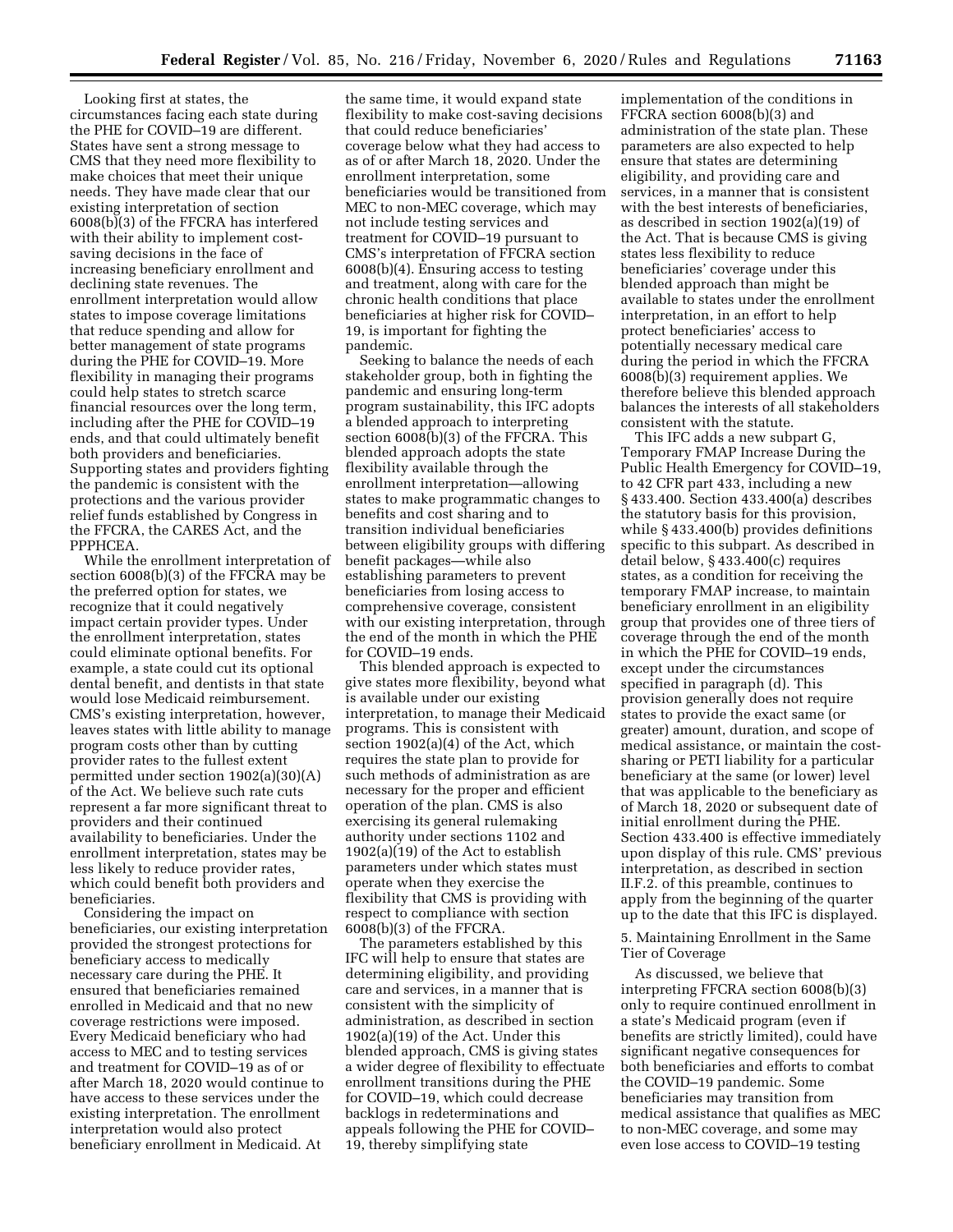Looking first at states, the circumstances facing each state during the PHE for COVID–19 are different. States have sent a strong message to CMS that they need more flexibility to make choices that meet their unique needs. They have made clear that our existing interpretation of section 6008(b)(3) of the FFCRA has interfered with their ability to implement costsaving decisions in the face of increasing beneficiary enrollment and declining state revenues. The enrollment interpretation would allow states to impose coverage limitations that reduce spending and allow for better management of state programs during the PHE for COVID–19. More flexibility in managing their programs could help states to stretch scarce financial resources over the long term, including after the PHE for COVID–19 ends, and that could ultimately benefit both providers and beneficiaries. Supporting states and providers fighting the pandemic is consistent with the protections and the various provider relief funds established by Congress in the FFCRA, the CARES Act, and the PPPHCEA.

While the enrollment interpretation of section 6008(b)(3) of the FFCRA may be the preferred option for states, we recognize that it could negatively impact certain provider types. Under the enrollment interpretation, states could eliminate optional benefits. For example, a state could cut its optional dental benefit, and dentists in that state would lose Medicaid reimbursement. CMS's existing interpretation, however, leaves states with little ability to manage program costs other than by cutting provider rates to the fullest extent permitted under section 1902(a)(30)(A) of the Act. We believe such rate cuts represent a far more significant threat to providers and their continued availability to beneficiaries. Under the enrollment interpretation, states may be less likely to reduce provider rates, which could benefit both providers and beneficiaries.

Considering the impact on beneficiaries, our existing interpretation provided the strongest protections for beneficiary access to medically necessary care during the PHE. It ensured that beneficiaries remained enrolled in Medicaid and that no new coverage restrictions were imposed. Every Medicaid beneficiary who had access to MEC and to testing services and treatment for COVID–19 as of or after March 18, 2020 would continue to have access to these services under the existing interpretation. The enrollment interpretation would also protect beneficiary enrollment in Medicaid. At

the same time, it would expand state flexibility to make cost-saving decisions that could reduce beneficiaries' coverage below what they had access to as of or after March 18, 2020. Under the enrollment interpretation, some beneficiaries would be transitioned from MEC to non-MEC coverage, which may not include testing services and treatment for COVID–19 pursuant to CMS's interpretation of FFCRA section 6008(b)(4). Ensuring access to testing and treatment, along with care for the chronic health conditions that place beneficiaries at higher risk for COVID– 19, is important for fighting the pandemic.

Seeking to balance the needs of each stakeholder group, both in fighting the pandemic and ensuring long-term program sustainability, this IFC adopts a blended approach to interpreting section 6008(b)(3) of the FFCRA. This blended approach adopts the state flexibility available through the enrollment interpretation—allowing states to make programmatic changes to benefits and cost sharing and to transition individual beneficiaries between eligibility groups with differing benefit packages—while also establishing parameters to prevent beneficiaries from losing access to comprehensive coverage, consistent with our existing interpretation, through the end of the month in which the PHE for COVID–19 ends.

This blended approach is expected to give states more flexibility, beyond what is available under our existing interpretation, to manage their Medicaid programs. This is consistent with section 1902(a)(4) of the Act, which requires the state plan to provide for such methods of administration as are necessary for the proper and efficient operation of the plan. CMS is also exercising its general rulemaking authority under sections 1102 and 1902(a)(19) of the Act to establish parameters under which states must operate when they exercise the flexibility that CMS is providing with respect to compliance with section 6008(b)(3) of the FFCRA.

The parameters established by this IFC will help to ensure that states are determining eligibility, and providing care and services, in a manner that is consistent with the simplicity of administration, as described in section 1902(a)(19) of the Act. Under this blended approach, CMS is giving states a wider degree of flexibility to effectuate enrollment transitions during the PHE for COVID–19, which could decrease backlogs in redeterminations and appeals following the PHE for COVID– 19, thereby simplifying state

implementation of the conditions in FFCRA section 6008(b)(3) and administration of the state plan. These parameters are also expected to help ensure that states are determining eligibility, and providing care and services, in a manner that is consistent with the best interests of beneficiaries, as described in section 1902(a)(19) of the Act. That is because CMS is giving states less flexibility to reduce beneficiaries' coverage under this blended approach than might be available to states under the enrollment interpretation, in an effort to help protect beneficiaries' access to potentially necessary medical care during the period in which the FFCRA 6008(b)(3) requirement applies. We therefore believe this blended approach balances the interests of all stakeholders consistent with the statute.

This IFC adds a new subpart G, Temporary FMAP Increase During the Public Health Emergency for COVID–19, to 42 CFR part 433, including a new § 433.400. Section 433.400(a) describes the statutory basis for this provision, while § 433.400(b) provides definitions specific to this subpart. As described in detail below, § 433.400(c) requires states, as a condition for receiving the temporary FMAP increase, to maintain beneficiary enrollment in an eligibility group that provides one of three tiers of coverage through the end of the month in which the PHE for COVID–19 ends, except under the circumstances specified in paragraph (d). This provision generally does not require states to provide the exact same (or greater) amount, duration, and scope of medical assistance, or maintain the costsharing or PETI liability for a particular beneficiary at the same (or lower) level that was applicable to the beneficiary as of March 18, 2020 or subsequent date of initial enrollment during the PHE. Section 433.400 is effective immediately upon display of this rule. CMS' previous interpretation, as described in section II.F.2. of this preamble, continues to apply from the beginning of the quarter up to the date that this IFC is displayed.

5. Maintaining Enrollment in the Same Tier of Coverage

As discussed, we believe that interpreting FFCRA section 6008(b)(3) only to require continued enrollment in a state's Medicaid program (even if benefits are strictly limited), could have significant negative consequences for both beneficiaries and efforts to combat the COVID–19 pandemic. Some beneficiaries may transition from medical assistance that qualifies as MEC to non-MEC coverage, and some may even lose access to COVID–19 testing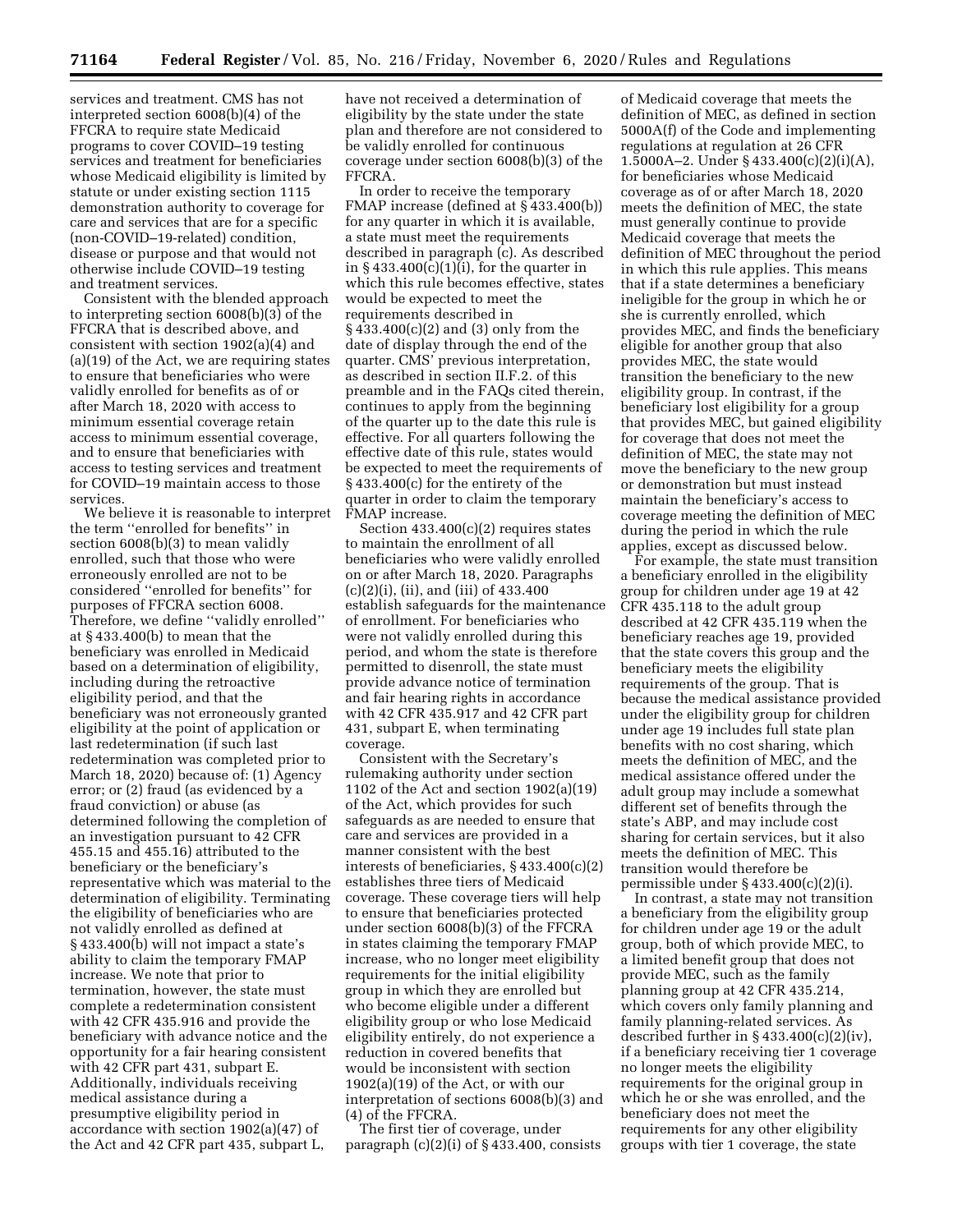services and treatment. CMS has not interpreted section 6008(b)(4) of the FFCRA to require state Medicaid programs to cover COVID–19 testing services and treatment for beneficiaries whose Medicaid eligibility is limited by statute or under existing section 1115 demonstration authority to coverage for care and services that are for a specific (non-COVID–19-related) condition, disease or purpose and that would not otherwise include COVID–19 testing and treatment services.

Consistent with the blended approach to interpreting section 6008(b)(3) of the FFCRA that is described above, and consistent with section 1902(a)(4) and (a)(19) of the Act, we are requiring states to ensure that beneficiaries who were validly enrolled for benefits as of or after March 18, 2020 with access to minimum essential coverage retain access to minimum essential coverage, and to ensure that beneficiaries with access to testing services and treatment for COVID–19 maintain access to those services.

We believe it is reasonable to interpret the term ''enrolled for benefits'' in section 6008(b)(3) to mean validly enrolled, such that those who were erroneously enrolled are not to be considered ''enrolled for benefits'' for purposes of FFCRA section 6008. Therefore, we define ''validly enrolled'' at § 433.400(b) to mean that the beneficiary was enrolled in Medicaid based on a determination of eligibility, including during the retroactive eligibility period, and that the beneficiary was not erroneously granted eligibility at the point of application or last redetermination (if such last redetermination was completed prior to March 18, 2020) because of: (1) Agency error; or (2) fraud (as evidenced by a fraud conviction) or abuse (as determined following the completion of an investigation pursuant to 42 CFR 455.15 and 455.16) attributed to the beneficiary or the beneficiary's representative which was material to the determination of eligibility. Terminating the eligibility of beneficiaries who are not validly enrolled as defined at § 433.400(b) will not impact a state's ability to claim the temporary FMAP increase. We note that prior to termination, however, the state must complete a redetermination consistent with 42 CFR 435.916 and provide the beneficiary with advance notice and the opportunity for a fair hearing consistent with 42 CFR part 431, subpart E. Additionally, individuals receiving medical assistance during a presumptive eligibility period in accordance with section 1902(a)(47) of the Act and 42 CFR part 435, subpart L,

have not received a determination of eligibility by the state under the state plan and therefore are not considered to be validly enrolled for continuous coverage under section 6008(b)(3) of the FFCRA.

In order to receive the temporary FMAP increase (defined at § 433.400(b)) for any quarter in which it is available, a state must meet the requirements described in paragraph (c). As described in  $\S 433.400(c)(1)(i)$ , for the quarter in which this rule becomes effective, states would be expected to meet the requirements described in § 433.400(c)(2) and (3) only from the date of display through the end of the quarter. CMS' previous interpretation, as described in section II.F.2. of this preamble and in the FAQs cited therein, continues to apply from the beginning of the quarter up to the date this rule is effective. For all quarters following the effective date of this rule, states would be expected to meet the requirements of § 433.400(c) for the entirety of the quarter in order to claim the temporary FMAP increase.

Section  $433.400(c)(2)$  requires states to maintain the enrollment of all beneficiaries who were validly enrolled on or after March 18, 2020. Paragraphs (c)(2)(i), (ii), and (iii) of 433.400 establish safeguards for the maintenance of enrollment. For beneficiaries who were not validly enrolled during this period, and whom the state is therefore permitted to disenroll, the state must provide advance notice of termination and fair hearing rights in accordance with 42 CFR 435.917 and 42 CFR part 431, subpart E, when terminating coverage.

Consistent with the Secretary's rulemaking authority under section 1102 of the Act and section 1902(a)(19) of the Act, which provides for such safeguards as are needed to ensure that care and services are provided in a manner consistent with the best interests of beneficiaries, § 433.400(c)(2) establishes three tiers of Medicaid coverage. These coverage tiers will help to ensure that beneficiaries protected under section 6008(b)(3) of the FFCRA in states claiming the temporary FMAP increase, who no longer meet eligibility requirements for the initial eligibility group in which they are enrolled but who become eligible under a different eligibility group or who lose Medicaid eligibility entirely, do not experience a reduction in covered benefits that would be inconsistent with section  $1902(a)(19)$  of the Act, or with our interpretation of sections 6008(b)(3) and (4) of the FFCRA.

The first tier of coverage, under paragraph  $(c)(2)(i)$  of § 433.400, consists

of Medicaid coverage that meets the definition of MEC, as defined in section 5000A(f) of the Code and implementing regulations at regulation at 26 CFR 1.5000A–2. Under § 433.400(c)(2)(i)(A), for beneficiaries whose Medicaid coverage as of or after March 18, 2020 meets the definition of MEC, the state must generally continue to provide Medicaid coverage that meets the definition of MEC throughout the period in which this rule applies. This means that if a state determines a beneficiary ineligible for the group in which he or she is currently enrolled, which provides MEC, and finds the beneficiary eligible for another group that also provides MEC, the state would transition the beneficiary to the new eligibility group. In contrast, if the beneficiary lost eligibility for a group that provides MEC, but gained eligibility for coverage that does not meet the definition of MEC, the state may not move the beneficiary to the new group or demonstration but must instead maintain the beneficiary's access to coverage meeting the definition of MEC during the period in which the rule applies, except as discussed below.

For example, the state must transition a beneficiary enrolled in the eligibility group for children under age 19 at 42 CFR 435.118 to the adult group described at 42 CFR 435.119 when the beneficiary reaches age 19, provided that the state covers this group and the beneficiary meets the eligibility requirements of the group. That is because the medical assistance provided under the eligibility group for children under age 19 includes full state plan benefits with no cost sharing, which meets the definition of MEC, and the medical assistance offered under the adult group may include a somewhat different set of benefits through the state's ABP, and may include cost sharing for certain services, but it also meets the definition of MEC. This transition would therefore be permissible under § 433.400(c)(2)(i).

In contrast, a state may not transition a beneficiary from the eligibility group for children under age 19 or the adult group, both of which provide MEC, to a limited benefit group that does not provide MEC, such as the family planning group at 42 CFR 435.214, which covers only family planning and family planning-related services. As described further in § 433.400(c)(2)(iv), if a beneficiary receiving tier 1 coverage no longer meets the eligibility requirements for the original group in which he or she was enrolled, and the beneficiary does not meet the requirements for any other eligibility groups with tier 1 coverage, the state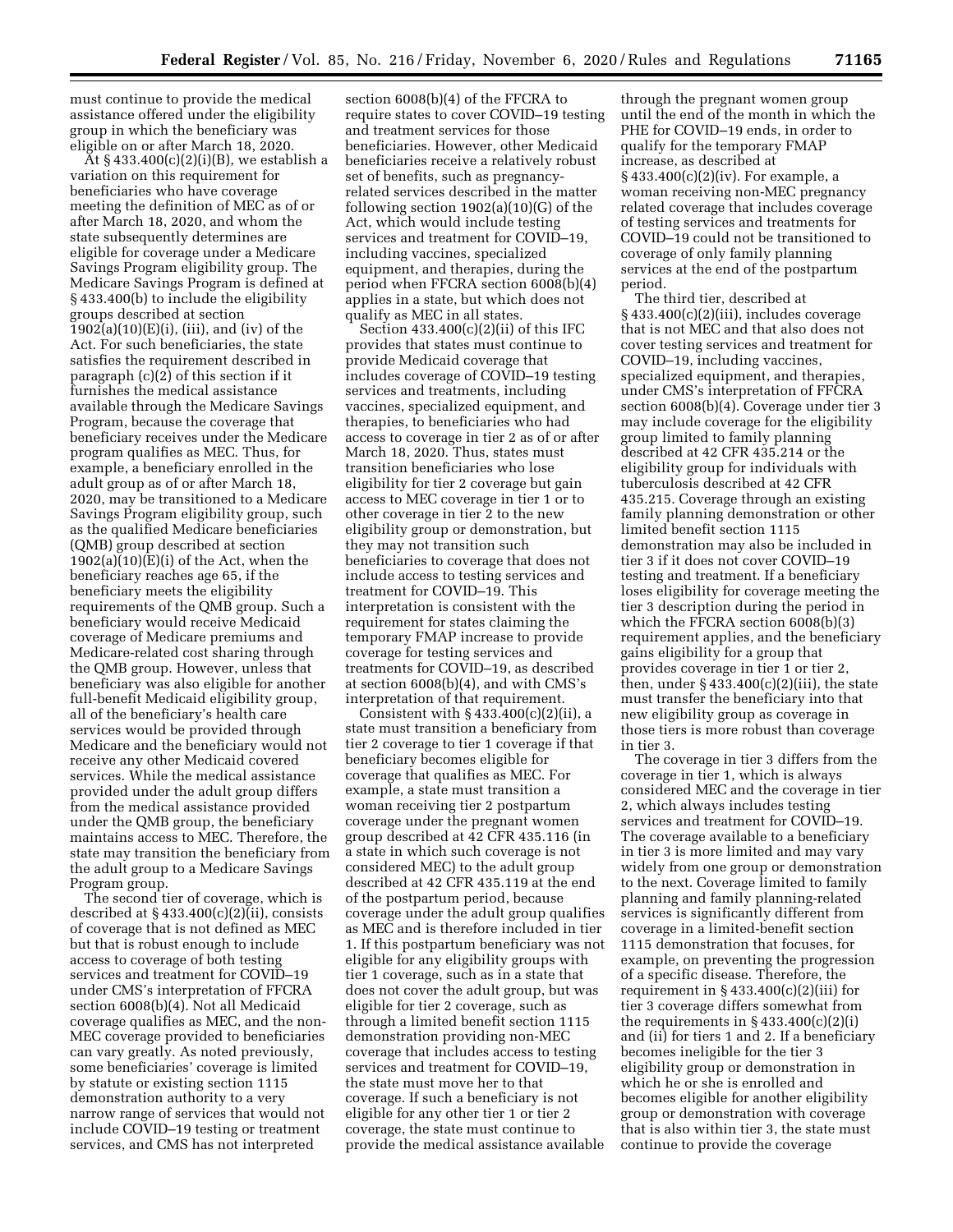must continue to provide the medical assistance offered under the eligibility group in which the beneficiary was eligible on or after March 18, 2020.

 $\tilde{A}$ t § 433.400(c)(2)(i)(B), we establish a variation on this requirement for beneficiaries who have coverage meeting the definition of MEC as of or after March 18, 2020, and whom the state subsequently determines are eligible for coverage under a Medicare Savings Program eligibility group. The Medicare Savings Program is defined at § 433.400(b) to include the eligibility groups described at section  $1902(a)(10)(E)(i)$ , (iii), and (iv) of the Act. For such beneficiaries, the state satisfies the requirement described in paragraph (c)(2) of this section if it furnishes the medical assistance available through the Medicare Savings Program, because the coverage that beneficiary receives under the Medicare program qualifies as MEC. Thus, for example, a beneficiary enrolled in the adult group as of or after March 18, 2020, may be transitioned to a Medicare Savings Program eligibility group, such as the qualified Medicare beneficiaries (QMB) group described at section  $1902(a)(10)(E)(i)$  of the Act, when the beneficiary reaches age 65, if the beneficiary meets the eligibility requirements of the QMB group. Such a beneficiary would receive Medicaid coverage of Medicare premiums and Medicare-related cost sharing through the QMB group. However, unless that beneficiary was also eligible for another full-benefit Medicaid eligibility group, all of the beneficiary's health care services would be provided through Medicare and the beneficiary would not receive any other Medicaid covered services. While the medical assistance provided under the adult group differs from the medical assistance provided under the QMB group, the beneficiary maintains access to MEC. Therefore, the state may transition the beneficiary from the adult group to a Medicare Savings Program group.

The second tier of coverage, which is described at  $\S 433.400(c)(2)(ii)$ , consists of coverage that is not defined as MEC but that is robust enough to include access to coverage of both testing services and treatment for COVID–19 under CMS's interpretation of FFCRA section 6008(b)(4). Not all Medicaid coverage qualifies as MEC, and the non-MEC coverage provided to beneficiaries can vary greatly. As noted previously, some beneficiaries' coverage is limited by statute or existing section 1115 demonstration authority to a very narrow range of services that would not include COVID–19 testing or treatment services, and CMS has not interpreted

section 6008(b)(4) of the FFCRA to require states to cover COVID–19 testing and treatment services for those beneficiaries. However, other Medicaid beneficiaries receive a relatively robust set of benefits, such as pregnancyrelated services described in the matter following section 1902(a)(10)(G) of the Act, which would include testing services and treatment for COVID–19, including vaccines, specialized equipment, and therapies, during the period when FFCRA section 6008(b)(4) applies in a state, but which does not qualify as MEC in all states.

Section  $433.400(c)(2)(ii)$  of this IFC provides that states must continue to provide Medicaid coverage that includes coverage of COVID–19 testing services and treatments, including vaccines, specialized equipment, and therapies, to beneficiaries who had access to coverage in tier 2 as of or after March 18, 2020. Thus, states must transition beneficiaries who lose eligibility for tier 2 coverage but gain access to MEC coverage in tier 1 or to other coverage in tier 2 to the new eligibility group or demonstration, but they may not transition such beneficiaries to coverage that does not include access to testing services and treatment for COVID–19. This interpretation is consistent with the requirement for states claiming the temporary FMAP increase to provide coverage for testing services and treatments for COVID–19, as described at section 6008(b)(4), and with CMS's interpretation of that requirement.

Consistent with  $\S 433.400(c)(2)(ii)$ , a state must transition a beneficiary from tier 2 coverage to tier 1 coverage if that beneficiary becomes eligible for coverage that qualifies as MEC. For example, a state must transition a woman receiving tier 2 postpartum coverage under the pregnant women group described at 42 CFR 435.116 (in a state in which such coverage is not considered MEC) to the adult group described at 42 CFR 435.119 at the end of the postpartum period, because coverage under the adult group qualifies as MEC and is therefore included in tier 1. If this postpartum beneficiary was not eligible for any eligibility groups with tier 1 coverage, such as in a state that does not cover the adult group, but was eligible for tier 2 coverage, such as through a limited benefit section 1115 demonstration providing non-MEC coverage that includes access to testing services and treatment for COVID–19, the state must move her to that coverage. If such a beneficiary is not eligible for any other tier 1 or tier 2 coverage, the state must continue to provide the medical assistance available

through the pregnant women group until the end of the month in which the PHE for COVID–19 ends, in order to qualify for the temporary FMAP increase, as described at § 433.400(c)(2)(iv). For example, a woman receiving non-MEC pregnancy related coverage that includes coverage of testing services and treatments for COVID–19 could not be transitioned to coverage of only family planning services at the end of the postpartum period.

The third tier, described at § 433.400(c)(2)(iii), includes coverage that is not MEC and that also does not cover testing services and treatment for COVID–19, including vaccines, specialized equipment, and therapies, under CMS's interpretation of FFCRA section 6008(b)(4). Coverage under tier 3 may include coverage for the eligibility group limited to family planning described at 42 CFR 435.214 or the eligibility group for individuals with tuberculosis described at 42 CFR 435.215. Coverage through an existing family planning demonstration or other limited benefit section 1115 demonstration may also be included in tier 3 if it does not cover COVID–19 testing and treatment. If a beneficiary loses eligibility for coverage meeting the tier 3 description during the period in which the FFCRA section 6008(b)(3) requirement applies, and the beneficiary gains eligibility for a group that provides coverage in tier 1 or tier 2, then, under  $\S 433.400(c)(2)(iii)$ , the state must transfer the beneficiary into that new eligibility group as coverage in those tiers is more robust than coverage in tier 3.

The coverage in tier 3 differs from the coverage in tier 1, which is always considered MEC and the coverage in tier 2, which always includes testing services and treatment for COVID–19. The coverage available to a beneficiary in tier 3 is more limited and may vary widely from one group or demonstration to the next. Coverage limited to family planning and family planning-related services is significantly different from coverage in a limited-benefit section 1115 demonstration that focuses, for example, on preventing the progression of a specific disease. Therefore, the requirement in  $\S 433.400(c)(2)(iii)$  for tier 3 coverage differs somewhat from the requirements in  $\S 433.400(c)(2)(i)$ and (ii) for tiers 1 and 2. If a beneficiary becomes ineligible for the tier 3 eligibility group or demonstration in which he or she is enrolled and becomes eligible for another eligibility group or demonstration with coverage that is also within tier 3, the state must continue to provide the coverage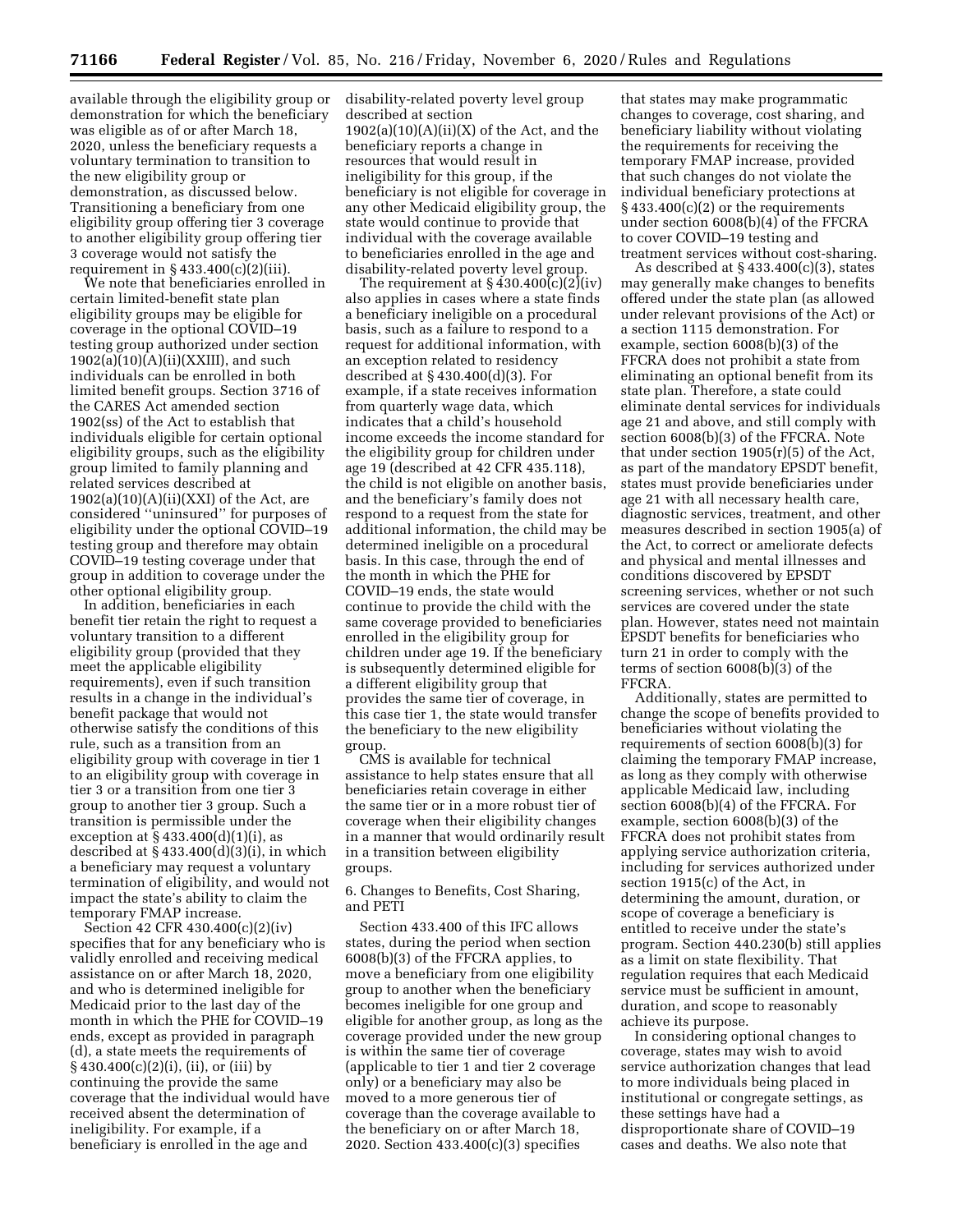available through the eligibility group or demonstration for which the beneficiary was eligible as of or after March 18, 2020, unless the beneficiary requests a voluntary termination to transition to the new eligibility group or demonstration, as discussed below. Transitioning a beneficiary from one eligibility group offering tier 3 coverage to another eligibility group offering tier 3 coverage would not satisfy the requirement in § 433.400(c)(2)(iii).

We note that beneficiaries enrolled in certain limited-benefit state plan eligibility groups may be eligible for coverage in the optional COVID–19 testing group authorized under section  $1902(a)(10)(A)(ii)(XXIII)$ , and such individuals can be enrolled in both limited benefit groups. Section 3716 of the CARES Act amended section 1902(ss) of the Act to establish that individuals eligible for certain optional eligibility groups, such as the eligibility group limited to family planning and related services described at  $1902(a)(10)(A)(ii)(XXI)$  of the Act, are considered ''uninsured'' for purposes of eligibility under the optional COVID–19 testing group and therefore may obtain COVID–19 testing coverage under that group in addition to coverage under the other optional eligibility group.

In addition, beneficiaries in each benefit tier retain the right to request a voluntary transition to a different eligibility group (provided that they meet the applicable eligibility requirements), even if such transition results in a change in the individual's benefit package that would not otherwise satisfy the conditions of this rule, such as a transition from an eligibility group with coverage in tier 1 to an eligibility group with coverage in tier 3 or a transition from one tier 3 group to another tier 3 group. Such a transition is permissible under the exception at  $§$  433.400 $(d)(1)(i)$ , as described at  $\S$  433.400 $(d)(3)(i)$ , in which a beneficiary may request a voluntary termination of eligibility, and would not impact the state's ability to claim the temporary FMAP increase.

Section 42 CFR 430.400(c)(2)(iv) specifies that for any beneficiary who is validly enrolled and receiving medical assistance on or after March 18, 2020, and who is determined ineligible for Medicaid prior to the last day of the month in which the PHE for COVID–19 ends, except as provided in paragraph (d), a state meets the requirements of  $\S 430.400(c)(2)(i)$ , (ii), or (iii) by continuing the provide the same coverage that the individual would have received absent the determination of ineligibility. For example, if a beneficiary is enrolled in the age and

disability-related poverty level group described at section  $1902(a)(10)(A)(ii)(X)$  of the Act, and the beneficiary reports a change in resources that would result in ineligibility for this group, if the beneficiary is not eligible for coverage in any other Medicaid eligibility group, the state would continue to provide that individual with the coverage available to beneficiaries enrolled in the age and disability-related poverty level group.

The requirement at  $\S 430.400(c)(2)(iv)$ also applies in cases where a state finds a beneficiary ineligible on a procedural basis, such as a failure to respond to a request for additional information, with an exception related to residency described at § 430.400(d)(3). For example, if a state receives information from quarterly wage data, which indicates that a child's household income exceeds the income standard for the eligibility group for children under age 19 (described at 42 CFR 435.118), the child is not eligible on another basis, and the beneficiary's family does not respond to a request from the state for additional information, the child may be determined ineligible on a procedural basis. In this case, through the end of the month in which the PHE for COVID–19 ends, the state would continue to provide the child with the same coverage provided to beneficiaries enrolled in the eligibility group for children under age 19. If the beneficiary is subsequently determined eligible for a different eligibility group that provides the same tier of coverage, in this case tier 1, the state would transfer the beneficiary to the new eligibility group

CMS is available for technical assistance to help states ensure that all beneficiaries retain coverage in either the same tier or in a more robust tier of coverage when their eligibility changes in a manner that would ordinarily result in a transition between eligibility groups.

6. Changes to Benefits, Cost Sharing, and PETI

Section 433.400 of this IFC allows states, during the period when section 6008(b)(3) of the FFCRA applies, to move a beneficiary from one eligibility group to another when the beneficiary becomes ineligible for one group and eligible for another group, as long as the coverage provided under the new group is within the same tier of coverage (applicable to tier 1 and tier 2 coverage only) or a beneficiary may also be moved to a more generous tier of coverage than the coverage available to the beneficiary on or after March 18, 2020. Section 433.400(c)(3) specifies

that states may make programmatic changes to coverage, cost sharing, and beneficiary liability without violating the requirements for receiving the temporary FMAP increase, provided that such changes do not violate the individual beneficiary protections at  $\S 433.400(c)(2)$  or the requirements under section 6008(b)(4) of the FFCRA to cover COVID–19 testing and treatment services without cost-sharing.

As described at § 433.400(c)(3), states may generally make changes to benefits offered under the state plan (as allowed under relevant provisions of the Act) or a section 1115 demonstration. For example, section 6008(b)(3) of the FFCRA does not prohibit a state from eliminating an optional benefit from its state plan. Therefore, a state could eliminate dental services for individuals age 21 and above, and still comply with section 6008(b)(3) of the FFCRA. Note that under section 1905(r)(5) of the Act, as part of the mandatory EPSDT benefit, states must provide beneficiaries under age 21 with all necessary health care, diagnostic services, treatment, and other measures described in section 1905(a) of the Act, to correct or ameliorate defects and physical and mental illnesses and conditions discovered by EPSDT screening services, whether or not such services are covered under the state plan. However, states need not maintain EPSDT benefits for beneficiaries who turn 21 in order to comply with the terms of section 6008(b)(3) of the FFCRA.

Additionally, states are permitted to change the scope of benefits provided to beneficiaries without violating the requirements of section 6008(b)(3) for claiming the temporary FMAP increase, as long as they comply with otherwise applicable Medicaid law, including section 6008(b)(4) of the FFCRA. For example, section 6008(b)(3) of the FFCRA does not prohibit states from applying service authorization criteria, including for services authorized under section 1915(c) of the Act, in determining the amount, duration, or scope of coverage a beneficiary is entitled to receive under the state's program. Section 440.230(b) still applies as a limit on state flexibility. That regulation requires that each Medicaid service must be sufficient in amount, duration, and scope to reasonably achieve its purpose.

In considering optional changes to coverage, states may wish to avoid service authorization changes that lead to more individuals being placed in institutional or congregate settings, as these settings have had a disproportionate share of COVID–19 cases and deaths. We also note that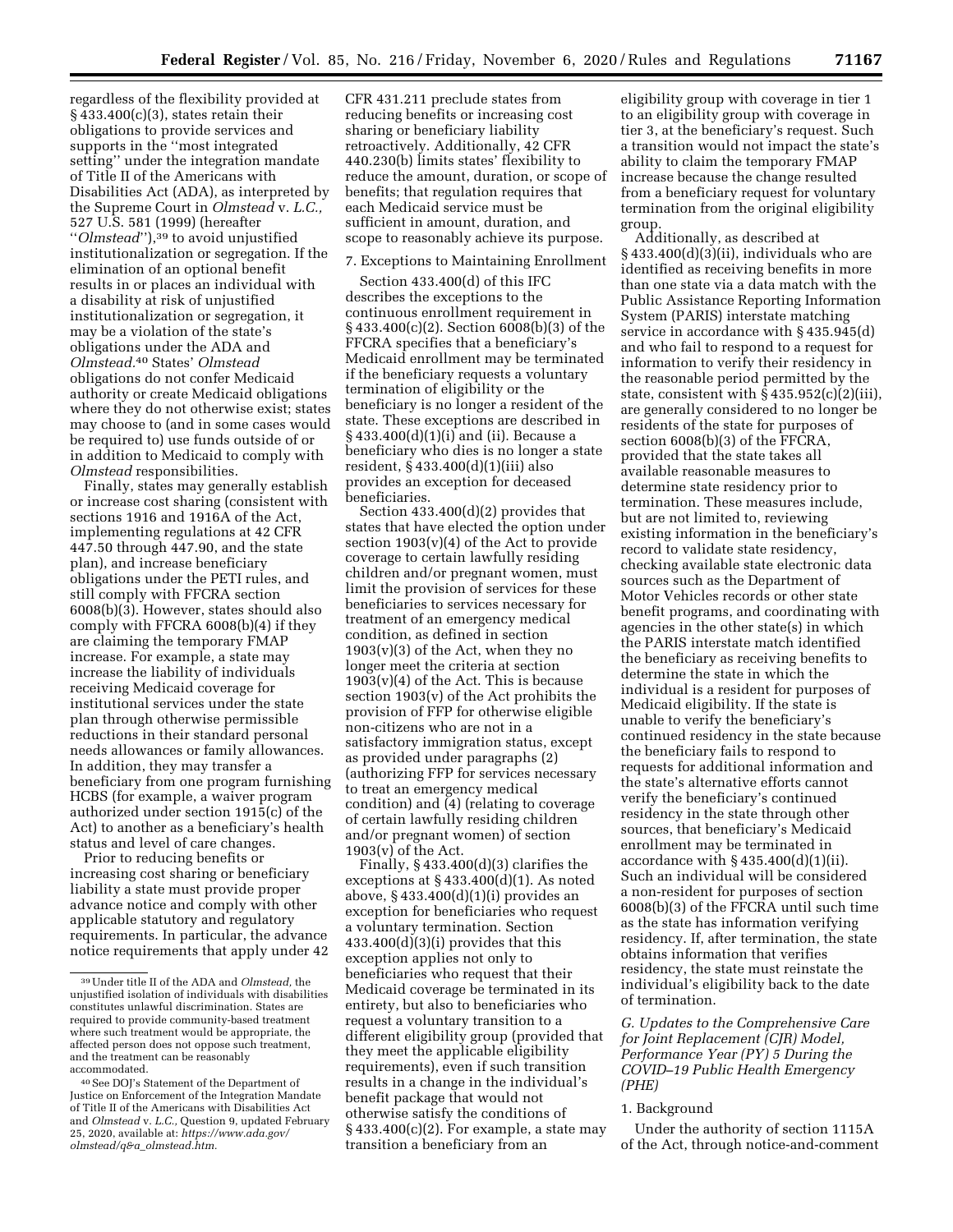regardless of the flexibility provided at  $§$  433.400(c)(3), states retain their obligations to provide services and supports in the ''most integrated setting'' under the integration mandate of Title II of the Americans with Disabilities Act (ADA), as interpreted by the Supreme Court in *Olmstead* v. *L.C.,*  527 U.S. 581 (1999) (hereafter ''*Olmstead*''),39 to avoid unjustified institutionalization or segregation. If the elimination of an optional benefit results in or places an individual with a disability at risk of unjustified institutionalization or segregation, it may be a violation of the state's obligations under the ADA and *Olmstead.*40 States' *Olmstead*  obligations do not confer Medicaid authority or create Medicaid obligations where they do not otherwise exist; states may choose to (and in some cases would be required to) use funds outside of or in addition to Medicaid to comply with *Olmstead* responsibilities.

Finally, states may generally establish or increase cost sharing (consistent with sections 1916 and 1916A of the Act, implementing regulations at 42 CFR 447.50 through 447.90, and the state plan), and increase beneficiary obligations under the PETI rules, and still comply with FFCRA section 6008(b)(3). However, states should also comply with FFCRA 6008(b)(4) if they are claiming the temporary FMAP increase. For example, a state may increase the liability of individuals receiving Medicaid coverage for institutional services under the state plan through otherwise permissible reductions in their standard personal needs allowances or family allowances. In addition, they may transfer a beneficiary from one program furnishing HCBS (for example, a waiver program authorized under section 1915(c) of the Act) to another as a beneficiary's health status and level of care changes.

Prior to reducing benefits or increasing cost sharing or beneficiary liability a state must provide proper advance notice and comply with other applicable statutory and regulatory requirements. In particular, the advance notice requirements that apply under 42 CFR 431.211 preclude states from reducing benefits or increasing cost sharing or beneficiary liability retroactively. Additionally, 42 CFR 440.230(b) limits states' flexibility to reduce the amount, duration, or scope of benefits; that regulation requires that each Medicaid service must be sufficient in amount, duration, and scope to reasonably achieve its purpose.

#### 7. Exceptions to Maintaining Enrollment

Section 433.400(d) of this IFC describes the exceptions to the continuous enrollment requirement in § 433.400(c)(2). Section 6008(b)(3) of the FFCRA specifies that a beneficiary's Medicaid enrollment may be terminated if the beneficiary requests a voluntary termination of eligibility or the beneficiary is no longer a resident of the state. These exceptions are described in § 433.400(d)(1)(i) and (ii). Because a beneficiary who dies is no longer a state resident, § 433.400(d)(1)(iii) also provides an exception for deceased beneficiaries.

Section 433.400(d)(2) provides that states that have elected the option under section  $1903(v)(4)$  of the Act to provide coverage to certain lawfully residing children and/or pregnant women, must limit the provision of services for these beneficiaries to services necessary for treatment of an emergency medical condition, as defined in section  $1903(v)(3)$  of the Act, when they no longer meet the criteria at section  $1903(v)(4)$  of the Act. This is because section 1903(v) of the Act prohibits the provision of FFP for otherwise eligible non-citizens who are not in a satisfactory immigration status, except as provided under paragraphs (2) (authorizing FFP for services necessary to treat an emergency medical condition) and (4) (relating to coverage of certain lawfully residing children and/or pregnant women) of section 1903(v) of the Act.

Finally, § 433.400(d)(3) clarifies the exceptions at  $§$  433.400 $(d)(1)$ . As noted above, § 433.400(d)(1)(i) provides an exception for beneficiaries who request a voluntary termination. Section 433.400(d)(3)(i) provides that this exception applies not only to beneficiaries who request that their Medicaid coverage be terminated in its entirety, but also to beneficiaries who request a voluntary transition to a different eligibility group (provided that they meet the applicable eligibility requirements), even if such transition results in a change in the individual's benefit package that would not otherwise satisfy the conditions of  $§$  433.400(c)(2). For example, a state may transition a beneficiary from an

eligibility group with coverage in tier 1 to an eligibility group with coverage in tier 3, at the beneficiary's request. Such a transition would not impact the state's ability to claim the temporary FMAP increase because the change resulted from a beneficiary request for voluntary termination from the original eligibility group.

Additionally, as described at § 433.400(d)(3)(ii), individuals who are identified as receiving benefits in more than one state via a data match with the Public Assistance Reporting Information System (PARIS) interstate matching service in accordance with § 435.945(d) and who fail to respond to a request for information to verify their residency in the reasonable period permitted by the state, consistent with  $\S 435.952(c)(2)(iii)$ , are generally considered to no longer be residents of the state for purposes of section 6008(b)(3) of the FFCRA, provided that the state takes all available reasonable measures to determine state residency prior to termination. These measures include, but are not limited to, reviewing existing information in the beneficiary's record to validate state residency, checking available state electronic data sources such as the Department of Motor Vehicles records or other state benefit programs, and coordinating with agencies in the other state(s) in which the PARIS interstate match identified the beneficiary as receiving benefits to determine the state in which the individual is a resident for purposes of Medicaid eligibility. If the state is unable to verify the beneficiary's continued residency in the state because the beneficiary fails to respond to requests for additional information and the state's alternative efforts cannot verify the beneficiary's continued residency in the state through other sources, that beneficiary's Medicaid enrollment may be terminated in accordance with  $\S$  435.400 $(d)(1)(ii)$ . Such an individual will be considered a non-resident for purposes of section 6008(b)(3) of the FFCRA until such time as the state has information verifying residency. If, after termination, the state obtains information that verifies residency, the state must reinstate the individual's eligibility back to the date of termination.

# *G. Updates to the Comprehensive Care for Joint Replacement (CJR) Model, Performance Year (PY) 5 During the COVID–19 Public Health Emergency (PHE)*

## 1. Background

Under the authority of section 1115A of the Act, through notice-and-comment

<sup>39</sup>Under title II of the ADA and *Olmstead,* the unjustified isolation of individuals with disabilities constitutes unlawful discrimination. States are required to provide community-based treatment where such treatment would be appropriate, the affected person does not oppose such treatment, and the treatment can be reasonably accommodated.

<sup>40</sup>See DOJ's Statement of the Department of Justice on Enforcement of the Integration Mandate of Title II of the Americans with Disabilities Act and *Olmstead* v. *L.C.,* Question 9, updated February 25, 2020, available at: *https://www.ada.gov/ olmstead/q&a*\_*olmstead.htm.*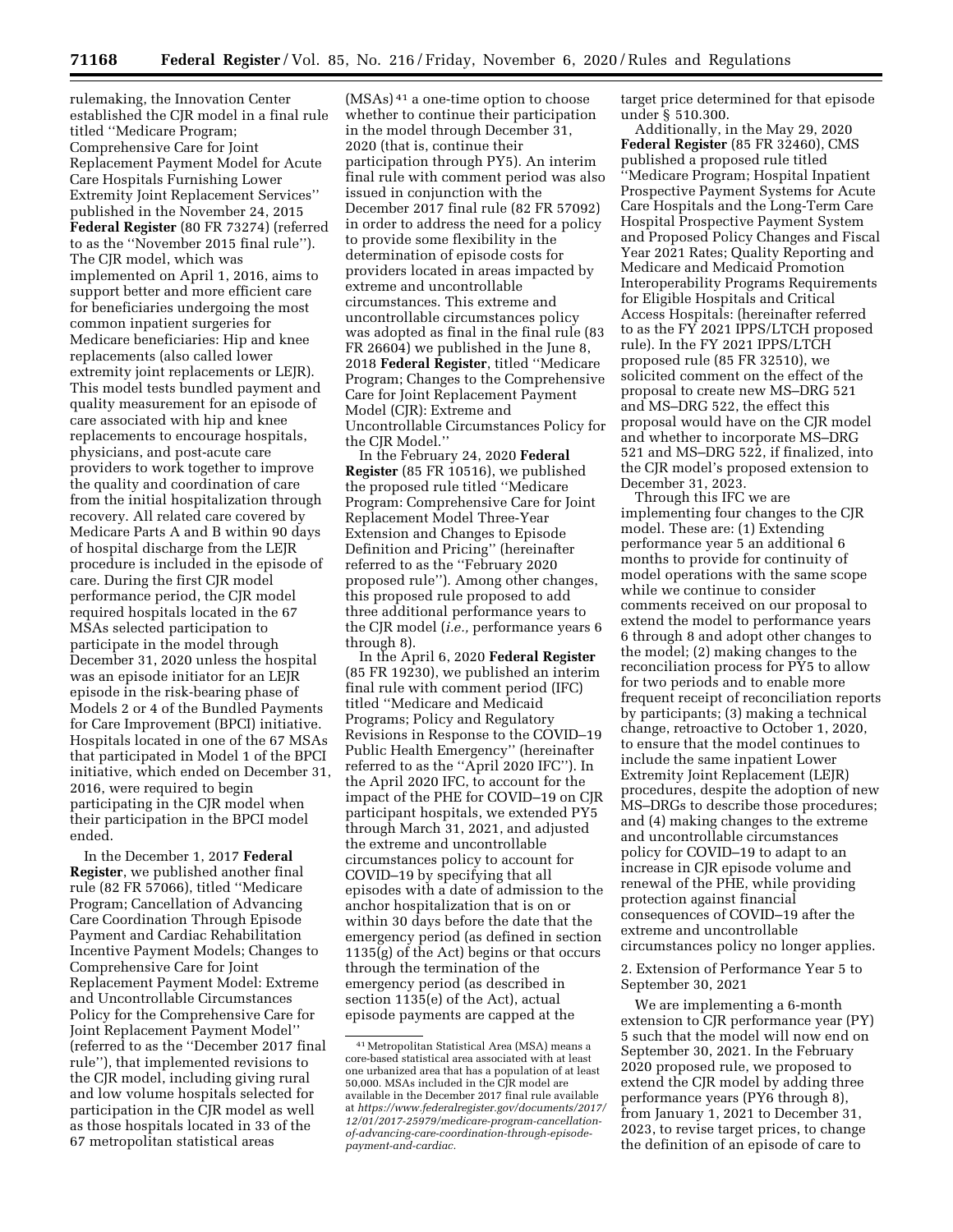rulemaking, the Innovation Center established the CJR model in a final rule titled ''Medicare Program; Comprehensive Care for Joint Replacement Payment Model for Acute Care Hospitals Furnishing Lower Extremity Joint Replacement Services'' published in the November 24, 2015 **Federal Register** (80 FR 73274) (referred to as the ''November 2015 final rule''). The CJR model, which was implemented on April 1, 2016, aims to support better and more efficient care for beneficiaries undergoing the most common inpatient surgeries for Medicare beneficiaries: Hip and knee replacements (also called lower extremity joint replacements or LEJR). This model tests bundled payment and quality measurement for an episode of care associated with hip and knee replacements to encourage hospitals, physicians, and post-acute care providers to work together to improve the quality and coordination of care from the initial hospitalization through recovery. All related care covered by Medicare Parts A and B within 90 days of hospital discharge from the LEJR procedure is included in the episode of care. During the first CJR model performance period, the CJR model required hospitals located in the 67 MSAs selected participation to participate in the model through December 31, 2020 unless the hospital was an episode initiator for an LEJR episode in the risk-bearing phase of Models 2 or 4 of the Bundled Payments for Care Improvement (BPCI) initiative. Hospitals located in one of the 67 MSAs that participated in Model 1 of the BPCI initiative, which ended on December 31, 2016, were required to begin participating in the CJR model when their participation in the BPCI model ended.

In the December 1, 2017 **Federal Register**, we published another final rule (82 FR 57066), titled ''Medicare Program; Cancellation of Advancing Care Coordination Through Episode Payment and Cardiac Rehabilitation Incentive Payment Models; Changes to Comprehensive Care for Joint Replacement Payment Model: Extreme and Uncontrollable Circumstances Policy for the Comprehensive Care for Joint Replacement Payment Model'' (referred to as the ''December 2017 final rule''), that implemented revisions to the CJR model, including giving rural and low volume hospitals selected for participation in the CJR model as well as those hospitals located in 33 of the 67 metropolitan statistical areas

(MSAs) 41 a one-time option to choose whether to continue their participation in the model through December 31, 2020 (that is, continue their participation through PY5). An interim final rule with comment period was also issued in conjunction with the December 2017 final rule (82 FR 57092) in order to address the need for a policy to provide some flexibility in the determination of episode costs for providers located in areas impacted by extreme and uncontrollable circumstances. This extreme and uncontrollable circumstances policy was adopted as final in the final rule (83 FR 26604) we published in the June 8, 2018 **Federal Register**, titled ''Medicare Program; Changes to the Comprehensive Care for Joint Replacement Payment Model (CJR): Extreme and Uncontrollable Circumstances Policy for the CJR Model.''

In the February 24, 2020 **Federal Register** (85 FR 10516), we published the proposed rule titled ''Medicare Program: Comprehensive Care for Joint Replacement Model Three-Year Extension and Changes to Episode Definition and Pricing'' (hereinafter referred to as the ''February 2020 proposed rule''). Among other changes, this proposed rule proposed to add three additional performance years to the CJR model (*i.e.,* performance years 6 through 8).

In the April 6, 2020 **Federal Register**  (85 FR 19230), we published an interim final rule with comment period (IFC) titled ''Medicare and Medicaid Programs; Policy and Regulatory Revisions in Response to the COVID–19 Public Health Emergency'' (hereinafter referred to as the ''April 2020 IFC''). In the April 2020 IFC, to account for the impact of the PHE for COVID–19 on CJR participant hospitals, we extended PY5 through March 31, 2021, and adjusted the extreme and uncontrollable circumstances policy to account for COVID–19 by specifying that all episodes with a date of admission to the anchor hospitalization that is on or within 30 days before the date that the emergency period (as defined in section 1135(g) of the Act) begins or that occurs through the termination of the emergency period (as described in section 1135(e) of the Act), actual episode payments are capped at the

target price determined for that episode under § 510.300.

Additionally, in the May 29, 2020 **Federal Register** (85 FR 32460), CMS published a proposed rule titled ''Medicare Program; Hospital Inpatient Prospective Payment Systems for Acute Care Hospitals and the Long-Term Care Hospital Prospective Payment System and Proposed Policy Changes and Fiscal Year 2021 Rates; Quality Reporting and Medicare and Medicaid Promotion Interoperability Programs Requirements for Eligible Hospitals and Critical Access Hospitals: (hereinafter referred to as the FY 2021 IPPS/LTCH proposed rule). In the FY 2021 IPPS/LTCH proposed rule (85 FR 32510), we solicited comment on the effect of the proposal to create new MS–DRG 521 and MS–DRG 522, the effect this proposal would have on the CJR model and whether to incorporate MS–DRG 521 and MS–DRG 522, if finalized, into the CJR model's proposed extension to December 31, 2023.

Through this IFC we are implementing four changes to the CJR model. These are: (1) Extending performance year 5 an additional 6 months to provide for continuity of model operations with the same scope while we continue to consider comments received on our proposal to extend the model to performance years 6 through 8 and adopt other changes to the model; (2) making changes to the reconciliation process for PY5 to allow for two periods and to enable more frequent receipt of reconciliation reports by participants; (3) making a technical change, retroactive to October 1, 2020, to ensure that the model continues to include the same inpatient Lower Extremity Joint Replacement (LEJR) procedures, despite the adoption of new MS–DRGs to describe those procedures; and (4) making changes to the extreme and uncontrollable circumstances policy for COVID–19 to adapt to an increase in CJR episode volume and renewal of the PHE, while providing protection against financial consequences of COVID–19 after the extreme and uncontrollable circumstances policy no longer applies.

2. Extension of Performance Year 5 to September 30, 2021

We are implementing a 6-month extension to CJR performance year (PY) 5 such that the model will now end on September 30, 2021. In the February 2020 proposed rule, we proposed to extend the CJR model by adding three performance years (PY6 through 8), from January 1, 2021 to December 31, 2023, to revise target prices, to change the definition of an episode of care to

<sup>41</sup>Metropolitan Statistical Area (MSA) means a core-based statistical area associated with at least one urbanized area that has a population of at least 50,000. MSAs included in the CJR model are available in the December 2017 final rule available at *https://www.federalregister.gov/documents/2017/ 12/01/2017-25979/medicare-program-cancellationof-advancing-care-coordination-through-episodepayment-and-cardiac.*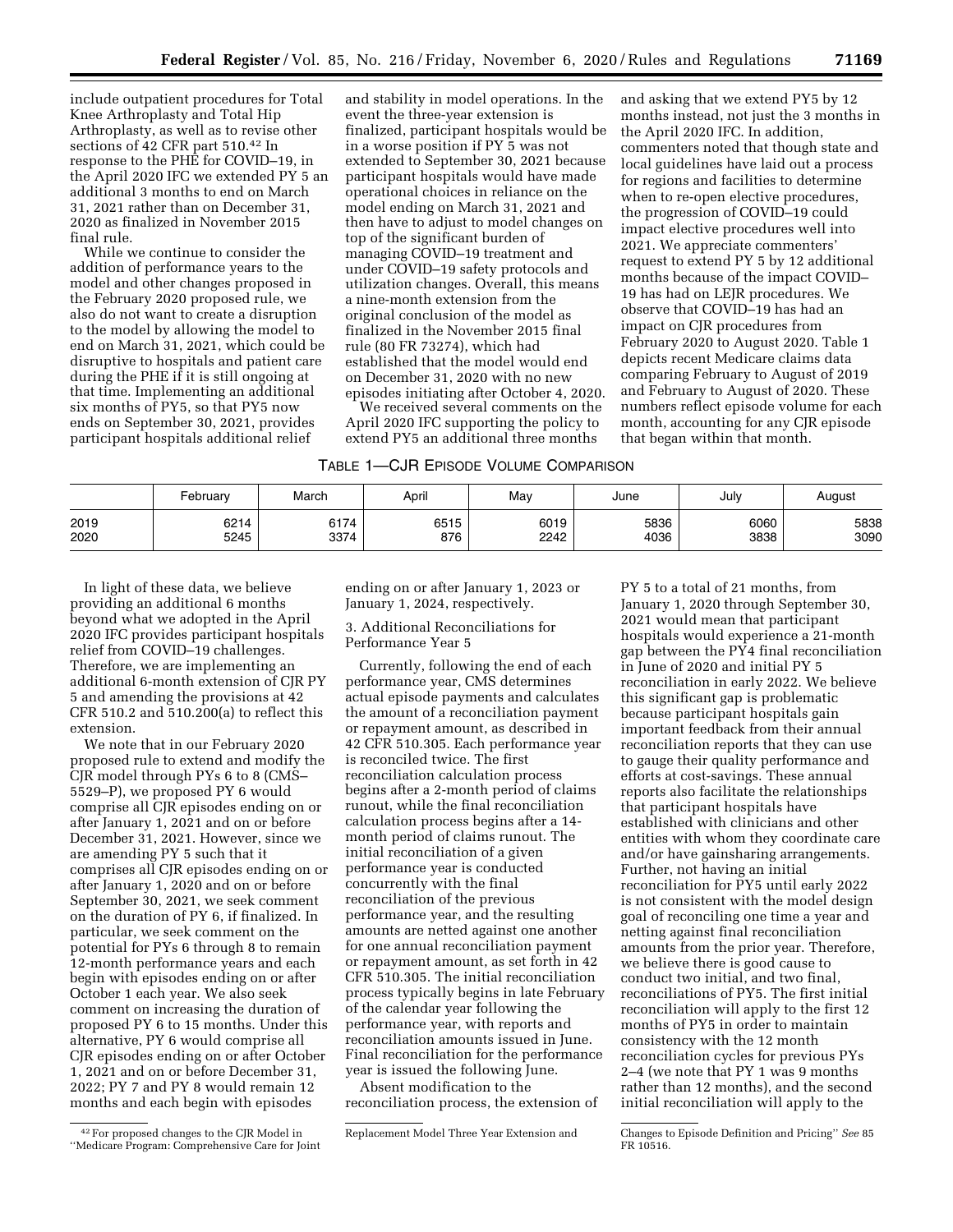include outpatient procedures for Total Knee Arthroplasty and Total Hip Arthroplasty, as well as to revise other sections of 42 CFR part 510.42 In response to the PHE for COVID–19, in the April 2020 IFC we extended PY 5 an additional 3 months to end on March 31, 2021 rather than on December 31, 2020 as finalized in November 2015 final rule.

While we continue to consider the addition of performance years to the model and other changes proposed in the February 2020 proposed rule, we also do not want to create a disruption to the model by allowing the model to end on March 31, 2021, which could be disruptive to hospitals and patient care during the PHE if it is still ongoing at that time. Implementing an additional six months of PY5, so that PY5 now ends on September 30, 2021, provides participant hospitals additional relief

and stability in model operations. In the event the three-year extension is finalized, participant hospitals would be in a worse position if PY 5 was not extended to September 30, 2021 because participant hospitals would have made operational choices in reliance on the model ending on March 31, 2021 and then have to adjust to model changes on top of the significant burden of managing COVID–19 treatment and under COVID–19 safety protocols and utilization changes. Overall, this means a nine-month extension from the original conclusion of the model as finalized in the November 2015 final rule (80 FR 73274), which had established that the model would end on December 31, 2020 with no new episodes initiating after October 4, 2020.

We received several comments on the April 2020 IFC supporting the policy to extend PY5 an additional three months

and asking that we extend PY5 by 12 months instead, not just the 3 months in the April 2020 IFC. In addition, commenters noted that though state and local guidelines have laid out a process for regions and facilities to determine when to re-open elective procedures, the progression of COVID–19 could impact elective procedures well into 2021. We appreciate commenters' request to extend PY 5 by 12 additional months because of the impact COVID– 19 has had on LEJR procedures. We observe that COVID–19 has had an impact on CJR procedures from February 2020 to August 2020. Table 1 depicts recent Medicare claims data comparing February to August of 2019 and February to August of 2020. These numbers reflect episode volume for each month, accounting for any CJR episode that began within that month.

# TABLE 1—CJR EPISODE VOLUME COMPARISON

|      | February | March | April | May  | June | July | August |
|------|----------|-------|-------|------|------|------|--------|
| 2019 | 6214     | 6174  | 6515  | 6019 | 5836 | 6060 | 5838   |
| 2020 | 5245     | 3374  | 876   | 2242 | 4036 | 3838 | 3090   |

In light of these data, we believe providing an additional 6 months beyond what we adopted in the April 2020 IFC provides participant hospitals relief from COVID–19 challenges. Therefore, we are implementing an additional 6-month extension of CJR PY 5 and amending the provisions at 42 CFR 510.2 and 510.200(a) to reflect this extension.

We note that in our February 2020 proposed rule to extend and modify the CJR model through PYs 6 to 8 (CMS– 5529–P), we proposed PY 6 would comprise all CJR episodes ending on or after January 1, 2021 and on or before December 31, 2021. However, since we are amending PY 5 such that it comprises all CJR episodes ending on or after January 1, 2020 and on or before September 30, 2021, we seek comment on the duration of PY 6, if finalized. In particular, we seek comment on the potential for PYs 6 through 8 to remain 12-month performance years and each begin with episodes ending on or after October 1 each year. We also seek comment on increasing the duration of proposed PY 6 to 15 months. Under this alternative, PY 6 would comprise all CJR episodes ending on or after October 1, 2021 and on or before December 31, 2022; PY 7 and PY 8 would remain 12 months and each begin with episodes

ending on or after January 1, 2023 or January 1, 2024, respectively.

#### 3. Additional Reconciliations for Performance Year 5

Currently, following the end of each performance year, CMS determines actual episode payments and calculates the amount of a reconciliation payment or repayment amount, as described in 42 CFR 510.305. Each performance year is reconciled twice. The first reconciliation calculation process begins after a 2-month period of claims runout, while the final reconciliation calculation process begins after a 14 month period of claims runout. The initial reconciliation of a given performance year is conducted concurrently with the final reconciliation of the previous performance year, and the resulting amounts are netted against one another for one annual reconciliation payment or repayment amount, as set forth in 42 CFR 510.305. The initial reconciliation process typically begins in late February of the calendar year following the performance year, with reports and reconciliation amounts issued in June. Final reconciliation for the performance year is issued the following June.

Absent modification to the reconciliation process, the extension of

PY 5 to a total of 21 months, from January 1, 2020 through September 30, 2021 would mean that participant hospitals would experience a 21-month gap between the PY4 final reconciliation in June of 2020 and initial PY 5 reconciliation in early 2022. We believe this significant gap is problematic because participant hospitals gain important feedback from their annual reconciliation reports that they can use to gauge their quality performance and efforts at cost-savings. These annual reports also facilitate the relationships that participant hospitals have established with clinicians and other entities with whom they coordinate care and/or have gainsharing arrangements. Further, not having an initial reconciliation for PY5 until early 2022 is not consistent with the model design goal of reconciling one time a year and netting against final reconciliation amounts from the prior year. Therefore, we believe there is good cause to conduct two initial, and two final, reconciliations of PY5. The first initial reconciliation will apply to the first 12 months of PY5 in order to maintain consistency with the 12 month reconciliation cycles for previous PYs 2–4 (we note that PY 1 was 9 months rather than 12 months), and the second initial reconciliation will apply to the

<sup>42</sup>For proposed changes to the CJR Model in ''Medicare Program: Comprehensive Care for Joint

Replacement Model Three Year Extension and Changes to Episode Definition and Pricing'' *See* 85 FR 10516.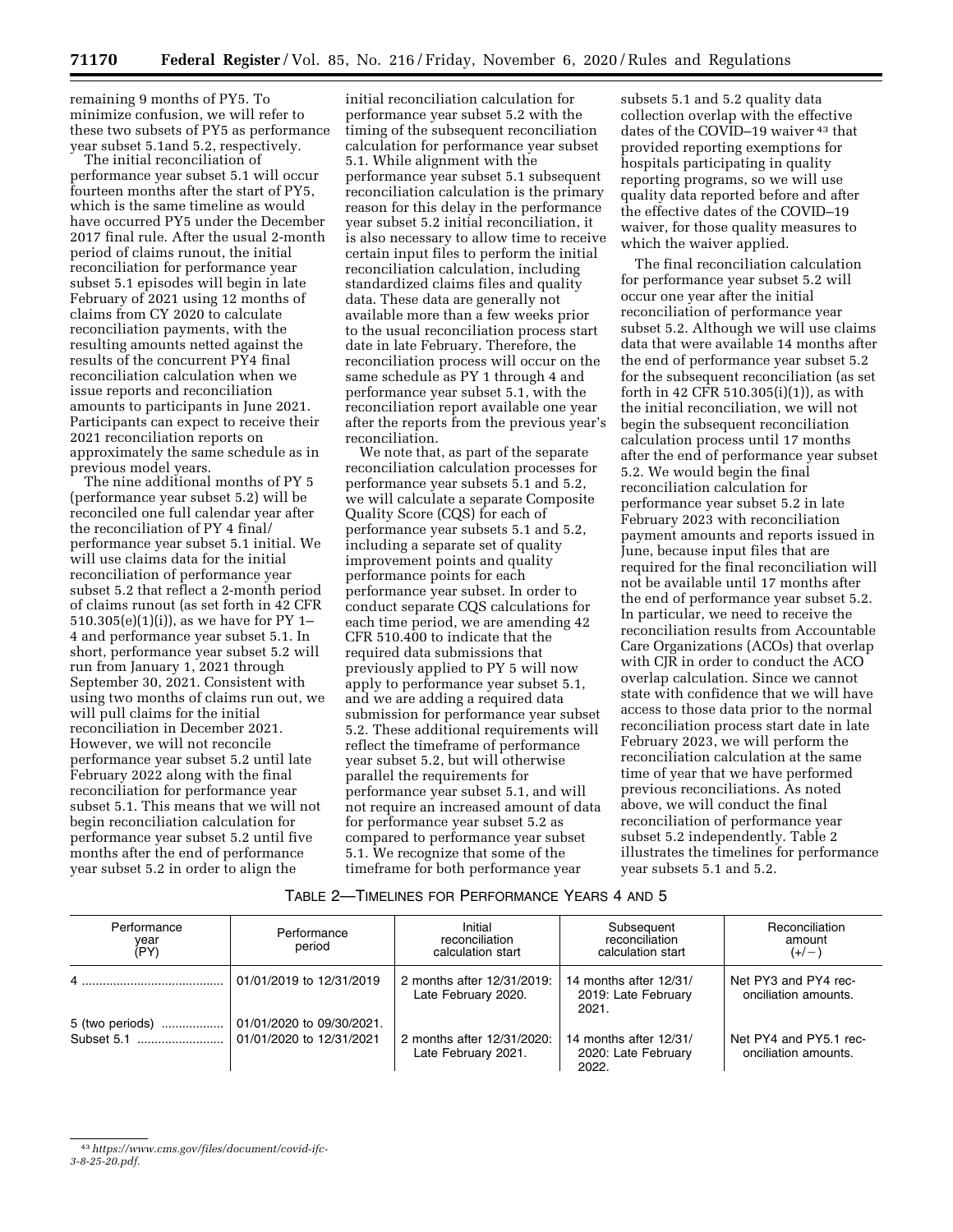remaining 9 months of PY5. To minimize confusion, we will refer to these two subsets of PY5 as performance year subset 5.1and 5.2, respectively.

The initial reconciliation of performance year subset 5.1 will occur fourteen months after the start of PY5, which is the same timeline as would have occurred PY5 under the December 2017 final rule. After the usual 2-month period of claims runout, the initial reconciliation for performance year subset 5.1 episodes will begin in late February of 2021 using 12 months of claims from CY 2020 to calculate reconciliation payments, with the resulting amounts netted against the results of the concurrent PY4 final reconciliation calculation when we issue reports and reconciliation amounts to participants in June 2021. Participants can expect to receive their 2021 reconciliation reports on approximately the same schedule as in previous model years.

The nine additional months of PY 5 (performance year subset 5.2) will be reconciled one full calendar year after the reconciliation of PY 4 final/ performance year subset 5.1 initial. We will use claims data for the initial reconciliation of performance year subset 5.2 that reflect a 2-month period of claims runout (as set forth in 42 CFR 510.305(e)(1)(i)), as we have for PY 1– 4 and performance year subset 5.1. In short, performance year subset 5.2 will run from January 1, 2021 through September 30, 2021. Consistent with using two months of claims run out, we will pull claims for the initial reconciliation in December 2021. However, we will not reconcile performance year subset 5.2 until late February 2022 along with the final reconciliation for performance year subset 5.1. This means that we will not begin reconciliation calculation for performance year subset 5.2 until five months after the end of performance year subset 5.2 in order to align the

initial reconciliation calculation for performance year subset 5.2 with the timing of the subsequent reconciliation calculation for performance year subset 5.1. While alignment with the performance year subset 5.1 subsequent reconciliation calculation is the primary reason for this delay in the performance year subset 5.2 initial reconciliation, it is also necessary to allow time to receive certain input files to perform the initial reconciliation calculation, including standardized claims files and quality data. These data are generally not available more than a few weeks prior to the usual reconciliation process start date in late February. Therefore, the reconciliation process will occur on the same schedule as PY 1 through 4 and performance year subset 5.1, with the reconciliation report available one year after the reports from the previous year's reconciliation.

We note that, as part of the separate reconciliation calculation processes for performance year subsets 5.1 and 5.2, we will calculate a separate Composite Quality Score (CQS) for each of performance year subsets 5.1 and 5.2, including a separate set of quality improvement points and quality performance points for each performance year subset. In order to conduct separate CQS calculations for each time period, we are amending 42 CFR 510.400 to indicate that the required data submissions that previously applied to PY 5 will now apply to performance year subset 5.1, and we are adding a required data submission for performance year subset 5.2. These additional requirements will reflect the timeframe of performance year subset 5.2, but will otherwise parallel the requirements for performance year subset 5.1, and will not require an increased amount of data for performance year subset 5.2 as compared to performance year subset 5.1. We recognize that some of the timeframe for both performance year

subsets 5.1 and 5.2 quality data collection overlap with the effective dates of the COVID–19 waiver <sup>43</sup> that provided reporting exemptions for hospitals participating in quality reporting programs, so we will use quality data reported before and after the effective dates of the COVID–19 waiver, for those quality measures to which the waiver applied.

The final reconciliation calculation for performance year subset 5.2 will occur one year after the initial reconciliation of performance year subset 5.2. Although we will use claims data that were available 14 months after the end of performance year subset 5.2 for the subsequent reconciliation (as set forth in 42 CFR 510.305(i)(1)), as with the initial reconciliation, we will not begin the subsequent reconciliation calculation process until 17 months after the end of performance year subset 5.2. We would begin the final reconciliation calculation for performance year subset 5.2 in late February 2023 with reconciliation payment amounts and reports issued in June, because input files that are required for the final reconciliation will not be available until 17 months after the end of performance year subset 5.2. In particular, we need to receive the reconciliation results from Accountable Care Organizations (ACOs) that overlap with CJR in order to conduct the ACO overlap calculation. Since we cannot state with confidence that we will have access to those data prior to the normal reconciliation process start date in late February 2023, we will perform the reconciliation calculation at the same time of year that we have performed previous reconciliations. As noted above, we will conduct the final reconciliation of performance year subset 5.2 independently. Table 2 illustrates the timelines for performance year subsets 5.1 and 5.2.

# TABLE 2—TIMELINES FOR PERFORMANCE YEARS 4 AND 5

| Performance<br>year<br>(PY) | Performance<br>period    | Initial<br>reconciliation<br>calculation start    | Subsequent<br>reconciliation<br>calculation start      | Reconciliation<br>amount<br>$(+/-)$            |
|-----------------------------|--------------------------|---------------------------------------------------|--------------------------------------------------------|------------------------------------------------|
| $4$                         | 01/01/2019 to 12/31/2019 | 2 months after 12/31/2019:<br>Late February 2020. | 14 months after 12/31/<br>2019: Late February<br>2021. | Net PY3 and PY4 rec-<br>onciliation amounts.   |
|                             |                          |                                                   |                                                        |                                                |
|                             |                          | 2 months after 12/31/2020:<br>Late February 2021. | 14 months after 12/31/<br>2020: Late February<br>2022. | Net PY4 and PY5.1 rec-<br>onciliation amounts. |

<sup>43</sup>*https://www.cms.gov/files/document/covid-ifc-*

*<sup>3-8-25-20.</sup>pdf.*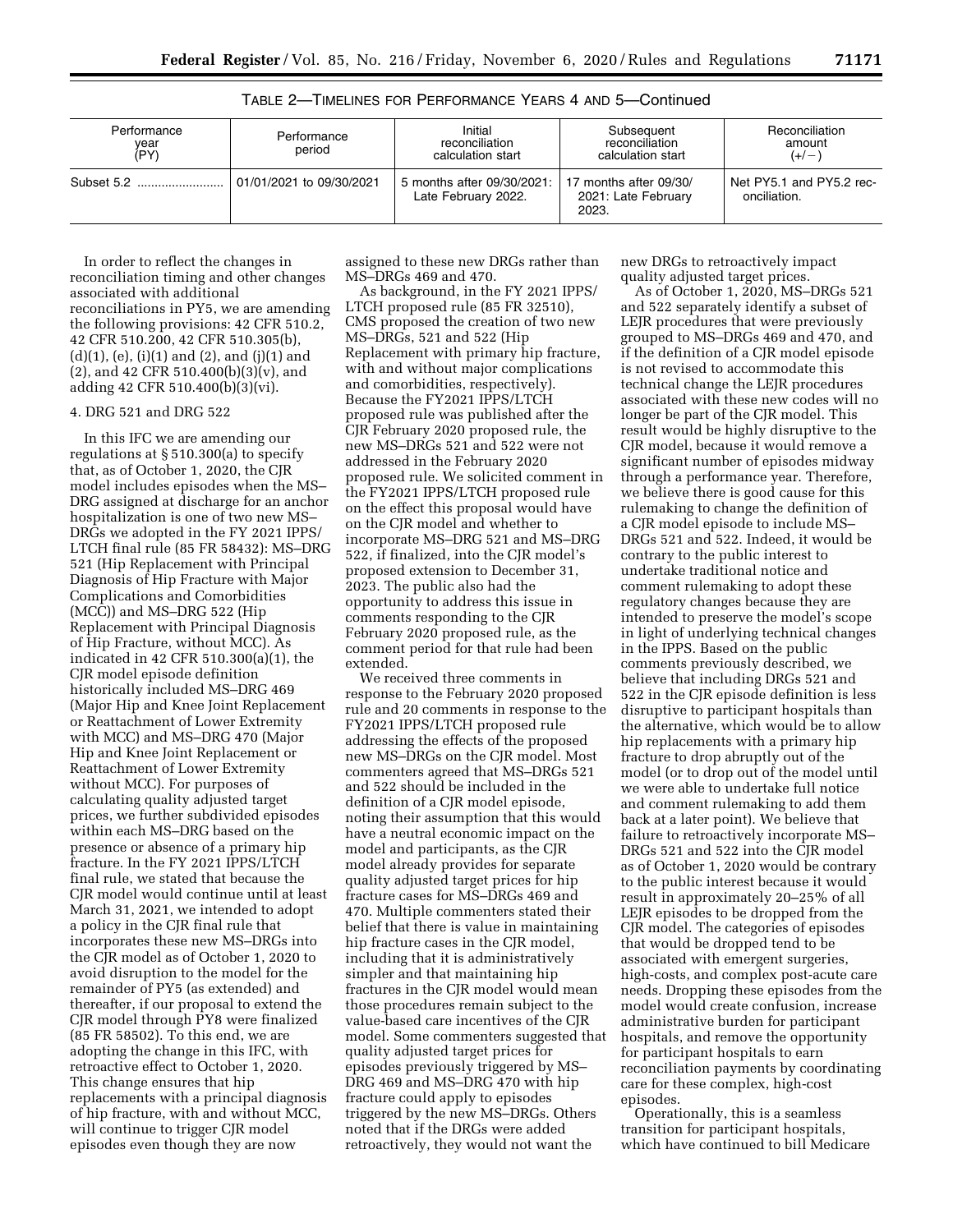| Performance<br>year<br>(PY) | Performance<br>period    | Initial<br>reconciliation<br>calculation start      | Subsequent<br>reconciliation<br>calculation start      | Reconciliation<br>amount<br>$(+/-)$      |
|-----------------------------|--------------------------|-----------------------------------------------------|--------------------------------------------------------|------------------------------------------|
| Subset 5.2                  | 01/01/2021 to 09/30/2021 | 5 months after 09/30/2021:  <br>Late February 2022. | 17 months after 09/30/<br>2021: Late February<br>2023. | Net PY5.1 and PY5.2 rec-<br>onciliation. |

TABLE 2—TIMELINES FOR PERFORMANCE YEARS 4 AND 5—Continued

In order to reflect the changes in reconciliation timing and other changes associated with additional reconciliations in PY5, we are amending the following provisions: 42 CFR 510.2, 42 CFR 510.200, 42 CFR 510.305(b), (d)(1), (e), (i)(1) and (2), and (j)(1) and (2), and 42 CFR 510.400(b)(3)(v), and adding 42 CFR 510.400(b)(3)(vi).

# 4. DRG 521 and DRG 522

In this IFC we are amending our regulations at § 510.300(a) to specify that, as of October 1, 2020, the CJR model includes episodes when the MS– DRG assigned at discharge for an anchor hospitalization is one of two new MS– DRGs we adopted in the FY 2021 IPPS/ LTCH final rule (85 FR 58432): MS–DRG 521 (Hip Replacement with Principal Diagnosis of Hip Fracture with Major Complications and Comorbidities (MCC)) and MS–DRG 522 (Hip Replacement with Principal Diagnosis of Hip Fracture, without MCC). As indicated in 42 CFR 510.300(a)(1), the CJR model episode definition historically included MS–DRG 469 (Major Hip and Knee Joint Replacement or Reattachment of Lower Extremity with MCC) and MS–DRG 470 (Major Hip and Knee Joint Replacement or Reattachment of Lower Extremity without MCC). For purposes of calculating quality adjusted target prices, we further subdivided episodes within each MS–DRG based on the presence or absence of a primary hip fracture. In the FY 2021 IPPS/LTCH final rule, we stated that because the CJR model would continue until at least March 31, 2021, we intended to adopt a policy in the CJR final rule that incorporates these new MS–DRGs into the CIR model as of October 1, 2020 to avoid disruption to the model for the remainder of PY5 (as extended) and thereafter, if our proposal to extend the CJR model through PY8 were finalized (85 FR 58502). To this end, we are adopting the change in this IFC, with retroactive effect to October 1, 2020. This change ensures that hip replacements with a principal diagnosis of hip fracture, with and without MCC, will continue to trigger CJR model episodes even though they are now

assigned to these new DRGs rather than MS–DRGs 469 and 470.

As background, in the FY 2021 IPPS/ LTCH proposed rule (85 FR 32510), CMS proposed the creation of two new MS–DRGs, 521 and 522 (Hip Replacement with primary hip fracture, with and without major complications and comorbidities, respectively). Because the FY2021 IPPS/LTCH proposed rule was published after the CJR February 2020 proposed rule, the new MS–DRGs 521 and 522 were not addressed in the February 2020 proposed rule. We solicited comment in the FY2021 IPPS/LTCH proposed rule on the effect this proposal would have on the CJR model and whether to incorporate MS–DRG 521 and MS–DRG 522, if finalized, into the CJR model's proposed extension to December 31, 2023. The public also had the opportunity to address this issue in comments responding to the CJR February 2020 proposed rule, as the comment period for that rule had been extended.

We received three comments in response to the February 2020 proposed rule and 20 comments in response to the FY2021 IPPS/LTCH proposed rule addressing the effects of the proposed new MS–DRGs on the CJR model. Most commenters agreed that MS–DRGs 521 and 522 should be included in the definition of a CJR model episode, noting their assumption that this would have a neutral economic impact on the model and participants, as the CJR model already provides for separate quality adjusted target prices for hip fracture cases for MS–DRGs 469 and 470. Multiple commenters stated their belief that there is value in maintaining hip fracture cases in the CJR model, including that it is administratively simpler and that maintaining hip fractures in the CJR model would mean those procedures remain subject to the value-based care incentives of the CJR model. Some commenters suggested that quality adjusted target prices for episodes previously triggered by MS– DRG 469 and MS–DRG 470 with hip fracture could apply to episodes triggered by the new MS–DRGs. Others noted that if the DRGs were added retroactively, they would not want the

new DRGs to retroactively impact quality adjusted target prices.

As of October 1, 2020, MS–DRGs 521 and 522 separately identify a subset of LEJR procedures that were previously grouped to MS–DRGs 469 and 470, and if the definition of a CJR model episode is not revised to accommodate this technical change the LEJR procedures associated with these new codes will no longer be part of the CJR model. This result would be highly disruptive to the CJR model, because it would remove a significant number of episodes midway through a performance year. Therefore, we believe there is good cause for this rulemaking to change the definition of a CJR model episode to include MS– DRGs 521 and 522. Indeed, it would be contrary to the public interest to undertake traditional notice and comment rulemaking to adopt these regulatory changes because they are intended to preserve the model's scope in light of underlying technical changes in the IPPS. Based on the public comments previously described, we believe that including DRGs 521 and 522 in the CJR episode definition is less disruptive to participant hospitals than the alternative, which would be to allow hip replacements with a primary hip fracture to drop abruptly out of the model (or to drop out of the model until we were able to undertake full notice and comment rulemaking to add them back at a later point). We believe that failure to retroactively incorporate MS– DRGs 521 and 522 into the CIR model as of October 1, 2020 would be contrary to the public interest because it would result in approximately 20–25% of all LEJR episodes to be dropped from the CJR model. The categories of episodes that would be dropped tend to be associated with emergent surgeries, high-costs, and complex post-acute care needs. Dropping these episodes from the model would create confusion, increase administrative burden for participant hospitals, and remove the opportunity for participant hospitals to earn reconciliation payments by coordinating care for these complex, high-cost episodes.

Operationally, this is a seamless transition for participant hospitals, which have continued to bill Medicare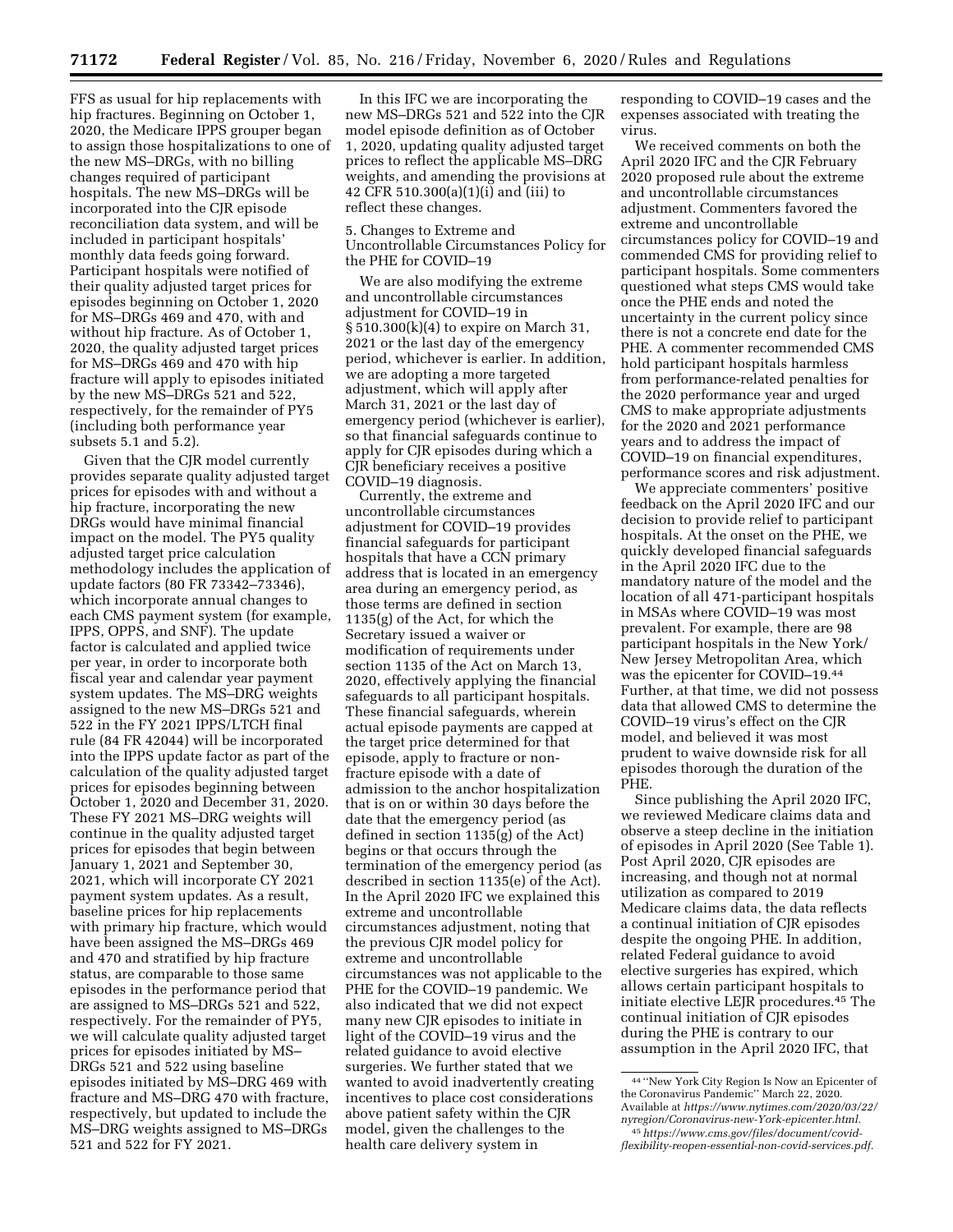FFS as usual for hip replacements with hip fractures. Beginning on October 1, 2020, the Medicare IPPS grouper began to assign those hospitalizations to one of the new MS–DRGs, with no billing changes required of participant hospitals. The new MS–DRGs will be incorporated into the CJR episode reconciliation data system, and will be included in participant hospitals' monthly data feeds going forward. Participant hospitals were notified of their quality adjusted target prices for episodes beginning on October 1, 2020 for MS–DRGs 469 and 470, with and without hip fracture. As of October 1, 2020, the quality adjusted target prices for MS–DRGs 469 and 470 with hip fracture will apply to episodes initiated by the new MS–DRGs 521 and 522, respectively, for the remainder of PY5 (including both performance year subsets 5.1 and 5.2).

Given that the CJR model currently provides separate quality adjusted target prices for episodes with and without a hip fracture, incorporating the new DRGs would have minimal financial impact on the model. The PY5 quality adjusted target price calculation methodology includes the application of update factors (80 FR 73342–73346), which incorporate annual changes to each CMS payment system (for example, IPPS, OPPS, and SNF). The update factor is calculated and applied twice per year, in order to incorporate both fiscal year and calendar year payment system updates. The MS–DRG weights assigned to the new MS–DRGs 521 and 522 in the FY 2021 IPPS/LTCH final rule (84 FR 42044) will be incorporated into the IPPS update factor as part of the calculation of the quality adjusted target prices for episodes beginning between October 1, 2020 and December 31, 2020. These FY 2021 MS–DRG weights will continue in the quality adjusted target prices for episodes that begin between January 1, 2021 and September 30, 2021, which will incorporate CY 2021 payment system updates. As a result, baseline prices for hip replacements with primary hip fracture, which would have been assigned the MS–DRGs 469 and 470 and stratified by hip fracture status, are comparable to those same episodes in the performance period that are assigned to MS–DRGs 521 and 522, respectively. For the remainder of PY5, we will calculate quality adjusted target prices for episodes initiated by MS– DRGs 521 and 522 using baseline episodes initiated by MS–DRG 469 with fracture and MS–DRG 470 with fracture, respectively, but updated to include the MS–DRG weights assigned to MS–DRGs 521 and 522 for FY 2021.

In this IFC we are incorporating the new MS–DRGs 521 and 522 into the CJR model episode definition as of October 1, 2020, updating quality adjusted target prices to reflect the applicable MS–DRG weights, and amending the provisions at 42 CFR 510.300(a)(1)(i) and (iii) to reflect these changes.

5. Changes to Extreme and Uncontrollable Circumstances Policy for the PHE for COVID–19

We are also modifying the extreme and uncontrollable circumstances adjustment for COVID–19 in § 510.300(k)(4) to expire on March 31, 2021 or the last day of the emergency period, whichever is earlier. In addition, we are adopting a more targeted adjustment, which will apply after March 31, 2021 or the last day of emergency period (whichever is earlier), so that financial safeguards continue to apply for CJR episodes during which a CJR beneficiary receives a positive COVID–19 diagnosis.

Currently, the extreme and uncontrollable circumstances adjustment for COVID–19 provides financial safeguards for participant hospitals that have a CCN primary address that is located in an emergency area during an emergency period, as those terms are defined in section 1135(g) of the Act, for which the Secretary issued a waiver or modification of requirements under section 1135 of the Act on March 13, 2020, effectively applying the financial safeguards to all participant hospitals. These financial safeguards, wherein actual episode payments are capped at the target price determined for that episode, apply to fracture or nonfracture episode with a date of admission to the anchor hospitalization that is on or within 30 days before the date that the emergency period (as defined in section 1135(g) of the Act) begins or that occurs through the termination of the emergency period (as described in section 1135(e) of the Act). In the April 2020 IFC we explained this extreme and uncontrollable circumstances adjustment, noting that the previous CJR model policy for extreme and uncontrollable circumstances was not applicable to the PHE for the COVID–19 pandemic. We also indicated that we did not expect many new CJR episodes to initiate in light of the COVID–19 virus and the related guidance to avoid elective surgeries. We further stated that we wanted to avoid inadvertently creating incentives to place cost considerations above patient safety within the CJR model, given the challenges to the health care delivery system in

responding to COVID–19 cases and the expenses associated with treating the virus.

We received comments on both the April 2020 IFC and the CJR February 2020 proposed rule about the extreme and uncontrollable circumstances adjustment. Commenters favored the extreme and uncontrollable circumstances policy for COVID–19 and commended CMS for providing relief to participant hospitals. Some commenters questioned what steps CMS would take once the PHE ends and noted the uncertainty in the current policy since there is not a concrete end date for the PHE. A commenter recommended CMS hold participant hospitals harmless from performance-related penalties for the 2020 performance year and urged CMS to make appropriate adjustments for the 2020 and 2021 performance years and to address the impact of COVID–19 on financial expenditures, performance scores and risk adjustment.

We appreciate commenters' positive feedback on the April 2020 IFC and our decision to provide relief to participant hospitals. At the onset on the PHE, we quickly developed financial safeguards in the April 2020 IFC due to the mandatory nature of the model and the location of all 471-participant hospitals in MSAs where COVID–19 was most prevalent. For example, there are 98 participant hospitals in the New York/ New Jersey Metropolitan Area, which was the epicenter for COVID–19.44 Further, at that time, we did not possess data that allowed CMS to determine the COVID–19 virus's effect on the CJR model, and believed it was most prudent to waive downside risk for all episodes thorough the duration of the PHE.

Since publishing the April 2020 IFC, we reviewed Medicare claims data and observe a steep decline in the initiation of episodes in April 2020 (See Table 1). Post April 2020, CJR episodes are increasing, and though not at normal utilization as compared to 2019 Medicare claims data, the data reflects a continual initiation of CJR episodes despite the ongoing PHE. In addition, related Federal guidance to avoid elective surgeries has expired, which allows certain participant hospitals to initiate elective LEJR procedures.45 The continual initiation of CJR episodes during the PHE is contrary to our assumption in the April 2020 IFC, that

<sup>44</sup> ''New York City Region Is Now an Epicenter of the Coronavirus Pandemic'' March 22, 2020. Available at *https://www.nytimes.com/2020/03/22/ nyregion/Coronavirus-new-York-epicenter.html.* 

<sup>45</sup>*https://www.cms.gov/files/document/covidflexibility-reopen-essential-non-covid-services.pdf.*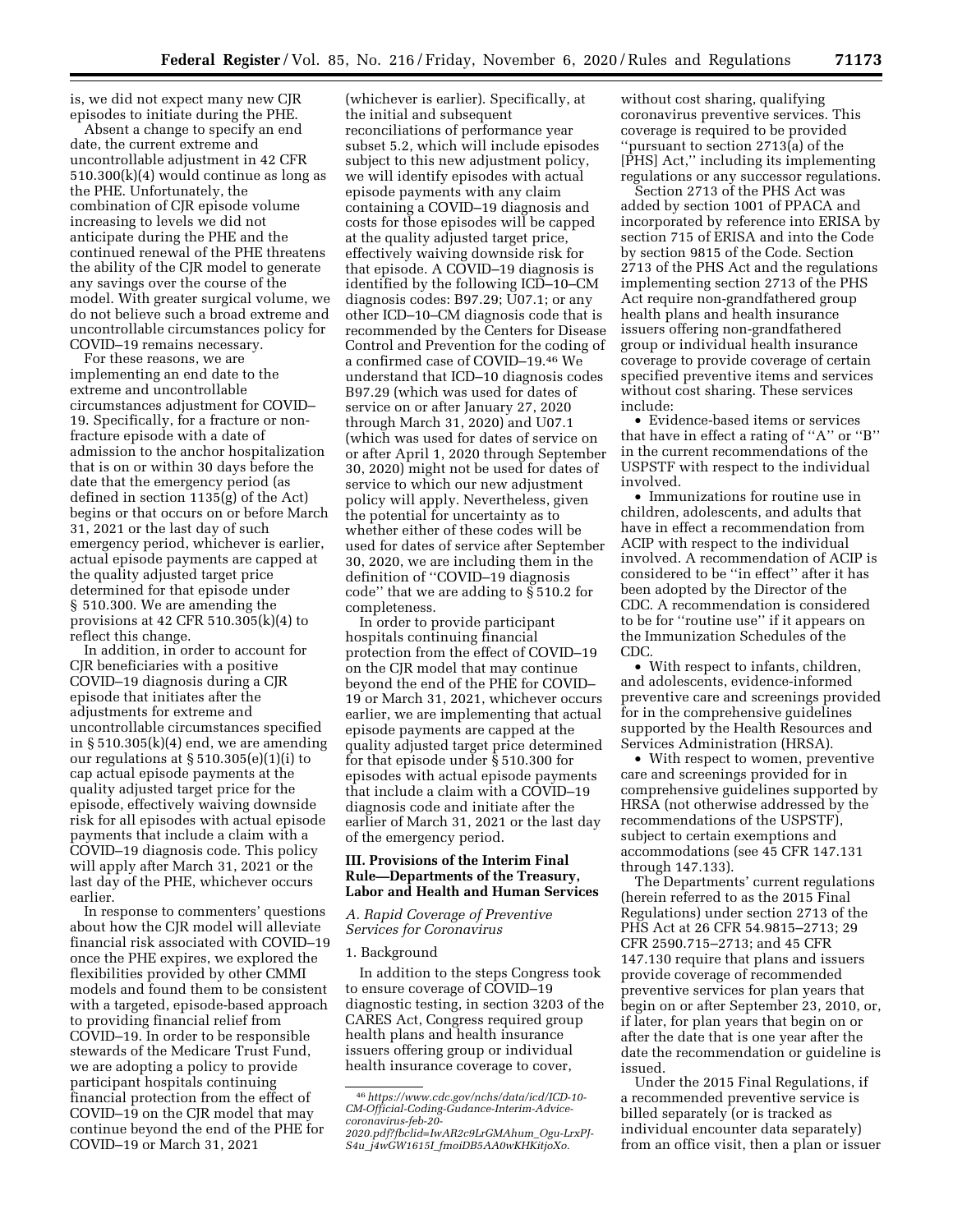is, we did not expect many new CJR episodes to initiate during the PHE.

Absent a change to specify an end date, the current extreme and uncontrollable adjustment in 42 CFR 510.300(k)(4) would continue as long as the PHE. Unfortunately, the combination of CJR episode volume increasing to levels we did not anticipate during the PHE and the continued renewal of the PHE threatens the ability of the CJR model to generate any savings over the course of the model. With greater surgical volume, we do not believe such a broad extreme and uncontrollable circumstances policy for COVID–19 remains necessary.

For these reasons, we are implementing an end date to the extreme and uncontrollable circumstances adjustment for COVID– 19. Specifically, for a fracture or nonfracture episode with a date of admission to the anchor hospitalization that is on or within 30 days before the date that the emergency period (as defined in section 1135(g) of the Act) begins or that occurs on or before March 31, 2021 or the last day of such emergency period, whichever is earlier, actual episode payments are capped at the quality adjusted target price determined for that episode under § 510.300. We are amending the provisions at 42 CFR 510.305(k)(4) to reflect this change.

In addition, in order to account for CJR beneficiaries with a positive COVID–19 diagnosis during a CJR episode that initiates after the adjustments for extreme and uncontrollable circumstances specified in  $\S 510.305(k)(4)$  end, we are amending our regulations at  $\S 510.305(e)(1)(i)$  to cap actual episode payments at the quality adjusted target price for the episode, effectively waiving downside risk for all episodes with actual episode payments that include a claim with a COVID–19 diagnosis code. This policy will apply after March 31, 2021 or the last day of the PHE, whichever occurs earlier.

In response to commenters' questions about how the CJR model will alleviate financial risk associated with COVID–19 once the PHE expires, we explored the flexibilities provided by other CMMI models and found them to be consistent with a targeted, episode-based approach to providing financial relief from COVID–19. In order to be responsible stewards of the Medicare Trust Fund, we are adopting a policy to provide participant hospitals continuing financial protection from the effect of COVID–19 on the CJR model that may continue beyond the end of the PHE for COVID–19 or March 31, 2021

(whichever is earlier). Specifically, at the initial and subsequent reconciliations of performance year subset 5.2, which will include episodes subject to this new adjustment policy, we will identify episodes with actual episode payments with any claim containing a COVID–19 diagnosis and costs for those episodes will be capped at the quality adjusted target price, effectively waiving downside risk for that episode. A COVID–19 diagnosis is identified by the following ICD–10–CM diagnosis codes: B97.29; U07.1; or any other ICD–10–CM diagnosis code that is recommended by the Centers for Disease Control and Prevention for the coding of a confirmed case of COVID–19.46 We understand that ICD–10 diagnosis codes B97.29 (which was used for dates of service on or after January 27, 2020 through March 31, 2020) and U07.1 (which was used for dates of service on or after April 1, 2020 through September 30, 2020) might not be used for dates of service to which our new adjustment policy will apply. Nevertheless, given the potential for uncertainty as to whether either of these codes will be used for dates of service after September 30, 2020, we are including them in the definition of ''COVID–19 diagnosis code'' that we are adding to § 510.2 for completeness.

In order to provide participant hospitals continuing financial protection from the effect of COVID–19 on the CJR model that may continue beyond the end of the PHE for COVID– 19 or March 31, 2021, whichever occurs earlier, we are implementing that actual episode payments are capped at the quality adjusted target price determined for that episode under § 510.300 for episodes with actual episode payments that include a claim with a COVID–19 diagnosis code and initiate after the earlier of March 31, 2021 or the last day of the emergency period.

# **III. Provisions of the Interim Final Rule—Departments of the Treasury, Labor and Health and Human Services**

## *A. Rapid Coverage of Preventive Services for Coronavirus*

#### 1. Background

In addition to the steps Congress took to ensure coverage of COVID–19 diagnostic testing, in section 3203 of the CARES Act, Congress required group health plans and health insurance issuers offering group or individual health insurance coverage to cover,

without cost sharing, qualifying coronavirus preventive services. This coverage is required to be provided ''pursuant to section 2713(a) of the [PHS] Act,'' including its implementing regulations or any successor regulations.

Section 2713 of the PHS Act was added by section 1001 of PPACA and incorporated by reference into ERISA by section 715 of ERISA and into the Code by section 9815 of the Code. Section 2713 of the PHS Act and the regulations implementing section 2713 of the PHS Act require non-grandfathered group health plans and health insurance issuers offering non-grandfathered group or individual health insurance coverage to provide coverage of certain specified preventive items and services without cost sharing. These services include:

• Evidence-based items or services that have in effect a rating of ''A'' or ''B'' in the current recommendations of the USPSTF with respect to the individual involved.

• Immunizations for routine use in children, adolescents, and adults that have in effect a recommendation from ACIP with respect to the individual involved. A recommendation of ACIP is considered to be ''in effect'' after it has been adopted by the Director of the CDC. A recommendation is considered to be for ''routine use'' if it appears on the Immunization Schedules of the CDC.

• With respect to infants, children, and adolescents, evidence-informed preventive care and screenings provided for in the comprehensive guidelines supported by the Health Resources and Services Administration (HRSA).

• With respect to women, preventive care and screenings provided for in comprehensive guidelines supported by HRSA (not otherwise addressed by the recommendations of the USPSTF), subject to certain exemptions and accommodations (see 45 CFR 147.131 through 147.133).

The Departments' current regulations (herein referred to as the 2015 Final Regulations) under section 2713 of the PHS Act at 26 CFR 54.9815–2713; 29 CFR 2590.715–2713; and 45 CFR 147.130 require that plans and issuers provide coverage of recommended preventive services for plan years that begin on or after September 23, 2010, or, if later, for plan years that begin on or after the date that is one year after the date the recommendation or guideline is issued.

Under the 2015 Final Regulations, if a recommended preventive service is billed separately (or is tracked as individual encounter data separately) from an office visit, then a plan or issuer

<sup>46</sup>*https://www.cdc.gov/nchs/data/icd/ICD-10- CM-Official-Coding-Gudance-Interim-Advicecoronavirus-feb-20-* 

*<sup>2020.</sup>pdf?fbclid=IwAR2c9LrGMAhum*\_*Ogu-LrxPJ-S4u*\_*j4wGW1615I*\_*fmoiDB5AA0wKHKitjoXo.*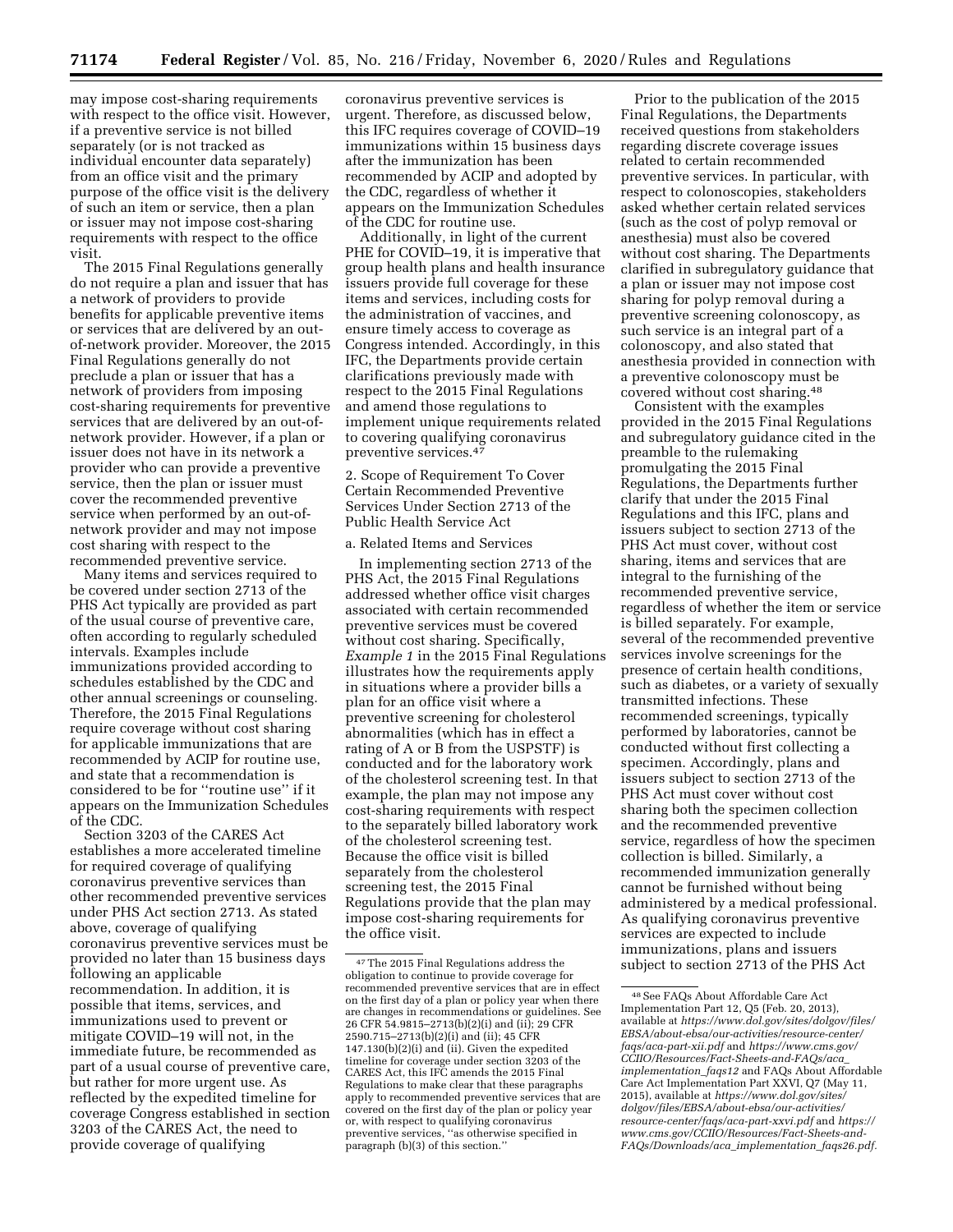may impose cost-sharing requirements with respect to the office visit. However, if a preventive service is not billed separately (or is not tracked as individual encounter data separately) from an office visit and the primary purpose of the office visit is the delivery of such an item or service, then a plan or issuer may not impose cost-sharing requirements with respect to the office visit.

The 2015 Final Regulations generally do not require a plan and issuer that has a network of providers to provide benefits for applicable preventive items or services that are delivered by an outof-network provider. Moreover, the 2015 Final Regulations generally do not preclude a plan or issuer that has a network of providers from imposing cost-sharing requirements for preventive services that are delivered by an out-ofnetwork provider. However, if a plan or issuer does not have in its network a provider who can provide a preventive service, then the plan or issuer must cover the recommended preventive service when performed by an out-ofnetwork provider and may not impose cost sharing with respect to the recommended preventive service.

Many items and services required to be covered under section 2713 of the PHS Act typically are provided as part of the usual course of preventive care, often according to regularly scheduled intervals. Examples include immunizations provided according to schedules established by the CDC and other annual screenings or counseling. Therefore, the 2015 Final Regulations require coverage without cost sharing for applicable immunizations that are recommended by ACIP for routine use, and state that a recommendation is considered to be for ''routine use'' if it appears on the Immunization Schedules of the CDC.

Section 3203 of the CARES Act establishes a more accelerated timeline for required coverage of qualifying coronavirus preventive services than other recommended preventive services under PHS Act section 2713. As stated above, coverage of qualifying coronavirus preventive services must be provided no later than 15 business days following an applicable recommendation. In addition, it is possible that items, services, and immunizations used to prevent or mitigate COVID–19 will not, in the immediate future, be recommended as part of a usual course of preventive care, but rather for more urgent use. As reflected by the expedited timeline for coverage Congress established in section 3203 of the CARES Act, the need to provide coverage of qualifying

coronavirus preventive services is urgent. Therefore, as discussed below, this IFC requires coverage of COVID–19 immunizations within 15 business days after the immunization has been recommended by ACIP and adopted by the CDC, regardless of whether it appears on the Immunization Schedules of the CDC for routine use.

Additionally, in light of the current PHE for COVID–19, it is imperative that group health plans and health insurance issuers provide full coverage for these items and services, including costs for the administration of vaccines, and ensure timely access to coverage as Congress intended. Accordingly, in this IFC, the Departments provide certain clarifications previously made with respect to the 2015 Final Regulations and amend those regulations to implement unique requirements related to covering qualifying coronavirus preventive services.47

2. Scope of Requirement To Cover Certain Recommended Preventive Services Under Section 2713 of the Public Health Service Act

#### a. Related Items and Services

In implementing section 2713 of the PHS Act, the 2015 Final Regulations addressed whether office visit charges associated with certain recommended preventive services must be covered without cost sharing. Specifically, *Example 1* in the 2015 Final Regulations illustrates how the requirements apply in situations where a provider bills a plan for an office visit where a preventive screening for cholesterol abnormalities (which has in effect a rating of A or B from the USPSTF) is conducted and for the laboratory work of the cholesterol screening test. In that example, the plan may not impose any cost-sharing requirements with respect to the separately billed laboratory work of the cholesterol screening test. Because the office visit is billed separately from the cholesterol screening test, the 2015 Final Regulations provide that the plan may impose cost-sharing requirements for the office visit.

Prior to the publication of the 2015 Final Regulations, the Departments received questions from stakeholders regarding discrete coverage issues related to certain recommended preventive services. In particular, with respect to colonoscopies, stakeholders asked whether certain related services (such as the cost of polyp removal or anesthesia) must also be covered without cost sharing. The Departments clarified in subregulatory guidance that a plan or issuer may not impose cost sharing for polyp removal during a preventive screening colonoscopy, as such service is an integral part of a colonoscopy, and also stated that anesthesia provided in connection with a preventive colonoscopy must be covered without cost sharing.48

Consistent with the examples provided in the 2015 Final Regulations and subregulatory guidance cited in the preamble to the rulemaking promulgating the 2015 Final Regulations, the Departments further clarify that under the 2015 Final Regulations and this IFC, plans and issuers subject to section 2713 of the PHS Act must cover, without cost sharing, items and services that are integral to the furnishing of the recommended preventive service, regardless of whether the item or service is billed separately. For example, several of the recommended preventive services involve screenings for the presence of certain health conditions, such as diabetes, or a variety of sexually transmitted infections. These recommended screenings, typically performed by laboratories, cannot be conducted without first collecting a specimen. Accordingly, plans and issuers subject to section 2713 of the PHS Act must cover without cost sharing both the specimen collection and the recommended preventive service, regardless of how the specimen collection is billed. Similarly, a recommended immunization generally cannot be furnished without being administered by a medical professional. As qualifying coronavirus preventive services are expected to include immunizations, plans and issuers subject to section 2713 of the PHS Act

<sup>47</sup>The 2015 Final Regulations address the obligation to continue to provide coverage for recommended preventive services that are in effect on the first day of a plan or policy year when there are changes in recommendations or guidelines. See 26 CFR 54.9815–2713(b)(2)(i) and (ii); 29 CFR 2590.715–2713(b)(2)(i) and (ii); 45 CFR 147.130(b)(2)(i) and (ii). Given the expedited timeline for coverage under section 3203 of the CARES Act, this IFC amends the 2015 Final Regulations to make clear that these paragraphs apply to recommended preventive services that are covered on the first day of the plan or policy year or, with respect to qualifying coronavirus preventive services, ''as otherwise specified in paragraph (b)(3) of this section.''

<sup>48</sup>See FAQs About Affordable Care Act Implementation Part 12, Q5 (Feb. 20, 2013), available at *https://www.dol.gov/sites/dolgov/files/ EBSA/about-ebsa/our-activities/resource-center/ faqs/aca-part-xii.pdf* and *https://www.cms.gov/ CCIIO/Resources/Fact-Sheets-and-FAQs/aca*\_ *implementation*\_*faqs12* and FAQs About Affordable Care Act Implementation Part XXVI, Q7 (May 11, 2015), available at *https://www.dol.gov/sites/ dolgov/files/EBSA/about-ebsa/our-activities/ resource-center/faqs/aca-part-xxvi.pdf* and *https:// www.cms.gov/CCIIO/Resources/Fact-Sheets-and-FAQs/Downloads/aca*\_*implementation*\_*faqs26.pdf.*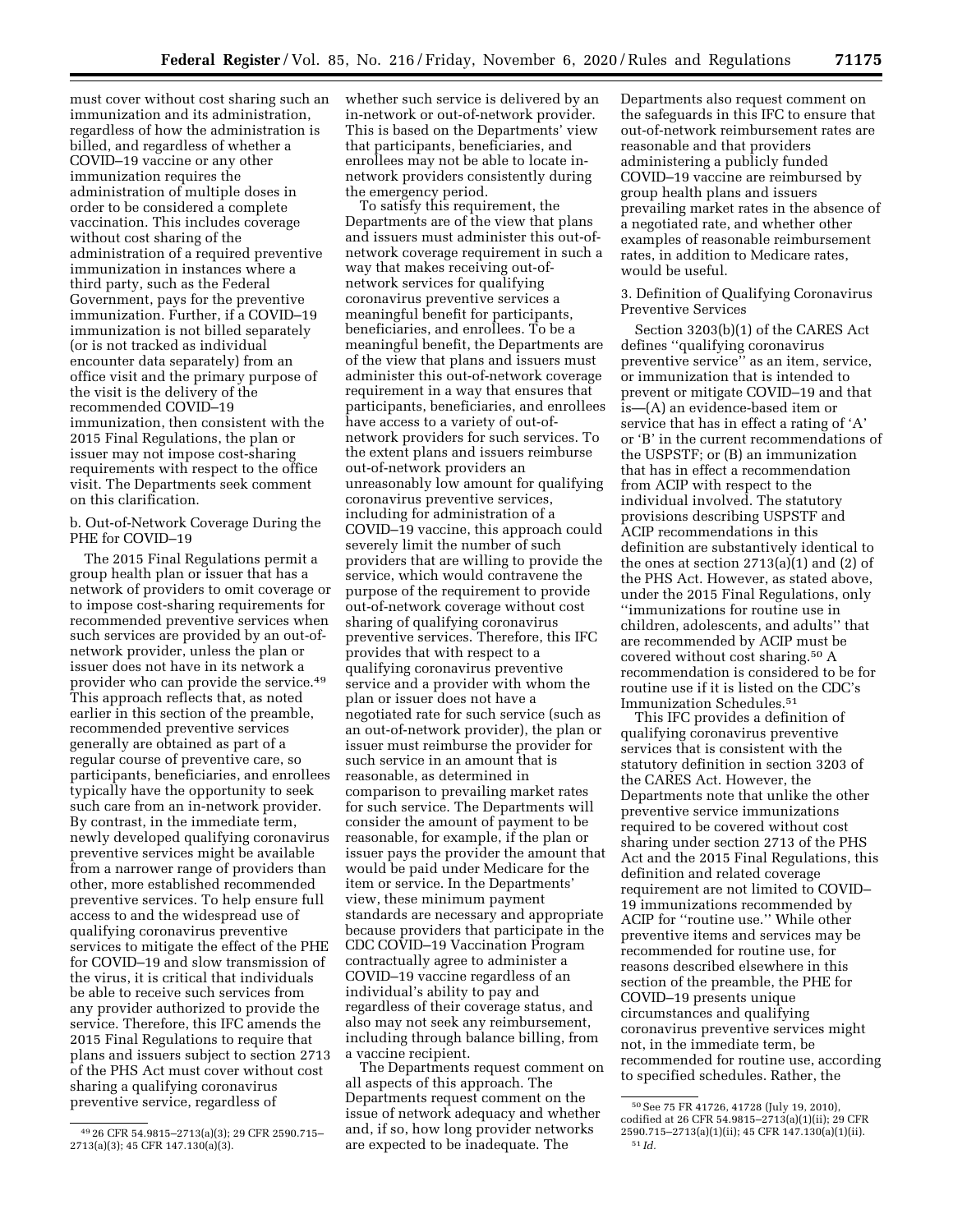must cover without cost sharing such an immunization and its administration, regardless of how the administration is billed, and regardless of whether a COVID–19 vaccine or any other immunization requires the administration of multiple doses in order to be considered a complete vaccination. This includes coverage without cost sharing of the administration of a required preventive immunization in instances where a third party, such as the Federal Government, pays for the preventive immunization. Further, if a COVID–19 immunization is not billed separately (or is not tracked as individual encounter data separately) from an office visit and the primary purpose of the visit is the delivery of the recommended COVID–19 immunization, then consistent with the 2015 Final Regulations, the plan or issuer may not impose cost-sharing requirements with respect to the office visit. The Departments seek comment on this clarification.

b. Out-of-Network Coverage During the PHE for COVID–19

The 2015 Final Regulations permit a group health plan or issuer that has a network of providers to omit coverage or to impose cost-sharing requirements for recommended preventive services when such services are provided by an out-ofnetwork provider, unless the plan or issuer does not have in its network a provider who can provide the service.49 This approach reflects that, as noted earlier in this section of the preamble, recommended preventive services generally are obtained as part of a regular course of preventive care, so participants, beneficiaries, and enrollees typically have the opportunity to seek such care from an in-network provider. By contrast, in the immediate term, newly developed qualifying coronavirus preventive services might be available from a narrower range of providers than other, more established recommended preventive services. To help ensure full access to and the widespread use of qualifying coronavirus preventive services to mitigate the effect of the PHE for COVID–19 and slow transmission of the virus, it is critical that individuals be able to receive such services from any provider authorized to provide the service. Therefore, this IFC amends the 2015 Final Regulations to require that plans and issuers subject to section 2713 of the PHS Act must cover without cost sharing a qualifying coronavirus preventive service, regardless of

whether such service is delivered by an in-network or out-of-network provider. This is based on the Departments' view that participants, beneficiaries, and enrollees may not be able to locate innetwork providers consistently during the emergency period.

To satisfy this requirement, the Departments are of the view that plans and issuers must administer this out-ofnetwork coverage requirement in such a way that makes receiving out-ofnetwork services for qualifying coronavirus preventive services a meaningful benefit for participants, beneficiaries, and enrollees. To be a meaningful benefit, the Departments are of the view that plans and issuers must administer this out-of-network coverage requirement in a way that ensures that participants, beneficiaries, and enrollees have access to a variety of out-ofnetwork providers for such services. To the extent plans and issuers reimburse out-of-network providers an unreasonably low amount for qualifying coronavirus preventive services, including for administration of a COVID–19 vaccine, this approach could severely limit the number of such providers that are willing to provide the service, which would contravene the purpose of the requirement to provide out-of-network coverage without cost sharing of qualifying coronavirus preventive services. Therefore, this IFC provides that with respect to a qualifying coronavirus preventive service and a provider with whom the plan or issuer does not have a negotiated rate for such service (such as an out-of-network provider), the plan or issuer must reimburse the provider for such service in an amount that is reasonable, as determined in comparison to prevailing market rates for such service. The Departments will consider the amount of payment to be reasonable, for example, if the plan or issuer pays the provider the amount that would be paid under Medicare for the item or service. In the Departments' view, these minimum payment standards are necessary and appropriate because providers that participate in the CDC COVID–19 Vaccination Program contractually agree to administer a COVID–19 vaccine regardless of an individual's ability to pay and regardless of their coverage status, and also may not seek any reimbursement, including through balance billing, from a vaccine recipient.

The Departments request comment on all aspects of this approach. The Departments request comment on the issue of network adequacy and whether and, if so, how long provider networks are expected to be inadequate. The

Departments also request comment on the safeguards in this IFC to ensure that out-of-network reimbursement rates are reasonable and that providers administering a publicly funded COVID–19 vaccine are reimbursed by group health plans and issuers prevailing market rates in the absence of a negotiated rate, and whether other examples of reasonable reimbursement rates, in addition to Medicare rates, would be useful.

3. Definition of Qualifying Coronavirus Preventive Services

Section 3203(b)(1) of the CARES Act defines ''qualifying coronavirus preventive service'' as an item, service, or immunization that is intended to prevent or mitigate COVID–19 and that is—(A) an evidence-based item or service that has in effect a rating of 'A' or 'B' in the current recommendations of the USPSTF; or (B) an immunization that has in effect a recommendation from ACIP with respect to the individual involved. The statutory provisions describing USPSTF and ACIP recommendations in this definition are substantively identical to the ones at section  $2713(a)(1)$  and  $(2)$  of the PHS Act. However, as stated above, under the 2015 Final Regulations, only ''immunizations for routine use in children, adolescents, and adults'' that are recommended by ACIP must be covered without cost sharing.50 A recommendation is considered to be for routine use if it is listed on the CDC's Immunization Schedules.51

This IFC provides a definition of qualifying coronavirus preventive services that is consistent with the statutory definition in section 3203 of the CARES Act. However, the Departments note that unlike the other preventive service immunizations required to be covered without cost sharing under section 2713 of the PHS Act and the 2015 Final Regulations, this definition and related coverage requirement are not limited to COVID– 19 immunizations recommended by ACIP for ''routine use.'' While other preventive items and services may be recommended for routine use, for reasons described elsewhere in this section of the preamble, the PHE for COVID–19 presents unique circumstances and qualifying coronavirus preventive services might not, in the immediate term, be recommended for routine use, according to specified schedules. Rather, the

<sup>49</sup> 26 CFR 54.9815–2713(a)(3); 29 CFR 2590.715– 2713(a)(3); 45 CFR 147.130(a)(3).

<sup>50</sup>See 75 FR 41726, 41728 (July 19, 2010), codified at 26 CFR 54.9815–2713(a)(1)(ii); 29 CFR 2590.715–2713(a)(1)(ii); 45 CFR 147.130(a)(1)(ii). 51 *Id.*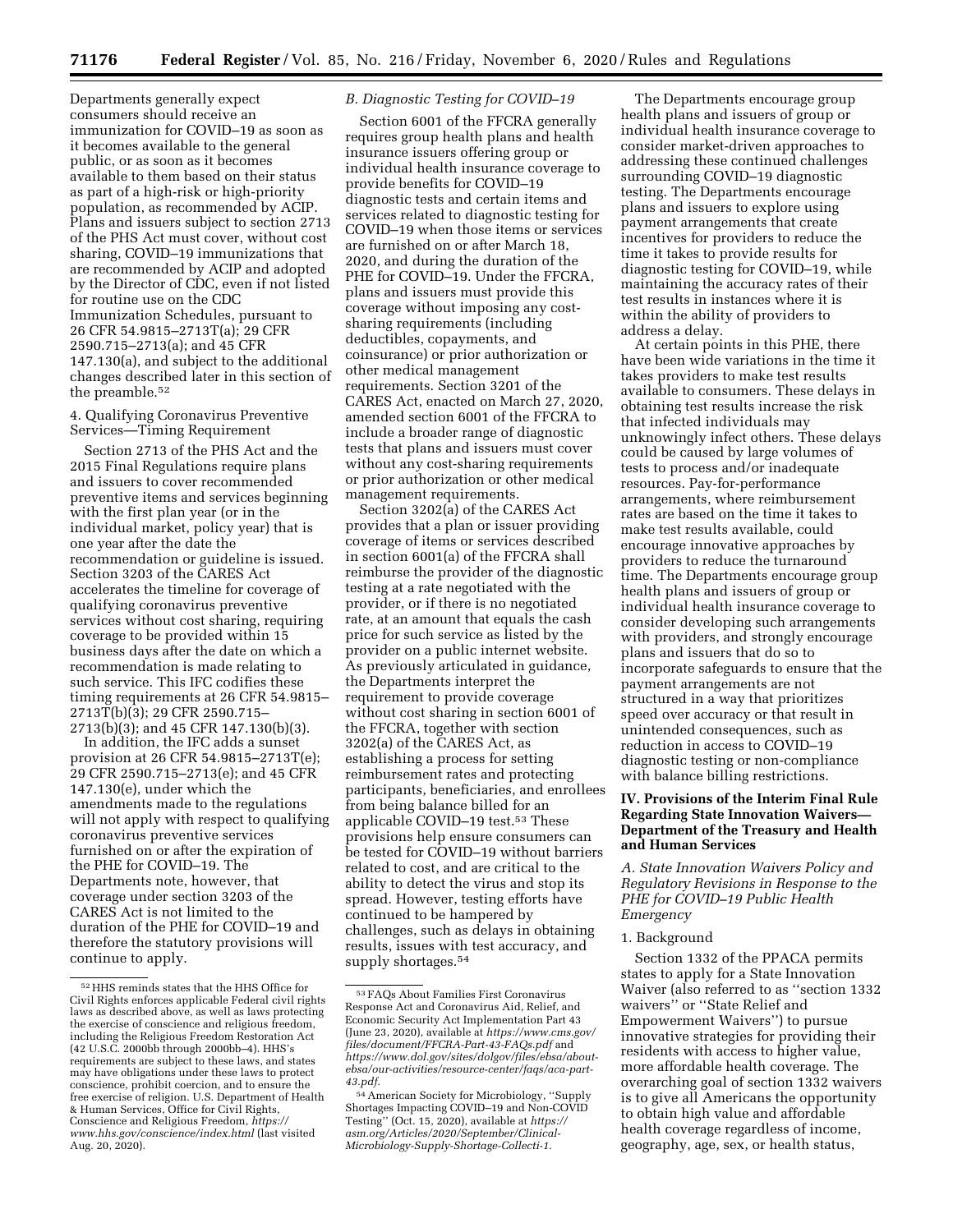Departments generally expect consumers should receive an immunization for COVID–19 as soon as it becomes available to the general public, or as soon as it becomes available to them based on their status as part of a high-risk or high-priority population, as recommended by ACIP. Plans and issuers subject to section 2713 of the PHS Act must cover, without cost sharing, COVID–19 immunizations that are recommended by ACIP and adopted by the Director of CDC, even if not listed for routine use on the CDC Immunization Schedules, pursuant to 26 CFR 54.9815–2713T(a); 29 CFR 2590.715–2713(a); and 45 CFR 147.130(a), and subject to the additional changes described later in this section of the preamble.52

# 4. Qualifying Coronavirus Preventive Services—Timing Requirement

Section 2713 of the PHS Act and the 2015 Final Regulations require plans and issuers to cover recommended preventive items and services beginning with the first plan year (or in the individual market, policy year) that is one year after the date the recommendation or guideline is issued. Section 3203 of the CARES Act accelerates the timeline for coverage of qualifying coronavirus preventive services without cost sharing, requiring coverage to be provided within 15 business days after the date on which a recommendation is made relating to such service. This IFC codifies these timing requirements at 26 CFR 54.9815– 2713T(b)(3); 29 CFR 2590.715– 2713(b)(3); and 45 CFR 147.130(b)(3).

In addition, the IFC adds a sunset provision at 26 CFR 54.9815–2713T(e); 29 CFR 2590.715–2713(e); and 45 CFR 147.130(e), under which the amendments made to the regulations will not apply with respect to qualifying coronavirus preventive services furnished on or after the expiration of the PHE for COVID–19. The Departments note, however, that coverage under section 3203 of the CARES Act is not limited to the duration of the PHE for COVID–19 and therefore the statutory provisions will continue to apply.

# *B. Diagnostic Testing for COVID–19*

Section 6001 of the FFCRA generally requires group health plans and health insurance issuers offering group or individual health insurance coverage to provide benefits for COVID–19 diagnostic tests and certain items and services related to diagnostic testing for COVID–19 when those items or services are furnished on or after March 18, 2020, and during the duration of the PHE for COVID–19. Under the FFCRA, plans and issuers must provide this coverage without imposing any costsharing requirements (including deductibles, copayments, and coinsurance) or prior authorization or other medical management requirements. Section 3201 of the CARES Act, enacted on March 27, 2020, amended section 6001 of the FFCRA to include a broader range of diagnostic tests that plans and issuers must cover without any cost-sharing requirements or prior authorization or other medical management requirements.

Section 3202(a) of the CARES Act provides that a plan or issuer providing coverage of items or services described in section 6001(a) of the FFCRA shall reimburse the provider of the diagnostic testing at a rate negotiated with the provider, or if there is no negotiated rate, at an amount that equals the cash price for such service as listed by the provider on a public internet website. As previously articulated in guidance, the Departments interpret the requirement to provide coverage without cost sharing in section 6001 of the FFCRA, together with section 3202(a) of the CARES Act, as establishing a process for setting reimbursement rates and protecting participants, beneficiaries, and enrollees from being balance billed for an applicable COVID–19 test.53 These provisions help ensure consumers can be tested for COVID–19 without barriers related to cost, and are critical to the ability to detect the virus and stop its spread. However, testing efforts have continued to be hampered by challenges, such as delays in obtaining results, issues with test accuracy, and supply shortages.<sup>54</sup>

The Departments encourage group health plans and issuers of group or individual health insurance coverage to consider market-driven approaches to addressing these continued challenges surrounding COVID–19 diagnostic testing. The Departments encourage plans and issuers to explore using payment arrangements that create incentives for providers to reduce the time it takes to provide results for diagnostic testing for COVID–19, while maintaining the accuracy rates of their test results in instances where it is within the ability of providers to address a delay.

At certain points in this PHE, there have been wide variations in the time it takes providers to make test results available to consumers. These delays in obtaining test results increase the risk that infected individuals may unknowingly infect others. These delays could be caused by large volumes of tests to process and/or inadequate resources. Pay-for-performance arrangements, where reimbursement rates are based on the time it takes to make test results available, could encourage innovative approaches by providers to reduce the turnaround time. The Departments encourage group health plans and issuers of group or individual health insurance coverage to consider developing such arrangements with providers, and strongly encourage plans and issuers that do so to incorporate safeguards to ensure that the payment arrangements are not structured in a way that prioritizes speed over accuracy or that result in unintended consequences, such as reduction in access to COVID–19 diagnostic testing or non-compliance with balance billing restrictions.

# **IV. Provisions of the Interim Final Rule Regarding State Innovation Waivers— Department of the Treasury and Health and Human Services**

*A. State Innovation Waivers Policy and Regulatory Revisions in Response to the PHE for COVID–19 Public Health Emergency* 

# 1. Background

Section 1332 of the PPACA permits states to apply for a State Innovation Waiver (also referred to as ''section 1332 waivers'' or ''State Relief and Empowerment Waivers'') to pursue innovative strategies for providing their residents with access to higher value, more affordable health coverage. The overarching goal of section 1332 waivers is to give all Americans the opportunity to obtain high value and affordable health coverage regardless of income, geography, age, sex, or health status,

 $^{52}\mathrm{\,HHS}$  reminds states that the HHS Office for Civil Rights enforces applicable Federal civil rights laws as described above, as well as laws protecting the exercise of conscience and religious freedom, including the Religious Freedom Restoration Act (42 U.S.C. 2000bb through 2000bb–4). HHS's requirements are subject to these laws, and states may have obligations under these laws to protect conscience, prohibit coercion, and to ensure the free exercise of religion. U.S. Department of Health & Human Services, Office for Civil Rights, Conscience and Religious Freedom, *https:// www.hhs.gov/conscience/index.html* (last visited Aug. 20, 2020).

<sup>53</sup>FAQs About Families First Coronavirus Response Act and Coronavirus Aid, Relief, and Economic Security Act Implementation Part 43 (June 23, 2020), available at *https://www.cms.gov/ files/document/FFCRA-Part-43-FAQs.pdf* and *https://www.dol.gov/sites/dolgov/files/ebsa/aboutebsa/our-activities/resource-center/faqs/aca-part-43.pdf.* 

<sup>54</sup>American Society for Microbiology, ''Supply Shortages Impacting COVID–19 and Non-COVID Testing'' (Oct. 15, 2020), available at *https:// asm.org/Articles/2020/September/Clinical-Microbiology-Supply-Shortage-Collecti-1.*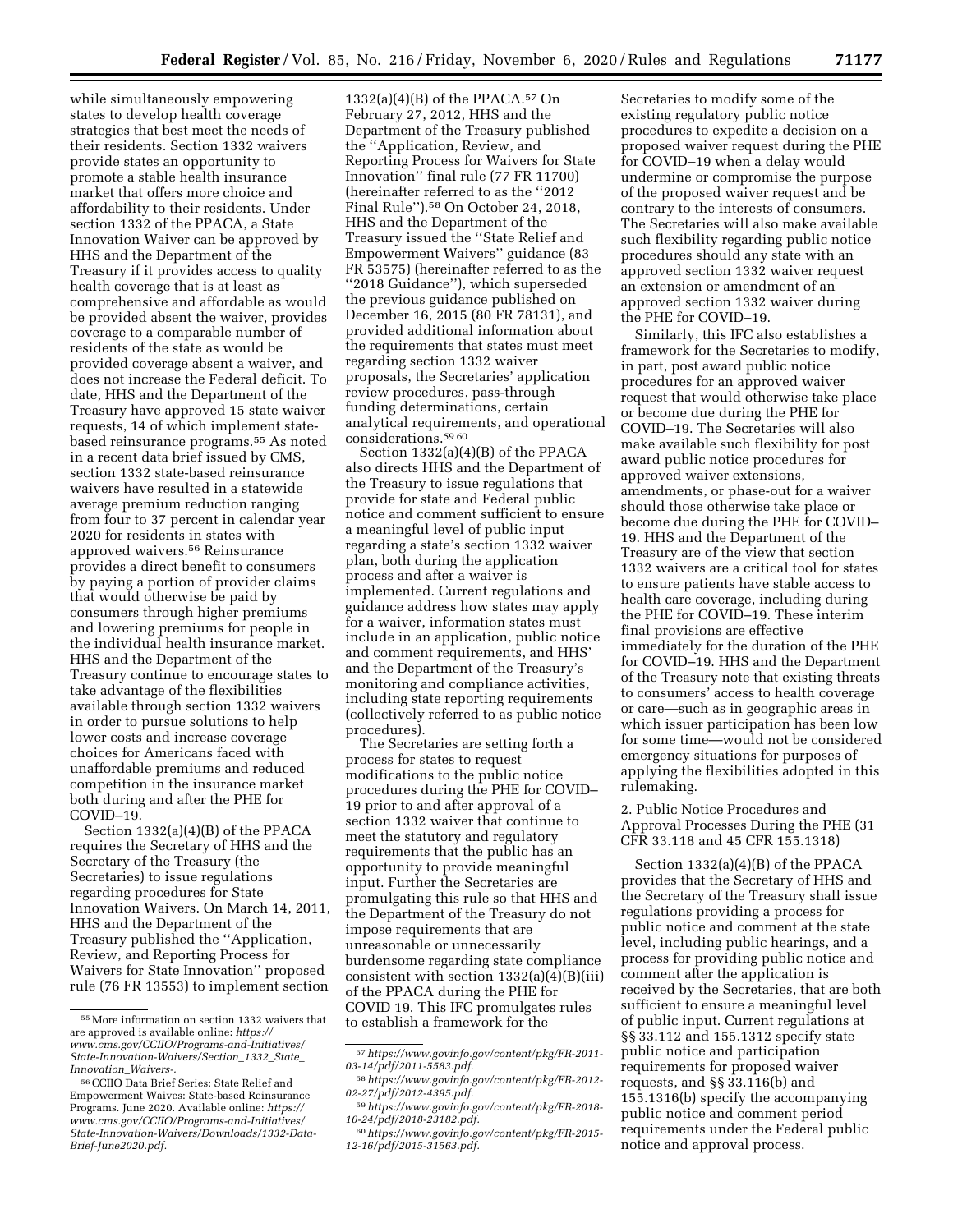while simultaneously empowering states to develop health coverage strategies that best meet the needs of their residents. Section 1332 waivers provide states an opportunity to promote a stable health insurance market that offers more choice and affordability to their residents. Under section 1332 of the PPACA, a State Innovation Waiver can be approved by HHS and the Department of the Treasury if it provides access to quality health coverage that is at least as comprehensive and affordable as would be provided absent the waiver, provides coverage to a comparable number of residents of the state as would be provided coverage absent a waiver, and does not increase the Federal deficit. To date, HHS and the Department of the Treasury have approved 15 state waiver requests, 14 of which implement statebased reinsurance programs.55 As noted in a recent data brief issued by CMS, section 1332 state-based reinsurance waivers have resulted in a statewide average premium reduction ranging from four to 37 percent in calendar year 2020 for residents in states with approved waivers.56 Reinsurance provides a direct benefit to consumers by paying a portion of provider claims that would otherwise be paid by consumers through higher premiums and lowering premiums for people in the individual health insurance market. HHS and the Department of the Treasury continue to encourage states to take advantage of the flexibilities available through section 1332 waivers in order to pursue solutions to help lower costs and increase coverage choices for Americans faced with unaffordable premiums and reduced competition in the insurance market both during and after the PHE for COVID–19.

Section 1332(a)(4)(B) of the PPACA requires the Secretary of HHS and the Secretary of the Treasury (the Secretaries) to issue regulations regarding procedures for State Innovation Waivers. On March 14, 2011, HHS and the Department of the Treasury published the ''Application, Review, and Reporting Process for Waivers for State Innovation'' proposed rule (76 FR 13553) to implement section

 $1332(a)(4)(B)$  of the PPACA.<sup>57</sup> On February 27, 2012, HHS and the Department of the Treasury published the ''Application, Review, and Reporting Process for Waivers for State Innovation'' final rule (77 FR 11700) (hereinafter referred to as the ''2012 Final Rule'').58 On October 24, 2018, HHS and the Department of the Treasury issued the ''State Relief and Empowerment Waivers'' guidance (83 FR 53575) (hereinafter referred to as the ''2018 Guidance''), which superseded the previous guidance published on December 16, 2015 (80 FR 78131), and provided additional information about the requirements that states must meet regarding section 1332 waiver proposals, the Secretaries' application review procedures, pass-through funding determinations, certain analytical requirements, and operational considerations.59 60

Section 1332(a)(4)(B) of the PPACA also directs HHS and the Department of the Treasury to issue regulations that provide for state and Federal public notice and comment sufficient to ensure a meaningful level of public input regarding a state's section 1332 waiver plan, both during the application process and after a waiver is implemented. Current regulations and guidance address how states may apply for a waiver, information states must include in an application, public notice and comment requirements, and HHS' and the Department of the Treasury's monitoring and compliance activities, including state reporting requirements (collectively referred to as public notice procedures).

The Secretaries are setting forth a process for states to request modifications to the public notice procedures during the PHE for COVID– 19 prior to and after approval of a section 1332 waiver that continue to meet the statutory and regulatory requirements that the public has an opportunity to provide meaningful input. Further the Secretaries are promulgating this rule so that HHS and the Department of the Treasury do not impose requirements that are unreasonable or unnecessarily burdensome regarding state compliance consistent with section  $1332(a)(4)(B)(iii)$ of the PPACA during the PHE for COVID 19. This IFC promulgates rules to establish a framework for the

Secretaries to modify some of the existing regulatory public notice procedures to expedite a decision on a proposed waiver request during the PHE for COVID–19 when a delay would undermine or compromise the purpose of the proposed waiver request and be contrary to the interests of consumers. The Secretaries will also make available such flexibility regarding public notice procedures should any state with an approved section 1332 waiver request an extension or amendment of an approved section 1332 waiver during the PHE for COVID–19.

Similarly, this IFC also establishes a framework for the Secretaries to modify, in part, post award public notice procedures for an approved waiver request that would otherwise take place or become due during the PHE for COVID–19. The Secretaries will also make available such flexibility for post award public notice procedures for approved waiver extensions, amendments, or phase-out for a waiver should those otherwise take place or become due during the PHE for COVID– 19. HHS and the Department of the Treasury are of the view that section 1332 waivers are a critical tool for states to ensure patients have stable access to health care coverage, including during the PHE for COVID–19. These interim final provisions are effective immediately for the duration of the PHE for COVID–19. HHS and the Department of the Treasury note that existing threats to consumers' access to health coverage or care—such as in geographic areas in which issuer participation has been low for some time—would not be considered emergency situations for purposes of applying the flexibilities adopted in this rulemaking.

2. Public Notice Procedures and Approval Processes During the PHE (31 CFR 33.118 and 45 CFR 155.1318)

Section 1332(a)(4)(B) of the PPACA provides that the Secretary of HHS and the Secretary of the Treasury shall issue regulations providing a process for public notice and comment at the state level, including public hearings, and a process for providing public notice and comment after the application is received by the Secretaries, that are both sufficient to ensure a meaningful level of public input. Current regulations at §§ 33.112 and 155.1312 specify state public notice and participation requirements for proposed waiver requests, and §§ 33.116(b) and 155.1316(b) specify the accompanying public notice and comment period requirements under the Federal public notice and approval process.

<sup>55</sup>More information on section 1332 waivers that are approved is available online: *https:// www.cms.gov/CCIIO/Programs-and-Initiatives/ State-Innovation-Waivers/Section*\_*1332*\_*State*\_ *Innovation*\_*Waivers-.* 

<sup>56</sup>CCIIO Data Brief Series: State Relief and Empowerment Waives: State-based Reinsurance Programs. June 2020. Available online: *https:// www.cms.gov/CCIIO/Programs-and-Initiatives/ State-Innovation-Waivers/Downloads/1332-Data-Brief-June2020.pdf.* 

<sup>57</sup>*https://www.govinfo.gov/content/pkg/FR-2011- 03-14/pdf/2011-5583.pdf.* 

<sup>58</sup>*https://www.govinfo.gov/content/pkg/FR-2012- 02-27/pdf/2012-4395.pdf.* 

<sup>59</sup>*https://www.govinfo.gov/content/pkg/FR-2018- 10-24/pdf/2018-23182.pdf.* 

<sup>60</sup>*https://www.govinfo.gov/content/pkg/FR-2015- 12-16/pdf/2015-31563.pdf.*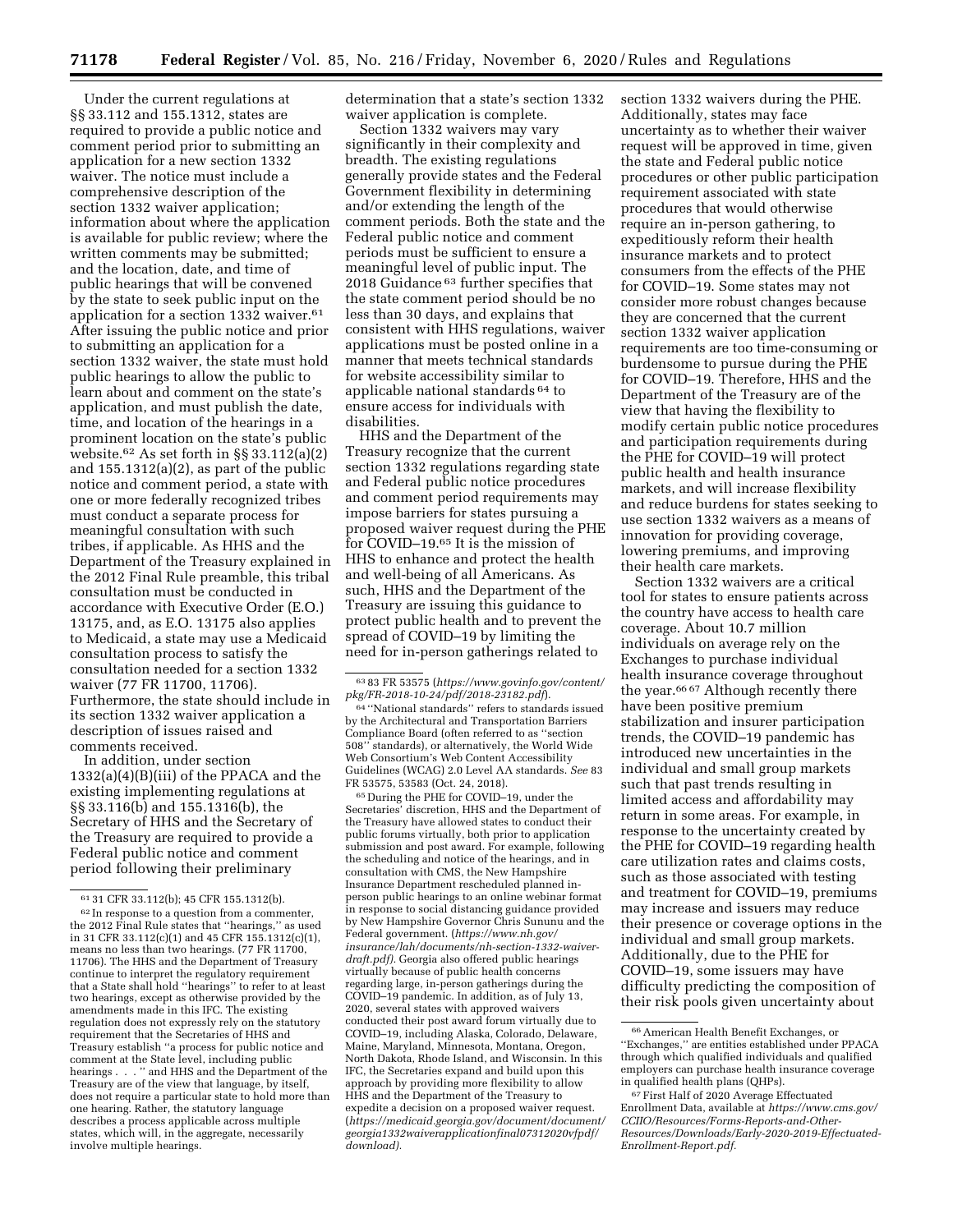Under the current regulations at §§ 33.112 and 155.1312, states are required to provide a public notice and comment period prior to submitting an application for a new section 1332 waiver. The notice must include a comprehensive description of the section 1332 waiver application; information about where the application is available for public review; where the written comments may be submitted; and the location, date, and time of public hearings that will be convened by the state to seek public input on the application for a section 1332 waiver.61 After issuing the public notice and prior to submitting an application for a section 1332 waiver, the state must hold public hearings to allow the public to learn about and comment on the state's application, and must publish the date, time, and location of the hearings in a prominent location on the state's public website.62 As set forth in §§ 33.112(a)(2) and 155.1312(a)(2), as part of the public notice and comment period, a state with one or more federally recognized tribes must conduct a separate process for meaningful consultation with such tribes, if applicable. As HHS and the Department of the Treasury explained in the 2012 Final Rule preamble, this tribal consultation must be conducted in accordance with Executive Order (E.O.) 13175, and, as E.O. 13175 also applies to Medicaid, a state may use a Medicaid consultation process to satisfy the consultation needed for a section 1332 waiver (77 FR 11700, 11706). Furthermore, the state should include in its section 1332 waiver application a description of issues raised and comments received.

In addition, under section 1332(a)(4)(B)(iii) of the PPACA and the existing implementing regulations at §§ 33.116(b) and 155.1316(b), the Secretary of HHS and the Secretary of the Treasury are required to provide a Federal public notice and comment period following their preliminary

determination that a state's section 1332 waiver application is complete.

Section 1332 waivers may vary significantly in their complexity and breadth. The existing regulations generally provide states and the Federal Government flexibility in determining and/or extending the length of the comment periods. Both the state and the Federal public notice and comment periods must be sufficient to ensure a meaningful level of public input. The 2018 Guidance 63 further specifies that the state comment period should be no less than 30 days, and explains that consistent with HHS regulations, waiver applications must be posted online in a manner that meets technical standards for website accessibility similar to applicable national standards 64 to ensure access for individuals with disabilities.

HHS and the Department of the Treasury recognize that the current section 1332 regulations regarding state and Federal public notice procedures and comment period requirements may impose barriers for states pursuing a proposed waiver request during the PHE for COVID–19.65 It is the mission of HHS to enhance and protect the health and well-being of all Americans. As such, HHS and the Department of the Treasury are issuing this guidance to protect public health and to prevent the spread of COVID–19 by limiting the need for in-person gatherings related to

65 During the PHE for COVID–19, under the Secretaries' discretion, HHS and the Department of the Treasury have allowed states to conduct their public forums virtually, both prior to application submission and post award. For example, following the scheduling and notice of the hearings, and in consultation with CMS, the New Hampshire Insurance Department rescheduled planned inperson public hearings to an online webinar format in response to social distancing guidance provided by New Hampshire Governor Chris Sununu and the Federal government. (*https://www.nh.gov/ insurance/lah/documents/nh-section-1332-waiverdraft.pdf).* Georgia also offered public hearings virtually because of public health concerns regarding large, in-person gatherings during the COVID–19 pandemic. In addition, as of July 13, 2020, several states with approved waivers conducted their post award forum virtually due to COVID–19, including Alaska, Colorado, Delaware, Maine, Maryland, Minnesota, Montana, Oregon, North Dakota, Rhode Island, and Wisconsin. In this IFC, the Secretaries expand and build upon this approach by providing more flexibility to allow HHS and the Department of the Treasury to expedite a decision on a proposed waiver request. (*https://medicaid.georgia.gov/document/document/ georgia1332waiverapplicationfinal07312020vfpdf/ download).* 

section 1332 waivers during the PHE. Additionally, states may face uncertainty as to whether their waiver request will be approved in time, given the state and Federal public notice procedures or other public participation requirement associated with state procedures that would otherwise require an in-person gathering, to expeditiously reform their health insurance markets and to protect consumers from the effects of the PHE for COVID–19. Some states may not consider more robust changes because they are concerned that the current section 1332 waiver application requirements are too time-consuming or burdensome to pursue during the PHE for COVID–19. Therefore, HHS and the Department of the Treasury are of the view that having the flexibility to modify certain public notice procedures and participation requirements during the PHE for COVID–19 will protect public health and health insurance markets, and will increase flexibility and reduce burdens for states seeking to use section 1332 waivers as a means of innovation for providing coverage, lowering premiums, and improving their health care markets.

Section 1332 waivers are a critical tool for states to ensure patients across the country have access to health care coverage. About 10.7 million individuals on average rely on the Exchanges to purchase individual health insurance coverage throughout the year.66 67 Although recently there have been positive premium stabilization and insurer participation trends, the COVID–19 pandemic has introduced new uncertainties in the individual and small group markets such that past trends resulting in limited access and affordability may return in some areas. For example, in response to the uncertainty created by the PHE for COVID–19 regarding health care utilization rates and claims costs, such as those associated with testing and treatment for COVID–19, premiums may increase and issuers may reduce their presence or coverage options in the individual and small group markets. Additionally, due to the PHE for COVID–19, some issuers may have difficulty predicting the composition of their risk pools given uncertainty about

 $^{61}$  31 CFR 33.112(b); 45 CFR 155.1312(b).  $^{62}$  In response to a question from a commenter, the 2012 Final Rule states that ''hearings,'' as used in 31 CFR 33.112(c)(1) and 45 CFR 155.1312(c)(1), means no less than two hearings. (77 FR 11700, 11706). The HHS and the Department of Treasury continue to interpret the regulatory requirement that a State shall hold ''hearings'' to refer to at least two hearings, except as otherwise provided by the amendments made in this IFC. The existing regulation does not expressly rely on the statutory requirement that the Secretaries of HHS and Treasury establish ''a process for public notice and comment at the State level, including public hearings . . . '' and HHS and the Department of the Treasury are of the view that language, by itself, does not require a particular state to hold more than one hearing. Rather, the statutory language describes a process applicable across multiple states, which will, in the aggregate, necessarily involve multiple hearings.

<sup>63</sup> 83 FR 53575 (*https://www.govinfo.gov/content/ pkg/FR-2018-10-24/pdf/2018-23182.pdf*).

<sup>64</sup> ''National standards'' refers to standards issued by the Architectural and Transportation Barriers Compliance Board (often referred to as ''section 508'' standards), or alternatively, the World Wide Web Consortium's Web Content Accessibility Guidelines (WCAG) 2.0 Level AA standards. *See* 83 FR 53575, 53583 (Oct. 24, 2018).

<sup>66</sup>American Health Benefit Exchanges, or ''Exchanges,'' are entities established under PPACA through which qualified individuals and qualified employers can purchase health insurance coverage in qualified health plans (QHPs).

<sup>67</sup>First Half of 2020 Average Effectuated Enrollment Data, available at *https://www.cms.gov/ CCIIO/Resources/Forms-Reports-and-Other-Resources/Downloads/Early-2020-2019-Effectuated-Enrollment-Report.pdf.*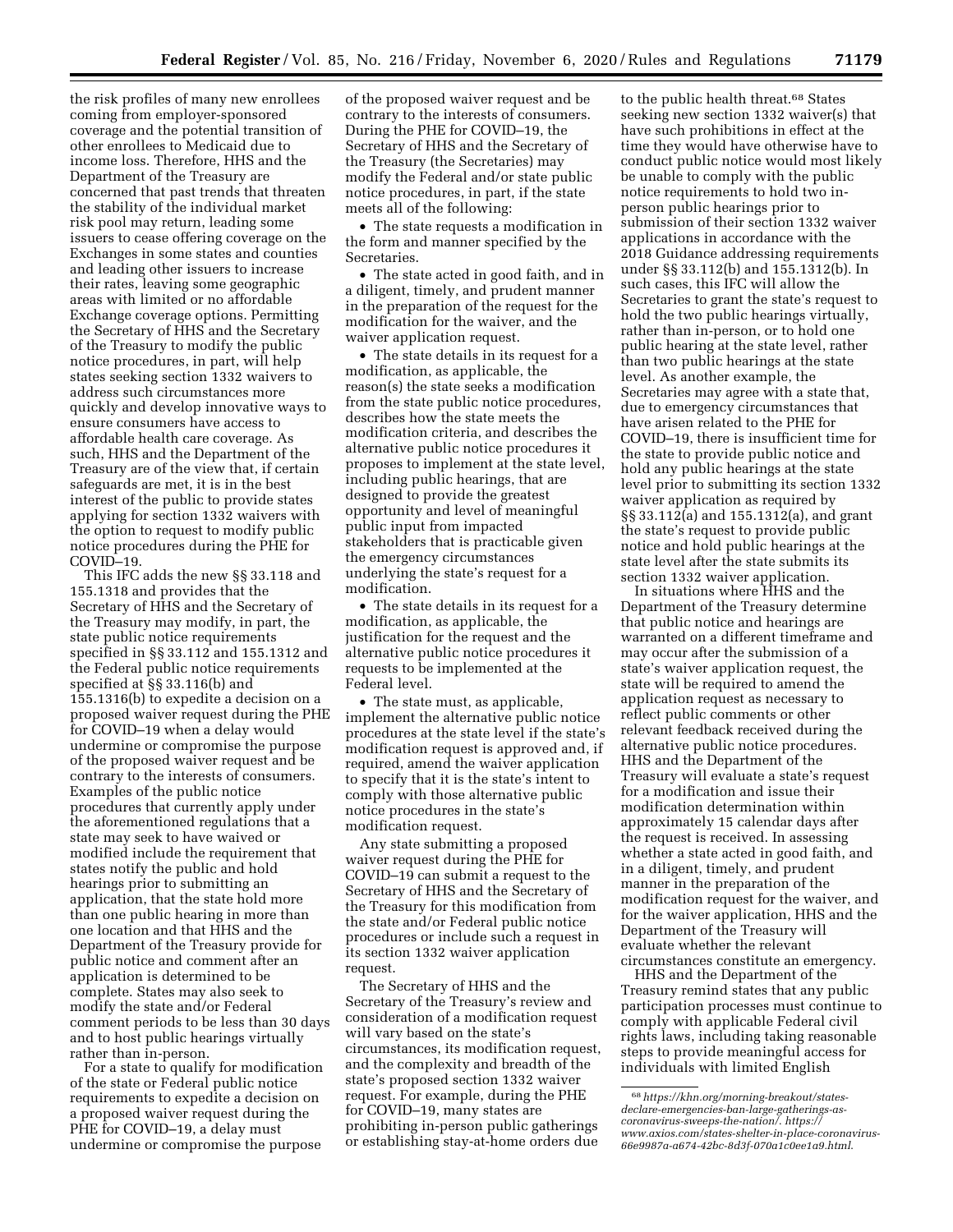the risk profiles of many new enrollees coming from employer-sponsored coverage and the potential transition of other enrollees to Medicaid due to income loss. Therefore, HHS and the Department of the Treasury are concerned that past trends that threaten the stability of the individual market risk pool may return, leading some issuers to cease offering coverage on the Exchanges in some states and counties and leading other issuers to increase their rates, leaving some geographic areas with limited or no affordable Exchange coverage options. Permitting the Secretary of HHS and the Secretary of the Treasury to modify the public notice procedures, in part, will help states seeking section 1332 waivers to address such circumstances more quickly and develop innovative ways to ensure consumers have access to affordable health care coverage. As such, HHS and the Department of the Treasury are of the view that, if certain safeguards are met, it is in the best interest of the public to provide states applying for section 1332 waivers with the option to request to modify public notice procedures during the PHE for COVID–19.

This IFC adds the new §§ 33.118 and 155.1318 and provides that the Secretary of HHS and the Secretary of the Treasury may modify, in part, the state public notice requirements specified in §§ 33.112 and 155.1312 and the Federal public notice requirements specified at §§ 33.116(b) and 155.1316(b) to expedite a decision on a proposed waiver request during the PHE for COVID–19 when a delay would undermine or compromise the purpose of the proposed waiver request and be contrary to the interests of consumers. Examples of the public notice procedures that currently apply under the aforementioned regulations that a state may seek to have waived or modified include the requirement that states notify the public and hold hearings prior to submitting an application, that the state hold more than one public hearing in more than one location and that HHS and the Department of the Treasury provide for public notice and comment after an application is determined to be complete. States may also seek to modify the state and/or Federal comment periods to be less than 30 days and to host public hearings virtually rather than in-person.

For a state to qualify for modification of the state or Federal public notice requirements to expedite a decision on a proposed waiver request during the PHE for COVID–19, a delay must undermine or compromise the purpose

of the proposed waiver request and be contrary to the interests of consumers. During the PHE for COVID–19, the Secretary of HHS and the Secretary of the Treasury (the Secretaries) may modify the Federal and/or state public notice procedures, in part, if the state meets all of the following:

• The state requests a modification in the form and manner specified by the Secretaries.

• The state acted in good faith, and in a diligent, timely, and prudent manner in the preparation of the request for the modification for the waiver, and the waiver application request.

• The state details in its request for a modification, as applicable, the reason(s) the state seeks a modification from the state public notice procedures, describes how the state meets the modification criteria, and describes the alternative public notice procedures it proposes to implement at the state level, including public hearings, that are designed to provide the greatest opportunity and level of meaningful public input from impacted stakeholders that is practicable given the emergency circumstances underlying the state's request for a modification.

• The state details in its request for a modification, as applicable, the justification for the request and the alternative public notice procedures it requests to be implemented at the Federal level.

• The state must, as applicable, implement the alternative public notice procedures at the state level if the state's modification request is approved and, if required, amend the waiver application to specify that it is the state's intent to comply with those alternative public notice procedures in the state's modification request.

Any state submitting a proposed waiver request during the PHE for COVID–19 can submit a request to the Secretary of HHS and the Secretary of the Treasury for this modification from the state and/or Federal public notice procedures or include such a request in its section 1332 waiver application request.

The Secretary of HHS and the Secretary of the Treasury's review and consideration of a modification request will vary based on the state's circumstances, its modification request, and the complexity and breadth of the state's proposed section 1332 waiver request. For example, during the PHE for COVID–19, many states are prohibiting in-person public gatherings or establishing stay-at-home orders due

to the public health threat.<sup>68</sup> States seeking new section 1332 waiver(s) that have such prohibitions in effect at the time they would have otherwise have to conduct public notice would most likely be unable to comply with the public notice requirements to hold two inperson public hearings prior to submission of their section 1332 waiver applications in accordance with the 2018 Guidance addressing requirements under §§ 33.112(b) and 155.1312(b). In such cases, this IFC will allow the Secretaries to grant the state's request to hold the two public hearings virtually, rather than in-person, or to hold one public hearing at the state level, rather than two public hearings at the state level. As another example, the Secretaries may agree with a state that, due to emergency circumstances that have arisen related to the PHE for COVID–19, there is insufficient time for the state to provide public notice and hold any public hearings at the state level prior to submitting its section 1332 waiver application as required by §§ 33.112(a) and 155.1312(a), and grant the state's request to provide public notice and hold public hearings at the state level after the state submits its section 1332 waiver application.

In situations where HHS and the Department of the Treasury determine that public notice and hearings are warranted on a different timeframe and may occur after the submission of a state's waiver application request, the state will be required to amend the application request as necessary to reflect public comments or other relevant feedback received during the alternative public notice procedures. HHS and the Department of the Treasury will evaluate a state's request for a modification and issue their modification determination within approximately 15 calendar days after the request is received. In assessing whether a state acted in good faith, and in a diligent, timely, and prudent manner in the preparation of the modification request for the waiver, and for the waiver application, HHS and the Department of the Treasury will evaluate whether the relevant circumstances constitute an emergency.

HHS and the Department of the Treasury remind states that any public participation processes must continue to comply with applicable Federal civil rights laws, including taking reasonable steps to provide meaningful access for individuals with limited English

<sup>68</sup>*https://khn.org/morning-breakout/statesdeclare-emergencies-ban-large-gatherings-as-coronavirus-sweeps-the-nation/*. *https:// www.axios.com/states-shelter-in-place-coronavirus-66e9987a-a674-42bc-8d3f-070a1c0ee1a9.html*.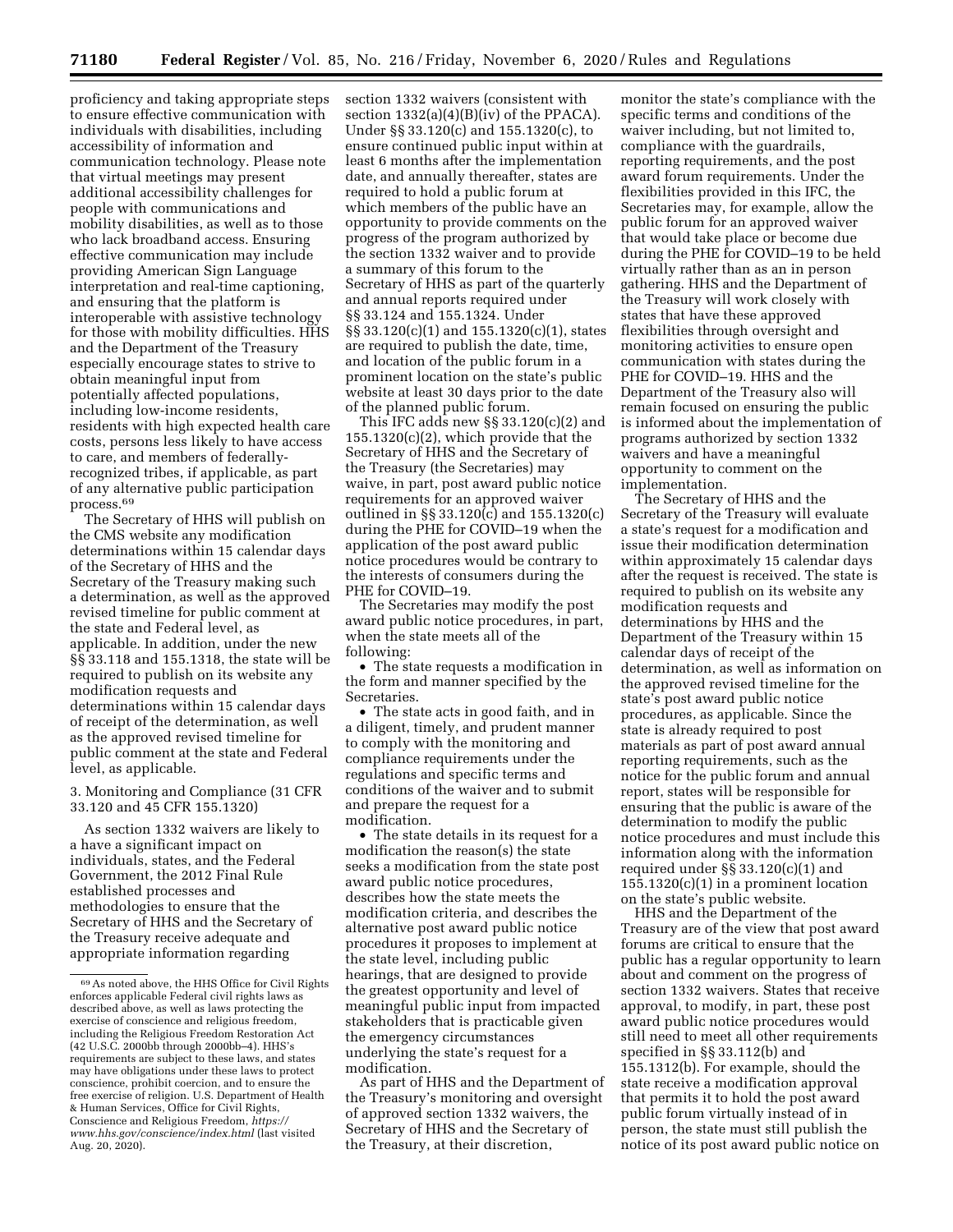proficiency and taking appropriate steps to ensure effective communication with individuals with disabilities, including accessibility of information and communication technology. Please note that virtual meetings may present additional accessibility challenges for people with communications and mobility disabilities, as well as to those who lack broadband access. Ensuring effective communication may include providing American Sign Language interpretation and real-time captioning, and ensuring that the platform is interoperable with assistive technology for those with mobility difficulties. HHS and the Department of the Treasury especially encourage states to strive to obtain meaningful input from potentially affected populations, including low-income residents, residents with high expected health care costs, persons less likely to have access to care, and members of federallyrecognized tribes, if applicable, as part of any alternative public participation process.69

The Secretary of HHS will publish on the CMS website any modification determinations within 15 calendar days of the Secretary of HHS and the Secretary of the Treasury making such a determination, as well as the approved revised timeline for public comment at the state and Federal level, as applicable. In addition, under the new §§ 33.118 and 155.1318, the state will be required to publish on its website any modification requests and determinations within 15 calendar days of receipt of the determination, as well as the approved revised timeline for public comment at the state and Federal level, as applicable.

3. Monitoring and Compliance (31 CFR 33.120 and 45 CFR 155.1320)

As section 1332 waivers are likely to a have a significant impact on individuals, states, and the Federal Government, the 2012 Final Rule established processes and methodologies to ensure that the Secretary of HHS and the Secretary of the Treasury receive adequate and appropriate information regarding

section 1332 waivers (consistent with section  $1332(a)(4)(B)(iv)$  of the PPACA). Under §§ 33.120(c) and 155.1320(c), to ensure continued public input within at least 6 months after the implementation date, and annually thereafter, states are required to hold a public forum at which members of the public have an opportunity to provide comments on the progress of the program authorized by the section 1332 waiver and to provide a summary of this forum to the Secretary of HHS as part of the quarterly and annual reports required under §§ 33.124 and 155.1324. Under §§ 33.120(c)(1) and 155.1320(c)(1), states are required to publish the date, time, and location of the public forum in a prominent location on the state's public website at least 30 days prior to the date of the planned public forum.

This IFC adds new §§ 33.120(c)(2) and 155.1320(c)(2), which provide that the Secretary of HHS and the Secretary of the Treasury (the Secretaries) may waive, in part, post award public notice requirements for an approved waiver outlined in §§ 33.120(c) and 155.1320(c) during the PHE for COVID–19 when the application of the post award public notice procedures would be contrary to the interests of consumers during the PHE for COVID–19.

The Secretaries may modify the post award public notice procedures, in part, when the state meets all of the following:

• The state requests a modification in the form and manner specified by the Secretaries.

• The state acts in good faith, and in a diligent, timely, and prudent manner to comply with the monitoring and compliance requirements under the regulations and specific terms and conditions of the waiver and to submit and prepare the request for a modification.

• The state details in its request for a modification the reason(s) the state seeks a modification from the state post award public notice procedures, describes how the state meets the modification criteria, and describes the alternative post award public notice procedures it proposes to implement at the state level, including public hearings, that are designed to provide the greatest opportunity and level of meaningful public input from impacted stakeholders that is practicable given the emergency circumstances underlying the state's request for a modification.

As part of HHS and the Department of the Treasury's monitoring and oversight of approved section 1332 waivers, the Secretary of HHS and the Secretary of the Treasury, at their discretion,

monitor the state's compliance with the specific terms and conditions of the waiver including, but not limited to, compliance with the guardrails, reporting requirements, and the post award forum requirements. Under the flexibilities provided in this IFC, the Secretaries may, for example, allow the public forum for an approved waiver that would take place or become due during the PHE for COVID–19 to be held virtually rather than as an in person gathering. HHS and the Department of the Treasury will work closely with states that have these approved flexibilities through oversight and monitoring activities to ensure open communication with states during the PHE for COVID–19. HHS and the Department of the Treasury also will remain focused on ensuring the public is informed about the implementation of programs authorized by section 1332 waivers and have a meaningful opportunity to comment on the implementation.

The Secretary of HHS and the Secretary of the Treasury will evaluate a state's request for a modification and issue their modification determination within approximately 15 calendar days after the request is received. The state is required to publish on its website any modification requests and determinations by HHS and the Department of the Treasury within 15 calendar days of receipt of the determination, as well as information on the approved revised timeline for the state's post award public notice procedures, as applicable. Since the state is already required to post materials as part of post award annual reporting requirements, such as the notice for the public forum and annual report, states will be responsible for ensuring that the public is aware of the determination to modify the public notice procedures and must include this information along with the information required under §§ 33.120(c)(1) and  $155.1320(c)(1)$  in a prominent location on the state's public website.

HHS and the Department of the Treasury are of the view that post award forums are critical to ensure that the public has a regular opportunity to learn about and comment on the progress of section 1332 waivers. States that receive approval, to modify, in part, these post award public notice procedures would still need to meet all other requirements specified in §§ 33.112(b) and 155.1312(b). For example, should the state receive a modification approval that permits it to hold the post award public forum virtually instead of in person, the state must still publish the notice of its post award public notice on

<sup>69</sup>As noted above, the HHS Office for Civil Rights enforces applicable Federal civil rights laws as described above, as well as laws protecting the exercise of conscience and religious freedom, including the Religious Freedom Restoration Act (42 U.S.C. 2000bb through 2000bb–4). HHS's requirements are subject to these laws, and states may have obligations under these laws to protect conscience, prohibit coercion, and to ensure the free exercise of religion. U.S. Department of Health & Human Services, Office for Civil Rights, Conscience and Religious Freedom, *https:// www.hhs.gov/conscience/index.html* (last visited Aug. 20, 2020).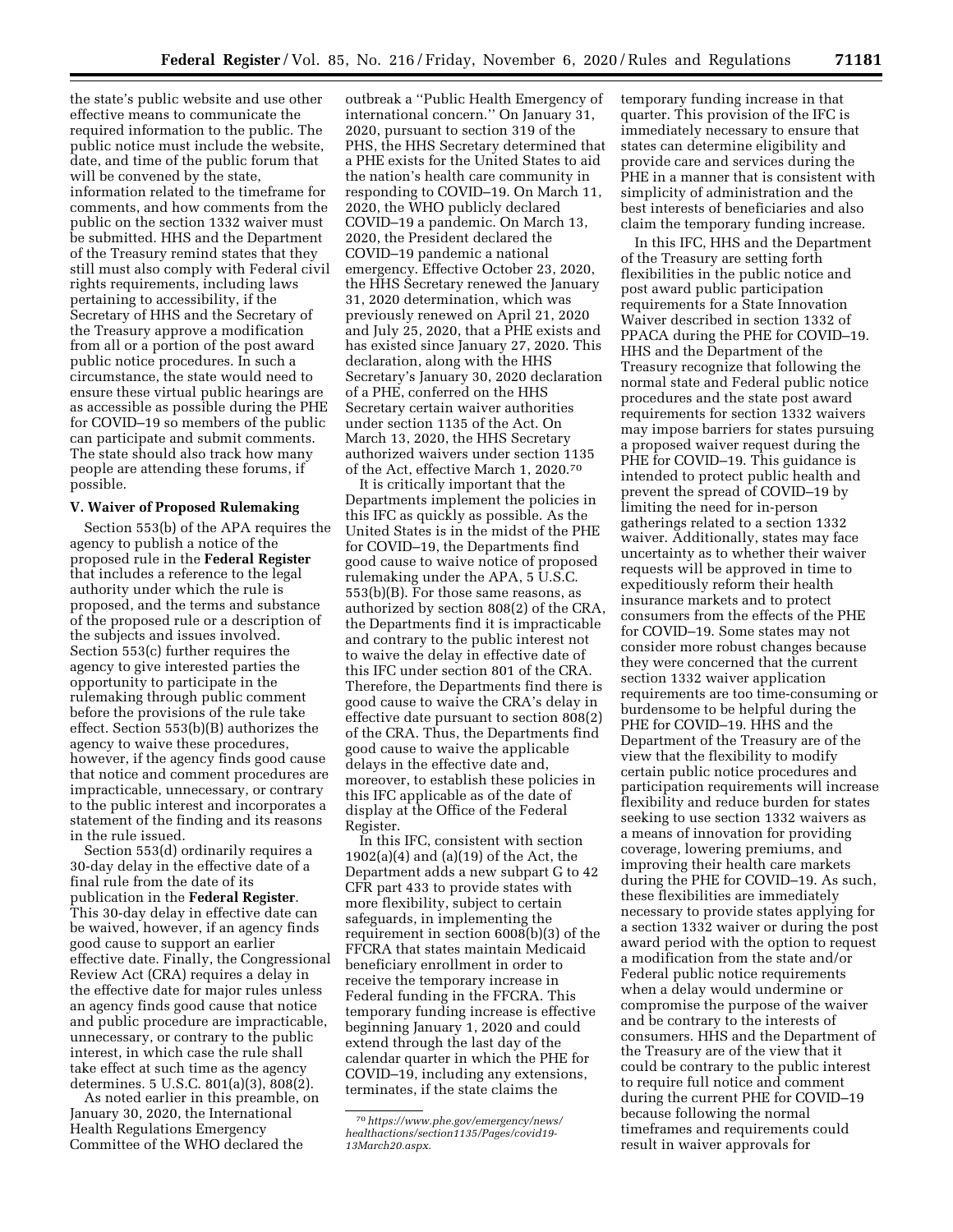the state's public website and use other effective means to communicate the required information to the public. The public notice must include the website, date, and time of the public forum that will be convened by the state, information related to the timeframe for comments, and how comments from the public on the section 1332 waiver must be submitted. HHS and the Department of the Treasury remind states that they still must also comply with Federal civil rights requirements, including laws pertaining to accessibility, if the Secretary of HHS and the Secretary of the Treasury approve a modification from all or a portion of the post award public notice procedures. In such a circumstance, the state would need to ensure these virtual public hearings are as accessible as possible during the PHE for COVID–19 so members of the public can participate and submit comments. The state should also track how many people are attending these forums, if possible.

#### **V. Waiver of Proposed Rulemaking**

Section 553(b) of the APA requires the agency to publish a notice of the proposed rule in the **Federal Register**  that includes a reference to the legal authority under which the rule is proposed, and the terms and substance of the proposed rule or a description of the subjects and issues involved. Section 553(c) further requires the agency to give interested parties the opportunity to participate in the rulemaking through public comment before the provisions of the rule take effect. Section 553(b)(B) authorizes the agency to waive these procedures, however, if the agency finds good cause that notice and comment procedures are impracticable, unnecessary, or contrary to the public interest and incorporates a statement of the finding and its reasons in the rule issued.

Section 553(d) ordinarily requires a 30-day delay in the effective date of a final rule from the date of its publication in the **Federal Register**. This 30-day delay in effective date can be waived, however, if an agency finds good cause to support an earlier effective date. Finally, the Congressional Review Act (CRA) requires a delay in the effective date for major rules unless an agency finds good cause that notice and public procedure are impracticable, unnecessary, or contrary to the public interest, in which case the rule shall take effect at such time as the agency determines. 5 U.S.C. 801(a)(3), 808(2).

As noted earlier in this preamble, on January 30, 2020, the International Health Regulations Emergency Committee of the WHO declared the

outbreak a ''Public Health Emergency of international concern.'' On January 31, 2020, pursuant to section 319 of the PHS, the HHS Secretary determined that a PHE exists for the United States to aid the nation's health care community in responding to COVID–19. On March 11, 2020, the WHO publicly declared COVID–19 a pandemic. On March 13, 2020, the President declared the COVID–19 pandemic a national emergency. Effective October 23, 2020, the HHS Secretary renewed the January 31, 2020 determination, which was previously renewed on April 21, 2020 and July 25, 2020, that a PHE exists and has existed since January 27, 2020. This declaration, along with the HHS Secretary's January 30, 2020 declaration of a PHE, conferred on the HHS Secretary certain waiver authorities under section 1135 of the Act. On March 13, 2020, the HHS Secretary authorized waivers under section 1135 of the Act, effective March 1, 2020.70

It is critically important that the Departments implement the policies in this IFC as quickly as possible. As the United States is in the midst of the PHE for COVID–19, the Departments find good cause to waive notice of proposed rulemaking under the APA, 5 U.S.C. 553(b)(B). For those same reasons, as authorized by section 808(2) of the CRA, the Departments find it is impracticable and contrary to the public interest not to waive the delay in effective date of this IFC under section 801 of the CRA. Therefore, the Departments find there is good cause to waive the CRA's delay in effective date pursuant to section 808(2) of the CRA. Thus, the Departments find good cause to waive the applicable delays in the effective date and, moreover, to establish these policies in this IFC applicable as of the date of display at the Office of the Federal Register.

In this IFC, consistent with section 1902(a)(4) and (a)(19) of the Act, the Department adds a new subpart G to 42 CFR part 433 to provide states with more flexibility, subject to certain safeguards, in implementing the requirement in section 6008(b)(3) of the FFCRA that states maintain Medicaid beneficiary enrollment in order to receive the temporary increase in Federal funding in the FFCRA. This temporary funding increase is effective beginning January 1, 2020 and could extend through the last day of the calendar quarter in which the PHE for COVID–19, including any extensions, terminates, if the state claims the

temporary funding increase in that quarter. This provision of the IFC is immediately necessary to ensure that states can determine eligibility and provide care and services during the PHE in a manner that is consistent with simplicity of administration and the best interests of beneficiaries and also claim the temporary funding increase.

In this IFC, HHS and the Department of the Treasury are setting forth flexibilities in the public notice and post award public participation requirements for a State Innovation Waiver described in section 1332 of PPACA during the PHE for COVID–19. HHS and the Department of the Treasury recognize that following the normal state and Federal public notice procedures and the state post award requirements for section 1332 waivers may impose barriers for states pursuing a proposed waiver request during the PHE for COVID-19. This guidance is intended to protect public health and prevent the spread of COVID–19 by limiting the need for in-person gatherings related to a section 1332 waiver. Additionally, states may face uncertainty as to whether their waiver requests will be approved in time to expeditiously reform their health insurance markets and to protect consumers from the effects of the PHE for COVID–19. Some states may not consider more robust changes because they were concerned that the current section 1332 waiver application requirements are too time-consuming or burdensome to be helpful during the PHE for COVID–19. HHS and the Department of the Treasury are of the view that the flexibility to modify certain public notice procedures and participation requirements will increase flexibility and reduce burden for states seeking to use section 1332 waivers as a means of innovation for providing coverage, lowering premiums, and improving their health care markets during the PHE for COVID–19. As such, these flexibilities are immediately necessary to provide states applying for a section 1332 waiver or during the post award period with the option to request a modification from the state and/or Federal public notice requirements when a delay would undermine or compromise the purpose of the waiver and be contrary to the interests of consumers. HHS and the Department of the Treasury are of the view that it could be contrary to the public interest to require full notice and comment during the current PHE for COVID–19 because following the normal timeframes and requirements could result in waiver approvals for

<sup>70</sup>*https://www.phe.gov/emergency/news/ healthactions/section1135/Pages/covid19- 13March20.aspx.*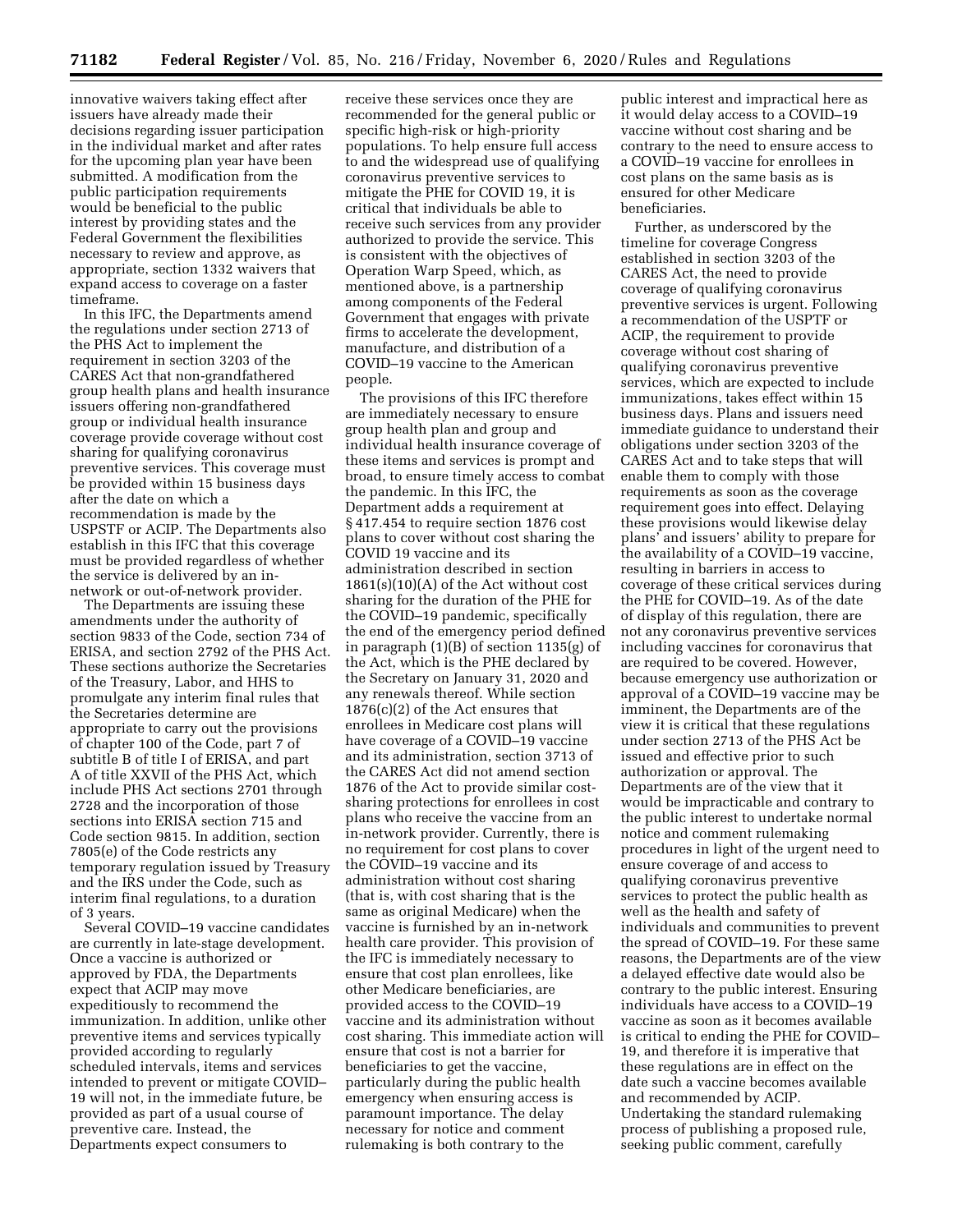innovative waivers taking effect after issuers have already made their decisions regarding issuer participation in the individual market and after rates for the upcoming plan year have been submitted. A modification from the public participation requirements would be beneficial to the public interest by providing states and the Federal Government the flexibilities necessary to review and approve, as appropriate, section 1332 waivers that expand access to coverage on a faster timeframe.

In this IFC, the Departments amend the regulations under section 2713 of the PHS Act to implement the requirement in section 3203 of the CARES Act that non-grandfathered group health plans and health insurance issuers offering non-grandfathered group or individual health insurance coverage provide coverage without cost sharing for qualifying coronavirus preventive services. This coverage must be provided within 15 business days after the date on which a recommendation is made by the USPSTF or ACIP. The Departments also establish in this IFC that this coverage must be provided regardless of whether the service is delivered by an innetwork or out-of-network provider.

The Departments are issuing these amendments under the authority of section 9833 of the Code, section 734 of ERISA, and section 2792 of the PHS Act. These sections authorize the Secretaries of the Treasury, Labor, and HHS to promulgate any interim final rules that the Secretaries determine are appropriate to carry out the provisions of chapter 100 of the Code, part 7 of subtitle B of title I of ERISA, and part A of title XXVII of the PHS Act, which include PHS Act sections 2701 through 2728 and the incorporation of those sections into ERISA section 715 and Code section 9815. In addition, section 7805(e) of the Code restricts any temporary regulation issued by Treasury and the IRS under the Code, such as interim final regulations, to a duration of 3 years.

Several COVID–19 vaccine candidates are currently in late-stage development. Once a vaccine is authorized or approved by FDA, the Departments expect that ACIP may move expeditiously to recommend the immunization. In addition, unlike other preventive items and services typically provided according to regularly scheduled intervals, items and services intended to prevent or mitigate COVID– 19 will not, in the immediate future, be provided as part of a usual course of preventive care. Instead, the Departments expect consumers to

receive these services once they are recommended for the general public or specific high-risk or high-priority populations. To help ensure full access to and the widespread use of qualifying coronavirus preventive services to mitigate the PHE for COVID 19, it is critical that individuals be able to receive such services from any provider authorized to provide the service. This is consistent with the objectives of Operation Warp Speed, which, as mentioned above, is a partnership among components of the Federal Government that engages with private firms to accelerate the development, manufacture, and distribution of a COVID–19 vaccine to the American people.

The provisions of this IFC therefore are immediately necessary to ensure group health plan and group and individual health insurance coverage of these items and services is prompt and broad, to ensure timely access to combat the pandemic. In this IFC, the Department adds a requirement at § 417.454 to require section 1876 cost plans to cover without cost sharing the COVID 19 vaccine and its administration described in section  $1861(s)(10)(A)$  of the Act without cost sharing for the duration of the PHE for the COVID–19 pandemic, specifically the end of the emergency period defined in paragraph (1)(B) of section 1135(g) of the Act, which is the PHE declared by the Secretary on January 31, 2020 and any renewals thereof. While section 1876(c)(2) of the Act ensures that enrollees in Medicare cost plans will have coverage of a COVID–19 vaccine and its administration, section 3713 of the CARES Act did not amend section 1876 of the Act to provide similar costsharing protections for enrollees in cost plans who receive the vaccine from an in-network provider. Currently, there is no requirement for cost plans to cover the COVID–19 vaccine and its administration without cost sharing (that is, with cost sharing that is the same as original Medicare) when the vaccine is furnished by an in-network health care provider. This provision of the IFC is immediately necessary to ensure that cost plan enrollees, like other Medicare beneficiaries, are provided access to the COVID–19 vaccine and its administration without cost sharing. This immediate action will ensure that cost is not a barrier for beneficiaries to get the vaccine, particularly during the public health emergency when ensuring access is paramount importance. The delay necessary for notice and comment rulemaking is both contrary to the

public interest and impractical here as it would delay access to a COVID–19 vaccine without cost sharing and be contrary to the need to ensure access to a COVID–19 vaccine for enrollees in cost plans on the same basis as is ensured for other Medicare beneficiaries.

Further, as underscored by the timeline for coverage Congress established in section 3203 of the CARES Act, the need to provide coverage of qualifying coronavirus preventive services is urgent. Following a recommendation of the USPTF or ACIP, the requirement to provide coverage without cost sharing of qualifying coronavirus preventive services, which are expected to include immunizations, takes effect within 15 business days. Plans and issuers need immediate guidance to understand their obligations under section 3203 of the CARES Act and to take steps that will enable them to comply with those requirements as soon as the coverage requirement goes into effect. Delaying these provisions would likewise delay plans' and issuers' ability to prepare for the availability of a COVID–19 vaccine, resulting in barriers in access to coverage of these critical services during the PHE for COVID–19. As of the date of display of this regulation, there are not any coronavirus preventive services including vaccines for coronavirus that are required to be covered. However, because emergency use authorization or approval of a COVID–19 vaccine may be imminent, the Departments are of the view it is critical that these regulations under section 2713 of the PHS Act be issued and effective prior to such authorization or approval. The Departments are of the view that it would be impracticable and contrary to the public interest to undertake normal notice and comment rulemaking procedures in light of the urgent need to ensure coverage of and access to qualifying coronavirus preventive services to protect the public health as well as the health and safety of individuals and communities to prevent the spread of COVID–19. For these same reasons, the Departments are of the view a delayed effective date would also be contrary to the public interest. Ensuring individuals have access to a COVID–19 vaccine as soon as it becomes available is critical to ending the PHE for COVID– 19, and therefore it is imperative that these regulations are in effect on the date such a vaccine becomes available and recommended by ACIP. Undertaking the standard rulemaking process of publishing a proposed rule, seeking public comment, carefully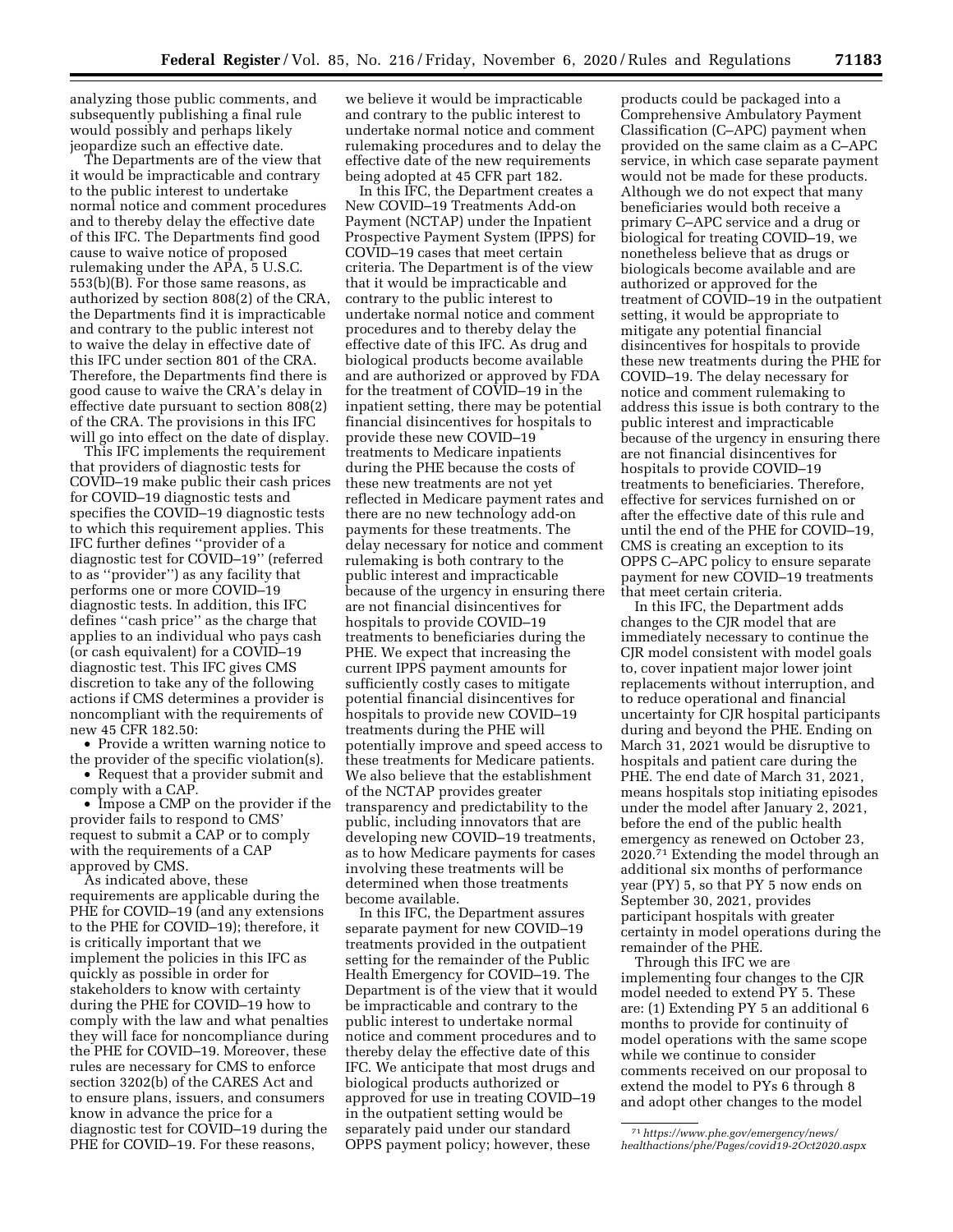analyzing those public comments, and subsequently publishing a final rule would possibly and perhaps likely jeopardize such an effective date.

The Departments are of the view that it would be impracticable and contrary to the public interest to undertake normal notice and comment procedures and to thereby delay the effective date of this IFC. The Departments find good cause to waive notice of proposed rulemaking under the APA, 5 U.S.C. 553(b)(B). For those same reasons, as authorized by section 808(2) of the CRA, the Departments find it is impracticable and contrary to the public interest not to waive the delay in effective date of this IFC under section 801 of the CRA. Therefore, the Departments find there is good cause to waive the CRA's delay in effective date pursuant to section 808(2) of the CRA. The provisions in this IFC will go into effect on the date of display.

This IFC implements the requirement that providers of diagnostic tests for COVID–19 make public their cash prices for COVID–19 diagnostic tests and specifies the COVID–19 diagnostic tests to which this requirement applies. This IFC further defines ''provider of a diagnostic test for COVID–19'' (referred to as ''provider'') as any facility that performs one or more COVID–19 diagnostic tests. In addition, this IFC defines ''cash price'' as the charge that applies to an individual who pays cash (or cash equivalent) for a COVID–19 diagnostic test. This IFC gives CMS discretion to take any of the following actions if CMS determines a provider is noncompliant with the requirements of new 45 CFR 182.50:

• Provide a written warning notice to the provider of the specific violation(s). • Request that a provider submit and comply with a CAP.

• Impose a CMP on the provider if the provider fails to respond to CMS' request to submit a CAP or to comply with the requirements of a CAP approved by CMS.

As indicated above, these requirements are applicable during the PHE for COVID–19 (and any extensions to the PHE for COVID–19); therefore, it is critically important that we implement the policies in this IFC as quickly as possible in order for stakeholders to know with certainty during the PHE for COVID–19 how to comply with the law and what penalties they will face for noncompliance during the PHE for COVID–19. Moreover, these rules are necessary for CMS to enforce section 3202(b) of the CARES Act and to ensure plans, issuers, and consumers know in advance the price for a diagnostic test for COVID–19 during the PHE for COVID–19. For these reasons,

we believe it would be impracticable and contrary to the public interest to undertake normal notice and comment rulemaking procedures and to delay the effective date of the new requirements being adopted at 45 CFR part 182.

In this IFC, the Department creates a New COVID–19 Treatments Add-on Payment (NCTAP) under the Inpatient Prospective Payment System (IPPS) for COVID–19 cases that meet certain criteria. The Department is of the view that it would be impracticable and contrary to the public interest to undertake normal notice and comment procedures and to thereby delay the effective date of this IFC. As drug and biological products become available and are authorized or approved by FDA for the treatment of COVID–19 in the inpatient setting, there may be potential financial disincentives for hospitals to provide these new COVID–19 treatments to Medicare inpatients during the PHE because the costs of these new treatments are not yet reflected in Medicare payment rates and there are no new technology add-on payments for these treatments. The delay necessary for notice and comment rulemaking is both contrary to the public interest and impracticable because of the urgency in ensuring there are not financial disincentives for hospitals to provide COVID–19 treatments to beneficiaries during the PHE. We expect that increasing the current IPPS payment amounts for sufficiently costly cases to mitigate potential financial disincentives for hospitals to provide new COVID–19 treatments during the PHE will potentially improve and speed access to these treatments for Medicare patients. We also believe that the establishment of the NCTAP provides greater transparency and predictability to the public, including innovators that are developing new COVID–19 treatments, as to how Medicare payments for cases involving these treatments will be determined when those treatments become available.

In this IFC, the Department assures separate payment for new COVID–19 treatments provided in the outpatient setting for the remainder of the Public Health Emergency for COVID–19. The Department is of the view that it would be impracticable and contrary to the public interest to undertake normal notice and comment procedures and to thereby delay the effective date of this IFC. We anticipate that most drugs and biological products authorized or approved for use in treating COVID–19 in the outpatient setting would be separately paid under our standard OPPS payment policy; however, these

products could be packaged into a Comprehensive Ambulatory Payment Classification (C–APC) payment when provided on the same claim as a C–APC service, in which case separate payment would not be made for these products. Although we do not expect that many beneficiaries would both receive a primary C–APC service and a drug or biological for treating COVID–19, we nonetheless believe that as drugs or biologicals become available and are authorized or approved for the treatment of COVID–19 in the outpatient setting, it would be appropriate to mitigate any potential financial disincentives for hospitals to provide these new treatments during the PHE for COVID–19. The delay necessary for notice and comment rulemaking to address this issue is both contrary to the public interest and impracticable because of the urgency in ensuring there are not financial disincentives for hospitals to provide COVID–19 treatments to beneficiaries. Therefore, effective for services furnished on or after the effective date of this rule and until the end of the PHE for COVID–19, CMS is creating an exception to its OPPS C–APC policy to ensure separate payment for new COVID–19 treatments that meet certain criteria.

In this IFC, the Department adds changes to the CJR model that are immediately necessary to continue the CJR model consistent with model goals to, cover inpatient major lower joint replacements without interruption, and to reduce operational and financial uncertainty for CJR hospital participants during and beyond the PHE. Ending on March 31, 2021 would be disruptive to hospitals and patient care during the PHE. The end date of March 31, 2021, means hospitals stop initiating episodes under the model after January 2, 2021, before the end of the public health emergency as renewed on October 23, 2020.71 Extending the model through an additional six months of performance year (PY) 5, so that PY 5 now ends on September 30, 2021, provides participant hospitals with greater certainty in model operations during the remainder of the PHE.

Through this IFC we are implementing four changes to the CJR model needed to extend PY 5. These are: (1) Extending PY 5 an additional 6 months to provide for continuity of model operations with the same scope while we continue to consider comments received on our proposal to extend the model to PYs 6 through 8 and adopt other changes to the model

<sup>71</sup>*https://www.phe.gov/emergency/news/ healthactions/phe/Pages/covid19-2Oct2020.aspx*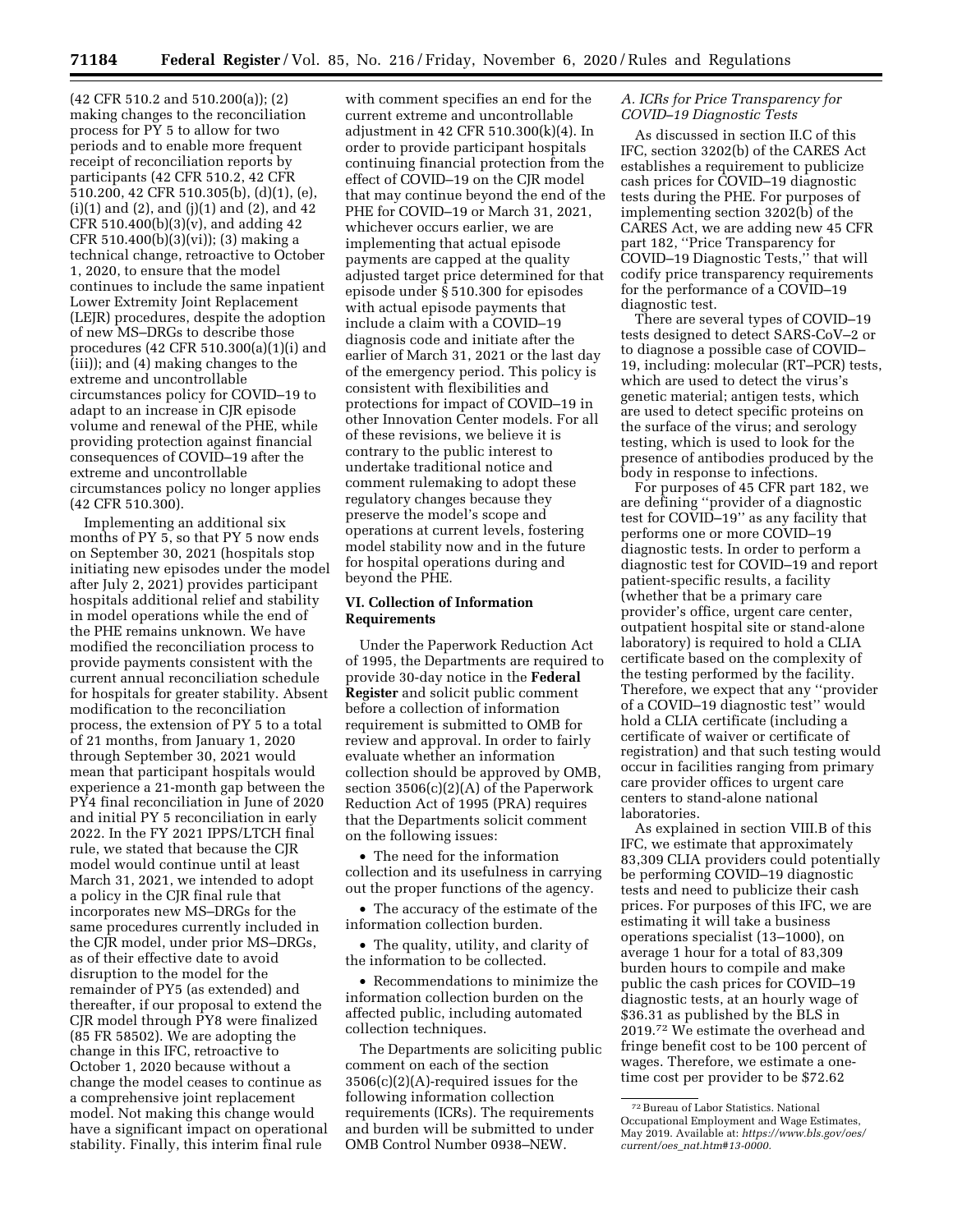(42 CFR 510.2 and 510.200(a)); (2) making changes to the reconciliation process for PY 5 to allow for two periods and to enable more frequent receipt of reconciliation reports by participants (42 CFR 510.2, 42 CFR 510.200, 42 CFR 510.305(b), (d)(1), (e),  $(i)(1)$  and  $(2)$ , and  $(j)(1)$  and  $(2)$ , and  $42$ CFR 510.400(b)(3)(v), and adding 42 CFR 510.400(b)(3)(vi)); (3) making a technical change, retroactive to October 1, 2020, to ensure that the model continues to include the same inpatient Lower Extremity Joint Replacement (LEJR) procedures, despite the adoption of new MS–DRGs to describe those procedures (42 CFR 510.300(a)(1)(i) and (iii)); and (4) making changes to the extreme and uncontrollable circumstances policy for COVID–19 to adapt to an increase in CJR episode volume and renewal of the PHE, while providing protection against financial consequences of COVID–19 after the extreme and uncontrollable circumstances policy no longer applies (42 CFR 510.300).

Implementing an additional six months of PY 5, so that PY 5 now ends on September 30, 2021 (hospitals stop initiating new episodes under the model after July 2, 2021) provides participant hospitals additional relief and stability in model operations while the end of the PHE remains unknown. We have modified the reconciliation process to provide payments consistent with the current annual reconciliation schedule for hospitals for greater stability. Absent modification to the reconciliation process, the extension of PY 5 to a total of 21 months, from January 1, 2020 through September 30, 2021 would mean that participant hospitals would experience a 21-month gap between the PY4 final reconciliation in June of 2020 and initial PY 5 reconciliation in early 2022. In the FY 2021 IPPS/LTCH final rule, we stated that because the CJR model would continue until at least March 31, 2021, we intended to adopt a policy in the CJR final rule that incorporates new MS–DRGs for the same procedures currently included in the CJR model, under prior MS–DRGs, as of their effective date to avoid disruption to the model for the remainder of PY5 (as extended) and thereafter, if our proposal to extend the CJR model through PY8 were finalized (85 FR 58502). We are adopting the change in this IFC, retroactive to October 1, 2020 because without a change the model ceases to continue as a comprehensive joint replacement model. Not making this change would have a significant impact on operational stability. Finally, this interim final rule

with comment specifies an end for the current extreme and uncontrollable adjustment in 42 CFR 510.300(k)(4). In order to provide participant hospitals continuing financial protection from the effect of COVID–19 on the CJR model that may continue beyond the end of the PHE for COVID–19 or March 31, 2021, whichever occurs earlier, we are implementing that actual episode payments are capped at the quality adjusted target price determined for that episode under § 510.300 for episodes with actual episode payments that include a claim with a COVID–19 diagnosis code and initiate after the earlier of March 31, 2021 or the last day of the emergency period. This policy is consistent with flexibilities and protections for impact of COVID–19 in other Innovation Center models. For all of these revisions, we believe it is contrary to the public interest to undertake traditional notice and comment rulemaking to adopt these regulatory changes because they preserve the model's scope and operations at current levels, fostering model stability now and in the future for hospital operations during and beyond the PHE.

# **VI. Collection of Information Requirements**

Under the Paperwork Reduction Act of 1995, the Departments are required to provide 30-day notice in the **Federal Register** and solicit public comment before a collection of information requirement is submitted to OMB for review and approval. In order to fairly evaluate whether an information collection should be approved by OMB, section 3506(c)(2)(A) of the Paperwork Reduction Act of 1995 (PRA) requires that the Departments solicit comment on the following issues:

• The need for the information collection and its usefulness in carrying out the proper functions of the agency.

• The accuracy of the estimate of the information collection burden.

• The quality, utility, and clarity of the information to be collected.

• Recommendations to minimize the information collection burden on the affected public, including automated collection techniques.

The Departments are soliciting public comment on each of the section 3506(c)(2)(A)-required issues for the following information collection requirements (ICRs). The requirements and burden will be submitted to under OMB Control Number 0938–NEW.

# *A. ICRs for Price Transparency for COVID–19 Diagnostic Tests*

As discussed in section II.C of this IFC, section 3202(b) of the CARES Act establishes a requirement to publicize cash prices for COVID–19 diagnostic tests during the PHE. For purposes of implementing section 3202(b) of the CARES Act, we are adding new 45 CFR part 182, ''Price Transparency for COVID–19 Diagnostic Tests,'' that will codify price transparency requirements for the performance of a COVID–19 diagnostic test.

There are several types of COVID–19 tests designed to detect SARS-CoV–2 or to diagnose a possible case of COVID– 19, including: molecular (RT–PCR) tests, which are used to detect the virus's genetic material; antigen tests, which are used to detect specific proteins on the surface of the virus; and serology testing, which is used to look for the presence of antibodies produced by the body in response to infections.

For purposes of 45 CFR part 182, we are defining ''provider of a diagnostic test for COVID–19'' as any facility that performs one or more COVID–19 diagnostic tests. In order to perform a diagnostic test for COVID–19 and report patient-specific results, a facility (whether that be a primary care provider's office, urgent care center, outpatient hospital site or stand-alone laboratory) is required to hold a CLIA certificate based on the complexity of the testing performed by the facility. Therefore, we expect that any ''provider of a COVID–19 diagnostic test'' would hold a CLIA certificate (including a certificate of waiver or certificate of registration) and that such testing would occur in facilities ranging from primary care provider offices to urgent care centers to stand-alone national laboratories.

As explained in section VIII.B of this IFC, we estimate that approximately 83,309 CLIA providers could potentially be performing COVID–19 diagnostic tests and need to publicize their cash prices. For purposes of this IFC, we are estimating it will take a business operations specialist (13–1000), on average 1 hour for a total of 83,309 burden hours to compile and make public the cash prices for COVID–19 diagnostic tests, at an hourly wage of \$36.31 as published by the BLS in 2019.72 We estimate the overhead and fringe benefit cost to be 100 percent of wages. Therefore, we estimate a onetime cost per provider to be \$72.62

<sup>72</sup>Bureau of Labor Statistics. National Occupational Employment and Wage Estimates, May 2019. Available at: *https://www.bls.gov/oes/ current/oes*\_*nat.htm#13-0000.*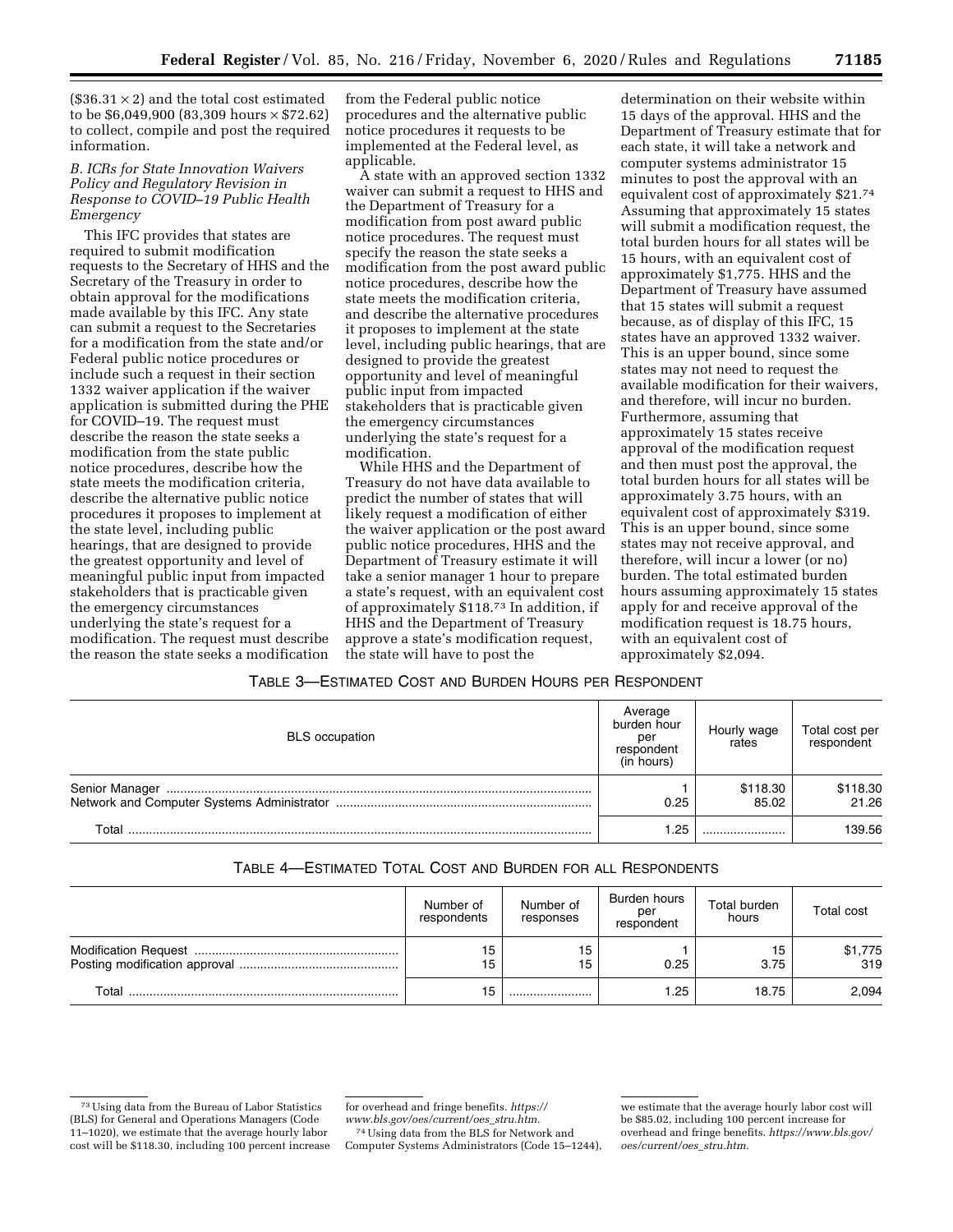$($36.31 \times 2)$  and the total cost estimated to be \$6,049,900 (83,309 hours × \$72.62) to collect, compile and post the required information.

# *B. ICRs for State Innovation Waivers Policy and Regulatory Revision in Response to COVID–19 Public Health Emergency*

This IFC provides that states are required to submit modification requests to the Secretary of HHS and the Secretary of the Treasury in order to obtain approval for the modifications made available by this IFC. Any state can submit a request to the Secretaries for a modification from the state and/or Federal public notice procedures or include such a request in their section 1332 waiver application if the waiver application is submitted during the PHE for COVID–19. The request must describe the reason the state seeks a modification from the state public notice procedures, describe how the state meets the modification criteria, describe the alternative public notice procedures it proposes to implement at the state level, including public hearings, that are designed to provide the greatest opportunity and level of meaningful public input from impacted stakeholders that is practicable given the emergency circumstances underlying the state's request for a modification. The request must describe the reason the state seeks a modification from the Federal public notice procedures and the alternative public notice procedures it requests to be implemented at the Federal level, as applicable.

A state with an approved section 1332 waiver can submit a request to HHS and the Department of Treasury for a modification from post award public notice procedures. The request must specify the reason the state seeks a modification from the post award public notice procedures, describe how the state meets the modification criteria, and describe the alternative procedures it proposes to implement at the state level, including public hearings, that are designed to provide the greatest opportunity and level of meaningful public input from impacted stakeholders that is practicable given the emergency circumstances underlying the state's request for a modification.

While HHS and the Department of Treasury do not have data available to predict the number of states that will likely request a modification of either the waiver application or the post award public notice procedures, HHS and the Department of Treasury estimate it will take a senior manager 1 hour to prepare a state's request, with an equivalent cost of approximately \$118.73 In addition, if HHS and the Department of Treasury approve a state's modification request, the state will have to post the

determination on their website within 15 days of the approval. HHS and the Department of Treasury estimate that for each state, it will take a network and computer systems administrator 15 minutes to post the approval with an equivalent cost of approximately \$21.74 Assuming that approximately 15 states will submit a modification request, the total burden hours for all states will be 15 hours, with an equivalent cost of approximately \$1,775. HHS and the Department of Treasury have assumed that 15 states will submit a request because, as of display of this IFC, 15 states have an approved 1332 waiver. This is an upper bound, since some states may not need to request the available modification for their waivers, and therefore, will incur no burden. Furthermore, assuming that approximately 15 states receive approval of the modification request and then must post the approval, the total burden hours for all states will be approximately 3.75 hours, with an equivalent cost of approximately \$319. This is an upper bound, since some states may not receive approval, and therefore, will incur a lower (or no) burden. The total estimated burden hours assuming approximately 15 states apply for and receive approval of the modification request is 18.75 hours, with an equivalent cost of approximately \$2,094.

## TABLE 3—ESTIMATED COST AND BURDEN HOURS PER RESPONDENT

| <b>BLS</b> occupation | Average<br>burden hour<br>peı<br>respondent<br>(in hours) | Hourly wage<br>rates | Total cost per<br>respondent |
|-----------------------|-----------------------------------------------------------|----------------------|------------------------------|
|                       | 0.25                                                      | \$118.30<br>85.02    | \$118.30<br>21.26            |
| Total                 | 1.25                                                      |                      | 139.56                       |

# TABLE 4—ESTIMATED TOTAL COST AND BURDEN FOR ALL RESPONDENTS

|       | Number of<br>respondents | Number of<br>responses | Burden hours<br>per<br>respondent | Total burden<br>hours | <b>Total cost</b> |
|-------|--------------------------|------------------------|-----------------------------------|-----------------------|-------------------|
|       | 15<br>15                 | 15<br>15               | 0.25                              | 3.75                  | \$1,775<br>319    |
| Total | 15                       |                        | 1.25                              | 18.75                 | 2,094             |

74Using data from the BLS for Network and Computer Systems Administrators (Code 15–1244),

<sup>73</sup>Using data from the Bureau of Labor Statistics (BLS) for General and Operations Managers (Code 11–1020), we estimate that the average hourly labor cost will be \$118.30, including 100 percent increase

for overhead and fringe benefits. *https:// www.bls.gov/oes/current/oes*\_*stru.htm.* 

we estimate that the average hourly labor cost will be \$85.02, including 100 percent increase for overhead and fringe benefits. *https://www.bls.gov/ oes/current/oes*\_*stru.htm.*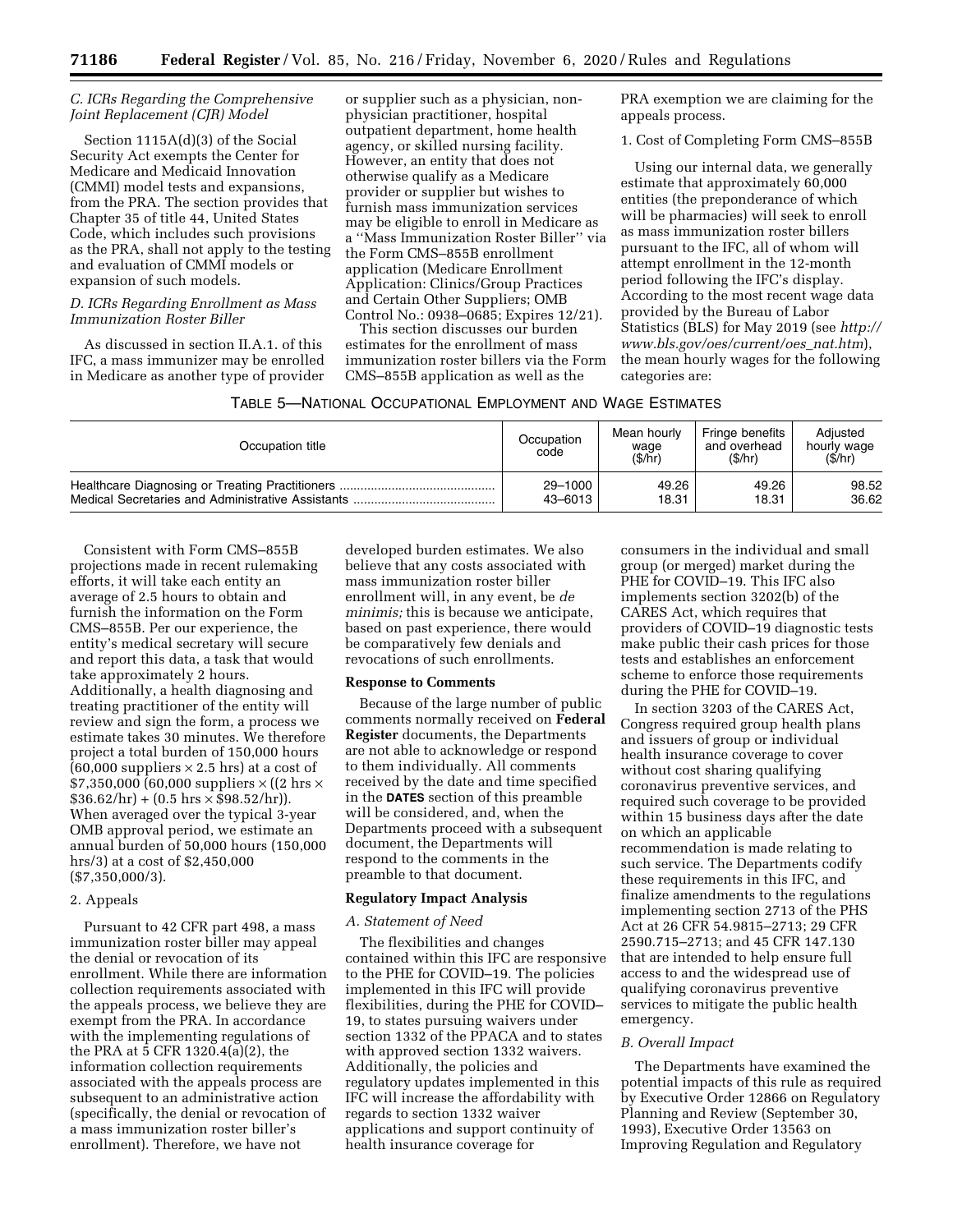# *C. ICRs Regarding the Comprehensive Joint Replacement (CJR) Model*

Section 1115A(d)(3) of the Social Security Act exempts the Center for Medicare and Medicaid Innovation (CMMI) model tests and expansions, from the PRA. The section provides that Chapter 35 of title 44, United States Code, which includes such provisions as the PRA, shall not apply to the testing and evaluation of CMMI models or expansion of such models.

# *D. ICRs Regarding Enrollment as Mass Immunization Roster Biller*

As discussed in section II.A.1. of this IFC, a mass immunizer may be enrolled in Medicare as another type of provider

or supplier such as a physician, nonphysician practitioner, hospital outpatient department, home health agency, or skilled nursing facility. However, an entity that does not otherwise qualify as a Medicare provider or supplier but wishes to furnish mass immunization services may be eligible to enroll in Medicare as a ''Mass Immunization Roster Biller'' via the Form CMS–855B enrollment application (Medicare Enrollment Application: Clinics/Group Practices and Certain Other Suppliers; OMB Control No.: 0938–0685; Expires 12/21).

This section discusses our burden estimates for the enrollment of mass immunization roster billers via the Form CMS–855B application as well as the

PRA exemption we are claiming for the appeals process.

1. Cost of Completing Form CMS–855B

Using our internal data, we generally estimate that approximately 60,000 entities (the preponderance of which will be pharmacies) will seek to enroll as mass immunization roster billers pursuant to the IFC, all of whom will attempt enrollment in the 12-month period following the IFC's display. According to the most recent wage data provided by the Bureau of Labor Statistics (BLS) for May 2019 (see *http:// www.bls.gov/oes/current/oes*\_*nat.htm*), the mean hourly wages for the following categories are:

| Occupation title                                  | Occupation<br>code | Mean hourly<br>wage<br>(S/hr) | Fringe benefits<br>and overhead<br>(S/hr) | Adiusted<br>hourly wage<br>(S/hr) |
|---------------------------------------------------|--------------------|-------------------------------|-------------------------------------------|-----------------------------------|
|                                                   | 29-1000            | 49.26                         | 49.26                                     | 98.52                             |
| Medical Secretaries and Administrative Assistants | 43-6013            | 18.31                         | 18.31                                     | 36.62                             |

Consistent with Form CMS–855B projections made in recent rulemaking efforts, it will take each entity an average of 2.5 hours to obtain and furnish the information on the Form CMS–855B. Per our experience, the entity's medical secretary will secure and report this data, a task that would take approximately 2 hours. Additionally, a health diagnosing and treating practitioner of the entity will review and sign the form, a process we estimate takes 30 minutes. We therefore project a total burden of 150,000 hours  $(60,000$  suppliers  $\times 2.5$  hrs) at a cost of  $$7,350,000$  (60,000 suppliers  $\times$  ((2 hrs  $\times$  $$36.62/hr] + (0.5 hrs \times $98.52/hr).$ When averaged over the typical 3-year OMB approval period, we estimate an annual burden of 50,000 hours (150,000 hrs/3) at a cost of \$2,450,000 (\$7,350,000/3).

#### 2. Appeals

Pursuant to 42 CFR part 498, a mass immunization roster biller may appeal the denial or revocation of its enrollment. While there are information collection requirements associated with the appeals process, we believe they are exempt from the PRA. In accordance with the implementing regulations of the PRA at 5 CFR 1320.4(a)(2), the information collection requirements associated with the appeals process are subsequent to an administrative action (specifically, the denial or revocation of a mass immunization roster biller's enrollment). Therefore, we have not

developed burden estimates. We also believe that any costs associated with mass immunization roster biller enrollment will, in any event, be *de minimis;* this is because we anticipate, based on past experience, there would be comparatively few denials and revocations of such enrollments.

#### **Response to Comments**

Because of the large number of public comments normally received on **Federal Register** documents, the Departments are not able to acknowledge or respond to them individually. All comments received by the date and time specified in the **DATES** section of this preamble will be considered, and, when the Departments proceed with a subsequent document, the Departments will respond to the comments in the preamble to that document.

## **Regulatory Impact Analysis**

#### *A. Statement of Need*

The flexibilities and changes contained within this IFC are responsive to the PHE for COVID–19. The policies implemented in this IFC will provide flexibilities, during the PHE for COVID– 19, to states pursuing waivers under section 1332 of the PPACA and to states with approved section 1332 waivers. Additionally, the policies and regulatory updates implemented in this IFC will increase the affordability with regards to section 1332 waiver applications and support continuity of health insurance coverage for

consumers in the individual and small group (or merged) market during the PHE for COVID–19. This IFC also implements section 3202(b) of the CARES Act, which requires that providers of COVID–19 diagnostic tests make public their cash prices for those tests and establishes an enforcement scheme to enforce those requirements during the PHE for COVID–19.

In section 3203 of the CARES Act, Congress required group health plans and issuers of group or individual health insurance coverage to cover without cost sharing qualifying coronavirus preventive services, and required such coverage to be provided within 15 business days after the date on which an applicable recommendation is made relating to such service. The Departments codify these requirements in this IFC, and finalize amendments to the regulations implementing section 2713 of the PHS Act at 26 CFR 54.9815–2713; 29 CFR 2590.715–2713; and 45 CFR 147.130 that are intended to help ensure full access to and the widespread use of qualifying coronavirus preventive services to mitigate the public health emergency.

### *B. Overall Impact*

The Departments have examined the potential impacts of this rule as required by Executive Order 12866 on Regulatory Planning and Review (September 30, 1993), Executive Order 13563 on Improving Regulation and Regulatory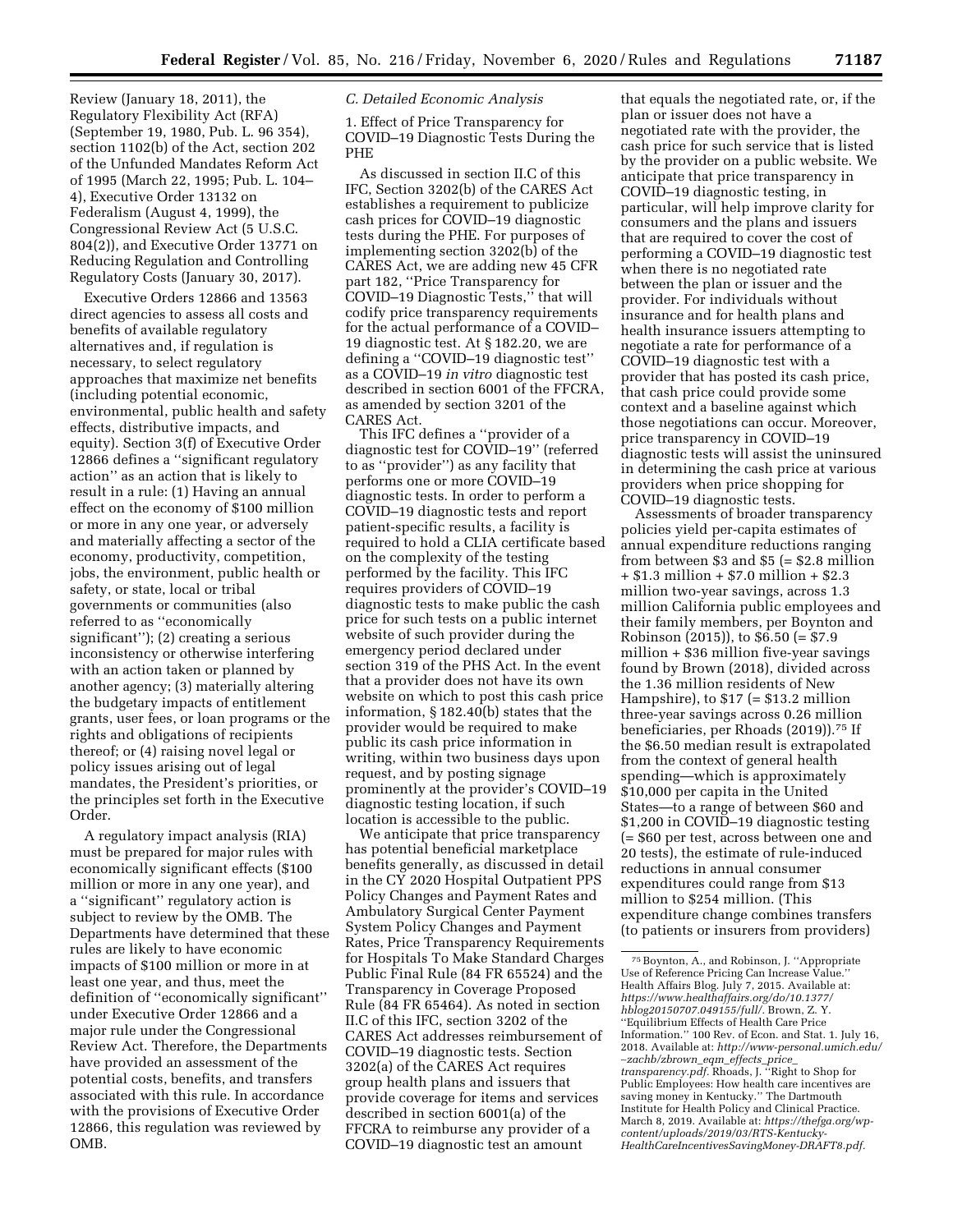Review (January 18, 2011), the Regulatory Flexibility Act (RFA) (September 19, 1980, Pub. L. 96 354), section 1102(b) of the Act, section 202 of the Unfunded Mandates Reform Act of 1995 (March 22, 1995; Pub. L. 104– 4), Executive Order 13132 on Federalism (August 4, 1999), the Congressional Review Act (5 U.S.C. 804(2)), and Executive Order 13771 on Reducing Regulation and Controlling Regulatory Costs (January 30, 2017).

Executive Orders 12866 and 13563 direct agencies to assess all costs and benefits of available regulatory alternatives and, if regulation is necessary, to select regulatory approaches that maximize net benefits (including potential economic, environmental, public health and safety effects, distributive impacts, and equity). Section 3(f) of Executive Order 12866 defines a ''significant regulatory action'' as an action that is likely to result in a rule: (1) Having an annual effect on the economy of \$100 million or more in any one year, or adversely and materially affecting a sector of the economy, productivity, competition, jobs, the environment, public health or safety, or state, local or tribal governments or communities (also referred to as ''economically significant''); (2) creating a serious inconsistency or otherwise interfering with an action taken or planned by another agency; (3) materially altering the budgetary impacts of entitlement grants, user fees, or loan programs or the rights and obligations of recipients thereof; or (4) raising novel legal or policy issues arising out of legal mandates, the President's priorities, or the principles set forth in the Executive Order.

A regulatory impact analysis (RIA) must be prepared for major rules with economically significant effects (\$100 million or more in any one year), and a ''significant'' regulatory action is subject to review by the OMB. The Departments have determined that these rules are likely to have economic impacts of \$100 million or more in at least one year, and thus, meet the definition of ''economically significant'' under Executive Order 12866 and a major rule under the Congressional Review Act. Therefore, the Departments have provided an assessment of the potential costs, benefits, and transfers associated with this rule. In accordance with the provisions of Executive Order 12866, this regulation was reviewed by OMB.

# *C. Detailed Economic Analysis*

1. Effect of Price Transparency for COVID–19 Diagnostic Tests During the PHE

As discussed in section II.C of this IFC, Section 3202(b) of the CARES Act establishes a requirement to publicize cash prices for COVID–19 diagnostic tests during the PHE. For purposes of implementing section 3202(b) of the CARES Act, we are adding new 45 CFR part 182, ''Price Transparency for COVID–19 Diagnostic Tests,'' that will codify price transparency requirements for the actual performance of a COVID– 19 diagnostic test. At § 182.20, we are defining a ''COVID–19 diagnostic test'' as a COVID–19 *in vitro* diagnostic test described in section 6001 of the FFCRA, as amended by section 3201 of the CARES Act.

This IFC defines a ''provider of a diagnostic test for COVID–19'' (referred to as ''provider'') as any facility that performs one or more COVID–19 diagnostic tests. In order to perform a COVID–19 diagnostic tests and report patient-specific results, a facility is required to hold a CLIA certificate based on the complexity of the testing performed by the facility. This IFC requires providers of COVID–19 diagnostic tests to make public the cash price for such tests on a public internet website of such provider during the emergency period declared under section 319 of the PHS Act. In the event that a provider does not have its own website on which to post this cash price information, § 182.40(b) states that the provider would be required to make public its cash price information in writing, within two business days upon request, and by posting signage prominently at the provider's COVID–19 diagnostic testing location, if such location is accessible to the public.

We anticipate that price transparency has potential beneficial marketplace benefits generally, as discussed in detail in the CY 2020 Hospital Outpatient PPS Policy Changes and Payment Rates and Ambulatory Surgical Center Payment System Policy Changes and Payment Rates, Price Transparency Requirements for Hospitals To Make Standard Charges Public Final Rule (84 FR 65524) and the Transparency in Coverage Proposed Rule (84 FR 65464). As noted in section II.C of this IFC, section 3202 of the CARES Act addresses reimbursement of COVID–19 diagnostic tests. Section 3202(a) of the CARES Act requires group health plans and issuers that provide coverage for items and services described in section 6001(a) of the FFCRA to reimburse any provider of a COVID–19 diagnostic test an amount

that equals the negotiated rate, or, if the plan or issuer does not have a negotiated rate with the provider, the cash price for such service that is listed by the provider on a public website. We anticipate that price transparency in COVID–19 diagnostic testing, in particular, will help improve clarity for consumers and the plans and issuers that are required to cover the cost of performing a COVID–19 diagnostic test when there is no negotiated rate between the plan or issuer and the provider. For individuals without insurance and for health plans and health insurance issuers attempting to negotiate a rate for performance of a COVID–19 diagnostic test with a provider that has posted its cash price, that cash price could provide some context and a baseline against which those negotiations can occur. Moreover, price transparency in COVID–19 diagnostic tests will assist the uninsured in determining the cash price at various providers when price shopping for COVID–19 diagnostic tests.

Assessments of broader transparency policies yield per-capita estimates of annual expenditure reductions ranging from between \$3 and \$5 (= \$2.8 million + \$1.3 million + \$7.0 million + \$2.3 million two-year savings, across 1.3 million California public employees and their family members, per Boynton and Robinson (2015)), to \$6.50 (= \$7.9 million + \$36 million five-year savings found by Brown (2018), divided across the 1.36 million residents of New Hampshire), to \$17 (= \$13.2 million three-year savings across 0.26 million beneficiaries, per Rhoads (2019)).75 If the \$6.50 median result is extrapolated from the context of general health spending—which is approximately \$10,000 per capita in the United States—to a range of between \$60 and \$1,200 in COVID–19 diagnostic testing (= \$60 per test, across between one and 20 tests), the estimate of rule-induced reductions in annual consumer expenditures could range from \$13 million to \$254 million. (This expenditure change combines transfers (to patients or insurers from providers)

<sup>75</sup>Boynton, A., and Robinson, J. ''Appropriate Use of Reference Pricing Can Increase Value.'' Health Affairs Blog. July 7, 2015. Available at: *https://www.healthaffairs.org/do/10.1377/ hblog20150707.049155/full/.* Brown, Z. Y. ''Equilibrium Effects of Health Care Price Information.'' 100 Rev. of Econ. and Stat. 1. July 16, 2018. Available at: *http://www-personal.umich.edu/*  ∼*zachb/zbrown*\_*eqm*\_*effects*\_*price*\_ *transparency.pdf.* Rhoads, J. ''Right to Shop for Public Employees: How health care incentives are saving money in Kentucky.'' The Dartmouth Institute for Health Policy and Clinical Practice. March 8, 2019. Available at: *https://thefga.org/wpcontent/uploads/2019/03/RTS-Kentucky-HealthCareIncentivesSavingMoney-DRAFT8.pdf.*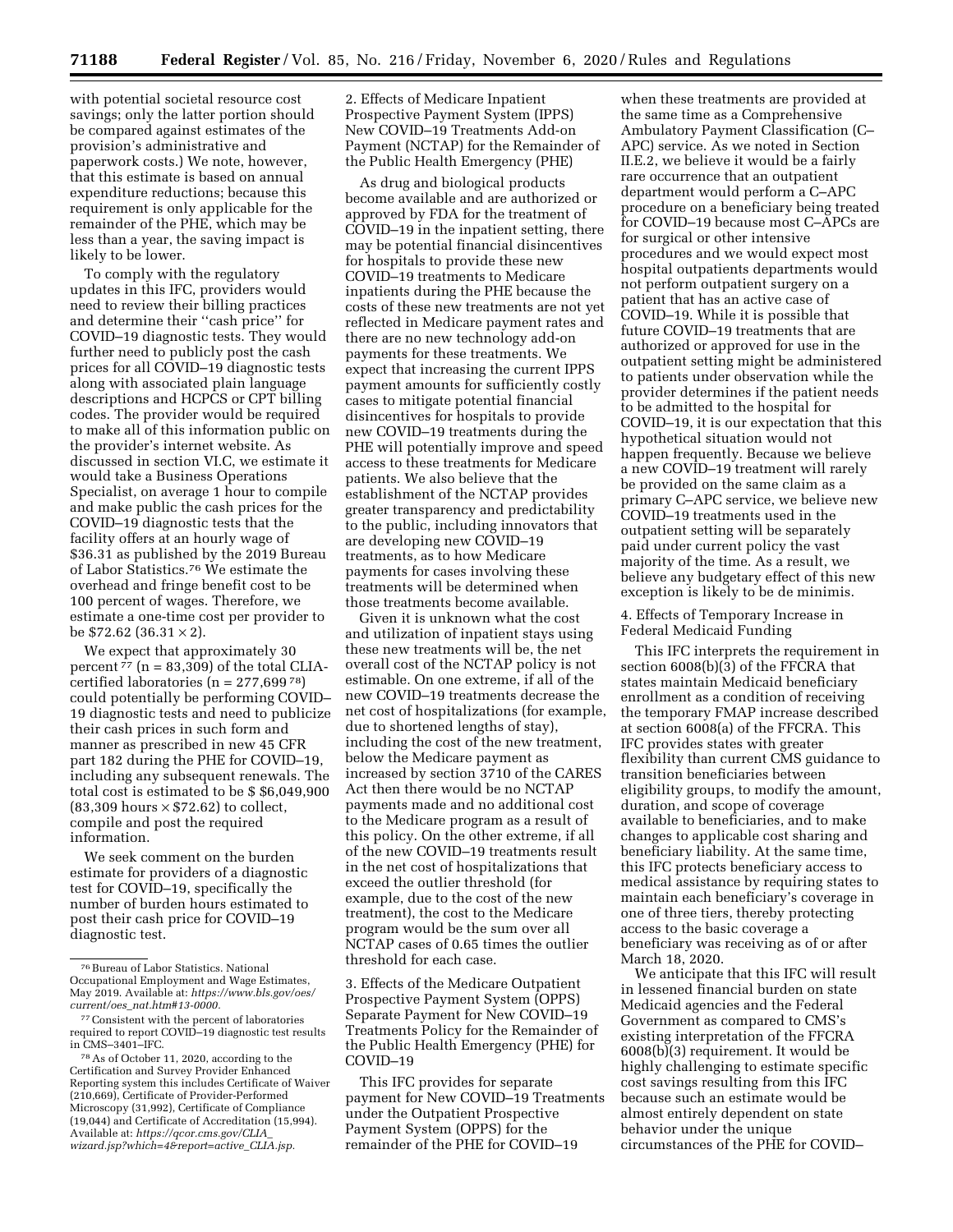with potential societal resource cost savings; only the latter portion should be compared against estimates of the provision's administrative and paperwork costs.) We note, however, that this estimate is based on annual expenditure reductions; because this requirement is only applicable for the remainder of the PHE, which may be less than a year, the saving impact is likely to be lower.

To comply with the regulatory updates in this IFC, providers would need to review their billing practices and determine their ''cash price'' for COVID–19 diagnostic tests. They would further need to publicly post the cash prices for all COVID–19 diagnostic tests along with associated plain language descriptions and HCPCS or CPT billing codes. The provider would be required to make all of this information public on the provider's internet website. As discussed in section VI.C, we estimate it would take a Business Operations Specialist, on average 1 hour to compile and make public the cash prices for the COVID–19 diagnostic tests that the facility offers at an hourly wage of \$36.31 as published by the 2019 Bureau of Labor Statistics.76 We estimate the overhead and fringe benefit cost to be 100 percent of wages. Therefore, we estimate a one-time cost per provider to be  $$72.62$  (36.31  $\times$  2).

We expect that approximately 30 percent  $\frac{77}{1}$  (n = 83,309) of the total CLIAcertified laboratories  $(n = 277,69978)$ could potentially be performing COVID– 19 diagnostic tests and need to publicize their cash prices in such form and manner as prescribed in new 45 CFR part 182 during the PHE for COVID–19, including any subsequent renewals. The total cost is estimated to be \$ \$6,049,900  $(83,309$  hours  $\times$  \$72.62) to collect, compile and post the required information.

We seek comment on the burden estimate for providers of a diagnostic test for COVID–19, specifically the number of burden hours estimated to post their cash price for COVID–19 diagnostic test.

2. Effects of Medicare Inpatient Prospective Payment System (IPPS) New COVID–19 Treatments Add-on Payment (NCTAP) for the Remainder of the Public Health Emergency (PHE)

As drug and biological products become available and are authorized or approved by FDA for the treatment of COVID–19 in the inpatient setting, there may be potential financial disincentives for hospitals to provide these new COVID–19 treatments to Medicare inpatients during the PHE because the costs of these new treatments are not yet reflected in Medicare payment rates and there are no new technology add-on payments for these treatments. We expect that increasing the current IPPS payment amounts for sufficiently costly cases to mitigate potential financial disincentives for hospitals to provide new COVID–19 treatments during the PHE will potentially improve and speed access to these treatments for Medicare patients. We also believe that the establishment of the NCTAP provides greater transparency and predictability to the public, including innovators that are developing new COVID–19 treatments, as to how Medicare payments for cases involving these treatments will be determined when those treatments become available.

Given it is unknown what the cost and utilization of inpatient stays using these new treatments will be, the net overall cost of the NCTAP policy is not estimable. On one extreme, if all of the new COVID–19 treatments decrease the net cost of hospitalizations (for example, due to shortened lengths of stay), including the cost of the new treatment, below the Medicare payment as increased by section 3710 of the CARES Act then there would be no NCTAP payments made and no additional cost to the Medicare program as a result of this policy. On the other extreme, if all of the new COVID–19 treatments result in the net cost of hospitalizations that exceed the outlier threshold (for example, due to the cost of the new treatment), the cost to the Medicare program would be the sum over all NCTAP cases of 0.65 times the outlier threshold for each case.

3. Effects of the Medicare Outpatient Prospective Payment System (OPPS) Separate Payment for New COVID–19 Treatments Policy for the Remainder of the Public Health Emergency (PHE) for COVID–19

This IFC provides for separate payment for New COVID–19 Treatments under the Outpatient Prospective Payment System (OPPS) for the remainder of the PHE for COVID–19

when these treatments are provided at the same time as a Comprehensive Ambulatory Payment Classification (C– APC) service. As we noted in Section II.E.2, we believe it would be a fairly rare occurrence that an outpatient department would perform a C–APC procedure on a beneficiary being treated for COVID–19 because most C–APCs are for surgical or other intensive procedures and we would expect most hospital outpatients departments would not perform outpatient surgery on a patient that has an active case of COVID–19. While it is possible that future COVID–19 treatments that are authorized or approved for use in the outpatient setting might be administered to patients under observation while the provider determines if the patient needs to be admitted to the hospital for COVID–19, it is our expectation that this hypothetical situation would not happen frequently. Because we believe a new COVID–19 treatment will rarely be provided on the same claim as a primary C–APC service, we believe new COVID–19 treatments used in the outpatient setting will be separately paid under current policy the vast majority of the time. As a result, we believe any budgetary effect of this new exception is likely to be de minimis.

4. Effects of Temporary Increase in Federal Medicaid Funding

This IFC interprets the requirement in section  $6008(b)(3)$  of the FFCRA that states maintain Medicaid beneficiary enrollment as a condition of receiving the temporary FMAP increase described at section 6008(a) of the FFCRA. This IFC provides states with greater flexibility than current CMS guidance to transition beneficiaries between eligibility groups, to modify the amount, duration, and scope of coverage available to beneficiaries, and to make changes to applicable cost sharing and beneficiary liability. At the same time, this IFC protects beneficiary access to medical assistance by requiring states to maintain each beneficiary's coverage in one of three tiers, thereby protecting access to the basic coverage a beneficiary was receiving as of or after March 18, 2020.

We anticipate that this IFC will result in lessened financial burden on state Medicaid agencies and the Federal Government as compared to CMS's existing interpretation of the FFCRA 6008(b)(3) requirement. It would be highly challenging to estimate specific cost savings resulting from this IFC because such an estimate would be almost entirely dependent on state behavior under the unique circumstances of the PHE for COVID–

<sup>76</sup>Bureau of Labor Statistics. National Occupational Employment and Wage Estimates, May 2019. Available at: *https://www.bls.gov/oes/ current/oes*\_*nat.htm#13-0000.* 

<sup>77</sup>Consistent with the percent of laboratories required to report COVID–19 diagnostic test results in CMS–3401–IFC.

<sup>78</sup>As of October 11, 2020, according to the Certification and Survey Provider Enhanced Reporting system this includes Certificate of Waiver (210,669), Certificate of Provider-Performed Microscopy (31,992), Certificate of Compliance (19,044) and Certificate of Accreditation (15,994). Available at: *https://qcor.cms.gov/CLIA*\_ *wizard.jsp?which=4&report=active*\_*CLIA.jsp.*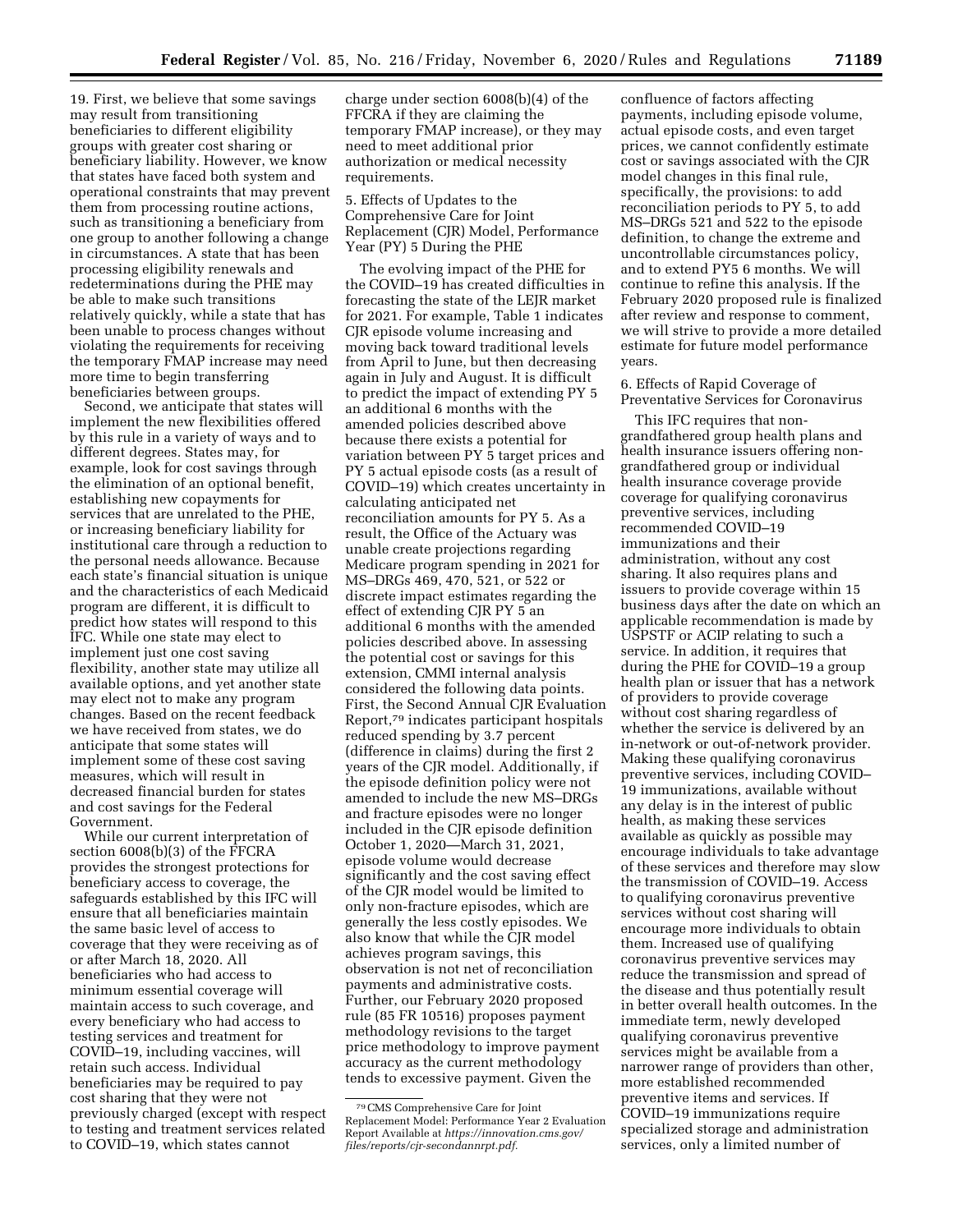19. First, we believe that some savings may result from transitioning beneficiaries to different eligibility groups with greater cost sharing or beneficiary liability. However, we know that states have faced both system and operational constraints that may prevent them from processing routine actions, such as transitioning a beneficiary from one group to another following a change in circumstances. A state that has been processing eligibility renewals and redeterminations during the PHE may be able to make such transitions relatively quickly, while a state that has been unable to process changes without violating the requirements for receiving the temporary FMAP increase may need more time to begin transferring beneficiaries between groups.

Second, we anticipate that states will implement the new flexibilities offered by this rule in a variety of ways and to different degrees. States may, for example, look for cost savings through the elimination of an optional benefit, establishing new copayments for services that are unrelated to the PHE, or increasing beneficiary liability for institutional care through a reduction to the personal needs allowance. Because each state's financial situation is unique and the characteristics of each Medicaid program are different, it is difficult to predict how states will respond to this IFC. While one state may elect to implement just one cost saving flexibility, another state may utilize all available options, and yet another state may elect not to make any program changes. Based on the recent feedback we have received from states, we do anticipate that some states will implement some of these cost saving measures, which will result in decreased financial burden for states and cost savings for the Federal Government.

While our current interpretation of section 6008(b)(3) of the FFCRA provides the strongest protections for beneficiary access to coverage, the safeguards established by this IFC will ensure that all beneficiaries maintain the same basic level of access to coverage that they were receiving as of or after March 18, 2020. All beneficiaries who had access to minimum essential coverage will maintain access to such coverage, and every beneficiary who had access to testing services and treatment for COVID–19, including vaccines, will retain such access. Individual beneficiaries may be required to pay cost sharing that they were not previously charged (except with respect to testing and treatment services related to COVID–19, which states cannot

charge under section 6008(b)(4) of the FFCRA if they are claiming the temporary FMAP increase), or they may need to meet additional prior authorization or medical necessity requirements.

5. Effects of Updates to the Comprehensive Care for Joint Replacement (CJR) Model, Performance Year (PY) 5 During the PHE

The evolving impact of the PHE for the COVID–19 has created difficulties in forecasting the state of the LEJR market for 2021. For example, Table 1 indicates CJR episode volume increasing and moving back toward traditional levels from April to June, but then decreasing again in July and August. It is difficult to predict the impact of extending PY 5 an additional 6 months with the amended policies described above because there exists a potential for variation between PY 5 target prices and PY 5 actual episode costs (as a result of COVID–19) which creates uncertainty in calculating anticipated net reconciliation amounts for PY 5. As a result, the Office of the Actuary was unable create projections regarding Medicare program spending in 2021 for MS–DRGs 469, 470, 521, or 522 or discrete impact estimates regarding the effect of extending CJR PY 5 an additional 6 months with the amended policies described above. In assessing the potential cost or savings for this extension, CMMI internal analysis considered the following data points. First, the Second Annual CJR Evaluation Report,79 indicates participant hospitals reduced spending by 3.7 percent (difference in claims) during the first 2 years of the CJR model. Additionally, if the episode definition policy were not amended to include the new MS–DRGs and fracture episodes were no longer included in the CJR episode definition October 1, 2020—March 31, 2021, episode volume would decrease significantly and the cost saving effect of the CJR model would be limited to only non-fracture episodes, which are generally the less costly episodes. We also know that while the CJR model achieves program savings, this observation is not net of reconciliation payments and administrative costs. Further, our February 2020 proposed rule (85 FR 10516) proposes payment methodology revisions to the target price methodology to improve payment accuracy as the current methodology tends to excessive payment. Given the

confluence of factors affecting payments, including episode volume, actual episode costs, and even target prices, we cannot confidently estimate cost or savings associated with the CJR model changes in this final rule, specifically, the provisions: to add reconciliation periods to PY 5, to add MS–DRGs 521 and 522 to the episode definition, to change the extreme and uncontrollable circumstances policy, and to extend PY5 6 months. We will continue to refine this analysis. If the February 2020 proposed rule is finalized after review and response to comment, we will strive to provide a more detailed estimate for future model performance years.

6. Effects of Rapid Coverage of Preventative Services for Coronavirus

This IFC requires that nongrandfathered group health plans and health insurance issuers offering nongrandfathered group or individual health insurance coverage provide coverage for qualifying coronavirus preventive services, including recommended COVID–19 immunizations and their administration, without any cost sharing. It also requires plans and issuers to provide coverage within 15 business days after the date on which an applicable recommendation is made by USPSTF or ACIP relating to such a service. In addition, it requires that during the PHE for COVID–19 a group health plan or issuer that has a network of providers to provide coverage without cost sharing regardless of whether the service is delivered by an in-network or out-of-network provider. Making these qualifying coronavirus preventive services, including COVID– 19 immunizations, available without any delay is in the interest of public health, as making these services available as quickly as possible may encourage individuals to take advantage of these services and therefore may slow the transmission of COVID–19. Access to qualifying coronavirus preventive services without cost sharing will encourage more individuals to obtain them. Increased use of qualifying coronavirus preventive services may reduce the transmission and spread of the disease and thus potentially result in better overall health outcomes. In the immediate term, newly developed qualifying coronavirus preventive services might be available from a narrower range of providers than other, more established recommended preventive items and services. If COVID–19 immunizations require specialized storage and administration services, only a limited number of

<sup>79</sup>CMS Comprehensive Care for Joint Replacement Model: Performance Year 2 Evaluation Report Available at *https://innovation.cms.gov/ files/reports/cjr-secondannrpt.pdf.*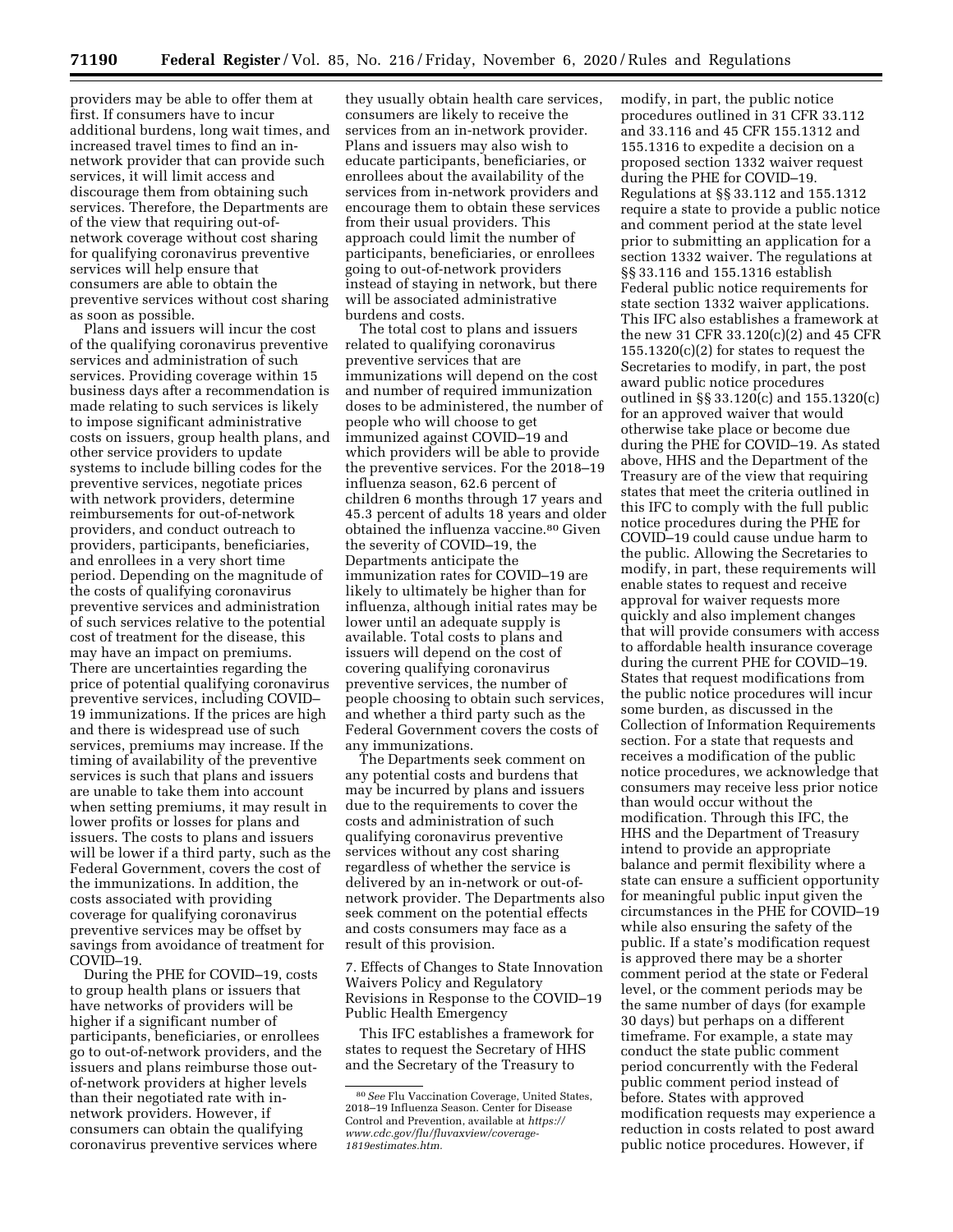providers may be able to offer them at first. If consumers have to incur additional burdens, long wait times, and increased travel times to find an innetwork provider that can provide such services, it will limit access and discourage them from obtaining such services. Therefore, the Departments are of the view that requiring out-ofnetwork coverage without cost sharing for qualifying coronavirus preventive services will help ensure that consumers are able to obtain the preventive services without cost sharing as soon as possible.

Plans and issuers will incur the cost of the qualifying coronavirus preventive services and administration of such services. Providing coverage within 15 business days after a recommendation is made relating to such services is likely to impose significant administrative costs on issuers, group health plans, and other service providers to update systems to include billing codes for the preventive services, negotiate prices with network providers, determine reimbursements for out-of-network providers, and conduct outreach to providers, participants, beneficiaries, and enrollees in a very short time period. Depending on the magnitude of the costs of qualifying coronavirus preventive services and administration of such services relative to the potential cost of treatment for the disease, this may have an impact on premiums. There are uncertainties regarding the price of potential qualifying coronavirus preventive services, including COVID– 19 immunizations. If the prices are high and there is widespread use of such services, premiums may increase. If the timing of availability of the preventive services is such that plans and issuers are unable to take them into account when setting premiums, it may result in lower profits or losses for plans and issuers. The costs to plans and issuers will be lower if a third party, such as the Federal Government, covers the cost of the immunizations. In addition, the costs associated with providing coverage for qualifying coronavirus preventive services may be offset by savings from avoidance of treatment for COVID–19.

During the PHE for COVID–19, costs to group health plans or issuers that have networks of providers will be higher if a significant number of participants, beneficiaries, or enrollees go to out-of-network providers, and the issuers and plans reimburse those outof-network providers at higher levels than their negotiated rate with innetwork providers. However, if consumers can obtain the qualifying coronavirus preventive services where

they usually obtain health care services, consumers are likely to receive the services from an in-network provider. Plans and issuers may also wish to educate participants, beneficiaries, or enrollees about the availability of the services from in-network providers and encourage them to obtain these services from their usual providers. This approach could limit the number of participants, beneficiaries, or enrollees going to out-of-network providers instead of staying in network, but there will be associated administrative burdens and costs.

The total cost to plans and issuers related to qualifying coronavirus preventive services that are immunizations will depend on the cost and number of required immunization doses to be administered, the number of people who will choose to get immunized against COVID–19 and which providers will be able to provide the preventive services. For the 2018–19 influenza season, 62.6 percent of children 6 months through 17 years and 45.3 percent of adults 18 years and older obtained the influenza vaccine.80 Given the severity of COVID–19, the Departments anticipate the immunization rates for COVID–19 are likely to ultimately be higher than for influenza, although initial rates may be lower until an adequate supply is available. Total costs to plans and issuers will depend on the cost of covering qualifying coronavirus preventive services, the number of people choosing to obtain such services, and whether a third party such as the Federal Government covers the costs of any immunizations.

The Departments seek comment on any potential costs and burdens that may be incurred by plans and issuers due to the requirements to cover the costs and administration of such qualifying coronavirus preventive services without any cost sharing regardless of whether the service is delivered by an in-network or out-ofnetwork provider. The Departments also seek comment on the potential effects and costs consumers may face as a result of this provision.

7. Effects of Changes to State Innovation Waivers Policy and Regulatory Revisions in Response to the COVID–19 Public Health Emergency

This IFC establishes a framework for states to request the Secretary of HHS and the Secretary of the Treasury to

modify, in part, the public notice procedures outlined in 31 CFR 33.112 and 33.116 and 45 CFR 155.1312 and 155.1316 to expedite a decision on a proposed section 1332 waiver request during the PHE for COVID–19. Regulations at §§ 33.112 and 155.1312 require a state to provide a public notice and comment period at the state level prior to submitting an application for a section 1332 waiver. The regulations at §§ 33.116 and 155.1316 establish Federal public notice requirements for state section 1332 waiver applications. This IFC also establishes a framework at the new 31 CFR 33.120(c)(2) and 45 CFR 155.1320(c)(2) for states to request the Secretaries to modify, in part, the post award public notice procedures outlined in §§ 33.120(c) and 155.1320(c) for an approved waiver that would otherwise take place or become due during the PHE for COVID–19. As stated above, HHS and the Department of the Treasury are of the view that requiring states that meet the criteria outlined in this IFC to comply with the full public notice procedures during the PHE for COVID–19 could cause undue harm to the public. Allowing the Secretaries to modify, in part, these requirements will enable states to request and receive approval for waiver requests more quickly and also implement changes that will provide consumers with access to affordable health insurance coverage during the current PHE for COVID–19. States that request modifications from the public notice procedures will incur some burden, as discussed in the Collection of Information Requirements section. For a state that requests and receives a modification of the public notice procedures, we acknowledge that consumers may receive less prior notice than would occur without the modification. Through this IFC, the HHS and the Department of Treasury intend to provide an appropriate balance and permit flexibility where a state can ensure a sufficient opportunity for meaningful public input given the circumstances in the PHE for COVID–19 while also ensuring the safety of the public. If a state's modification request is approved there may be a shorter comment period at the state or Federal level, or the comment periods may be the same number of days (for example 30 days) but perhaps on a different timeframe. For example, a state may conduct the state public comment period concurrently with the Federal public comment period instead of before. States with approved modification requests may experience a reduction in costs related to post award public notice procedures. However, if

<sup>80</sup>*See* Flu Vaccination Coverage, United States, 2018–19 Influenza Season. Center for Disease Control and Prevention, available at *https:// www.cdc.gov/flu/fluvaxview/coverage-1819estimates.htm.*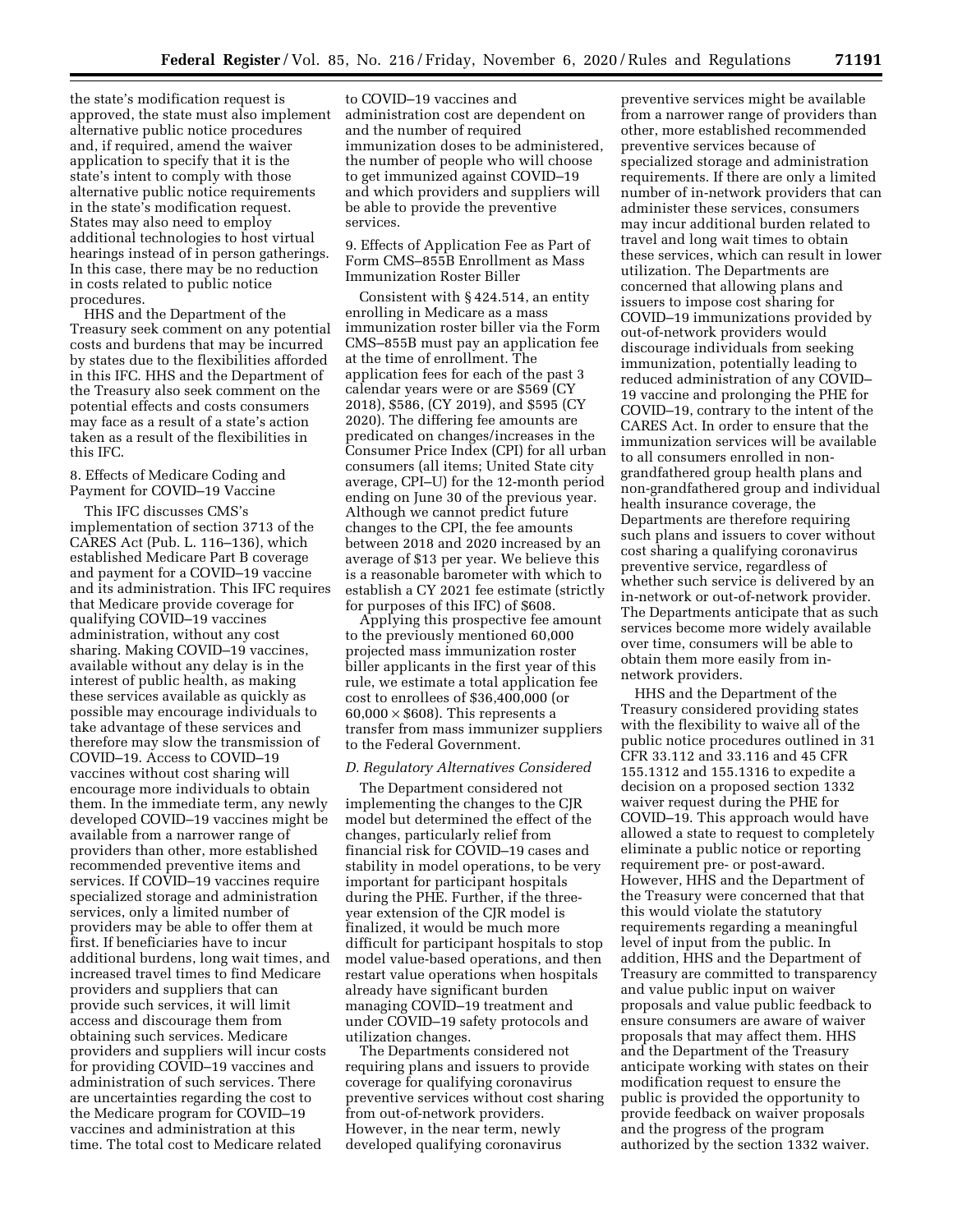the state's modification request is approved, the state must also implement alternative public notice procedures and, if required, amend the waiver application to specify that it is the state's intent to comply with those alternative public notice requirements in the state's modification request. States may also need to employ additional technologies to host virtual hearings instead of in person gatherings. In this case, there may be no reduction in costs related to public notice procedures.

HHS and the Department of the Treasury seek comment on any potential costs and burdens that may be incurred by states due to the flexibilities afforded in this IFC. HHS and the Department of the Treasury also seek comment on the potential effects and costs consumers may face as a result of a state's action taken as a result of the flexibilities in this IFC.

# 8. Effects of Medicare Coding and Payment for COVID–19 Vaccine

This IFC discusses CMS's implementation of section 3713 of the CARES Act (Pub. L. 116–136), which established Medicare Part B coverage and payment for a COVID–19 vaccine and its administration. This IFC requires that Medicare provide coverage for qualifying COVID–19 vaccines administration, without any cost sharing. Making COVID–19 vaccines, available without any delay is in the interest of public health, as making these services available as quickly as possible may encourage individuals to take advantage of these services and therefore may slow the transmission of COVID–19. Access to COVID–19 vaccines without cost sharing will encourage more individuals to obtain them. In the immediate term, any newly developed COVID–19 vaccines might be available from a narrower range of providers than other, more established recommended preventive items and services. If COVID–19 vaccines require specialized storage and administration services, only a limited number of providers may be able to offer them at first. If beneficiaries have to incur additional burdens, long wait times, and increased travel times to find Medicare providers and suppliers that can provide such services, it will limit access and discourage them from obtaining such services. Medicare providers and suppliers will incur costs for providing COVID–19 vaccines and administration of such services. There are uncertainties regarding the cost to the Medicare program for COVID–19 vaccines and administration at this time. The total cost to Medicare related

to COVID–19 vaccines and administration cost are dependent on and the number of required immunization doses to be administered, the number of people who will choose to get immunized against COVID–19 and which providers and suppliers will be able to provide the preventive services.

9. Effects of Application Fee as Part of Form CMS–855B Enrollment as Mass Immunization Roster Biller

Consistent with § 424.514, an entity enrolling in Medicare as a mass immunization roster biller via the Form CMS–855B must pay an application fee at the time of enrollment. The application fees for each of the past 3 calendar years were or are \$569 (CY 2018), \$586, (CY 2019), and \$595 (CY 2020). The differing fee amounts are predicated on changes/increases in the Consumer Price Index (CPI) for all urban consumers (all items; United State city average, CPI–U) for the 12-month period ending on June 30 of the previous year. Although we cannot predict future changes to the CPI, the fee amounts between 2018 and 2020 increased by an average of \$13 per year. We believe this is a reasonable barometer with which to establish a CY 2021 fee estimate (strictly for purposes of this IFC) of \$608.

Applying this prospective fee amount to the previously mentioned 60,000 projected mass immunization roster biller applicants in the first year of this rule, we estimate a total application fee cost to enrollees of \$36,400,000 (or  $60,000 \times $608$ . This represents a transfer from mass immunizer suppliers to the Federal Government.

#### *D. Regulatory Alternatives Considered*

The Department considered not implementing the changes to the CJR model but determined the effect of the changes, particularly relief from financial risk for COVID–19 cases and stability in model operations, to be very important for participant hospitals during the PHE. Further, if the threeyear extension of the CJR model is finalized, it would be much more difficult for participant hospitals to stop model value-based operations, and then restart value operations when hospitals already have significant burden managing COVID–19 treatment and under COVID–19 safety protocols and utilization changes.

The Departments considered not requiring plans and issuers to provide coverage for qualifying coronavirus preventive services without cost sharing from out-of-network providers. However, in the near term, newly developed qualifying coronavirus

preventive services might be available from a narrower range of providers than other, more established recommended preventive services because of specialized storage and administration requirements. If there are only a limited number of in-network providers that can administer these services, consumers may incur additional burden related to travel and long wait times to obtain these services, which can result in lower utilization. The Departments are concerned that allowing plans and issuers to impose cost sharing for COVID–19 immunizations provided by out-of-network providers would discourage individuals from seeking immunization, potentially leading to reduced administration of any COVID– 19 vaccine and prolonging the PHE for COVID–19, contrary to the intent of the CARES Act. In order to ensure that the immunization services will be available to all consumers enrolled in nongrandfathered group health plans and non-grandfathered group and individual health insurance coverage, the Departments are therefore requiring such plans and issuers to cover without cost sharing a qualifying coronavirus preventive service, regardless of whether such service is delivered by an in-network or out-of-network provider. The Departments anticipate that as such services become more widely available over time, consumers will be able to obtain them more easily from innetwork providers.

HHS and the Department of the Treasury considered providing states with the flexibility to waive all of the public notice procedures outlined in 31 CFR 33.112 and 33.116 and 45 CFR 155.1312 and 155.1316 to expedite a decision on a proposed section 1332 waiver request during the PHE for COVID–19. This approach would have allowed a state to request to completely eliminate a public notice or reporting requirement pre- or post-award. However, HHS and the Department of the Treasury were concerned that that this would violate the statutory requirements regarding a meaningful level of input from the public. In addition, HHS and the Department of Treasury are committed to transparency and value public input on waiver proposals and value public feedback to ensure consumers are aware of waiver proposals that may affect them. HHS and the Department of the Treasury anticipate working with states on their modification request to ensure the public is provided the opportunity to provide feedback on waiver proposals and the progress of the program authorized by the section 1332 waiver.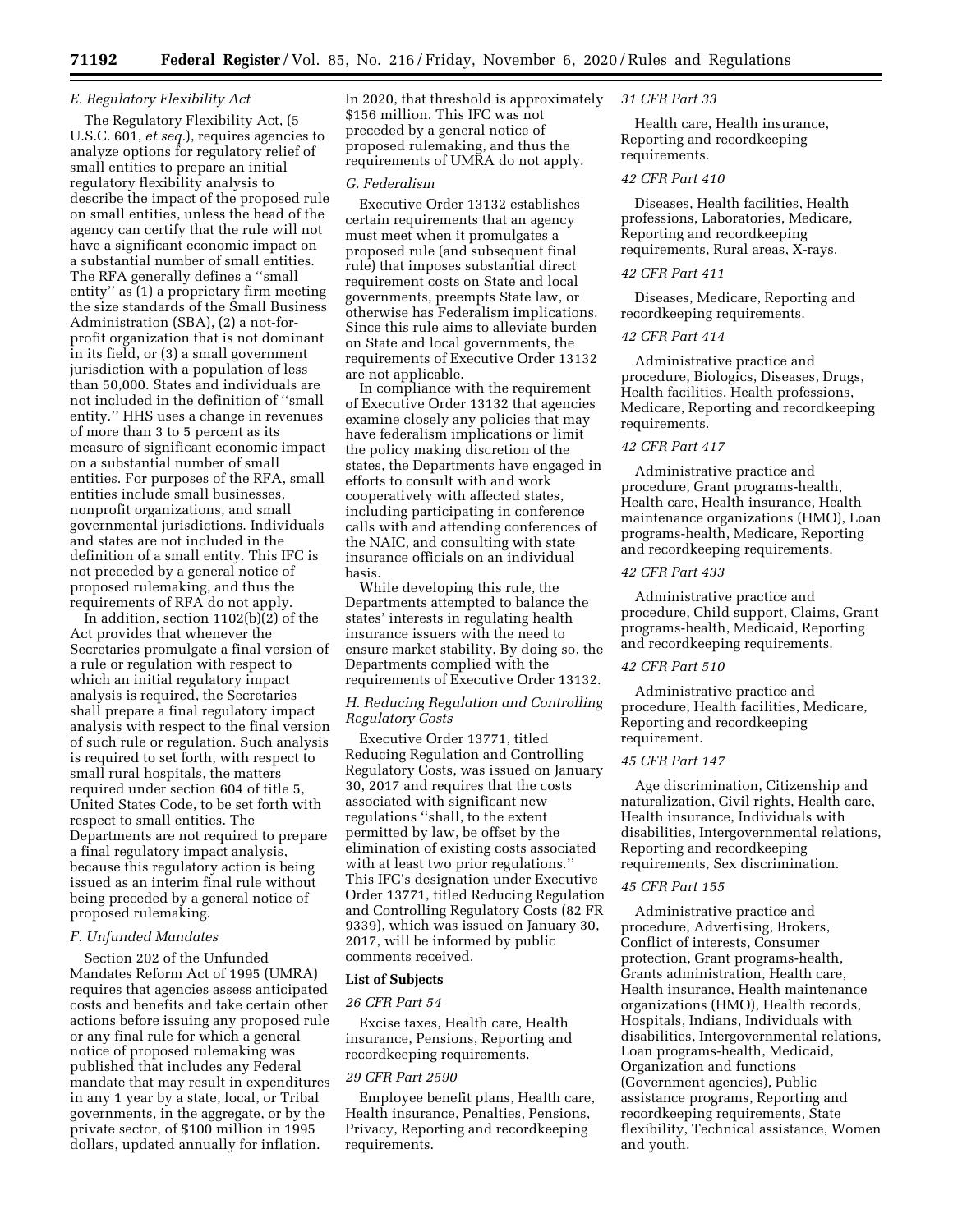# *E. Regulatory Flexibility Act*

The Regulatory Flexibility Act, (5 U.S.C. 601, *et seq.*), requires agencies to analyze options for regulatory relief of small entities to prepare an initial regulatory flexibility analysis to describe the impact of the proposed rule on small entities, unless the head of the agency can certify that the rule will not have a significant economic impact on a substantial number of small entities. The RFA generally defines a ''small entity'' as (1) a proprietary firm meeting the size standards of the Small Business Administration (SBA), (2) a not-forprofit organization that is not dominant in its field, or (3) a small government jurisdiction with a population of less than 50,000. States and individuals are not included in the definition of ''small entity.'' HHS uses a change in revenues of more than 3 to 5 percent as its measure of significant economic impact on a substantial number of small entities. For purposes of the RFA, small entities include small businesses, nonprofit organizations, and small governmental jurisdictions. Individuals and states are not included in the definition of a small entity. This IFC is not preceded by a general notice of proposed rulemaking, and thus the requirements of RFA do not apply.

In addition, section 1102(b)(2) of the Act provides that whenever the Secretaries promulgate a final version of a rule or regulation with respect to which an initial regulatory impact analysis is required, the Secretaries shall prepare a final regulatory impact analysis with respect to the final version of such rule or regulation. Such analysis is required to set forth, with respect to small rural hospitals, the matters required under section 604 of title 5, United States Code, to be set forth with respect to small entities. The Departments are not required to prepare a final regulatory impact analysis, because this regulatory action is being issued as an interim final rule without being preceded by a general notice of proposed rulemaking.

# *F. Unfunded Mandates*

Section 202 of the Unfunded Mandates Reform Act of 1995 (UMRA) requires that agencies assess anticipated costs and benefits and take certain other actions before issuing any proposed rule or any final rule for which a general notice of proposed rulemaking was published that includes any Federal mandate that may result in expenditures in any 1 year by a state, local, or Tribal governments, in the aggregate, or by the private sector, of \$100 million in 1995 dollars, updated annually for inflation.

In 2020, that threshold is approximately \$156 million. This IFC was not preceded by a general notice of proposed rulemaking, and thus the requirements of UMRA do not apply.

#### *G. Federalism*

Executive Order 13132 establishes certain requirements that an agency must meet when it promulgates a proposed rule (and subsequent final rule) that imposes substantial direct requirement costs on State and local governments, preempts State law, or otherwise has Federalism implications. Since this rule aims to alleviate burden on State and local governments, the requirements of Executive Order 13132 are not applicable.

In compliance with the requirement of Executive Order 13132 that agencies examine closely any policies that may have federalism implications or limit the policy making discretion of the states, the Departments have engaged in efforts to consult with and work cooperatively with affected states, including participating in conference calls with and attending conferences of the NAIC, and consulting with state insurance officials on an individual basis.

While developing this rule, the Departments attempted to balance the states' interests in regulating health insurance issuers with the need to ensure market stability. By doing so, the Departments complied with the requirements of Executive Order 13132.

## *H. Reducing Regulation and Controlling Regulatory Costs*

Executive Order 13771, titled Reducing Regulation and Controlling Regulatory Costs, was issued on January 30, 2017 and requires that the costs associated with significant new regulations ''shall, to the extent permitted by law, be offset by the elimination of existing costs associated with at least two prior regulations.'' This IFC's designation under Executive Order 13771, titled Reducing Regulation and Controlling Regulatory Costs (82 FR 9339), which was issued on January 30, 2017, will be informed by public comments received.

#### **List of Subjects**

#### *26 CFR Part 54*

Excise taxes, Health care, Health insurance, Pensions, Reporting and recordkeeping requirements.

#### *29 CFR Part 2590*

Employee benefit plans, Health care, Health insurance, Penalties, Pensions, Privacy, Reporting and recordkeeping requirements.

#### *31 CFR Part 33*

Health care, Health insurance, Reporting and recordkeeping requirements.

#### *42 CFR Part 410*

Diseases, Health facilities, Health professions, Laboratories, Medicare, Reporting and recordkeeping requirements, Rural areas, X-rays.

#### *42 CFR Part 411*

Diseases, Medicare, Reporting and recordkeeping requirements.

#### *42 CFR Part 414*

Administrative practice and procedure, Biologics, Diseases, Drugs, Health facilities, Health professions, Medicare, Reporting and recordkeeping requirements.

## *42 CFR Part 417*

Administrative practice and procedure, Grant programs-health, Health care, Health insurance, Health maintenance organizations (HMO), Loan programs-health, Medicare, Reporting and recordkeeping requirements.

# *42 CFR Part 433*

Administrative practice and procedure, Child support, Claims, Grant programs-health, Medicaid, Reporting and recordkeeping requirements.

## *42 CFR Part 510*

Administrative practice and procedure, Health facilities, Medicare, Reporting and recordkeeping requirement.

#### *45 CFR Part 147*

Age discrimination, Citizenship and naturalization, Civil rights, Health care, Health insurance, Individuals with disabilities, Intergovernmental relations, Reporting and recordkeeping requirements, Sex discrimination.

#### *45 CFR Part 155*

Administrative practice and procedure, Advertising, Brokers, Conflict of interests, Consumer protection, Grant programs-health, Grants administration, Health care, Health insurance, Health maintenance organizations (HMO), Health records, Hospitals, Indians, Individuals with disabilities, Intergovernmental relations, Loan programs-health, Medicaid, Organization and functions (Government agencies), Public assistance programs, Reporting and recordkeeping requirements, State flexibility, Technical assistance, Women and youth.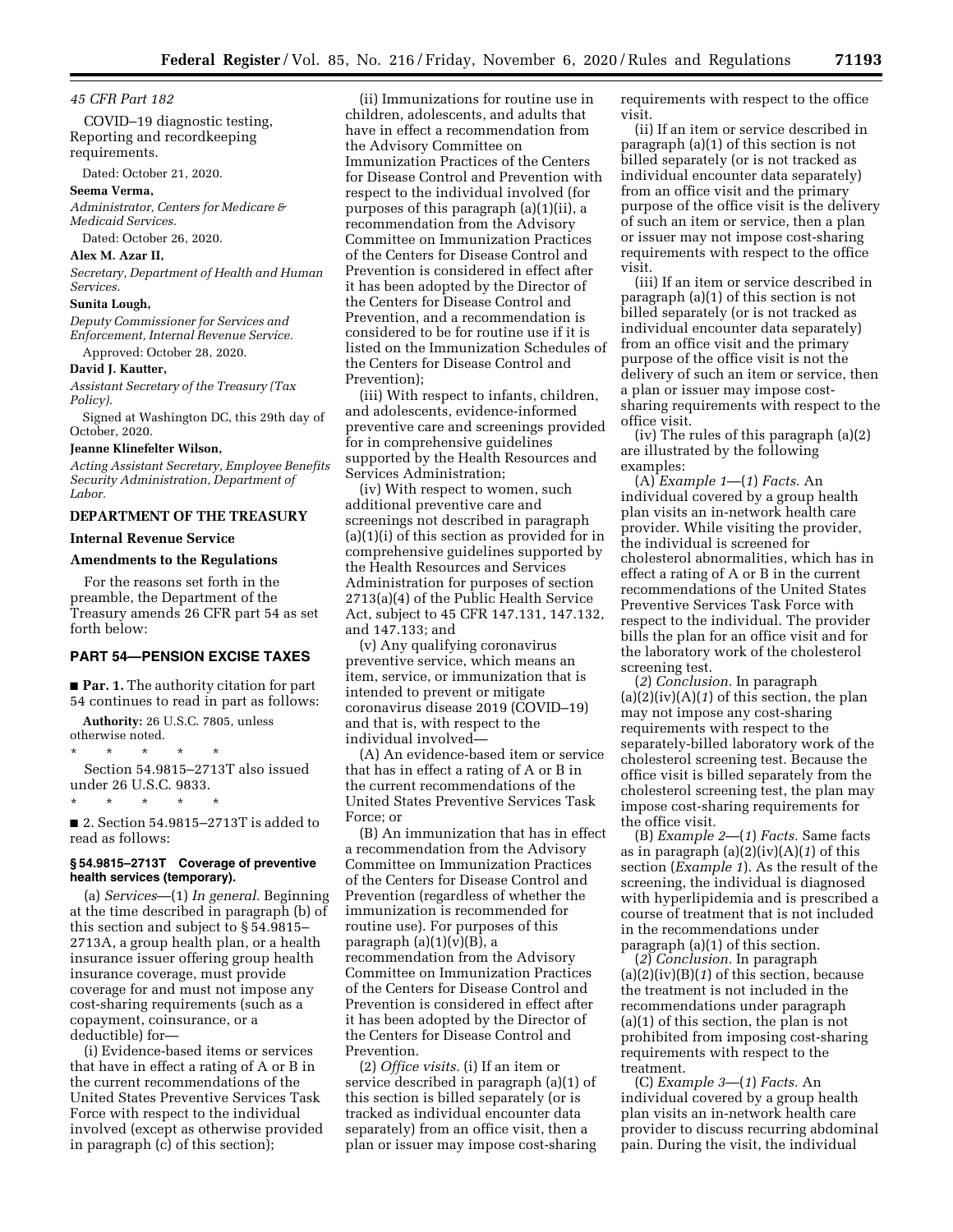*45 CFR Part 182* 

COVID–19 diagnostic testing, Reporting and recordkeeping requirements.

Dated: October 21, 2020.

#### **Seema Verma,**

*Administrator, Centers for Medicare & Medicaid Services.*  Dated: October 26, 2020.

# **Alex M. Azar II,**

*Secretary, Department of Health and Human Services.* 

#### **Sunita Lough,**

*Deputy Commissioner for Services and Enforcement, Internal Revenue Service.*  Approved: October 28, 2020.

# **David J. Kautter,**

*Assistant Secretary of the Treasury (Tax Policy).* 

Signed at Washington DC, this 29th day of October, 2020.

# **Jeanne Klinefelter Wilson,**

*Acting Assistant Secretary, Employee Benefits Security Administration, Department of Labor.* 

# **DEPARTMENT OF THE TREASURY**

# **Internal Revenue Service**

#### **Amendments to the Regulations**

For the reasons set forth in the preamble, the Department of the Treasury amends 26 CFR part 54 as set forth below:

# **PART 54—PENSION EXCISE TAXES**

■ **Par. 1.** The authority citation for part 54 continues to read in part as follows:

**Authority:** 26 U.S.C. 7805, unless otherwise noted.

\* \* \* \* \*

Section 54.9815–2713T also issued under 26 U.S.C. 9833.

\* \* \* \* \* ■ 2. Section 54.9815–2713T is added to read as follows:

# **§ 54.9815–2713T Coverage of preventive health services (temporary).**

(a) *Services*—(1) *In general.* Beginning at the time described in paragraph (b) of this section and subject to § 54.9815– 2713A, a group health plan, or a health insurance issuer offering group health insurance coverage, must provide coverage for and must not impose any cost-sharing requirements (such as a copayment, coinsurance, or a deductible) for—

(i) Evidence-based items or services that have in effect a rating of A or B in the current recommendations of the United States Preventive Services Task Force with respect to the individual involved (except as otherwise provided in paragraph (c) of this section);

(ii) Immunizations for routine use in children, adolescents, and adults that have in effect a recommendation from the Advisory Committee on Immunization Practices of the Centers for Disease Control and Prevention with respect to the individual involved (for purposes of this paragraph (a)(1)(ii), a recommendation from the Advisory Committee on Immunization Practices of the Centers for Disease Control and Prevention is considered in effect after it has been adopted by the Director of the Centers for Disease Control and Prevention, and a recommendation is considered to be for routine use if it is listed on the Immunization Schedules of the Centers for Disease Control and Prevention);

(iii) With respect to infants, children, and adolescents, evidence-informed preventive care and screenings provided for in comprehensive guidelines supported by the Health Resources and Services Administration;

(iv) With respect to women, such additional preventive care and screenings not described in paragraph (a)(1)(i) of this section as provided for in comprehensive guidelines supported by the Health Resources and Services Administration for purposes of section 2713(a)(4) of the Public Health Service Act, subject to 45 CFR 147.131, 147.132, and 147.133; and

(v) Any qualifying coronavirus preventive service, which means an item, service, or immunization that is intended to prevent or mitigate coronavirus disease 2019 (COVID–19) and that is, with respect to the individual involved—

(A) An evidence-based item or service that has in effect a rating of A or B in the current recommendations of the United States Preventive Services Task Force; or

(B) An immunization that has in effect a recommendation from the Advisory Committee on Immunization Practices of the Centers for Disease Control and Prevention (regardless of whether the immunization is recommended for routine use). For purposes of this paragraph  $(a)(1)(v)(B)$ , a recommendation from the Advisory Committee on Immunization Practices of the Centers for Disease Control and Prevention is considered in effect after it has been adopted by the Director of the Centers for Disease Control and Prevention.

(2) *Office visits.* (i) If an item or service described in paragraph (a)(1) of this section is billed separately (or is tracked as individual encounter data separately) from an office visit, then a plan or issuer may impose cost-sharing requirements with respect to the office visit.

(ii) If an item or service described in paragraph (a)(1) of this section is not billed separately (or is not tracked as individual encounter data separately) from an office visit and the primary purpose of the office visit is the delivery of such an item or service, then a plan or issuer may not impose cost-sharing requirements with respect to the office visit.

(iii) If an item or service described in paragraph (a)(1) of this section is not billed separately (or is not tracked as individual encounter data separately) from an office visit and the primary purpose of the office visit is not the delivery of such an item or service, then a plan or issuer may impose costsharing requirements with respect to the office visit.

(iv) The rules of this paragraph (a)(2) are illustrated by the following examples:

(A) *Example 1*—(*1*) *Facts.* An individual covered by a group health plan visits an in-network health care provider. While visiting the provider, the individual is screened for cholesterol abnormalities, which has in effect a rating of A or B in the current recommendations of the United States Preventive Services Task Force with respect to the individual. The provider bills the plan for an office visit and for the laboratory work of the cholesterol screening test.

(*2*) *Conclusion.* In paragraph (a)(2)(iv)(A)(*1*) of this section, the plan may not impose any cost-sharing requirements with respect to the separately-billed laboratory work of the cholesterol screening test. Because the office visit is billed separately from the cholesterol screening test, the plan may impose cost-sharing requirements for the office visit.

(B) *Example 2*—(*1*) *Facts.* Same facts as in paragraph (a)(2)(iv)(A)(*1*) of this section (*Example 1*). As the result of the screening, the individual is diagnosed with hyperlipidemia and is prescribed a course of treatment that is not included in the recommendations under paragraph (a)(1) of this section.

(*2*) *Conclusion.* In paragraph (a)(2)(iv)(B)(*1*) of this section, because the treatment is not included in the recommendations under paragraph (a)(1) of this section, the plan is not prohibited from imposing cost-sharing requirements with respect to the treatment.

(C) *Example 3*—(*1*) *Facts.* An individual covered by a group health plan visits an in-network health care provider to discuss recurring abdominal pain. During the visit, the individual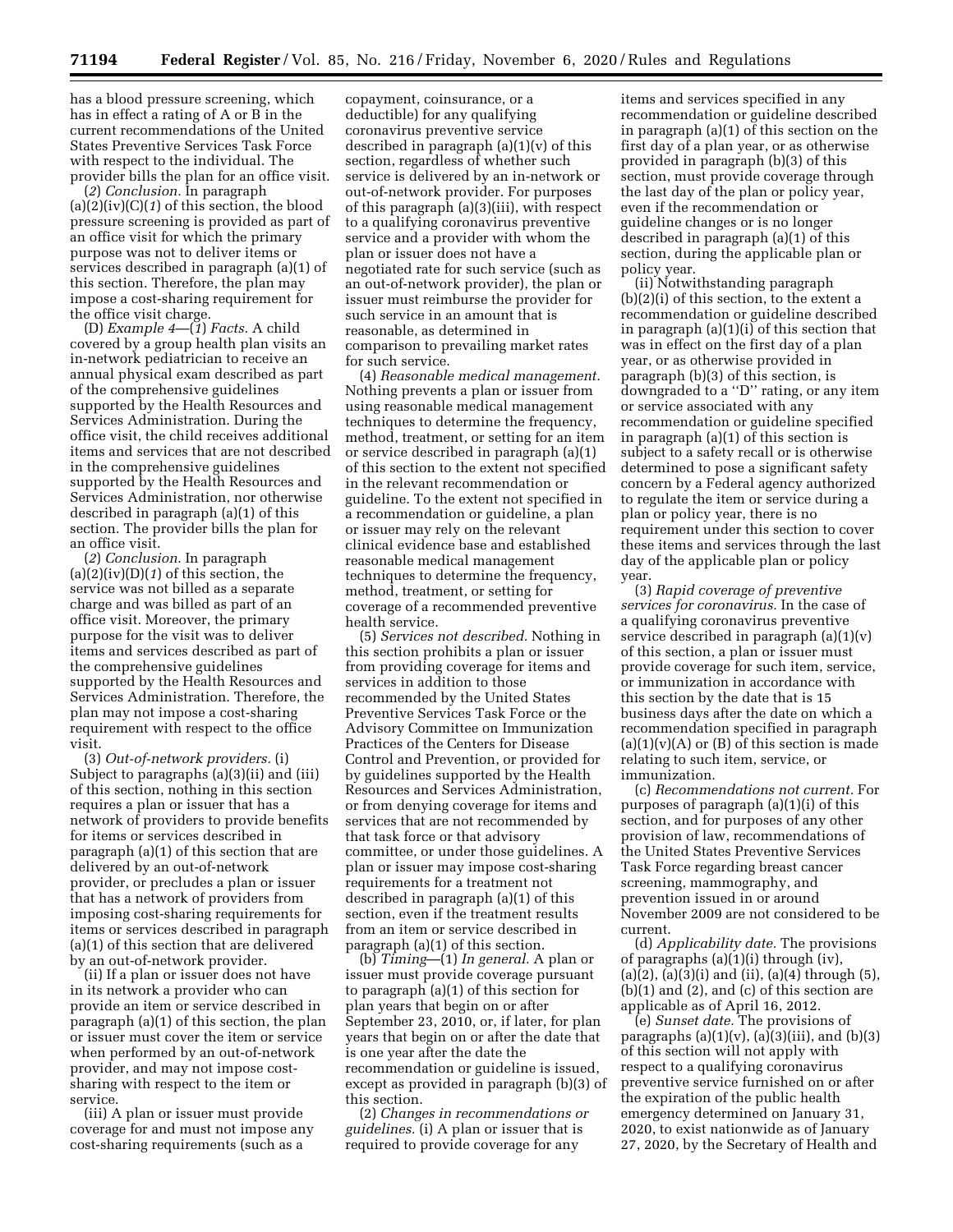has a blood pressure screening, which has in effect a rating of A or B in the current recommendations of the United States Preventive Services Task Force with respect to the individual. The provider bills the plan for an office visit.

(*2*) *Conclusion.* In paragraph (a)(2)(iv)(C)(*1*) of this section, the blood pressure screening is provided as part of an office visit for which the primary purpose was not to deliver items or services described in paragraph (a)(1) of this section. Therefore, the plan may impose a cost-sharing requirement for the office visit charge.

(D) *Example 4*—(*1*) *Facts.* A child covered by a group health plan visits an in-network pediatrician to receive an annual physical exam described as part of the comprehensive guidelines supported by the Health Resources and Services Administration. During the office visit, the child receives additional items and services that are not described in the comprehensive guidelines supported by the Health Resources and Services Administration, nor otherwise described in paragraph (a)(1) of this section. The provider bills the plan for an office visit.

(*2*) *Conclusion.* In paragraph (a)(2)(iv)(D)(*1*) of this section, the service was not billed as a separate charge and was billed as part of an office visit. Moreover, the primary purpose for the visit was to deliver items and services described as part of the comprehensive guidelines supported by the Health Resources and Services Administration. Therefore, the plan may not impose a cost-sharing requirement with respect to the office visit.

(3) *Out-of-network providers.* (i) Subject to paragraphs (a)(3)(ii) and (iii) of this section, nothing in this section requires a plan or issuer that has a network of providers to provide benefits for items or services described in paragraph (a)(1) of this section that are delivered by an out-of-network provider, or precludes a plan or issuer that has a network of providers from imposing cost-sharing requirements for items or services described in paragraph (a)(1) of this section that are delivered by an out-of-network provider.

(ii) If a plan or issuer does not have in its network a provider who can provide an item or service described in paragraph (a)(1) of this section, the plan or issuer must cover the item or service when performed by an out-of-network provider, and may not impose costsharing with respect to the item or service.

(iii) A plan or issuer must provide coverage for and must not impose any cost-sharing requirements (such as a

copayment, coinsurance, or a deductible) for any qualifying coronavirus preventive service described in paragraph (a)(1)(v) of this section, regardless of whether such service is delivered by an in-network or out-of-network provider. For purposes of this paragraph (a)(3)(iii), with respect to a qualifying coronavirus preventive service and a provider with whom the plan or issuer does not have a negotiated rate for such service (such as an out-of-network provider), the plan or issuer must reimburse the provider for such service in an amount that is reasonable, as determined in comparison to prevailing market rates for such service.

(4) *Reasonable medical management.*  Nothing prevents a plan or issuer from using reasonable medical management techniques to determine the frequency, method, treatment, or setting for an item or service described in paragraph (a)(1) of this section to the extent not specified in the relevant recommendation or guideline. To the extent not specified in a recommendation or guideline, a plan or issuer may rely on the relevant clinical evidence base and established reasonable medical management techniques to determine the frequency, method, treatment, or setting for coverage of a recommended preventive health service.

(5) *Services not described.* Nothing in this section prohibits a plan or issuer from providing coverage for items and services in addition to those recommended by the United States Preventive Services Task Force or the Advisory Committee on Immunization Practices of the Centers for Disease Control and Prevention, or provided for by guidelines supported by the Health Resources and Services Administration, or from denying coverage for items and services that are not recommended by that task force or that advisory committee, or under those guidelines. A plan or issuer may impose cost-sharing requirements for a treatment not described in paragraph (a)(1) of this section, even if the treatment results from an item or service described in paragraph (a)(1) of this section.

(b) *Timing*—(1) *In general.* A plan or issuer must provide coverage pursuant to paragraph (a)(1) of this section for plan years that begin on or after September 23, 2010, or, if later, for plan years that begin on or after the date that is one year after the date the recommendation or guideline is issued, except as provided in paragraph (b)(3) of this section.

(2) *Changes in recommendations or guidelines.* (i) A plan or issuer that is required to provide coverage for any

items and services specified in any recommendation or guideline described in paragraph (a)(1) of this section on the first day of a plan year, or as otherwise provided in paragraph (b)(3) of this section, must provide coverage through the last day of the plan or policy year, even if the recommendation or guideline changes or is no longer described in paragraph (a)(1) of this section, during the applicable plan or policy year.

(ii) Notwithstanding paragraph (b)(2)(i) of this section, to the extent a recommendation or guideline described in paragraph (a)(1)(i) of this section that was in effect on the first day of a plan year, or as otherwise provided in paragraph (b)(3) of this section, is downgraded to a ''D'' rating, or any item or service associated with any recommendation or guideline specified in paragraph (a)(1) of this section is subject to a safety recall or is otherwise determined to pose a significant safety concern by a Federal agency authorized to regulate the item or service during a plan or policy year, there is no requirement under this section to cover these items and services through the last day of the applicable plan or policy year.

(3) *Rapid coverage of preventive services for coronavirus.* In the case of a qualifying coronavirus preventive service described in paragraph  $(a)(1)(v)$ of this section, a plan or issuer must provide coverage for such item, service, or immunization in accordance with this section by the date that is 15 business days after the date on which a recommendation specified in paragraph  $(a)(1)(v)(A)$  or  $(B)$  of this section is made relating to such item, service, or immunization.

(c) *Recommendations not current.* For purposes of paragraph (a)(1)(i) of this section, and for purposes of any other provision of law, recommendations of the United States Preventive Services Task Force regarding breast cancer screening, mammography, and prevention issued in or around November 2009 are not considered to be current.

(d) *Applicability date.* The provisions of paragraphs (a)(1)(i) through (iv), (a)(2), (a)(3)(i) and (ii), (a)(4) through (5), (b)(1) and (2), and (c) of this section are applicable as of April 16, 2012.

(e) *Sunset date.* The provisions of paragraphs  $(a)(1)(v)$ ,  $(a)(3)(iii)$ , and  $(b)(3)$ of this section will not apply with respect to a qualifying coronavirus preventive service furnished on or after the expiration of the public health emergency determined on January 31, 2020, to exist nationwide as of January 27, 2020, by the Secretary of Health and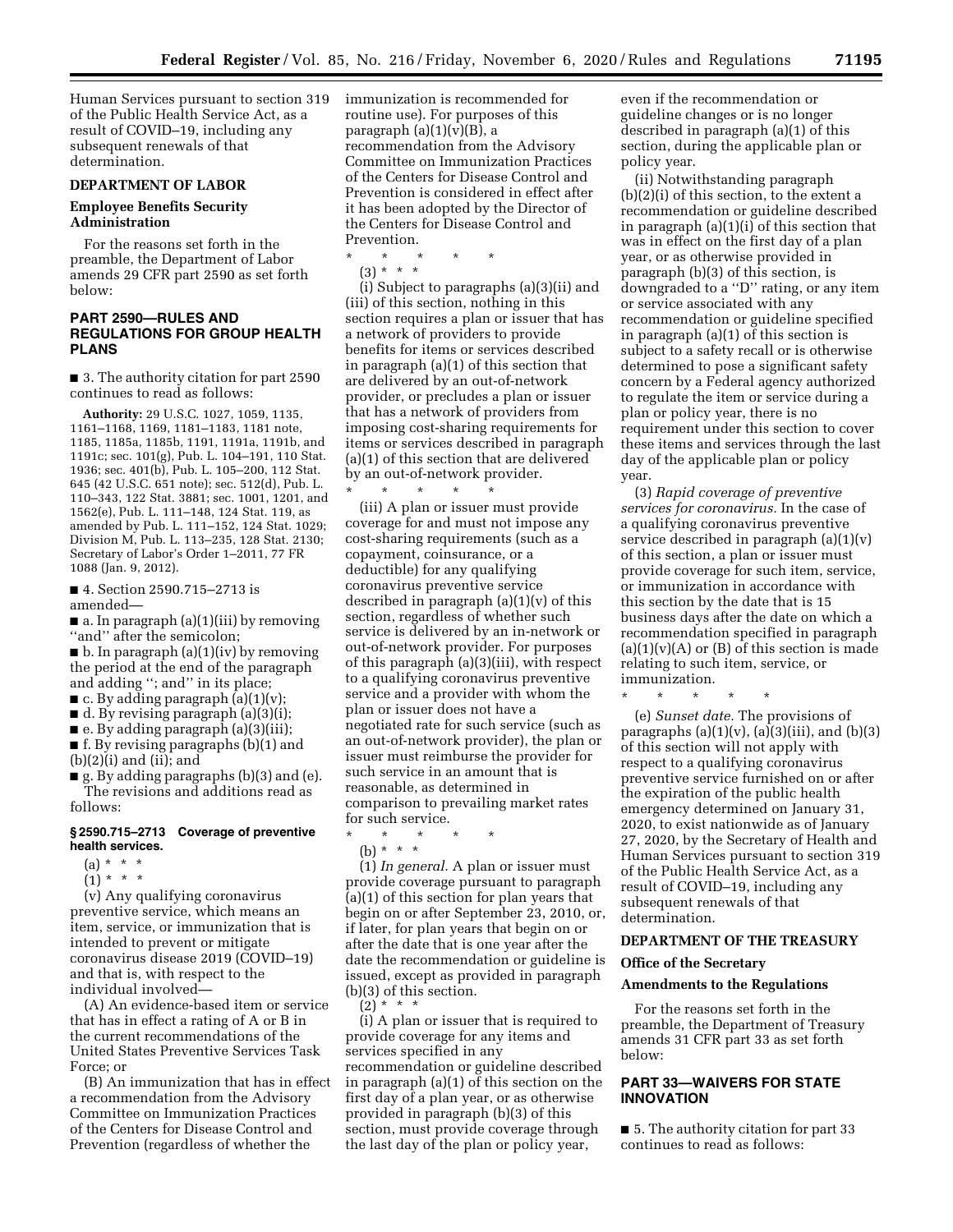Human Services pursuant to section 319 of the Public Health Service Act, as a result of COVID–19, including any subsequent renewals of that determination.

#### **DEPARTMENT OF LABOR**

# **Employee Benefits Security Administration**

For the reasons set forth in the preamble, the Department of Labor amends 29 CFR part 2590 as set forth below:

# **PART 2590—RULES AND REGULATIONS FOR GROUP HEALTH PLANS**

■ 3. The authority citation for part 2590 continues to read as follows:

**Authority:** 29 U.S.C. 1027, 1059, 1135, 1161–1168, 1169, 1181–1183, 1181 note, 1185, 1185a, 1185b, 1191, 1191a, 1191b, and 1191c; sec. 101(g), Pub. L. 104–191, 110 Stat. 1936; sec. 401(b), Pub. L. 105–200, 112 Stat. 645 (42 U.S.C. 651 note); sec. 512(d), Pub. L. 110–343, 122 Stat. 3881; sec. 1001, 1201, and 1562(e), Pub. L. 111–148, 124 Stat. 119, as amended by Pub. L. 111–152, 124 Stat. 1029; Division M, Pub. L. 113–235, 128 Stat. 2130; Secretary of Labor's Order 1–2011, 77 FR 1088 (Jan. 9, 2012).

■ 4. Section 2590.715-2713 is amended—

■ a. In paragraph (a)(1)(iii) by removing ''and'' after the semicolon;

 $\blacksquare$  b. In paragraph (a)(1)(iv) by removing the period at the end of the paragraph and adding ''; and'' in its place;

 $\blacksquare$  c. By adding paragraph (a)(1)(v);

 $\blacksquare$  d. By revising paragraph (a)(3)(i);

■ e. By adding paragraph (a)(3)(iii); ■ f. By revising paragraphs (b)(1) and

 $(b)(2)(i)$  and  $(ii)$ ; and

■ g. By adding paragraphs (b)(3) and (e). The revisions and additions read as follows:

#### **§ 2590.715–2713 Coverage of preventive health services.**

- $(a) * * * *$
- $(1) * * * *$

(v) Any qualifying coronavirus preventive service, which means an item, service, or immunization that is intended to prevent or mitigate coronavirus disease 2019 (COVID–19) and that is, with respect to the individual involved—

(A) An evidence-based item or service that has in effect a rating of A or B in the current recommendations of the United States Preventive Services Task Force; or

(B) An immunization that has in effect a recommendation from the Advisory Committee on Immunization Practices of the Centers for Disease Control and Prevention (regardless of whether the

immunization is recommended for routine use). For purposes of this paragraph  $(a)(1)(v)(B)$ , a recommendation from the Advisory Committee on Immunization Practices of the Centers for Disease Control and Prevention is considered in effect after it has been adopted by the Director of the Centers for Disease Control and Prevention.

\* \* \* \* \*

(3) \* \* \*

(i) Subject to paragraphs (a)(3)(ii) and (iii) of this section, nothing in this section requires a plan or issuer that has a network of providers to provide benefits for items or services described in paragraph (a)(1) of this section that are delivered by an out-of-network provider, or precludes a plan or issuer that has a network of providers from imposing cost-sharing requirements for items or services described in paragraph (a)(1) of this section that are delivered by an out-of-network provider.

\* \* \* \* \* (iii) A plan or issuer must provide coverage for and must not impose any cost-sharing requirements (such as a copayment, coinsurance, or a deductible) for any qualifying coronavirus preventive service described in paragraph  $(a)(1)(v)$  of this section, regardless of whether such service is delivered by an in-network or out-of-network provider. For purposes of this paragraph (a)(3)(iii), with respect to a qualifying coronavirus preventive service and a provider with whom the plan or issuer does not have a negotiated rate for such service (such as an out-of-network provider), the plan or issuer must reimburse the provider for such service in an amount that is reasonable, as determined in comparison to prevailing market rates for such service.

- \* \* \* \* \*
	- (b) \* \* \*

(1) *In general.* A plan or issuer must provide coverage pursuant to paragraph (a)(1) of this section for plan years that begin on or after September 23, 2010, or, if later, for plan years that begin on or after the date that is one year after the date the recommendation or guideline is issued, except as provided in paragraph (b)(3) of this section.  $(2) * * * *$ 

(i) A plan or issuer that is required to provide coverage for any items and services specified in any recommendation or guideline described in paragraph (a)(1) of this section on the first day of a plan year, or as otherwise provided in paragraph (b)(3) of this section, must provide coverage through the last day of the plan or policy year,

even if the recommendation or guideline changes or is no longer described in paragraph (a)(1) of this section, during the applicable plan or policy year.

(ii) Notwithstanding paragraph (b)(2)(i) of this section, to the extent a recommendation or guideline described in paragraph (a)(1)(i) of this section that was in effect on the first day of a plan year, or as otherwise provided in paragraph (b)(3) of this section, is downgraded to a ''D'' rating, or any item or service associated with any recommendation or guideline specified in paragraph (a)(1) of this section is subject to a safety recall or is otherwise determined to pose a significant safety concern by a Federal agency authorized to regulate the item or service during a plan or policy year, there is no requirement under this section to cover these items and services through the last day of the applicable plan or policy year.

(3) *Rapid coverage of preventive services for coronavirus.* In the case of a qualifying coronavirus preventive service described in paragraph (a)(1)(v) of this section, a plan or issuer must provide coverage for such item, service, or immunization in accordance with this section by the date that is 15 business days after the date on which a recommendation specified in paragraph  $(a)(1)(v)(A)$  or  $(B)$  of this section is made relating to such item, service, or immunization.

(e) *Sunset date.* The provisions of paragraphs  $(a)(1)(v)$ ,  $(a)(3)(iii)$ , and  $(b)(3)$ of this section will not apply with respect to a qualifying coronavirus preventive service furnished on or after the expiration of the public health emergency determined on January 31, 2020, to exist nationwide as of January 27, 2020, by the Secretary of Health and Human Services pursuant to section 319 of the Public Health Service Act, as a result of COVID–19, including any subsequent renewals of that determination.

# **DEPARTMENT OF THE TREASURY**

# **Office of the Secretary**

\* \* \* \* \*

# **Amendments to the Regulations**

For the reasons set forth in the preamble, the Department of Treasury amends 31 CFR part 33 as set forth below:

# **PART 33—WAIVERS FOR STATE INNOVATION**

■ 5. The authority citation for part 33 continues to read as follows: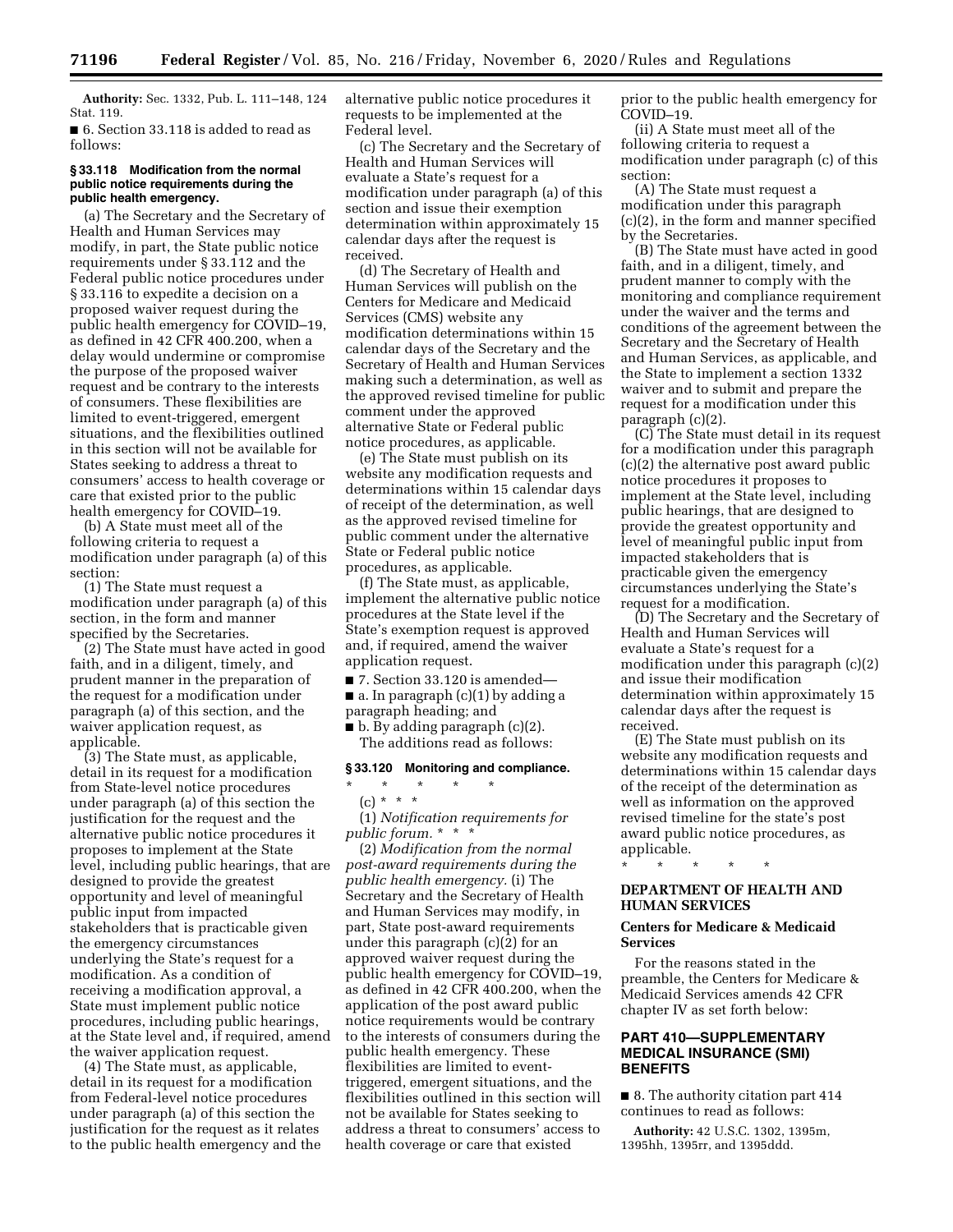**Authority:** Sec. 1332, Pub. L. 111–148, 124 Stat. 119.

■ 6. Section 33.118 is added to read as follows:

#### **§ 33.118 Modification from the normal public notice requirements during the public health emergency.**

(a) The Secretary and the Secretary of Health and Human Services may modify, in part, the State public notice requirements under § 33.112 and the Federal public notice procedures under § 33.116 to expedite a decision on a proposed waiver request during the public health emergency for COVID–19, as defined in 42 CFR 400.200, when a delay would undermine or compromise the purpose of the proposed waiver request and be contrary to the interests of consumers. These flexibilities are limited to event-triggered, emergent situations, and the flexibilities outlined in this section will not be available for States seeking to address a threat to consumers' access to health coverage or care that existed prior to the public health emergency for COVID–19.

(b) A State must meet all of the following criteria to request a modification under paragraph (a) of this section:

(1) The State must request a modification under paragraph (a) of this section, in the form and manner specified by the Secretaries.

(2) The State must have acted in good faith, and in a diligent, timely, and prudent manner in the preparation of the request for a modification under paragraph (a) of this section, and the waiver application request, as applicable.

(3) The State must, as applicable, detail in its request for a modification from State-level notice procedures under paragraph (a) of this section the justification for the request and the alternative public notice procedures it proposes to implement at the State level, including public hearings, that are designed to provide the greatest opportunity and level of meaningful public input from impacted stakeholders that is practicable given the emergency circumstances underlying the State's request for a modification. As a condition of receiving a modification approval, a State must implement public notice procedures, including public hearings, at the State level and, if required, amend the waiver application request.

(4) The State must, as applicable, detail in its request for a modification from Federal-level notice procedures under paragraph (a) of this section the justification for the request as it relates to the public health emergency and the alternative public notice procedures it requests to be implemented at the Federal level.

(c) The Secretary and the Secretary of Health and Human Services will evaluate a State's request for a modification under paragraph (a) of this section and issue their exemption determination within approximately 15 calendar days after the request is received.

(d) The Secretary of Health and Human Services will publish on the Centers for Medicare and Medicaid Services (CMS) website any modification determinations within 15 calendar days of the Secretary and the Secretary of Health and Human Services making such a determination, as well as the approved revised timeline for public comment under the approved alternative State or Federal public notice procedures, as applicable.

(e) The State must publish on its website any modification requests and determinations within 15 calendar days of receipt of the determination, as well as the approved revised timeline for public comment under the alternative State or Federal public notice procedures, as applicable.

(f) The State must, as applicable, implement the alternative public notice procedures at the State level if the State's exemption request is approved and, if required, amend the waiver application request.

■ 7. Section 33.120 is amended—

 $\blacksquare$  a. In paragraph (c)(1) by adding a

paragraph heading; and

\* \* \* \* \*

■ b. By adding paragraph (c)(2). The additions read as follows:

# **§ 33.120 Monitoring and compliance.**

# $(c) * * * *$

(1) *Notification requirements for public forum.* \* \* \*

(2) *Modification from the normal post-award requirements during the public health emergency.* (i) The Secretary and the Secretary of Health and Human Services may modify, in part, State post-award requirements under this paragraph (c)(2) for an approved waiver request during the public health emergency for COVID–19, as defined in 42 CFR 400.200, when the application of the post award public notice requirements would be contrary to the interests of consumers during the public health emergency. These flexibilities are limited to eventtriggered, emergent situations, and the flexibilities outlined in this section will not be available for States seeking to address a threat to consumers' access to health coverage or care that existed

prior to the public health emergency for COVID–19.

(ii) A State must meet all of the following criteria to request a modification under paragraph (c) of this section:

(A) The State must request a modification under this paragraph (c)(2), in the form and manner specified by the Secretaries.

(B) The State must have acted in good faith, and in a diligent, timely, and prudent manner to comply with the monitoring and compliance requirement under the waiver and the terms and conditions of the agreement between the Secretary and the Secretary of Health and Human Services, as applicable, and the State to implement a section 1332 waiver and to submit and prepare the request for a modification under this paragraph (c)(2).

(C) The State must detail in its request for a modification under this paragraph (c)(2) the alternative post award public notice procedures it proposes to implement at the State level, including public hearings, that are designed to provide the greatest opportunity and level of meaningful public input from impacted stakeholders that is practicable given the emergency circumstances underlying the State's request for a modification.

(D) The Secretary and the Secretary of Health and Human Services will evaluate a State's request for a modification under this paragraph (c)(2) and issue their modification determination within approximately 15 calendar days after the request is received.

(E) The State must publish on its website any modification requests and determinations within 15 calendar days of the receipt of the determination as well as information on the approved revised timeline for the state's post award public notice procedures, as applicable.

\* \* \* \* \*

# **DEPARTMENT OF HEALTH AND HUMAN SERVICES**

#### **Centers for Medicare & Medicaid Services**

For the reasons stated in the preamble, the Centers for Medicare & Medicaid Services amends 42 CFR chapter IV as set forth below:

## **PART 410—SUPPLEMENTARY MEDICAL INSURANCE (SMI) BENEFITS**

■ 8. The authority citation part 414 continues to read as follows:

**Authority:** 42 U.S.C. 1302, 1395m, 1395hh, 1395rr, and 1395ddd.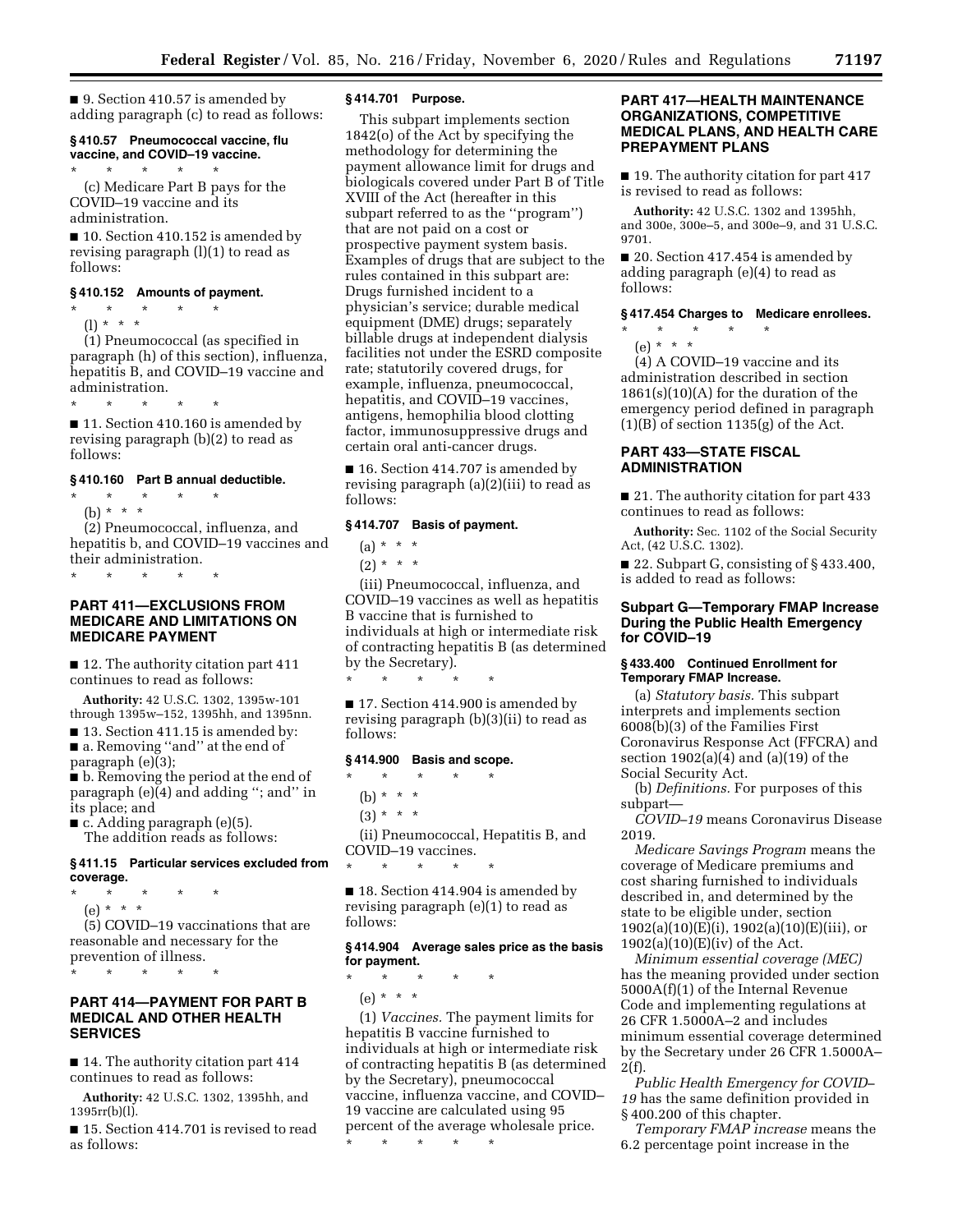■ 9. Section 410.57 is amended by adding paragraph (c) to read as follows:

#### **§ 410.57 Pneumococcal vaccine, flu vaccine, and COVID–19 vaccine.**

\* \* \* \* \* (c) Medicare Part B pays for the COVID–19 vaccine and its administration.

■ 10. Section 410.152 is amended by revising paragraph (l)(1) to read as follows:

# **§ 410.152 Amounts of payment.**

\* \* \* \* \* (l) \* \* \*

(1) Pneumococcal (as specified in paragraph (h) of this section), influenza, hepatitis B, and COVID–19 vaccine and administration.

\* \* \* \* \*

■ 11. Section 410.160 is amended by revising paragraph (b)(2) to read as follows:

#### **§ 410.160 Part B annual deductible.**

\* \* \* \* \* (b) \* \* \*

(2) Pneumococcal, influenza, and hepatitis b, and COVID–19 vaccines and their administration.

\* \* \* \* \*

# **PART 411—EXCLUSIONS FROM MEDICARE AND LIMITATIONS ON MEDICARE PAYMENT**

■ 12. The authority citation part 411 continues to read as follows:

**Authority:** 42 U.S.C. 1302, 1395w-101 through 1395w–152, 1395hh, and 1395nn.

■ 13. Section 411.15 is amended by: ■ a. Removing "and" at the end of paragraph (e)(3);

■ b. Removing the period at the end of paragraph (e)(4) and adding ''; and'' in its place; and

 $\blacksquare$  c. Adding paragraph (e)(5). The addition reads as follows:

# **§ 411.15 Particular services excluded from coverage.**

- \* \* \* \* \*
- (e) \* \* \*

(5) COVID–19 vaccinations that are reasonable and necessary for the prevention of illness.

\* \* \* \* \*

# **PART 414—PAYMENT FOR PART B MEDICAL AND OTHER HEALTH SERVICES**

■ 14. The authority citation part 414 continues to read as follows:

**Authority:** 42 U.S.C. 1302, 1395hh, and 1395rr(b)(l).

■ 15. Section 414.701 is revised to read as follows:

# **§ 414.701 Purpose.**

This subpart implements section 1842(o) of the Act by specifying the methodology for determining the payment allowance limit for drugs and biologicals covered under Part B of Title XVIII of the Act (hereafter in this subpart referred to as the ''program'') that are not paid on a cost or prospective payment system basis. Examples of drugs that are subject to the rules contained in this subpart are: Drugs furnished incident to a physician's service; durable medical equipment (DME) drugs; separately billable drugs at independent dialysis facilities not under the ESRD composite rate; statutorily covered drugs, for example, influenza, pneumococcal, hepatitis, and COVID–19 vaccines, antigens, hemophilia blood clotting factor, immunosuppressive drugs and certain oral anti-cancer drugs.

■ 16. Section 414.707 is amended by revising paragraph (a)(2)(iii) to read as follows:

## **§ 414.707 Basis of payment.**

 $(a) * * * *$ 

 $(2) * * * *$ 

(iii) Pneumococcal, influenza, and COVID–19 vaccines as well as hepatitis B vaccine that is furnished to individuals at high or intermediate risk of contracting hepatitis B (as determined by the Secretary).

■ 17. Section 414.900 is amended by revising paragraph (b)(3)(ii) to read as follows:

# **§ 414.900 Basis and scope.**

\* \* \* \* \*

\* \* \* \* \*

(b) \* \* \*

 $(3) * * * *$ 

(ii) Pneumococcal, Hepatitis B, and COVID–19 vaccines. \* \* \* \* \*

■ 18. Section 414.904 is amended by revising paragraph (e)(1) to read as follows:

# **§ 414.904 Average sales price as the basis for payment.**

\* \* \* \* \*

(e) \* \* \*

(1) *Vaccines.* The payment limits for hepatitis B vaccine furnished to individuals at high or intermediate risk of contracting hepatitis B (as determined by the Secretary), pneumococcal vaccine, influenza vaccine, and COVID– 19 vaccine are calculated using 95 percent of the average wholesale price.

\* \* \* \* \*

# **PART 417—HEALTH MAINTENANCE ORGANIZATIONS, COMPETITIVE MEDICAL PLANS, AND HEALTH CARE PREPAYMENT PLANS**

■ 19. The authority citation for part 417 is revised to read as follows:

**Authority:** 42 U.S.C. 1302 and 1395hh, and 300e, 300e–5, and 300e–9, and 31 U.S.C. 9701.

■ 20. Section 417.454 is amended by adding paragraph (e)(4) to read as follows:

## **§ 417.454 Charges to Medicare enrollees.**

\* \* \* \* \*

(e) \* \* \*

(4) A COVID–19 vaccine and its administration described in section  $1861(s)(10)(A)$  for the duration of the emergency period defined in paragraph  $(1)(B)$  of section 1135 $(g)$  of the Act.

# **PART 433—STATE FISCAL ADMINISTRATION**

■ 21. The authority citation for part 433 continues to read as follows:

**Authority:** Sec. 1102 of the Social Security Act, (42 U.S.C. 1302).

■ 22. Subpart G, consisting of § 433.400, is added to read as follows:

# **Subpart G—Temporary FMAP Increase During the Public Health Emergency for COVID–19**

#### **§ 433.400 Continued Enrollment for Temporary FMAP Increase.**

(a) *Statutory basis.* This subpart interprets and implements section 6008(b)(3) of the Families First Coronavirus Response Act (FFCRA) and section 1902(a)(4) and (a)(19) of the Social Security Act.

(b) *Definitions.* For purposes of this subpart—

*COVID–19* means Coronavirus Disease 2019.

*Medicare Savings Program* means the coverage of Medicare premiums and cost sharing furnished to individuals described in, and determined by the state to be eligible under, section 1902(a)(10)(E)(i), 1902(a)(10)(E)(iii), or  $1902(a)(10)(E)(iv)$  of the Act.

*Minimum essential coverage (MEC)*  has the meaning provided under section 5000A(f)(1) of the Internal Revenue Code and implementing regulations at 26 CFR 1.5000A–2 and includes minimum essential coverage determined by the Secretary under 26 CFR 1.5000A–  $2(f).$ 

*Public Health Emergency for COVID– 19* has the same definition provided in § 400.200 of this chapter.

*Temporary FMAP increase* means the 6.2 percentage point increase in the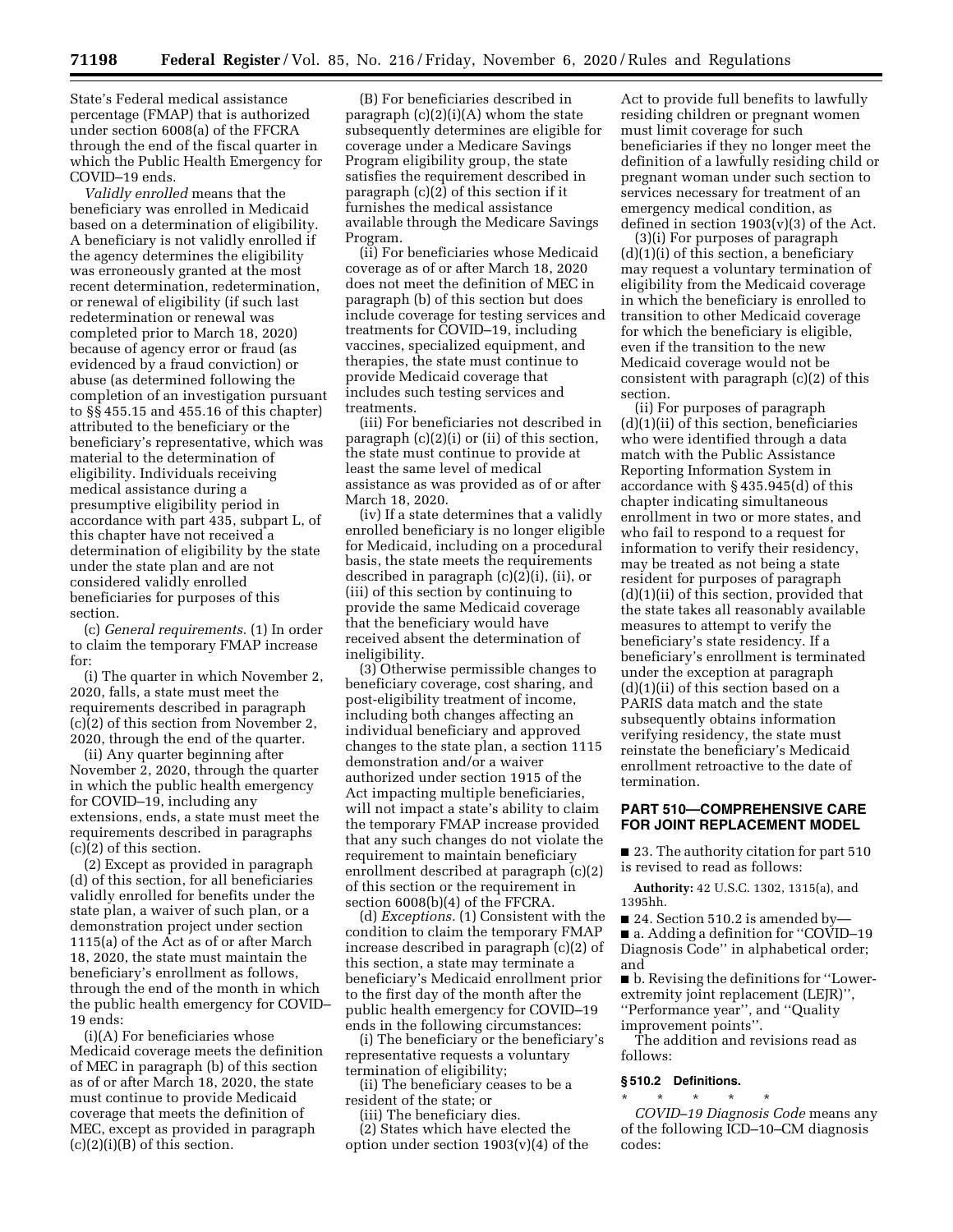State's Federal medical assistance percentage (FMAP) that is authorized under section 6008(a) of the FFCRA through the end of the fiscal quarter in which the Public Health Emergency for COVID–19 ends.

*Validly enrolled* means that the beneficiary was enrolled in Medicaid based on a determination of eligibility. A beneficiary is not validly enrolled if the agency determines the eligibility was erroneously granted at the most recent determination, redetermination, or renewal of eligibility (if such last redetermination or renewal was completed prior to March 18, 2020) because of agency error or fraud (as evidenced by a fraud conviction) or abuse (as determined following the completion of an investigation pursuant to §§ 455.15 and 455.16 of this chapter) attributed to the beneficiary or the beneficiary's representative, which was material to the determination of eligibility. Individuals receiving medical assistance during a presumptive eligibility period in accordance with part 435, subpart L, of this chapter have not received a determination of eligibility by the state under the state plan and are not considered validly enrolled beneficiaries for purposes of this section.

(c) *General requirements.* (1) In order to claim the temporary FMAP increase for:

(i) The quarter in which November 2, 2020, falls, a state must meet the requirements described in paragraph  $(c)(2)$  of this section from November 2, 2020, through the end of the quarter.

(ii) Any quarter beginning after November 2, 2020, through the quarter in which the public health emergency for COVID–19, including any extensions, ends, a state must meet the requirements described in paragraphs (c)(2) of this section.

(2) Except as provided in paragraph (d) of this section, for all beneficiaries validly enrolled for benefits under the state plan, a waiver of such plan, or a demonstration project under section 1115(a) of the Act as of or after March 18, 2020, the state must maintain the beneficiary's enrollment as follows, through the end of the month in which the public health emergency for COVID– 19 ends:

(i)(A) For beneficiaries whose Medicaid coverage meets the definition of MEC in paragraph (b) of this section as of or after March 18, 2020, the state must continue to provide Medicaid coverage that meets the definition of MEC, except as provided in paragraph  $(c)(2)(i)(B)$  of this section.

(B) For beneficiaries described in paragraph  $(c)(2)(i)(A)$  whom the state subsequently determines are eligible for coverage under a Medicare Savings Program eligibility group, the state satisfies the requirement described in paragraph (c)(2) of this section if it furnishes the medical assistance available through the Medicare Savings Program.

(ii) For beneficiaries whose Medicaid coverage as of or after March 18, 2020 does not meet the definition of MEC in paragraph (b) of this section but does include coverage for testing services and treatments for COVID–19, including vaccines, specialized equipment, and therapies, the state must continue to provide Medicaid coverage that includes such testing services and treatments.

(iii) For beneficiaries not described in paragraph (c)(2)(i) or (ii) of this section, the state must continue to provide at least the same level of medical assistance as was provided as of or after March 18, 2020.

(iv) If a state determines that a validly enrolled beneficiary is no longer eligible for Medicaid, including on a procedural basis, the state meets the requirements described in paragraph (c)(2)(i), (ii), or (iii) of this section by continuing to provide the same Medicaid coverage that the beneficiary would have received absent the determination of ineligibility.

(3) Otherwise permissible changes to beneficiary coverage, cost sharing, and post-eligibility treatment of income, including both changes affecting an individual beneficiary and approved changes to the state plan, a section 1115 demonstration and/or a waiver authorized under section 1915 of the Act impacting multiple beneficiaries, will not impact a state's ability to claim the temporary FMAP increase provided that any such changes do not violate the requirement to maintain beneficiary enrollment described at paragraph (c)(2) of this section or the requirement in section 6008(b)(4) of the FFCRA.

(d) *Exceptions.* (1) Consistent with the condition to claim the temporary FMAP increase described in paragraph (c)(2) of this section, a state may terminate a beneficiary's Medicaid enrollment prior to the first day of the month after the public health emergency for COVID–19 ends in the following circumstances:

(i) The beneficiary or the beneficiary's representative requests a voluntary termination of eligibility;

(ii) The beneficiary ceases to be a resident of the state; or

(iii) The beneficiary dies.

(2) States which have elected the option under section  $1903(v)(4)$  of the

Act to provide full benefits to lawfully residing children or pregnant women must limit coverage for such beneficiaries if they no longer meet the definition of a lawfully residing child or pregnant woman under such section to services necessary for treatment of an emergency medical condition, as defined in section  $1903(v)(3)$  of the Act.

(3)(i) For purposes of paragraph (d)(1)(i) of this section, a beneficiary may request a voluntary termination of eligibility from the Medicaid coverage in which the beneficiary is enrolled to transition to other Medicaid coverage for which the beneficiary is eligible, even if the transition to the new Medicaid coverage would not be consistent with paragraph (c)(2) of this section.

(ii) For purposes of paragraph  $(d)(1)(ii)$  of this section, beneficiaries who were identified through a data match with the Public Assistance Reporting Information System in accordance with § 435.945(d) of this chapter indicating simultaneous enrollment in two or more states, and who fail to respond to a request for information to verify their residency, may be treated as not being a state resident for purposes of paragraph (d)(1)(ii) of this section, provided that the state takes all reasonably available measures to attempt to verify the beneficiary's state residency. If a beneficiary's enrollment is terminated under the exception at paragraph (d)(1)(ii) of this section based on a PARIS data match and the state subsequently obtains information verifying residency, the state must reinstate the beneficiary's Medicaid enrollment retroactive to the date of termination.

# **PART 510—COMPREHENSIVE CARE FOR JOINT REPLACEMENT MODEL**

■ 23. The authority citation for part 510 is revised to read as follows:

**Authority:** 42 U.S.C. 1302, 1315(a), and 1395hh.

■ 24. Section 510.2 is amended by-■ a. Adding a definition for "COVID–19 Diagnosis Code'' in alphabetical order; and

■ b. Revising the definitions for ''Lowerextremity joint replacement (LEJR)'', ''Performance year'', and ''Quality improvement points''.

The addition and revisions read as follows:

#### **§ 510.2 Definitions.**

\* \* \* \* \* *COVID–19 Diagnosis Code* means any of the following ICD–10–CM diagnosis codes: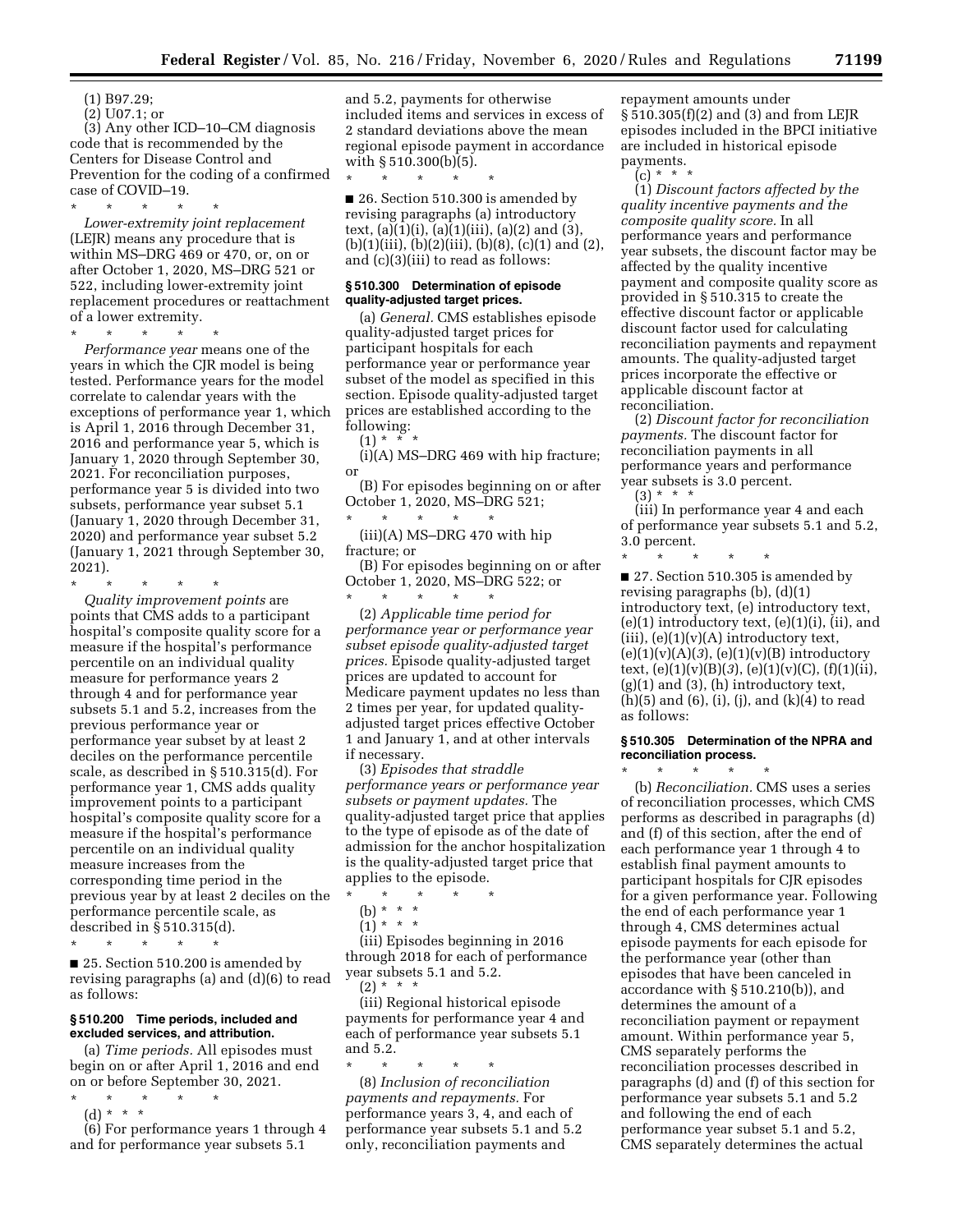(1) B97.29;

(2) U07.1; or

(3) Any other ICD–10–CM diagnosis code that is recommended by the Centers for Disease Control and Prevention for the coding of a confirmed case of COVID-19.

\* \* \* \* \*

*Lower-extremity joint replacement*  (LEJR) means any procedure that is within MS–DRG 469 or 470, or, on or after October 1, 2020, MS–DRG 521 or 522, including lower-extremity joint replacement procedures or reattachment of a lower extremity.

\* \* \* \* \* *Performance year* means one of the years in which the CJR model is being tested. Performance years for the model correlate to calendar years with the exceptions of performance year 1, which is April 1, 2016 through December 31, 2016 and performance year 5, which is January 1, 2020 through September 30, 2021. For reconciliation purposes, performance year 5 is divided into two subsets, performance year subset 5.1 (January 1, 2020 through December 31, 2020) and performance year subset 5.2 (January 1, 2021 through September 30, 2021).

\* \* \* \* \* *Quality improvement points* are points that CMS adds to a participant hospital's composite quality score for a measure if the hospital's performance percentile on an individual quality measure for performance years 2 through 4 and for performance year subsets 5.1 and 5.2, increases from the previous performance year or performance year subset by at least 2 deciles on the performance percentile scale, as described in § 510.315(d). For performance year 1, CMS adds quality improvement points to a participant hospital's composite quality score for a measure if the hospital's performance percentile on an individual quality

measure increases from the corresponding time period in the previous year by at least 2 deciles on the performance percentile scale, as described in § 510.315(d).

\* \* \* \* \*

■ 25. Section 510.200 is amended by revising paragraphs (a) and (d)(6) to read as follows:

# **§ 510.200 Time periods, included and excluded services, and attribution.**

(a) *Time periods.* All episodes must begin on or after April 1, 2016 and end on or before September 30, 2021.

- \* \* \* \* \*
	- (d) \* \* \*

(6) For performance years 1 through 4 and for performance year subsets 5.1

and 5.2, payments for otherwise included items and services in excess of 2 standard deviations above the mean regional episode payment in accordance with § 510.300(b)(5).

\* \* \* \* \* ■ 26. Section 510.300 is amended by revising paragraphs (a) introductory text, (a)(1)(i), (a)(1)(iii), (a)(2) and (3),  $(b)(1)(iii), (b)(2)(iii), (b)(8), (c)(1)$  and  $(2),$ and (c)(3)(iii) to read as follows:

#### **§ 510.300 Determination of episode quality-adjusted target prices.**

(a) *General.* CMS establishes episode quality-adjusted target prices for participant hospitals for each performance year or performance year subset of the model as specified in this section. Episode quality-adjusted target prices are established according to the following:

 $(1) * *$ 

(i)(A) MS–DRG 469 with hip fracture; or

(B) For episodes beginning on or after October 1, 2020, MS–DRG 521; \* \* \* \* \*

(iii)(A) MS–DRG 470 with hip fracture; or

(B) For episodes beginning on or after October 1, 2020, MS–DRG 522; or \* \* \* \* \*

(2) *Applicable time period for performance year or performance year subset episode quality-adjusted target prices.* Episode quality-adjusted target prices are updated to account for Medicare payment updates no less than 2 times per year, for updated qualityadjusted target prices effective October 1 and January 1, and at other intervals if necessary.

(3) *Episodes that straddle performance years or performance year subsets or payment updates.* The quality-adjusted target price that applies to the type of episode as of the date of admission for the anchor hospitalization is the quality-adjusted target price that applies to the episode.

\* \* \* \* \*

(b) \* \* \*

 $(1)^*$  \* \* \*

(iii) Episodes beginning in 2016 through 2018 for each of performance year subsets 5.1 and 5.2.  $(2) * * * *$ 

(iii) Regional historical episode payments for performance year 4 and each of performance year subsets 5.1 and 5.2.

\* \* \* \* \* (8) *Inclusion of reconciliation payments and repayments.* For performance years 3, 4, and each of performance year subsets 5.1 and 5.2 only, reconciliation payments and

repayment amounts under § 510.305(f)(2) and (3) and from LEJR episodes included in the BPCI initiative are included in historical episode payments.

 $(c) * *$ 

(1) *Discount factors affected by the quality incentive payments and the composite quality score.* In all performance years and performance year subsets, the discount factor may be affected by the quality incentive payment and composite quality score as provided in § 510.315 to create the effective discount factor or applicable discount factor used for calculating reconciliation payments and repayment amounts. The quality-adjusted target prices incorporate the effective or applicable discount factor at reconciliation.

(2) *Discount factor for reconciliation payments.* The discount factor for reconciliation payments in all performance years and performance year subsets is 3.0 percent.

 $(3) * * * *$ (iii) In performance year 4 and each of performance year subsets 5.1 and 5.2, 3.0 percent.

\* \* \* \* \* ■ 27. Section 510.305 is amended by revising paragraphs (b), (d)(1) introductory text, (e) introductory text,  $(e)(1)$  introductory text,  $(e)(1)(i)$ ,  $(ii)$ , and  $(iii)$ ,  $(e)(1)(v)(A)$  introductory text, (e)(1)(v)(A)(*3*), (e)(1)(v)(B) introductory text,  $(e)(1)(v)(B)(3)$ ,  $(e)(1)(v)(C)$ ,  $(f)(1)(ii)$ ,  $(g)(1)$  and  $(3)$ ,  $(h)$  introductory text, (h)(5) and (6), (i), (j), and (k)(4) to read as follows:

#### **§ 510.305 Determination of the NPRA and reconciliation process.**  \* \* \* \* \*

(b) *Reconciliation.* CMS uses a series of reconciliation processes, which CMS performs as described in paragraphs (d) and (f) of this section, after the end of each performance year 1 through 4 to establish final payment amounts to participant hospitals for CJR episodes for a given performance year. Following the end of each performance year 1 through 4, CMS determines actual episode payments for each episode for the performance year (other than episodes that have been canceled in accordance with § 510.210(b)), and determines the amount of a reconciliation payment or repayment amount. Within performance year 5, CMS separately performs the reconciliation processes described in paragraphs (d) and (f) of this section for performance year subsets 5.1 and 5.2 and following the end of each performance year subset 5.1 and 5.2, CMS separately determines the actual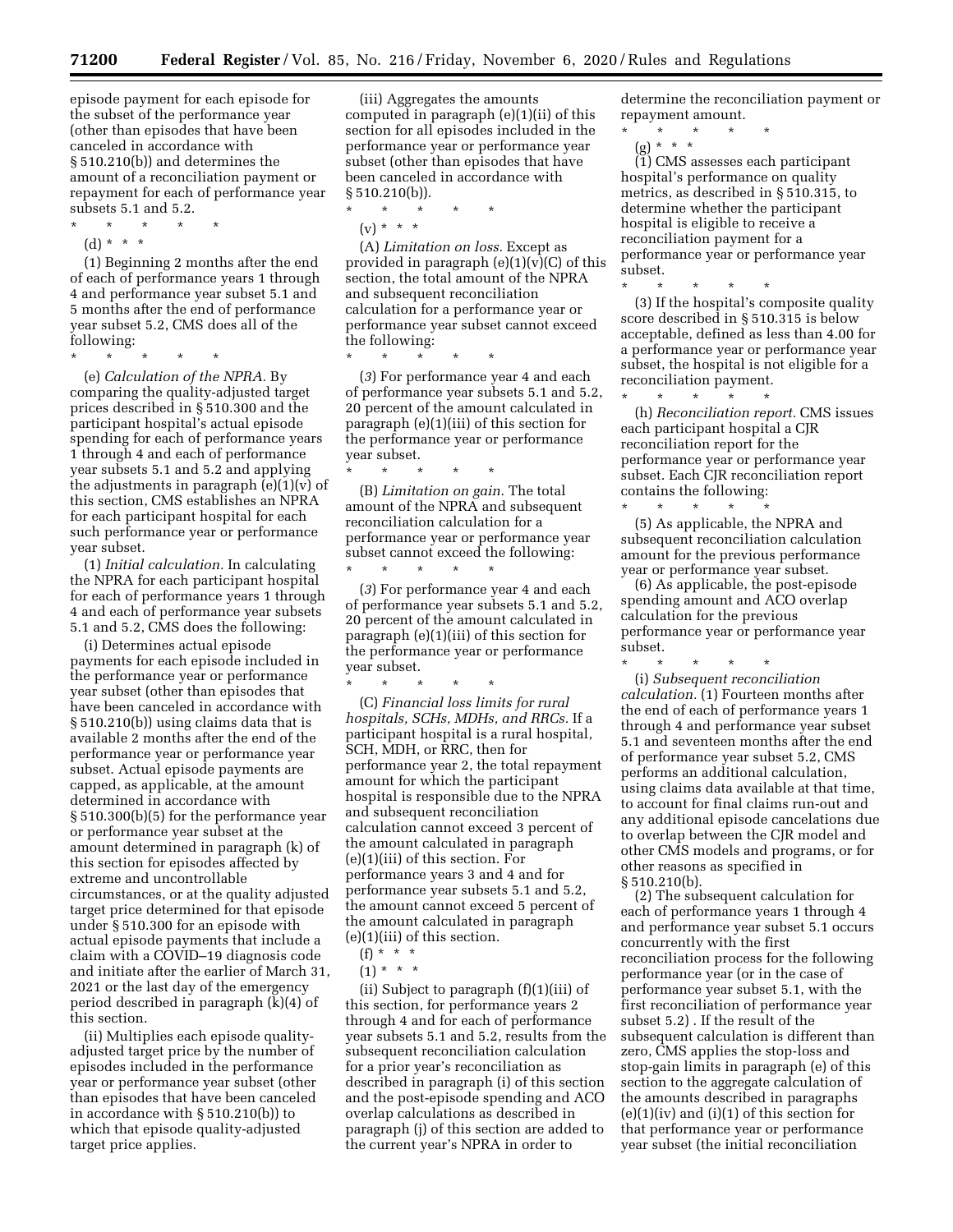episode payment for each episode for the subset of the performance year (other than episodes that have been canceled in accordance with § 510.210(b)) and determines the amount of a reconciliation payment or repayment for each of performance year subsets 5.1 and 5.2.

\* \* \* \* \*

\* \* \* \* \*

(d) \* \* \*

(1) Beginning 2 months after the end of each of performance years 1 through 4 and performance year subset 5.1 and 5 months after the end of performance year subset 5.2, CMS does all of the following:

(e) *Calculation of the NPRA.* By comparing the quality-adjusted target prices described in § 510.300 and the participant hospital's actual episode spending for each of performance years 1 through 4 and each of performance year subsets 5.1 and 5.2 and applying the adjustments in paragraph  $(e)(1)(v)$  of this section, CMS establishes an NPRA for each participant hospital for each such performance year or performance year subset.

(1) *Initial calculation.* In calculating the NPRA for each participant hospital for each of performance years 1 through 4 and each of performance year subsets 5.1 and 5.2, CMS does the following:

(i) Determines actual episode payments for each episode included in the performance year or performance year subset (other than episodes that have been canceled in accordance with § 510.210(b)) using claims data that is available 2 months after the end of the performance year or performance year subset. Actual episode payments are capped, as applicable, at the amount determined in accordance with § 510.300(b)(5) for the performance year or performance year subset at the amount determined in paragraph (k) of this section for episodes affected by extreme and uncontrollable circumstances, or at the quality adjusted target price determined for that episode under § 510.300 for an episode with actual episode payments that include a claim with a COVID–19 diagnosis code and initiate after the earlier of March 31, 2021 or the last day of the emergency period described in paragraph (k)(4) of this section.

(ii) Multiplies each episode qualityadjusted target price by the number of episodes included in the performance year or performance year subset (other than episodes that have been canceled in accordance with § 510.210(b)) to which that episode quality-adjusted target price applies.

(iii) Aggregates the amounts computed in paragraph (e)(1)(ii) of this section for all episodes included in the performance year or performance year subset (other than episodes that have been canceled in accordance with  $§ 510.210(b)$ .

- $\star$   $\star$
- $(v) * * * *$

(A) *Limitation on loss.* Except as provided in paragraph  $(e)(1)(v)(C)$  of this section, the total amount of the NPRA and subsequent reconciliation calculation for a performance year or performance year subset cannot exceed the following:

\* \* \* \* \*

(*3*) For performance year 4 and each of performance year subsets 5.1 and 5.2, 20 percent of the amount calculated in paragraph (e)(1)(iii) of this section for the performance year or performance year subset.

\* \* \* \* \* (B) *Limitation on gain.* The total amount of the NPRA and subsequent reconciliation calculation for a performance year or performance year subset cannot exceed the following:

\* \* \* \* \*

(*3*) For performance year 4 and each of performance year subsets 5.1 and 5.2, 20 percent of the amount calculated in paragraph (e)(1)(iii) of this section for the performance year or performance year subset.

\* \* \* \* \* (C) *Financial loss limits for rural hospitals, SCHs, MDHs, and RRCs.* If a participant hospital is a rural hospital, SCH, MDH, or RRC, then for performance year 2, the total repayment amount for which the participant hospital is responsible due to the NPRA and subsequent reconciliation calculation cannot exceed 3 percent of the amount calculated in paragraph (e)(1)(iii) of this section. For performance years 3 and 4 and for performance year subsets 5.1 and 5.2, the amount cannot exceed 5 percent of the amount calculated in paragraph (e)(1)(iii) of this section.

- $(f) * * * *$
- $(1) * * * *$

(ii) Subject to paragraph (f)(1)(iii) of this section, for performance years 2 through 4 and for each of performance year subsets 5.1 and 5.2, results from the subsequent reconciliation calculation for a prior year's reconciliation as described in paragraph (i) of this section and the post-episode spending and ACO overlap calculations as described in paragraph (j) of this section are added to the current year's NPRA in order to

determine the reconciliation payment or repayment amount.

\* \* \* \* \*

(g) \* \* \* (1) CMS assesses each participant hospital's performance on quality metrics, as described in § 510.315, to determine whether the participant hospital is eligible to receive a reconciliation payment for a performance year or performance year subset.

\* \* \* \* \* (3) If the hospital's composite quality score described in § 510.315 is below acceptable, defined as less than 4.00 for a performance year or performance year subset, the hospital is not eligible for a reconciliation payment.

\* \* \* \* \* (h) *Reconciliation report.* CMS issues each participant hospital a CJR reconciliation report for the performance year or performance year subset. Each CJR reconciliation report contains the following:

 $\star$   $\qquad$   $\star$   $\qquad$   $\star$ (5) As applicable, the NPRA and subsequent reconciliation calculation amount for the previous performance year or performance year subset.

(6) As applicable, the post-episode spending amount and ACO overlap calculation for the previous performance year or performance year subset.

\* \* \* \* \* (i) *Subsequent reconciliation calculation.* (1) Fourteen months after the end of each of performance years 1 through 4 and performance year subset 5.1 and seventeen months after the end of performance year subset 5.2, CMS performs an additional calculation, using claims data available at that time, to account for final claims run-out and any additional episode cancelations due to overlap between the CJR model and other CMS models and programs, or for other reasons as specified in § 510.210(b).

(2) The subsequent calculation for each of performance years 1 through 4 and performance year subset 5.1 occurs concurrently with the first reconciliation process for the following performance year (or in the case of performance year subset 5.1, with the first reconciliation of performance year subset 5.2) . If the result of the subsequent calculation is different than zero, CMS applies the stop-loss and stop-gain limits in paragraph (e) of this section to the aggregate calculation of the amounts described in paragraphs  $(e)(1)(iv)$  and  $(i)(1)$  of this section for that performance year or performance year subset (the initial reconciliation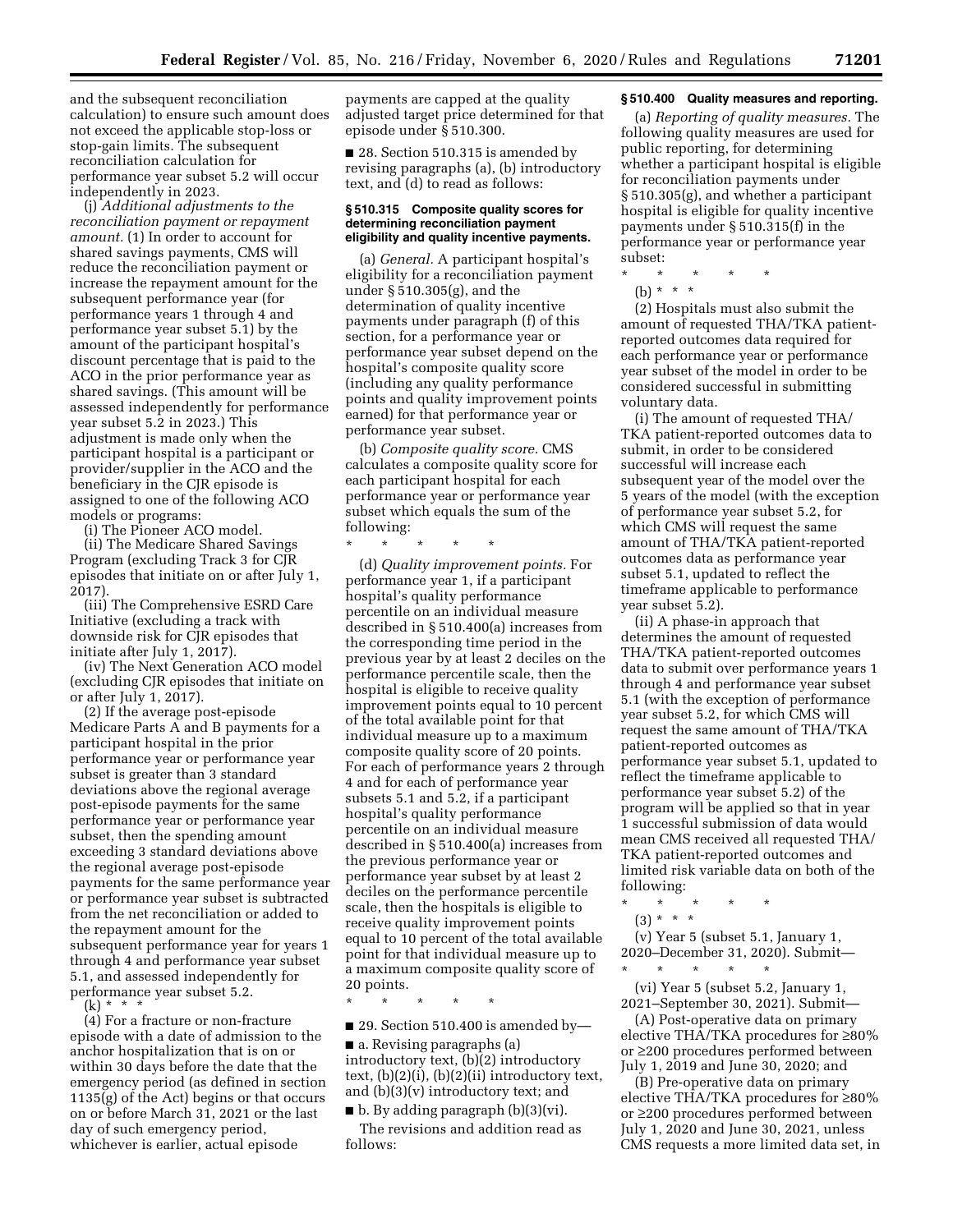and the subsequent reconciliation calculation) to ensure such amount does not exceed the applicable stop-loss or stop-gain limits. The subsequent reconciliation calculation for performance year subset 5.2 will occur independently in 2023.

(j) *Additional adjustments to the reconciliation payment or repayment amount.* (1) In order to account for shared savings payments, CMS will reduce the reconciliation payment or increase the repayment amount for the subsequent performance year (for performance years 1 through 4 and performance year subset 5.1) by the amount of the participant hospital's discount percentage that is paid to the ACO in the prior performance year as shared savings. (This amount will be assessed independently for performance year subset 5.2 in 2023.) This adjustment is made only when the participant hospital is a participant or provider/supplier in the ACO and the beneficiary in the CJR episode is assigned to one of the following ACO models or programs:

(i) The Pioneer ACO model.

(ii) The Medicare Shared Savings Program (excluding Track 3 for CJR episodes that initiate on or after July 1, 2017).

(iii) The Comprehensive ESRD Care Initiative (excluding a track with downside risk for CJR episodes that initiate after July 1, 2017).

(iv) The Next Generation ACO model (excluding CJR episodes that initiate on or after July 1, 2017).

(2) If the average post-episode Medicare Parts A and B payments for a participant hospital in the prior performance year or performance year subset is greater than 3 standard deviations above the regional average post-episode payments for the same performance year or performance year subset, then the spending amount exceeding 3 standard deviations above the regional average post-episode payments for the same performance year or performance year subset is subtracted from the net reconciliation or added to the repayment amount for the subsequent performance year for years 1 through 4 and performance year subset 5.1, and assessed independently for performance year subset 5.2.

(k) \* \* \*

(4) For a fracture or non-fracture episode with a date of admission to the anchor hospitalization that is on or within 30 days before the date that the emergency period (as defined in section 1135(g) of the Act) begins or that occurs on or before March 31, 2021 or the last day of such emergency period, whichever is earlier, actual episode

payments are capped at the quality adjusted target price determined for that episode under § 510.300.

■ 28. Section 510.315 is amended by revising paragraphs (a), (b) introductory text, and (d) to read as follows:

#### **§ 510.315 Composite quality scores for determining reconciliation payment eligibility and quality incentive payments.**

(a) *General.* A participant hospital's eligibility for a reconciliation payment under § 510.305(g), and the determination of quality incentive payments under paragraph (f) of this section, for a performance year or performance year subset depend on the hospital's composite quality score (including any quality performance points and quality improvement points earned) for that performance year or performance year subset.

(b) *Composite quality score.* CMS calculates a composite quality score for each participant hospital for each performance year or performance year subset which equals the sum of the following:

\* \* \* \* \*

(d) *Quality improvement points.* For performance year 1, if a participant hospital's quality performance percentile on an individual measure described in § 510.400(a) increases from the corresponding time period in the previous year by at least 2 deciles on the performance percentile scale, then the hospital is eligible to receive quality improvement points equal to 10 percent of the total available point for that individual measure up to a maximum composite quality score of 20 points. For each of performance years 2 through 4 and for each of performance year subsets 5.1 and 5.2, if a participant hospital's quality performance percentile on an individual measure described in § 510.400(a) increases from the previous performance year or performance year subset by at least 2 deciles on the performance percentile scale, then the hospitals is eligible to receive quality improvement points equal to 10 percent of the total available point for that individual measure up to a maximum composite quality score of 20 points.

\* \* \* \* \*

# ■ 29. Section 510.400 is amended by—

■ a. Revising paragraphs (a) introductory text, (b)(2) introductory text,  $(b)(2)(i)$ ,  $(b)(2)(ii)$  introductory text, and (b)(3)(v) introductory text; and

■ b. By adding paragraph (b)(3)(vi). The revisions and addition read as follows:

# **§ 510.400 Quality measures and reporting.**

(a) *Reporting of quality measures.* The following quality measures are used for public reporting, for determining whether a participant hospital is eligible for reconciliation payments under § 510.305(g), and whether a participant hospital is eligible for quality incentive payments under § 510.315(f) in the performance year or performance year subset:

- \* \* \* \* \*
- (b) \* \* \*

(2) Hospitals must also submit the amount of requested THA/TKA patientreported outcomes data required for each performance year or performance year subset of the model in order to be considered successful in submitting voluntary data.

(i) The amount of requested THA/ TKA patient-reported outcomes data to submit, in order to be considered successful will increase each subsequent year of the model over the 5 years of the model (with the exception of performance year subset 5.2, for which CMS will request the same amount of THA/TKA patient-reported outcomes data as performance year subset 5.1, updated to reflect the timeframe applicable to performance year subset 5.2).

(ii) A phase-in approach that determines the amount of requested THA/TKA patient-reported outcomes data to submit over performance years 1 through 4 and performance year subset 5.1 (with the exception of performance year subset 5.2, for which CMS will request the same amount of THA/TKA patient-reported outcomes as performance year subset 5.1, updated to reflect the timeframe applicable to performance year subset 5.2) of the program will be applied so that in year 1 successful submission of data would mean CMS received all requested THA/ TKA patient-reported outcomes and limited risk variable data on both of the following:

 $(3) * * * *$ 

(v) Year 5 (subset 5.1, January 1, 2020–December 31, 2020). Submit—

\* \* \* \* \* (vi) Year 5 (subset 5.2, January 1, 2021–September 30, 2021). Submit—

(A) Post-operative data on primary elective THA/TKA procedures for ≥80% or ≥200 procedures performed between July 1, 2019 and June 30, 2020; and

(B) Pre-operative data on primary elective THA/TKA procedures for ≥80% or ≥200 procedures performed between July 1, 2020 and June 30, 2021, unless CMS requests a more limited data set, in

<sup>\* \* \* \* \*</sup>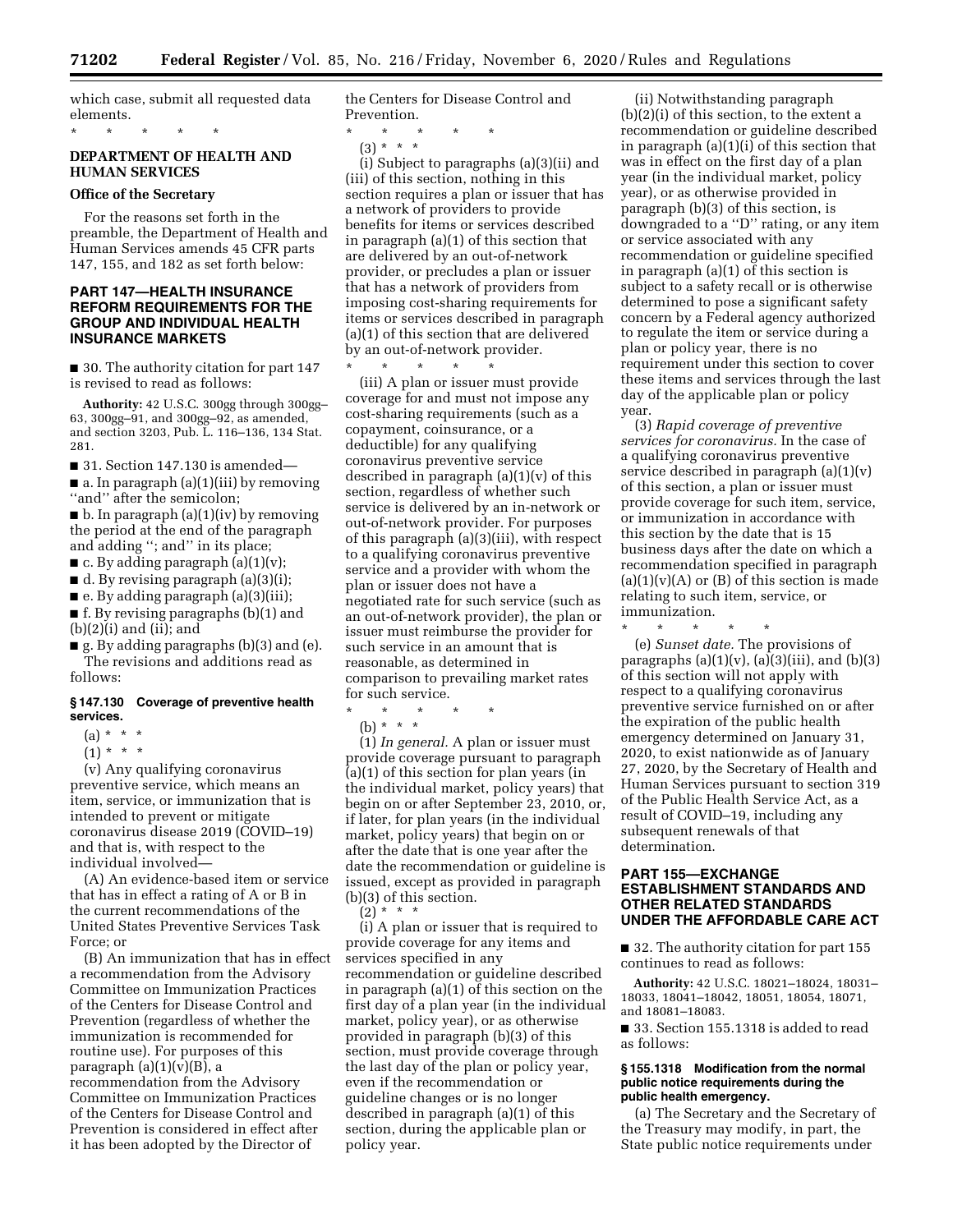which case, submit all requested data elements.

# **DEPARTMENT OF HEALTH AND HUMAN SERVICES**

#### **Office of the Secretary**

\* \* \* \* \*

For the reasons set forth in the preamble, the Department of Health and Human Services amends 45 CFR parts 147, 155, and 182 as set forth below:

# **PART 147—HEALTH INSURANCE REFORM REQUIREMENTS FOR THE GROUP AND INDIVIDUAL HEALTH INSURANCE MARKETS**

■ 30. The authority citation for part 147 is revised to read as follows:

**Authority:** 42 U.S.C. 300gg through 300gg– 63, 300gg–91, and 300gg–92, as amended, and section 3203, Pub. L. 116–136, 134 Stat. 281.

 $\blacksquare$  31. Section 147.130 is amended—

■ a. In paragraph (a)(1)(iii) by removing ''and'' after the semicolon;

 $\blacksquare$  b. In paragraph (a)(1)(iv) by removing the period at the end of the paragraph and adding ''; and'' in its place;

 $\blacksquare$  c. By adding paragraph (a)(1)(v);

■ d. By revising paragraph (a)(3)(i);

■ e. By adding paragraph (a)(3)(iii);

■ f. By revising paragraphs (b)(1) and  $(b)(2)(i)$  and  $(ii)$ ; and

■ g. By adding paragraphs (b)(3) and (e). The revisions and additions read as follows:

#### **§ 147.130 Coverage of preventive health services.**

- $(a) * * * *$
- $(1) * * * *$

(v) Any qualifying coronavirus preventive service, which means an item, service, or immunization that is intended to prevent or mitigate coronavirus disease 2019 (COVID–19) and that is, with respect to the individual involved—

(A) An evidence-based item or service that has in effect a rating of A or B in the current recommendations of the United States Preventive Services Task Force; or

(B) An immunization that has in effect a recommendation from the Advisory Committee on Immunization Practices of the Centers for Disease Control and Prevention (regardless of whether the immunization is recommended for routine use). For purposes of this paragraph  $(a)(1)(v)(B)$ , a recommendation from the Advisory Committee on Immunization Practices of the Centers for Disease Control and Prevention is considered in effect after it has been adopted by the Director of

the Centers for Disease Control and Prevention.

- \* \* \* \* \*
- (3) \* \* \*

(i) Subject to paragraphs (a)(3)(ii) and (iii) of this section, nothing in this section requires a plan or issuer that has a network of providers to provide benefits for items or services described in paragraph (a)(1) of this section that are delivered by an out-of-network provider, or precludes a plan or issuer that has a network of providers from imposing cost-sharing requirements for items or services described in paragraph (a)(1) of this section that are delivered by an out-of-network provider. \* \* \* \* \*

(iii) A plan or issuer must provide coverage for and must not impose any cost-sharing requirements (such as a copayment, coinsurance, or a deductible) for any qualifying coronavirus preventive service described in paragraph  $(a)(1)(v)$  of this section, regardless of whether such service is delivered by an in-network or out-of-network provider. For purposes of this paragraph (a)(3)(iii), with respect to a qualifying coronavirus preventive service and a provider with whom the plan or issuer does not have a negotiated rate for such service (such as an out-of-network provider), the plan or issuer must reimburse the provider for such service in an amount that is reasonable, as determined in comparison to prevailing market rates for such service.

\* \* \* \* \*

(b) \* \* \*

(1) *In general.* A plan or issuer must provide coverage pursuant to paragraph (a)(1) of this section for plan years (in the individual market, policy years) that begin on or after September 23, 2010, or, if later, for plan years (in the individual market, policy years) that begin on or after the date that is one year after the date the recommendation or guideline is issued, except as provided in paragraph (b)(3) of this section.

 $(2) * * * *$ 

(i) A plan or issuer that is required to provide coverage for any items and services specified in any recommendation or guideline described in paragraph (a)(1) of this section on the first day of a plan year (in the individual market, policy year), or as otherwise provided in paragraph (b)(3) of this section, must provide coverage through the last day of the plan or policy year, even if the recommendation or guideline changes or is no longer described in paragraph (a)(1) of this section, during the applicable plan or policy year.

(ii) Notwithstanding paragraph (b)(2)(i) of this section, to the extent a recommendation or guideline described in paragraph (a)(1)(i) of this section that was in effect on the first day of a plan year (in the individual market, policy year), or as otherwise provided in paragraph (b)(3) of this section, is downgraded to a ''D'' rating, or any item or service associated with any recommendation or guideline specified in paragraph (a)(1) of this section is subject to a safety recall or is otherwise determined to pose a significant safety concern by a Federal agency authorized to regulate the item or service during a plan or policy year, there is no requirement under this section to cover these items and services through the last day of the applicable plan or policy year.

(3) *Rapid coverage of preventive services for coronavirus.* In the case of a qualifying coronavirus preventive service described in paragraph  $(a)(1)(v)$ of this section, a plan or issuer must provide coverage for such item, service, or immunization in accordance with this section by the date that is 15 business days after the date on which a recommendation specified in paragraph  $(a)(1)(v)(A)$  or  $(B)$  of this section is made relating to such item, service, or immunization.

\* \* \* \* \* (e) *Sunset date.* The provisions of paragraphs  $(a)(1)(v)$ ,  $(a)(3)(iii)$ , and  $(b)(3)$ of this section will not apply with respect to a qualifying coronavirus preventive service furnished on or after the expiration of the public health emergency determined on January 31, 2020, to exist nationwide as of January 27, 2020, by the Secretary of Health and Human Services pursuant to section 319 of the Public Health Service Act, as a result of COVID–19, including any subsequent renewals of that determination.

# **PART 155—EXCHANGE ESTABLISHMENT STANDARDS AND OTHER RELATED STANDARDS UNDER THE AFFORDABLE CARE ACT**

■ 32. The authority citation for part 155 continues to read as follows:

**Authority:** 42 U.S.C. 18021–18024, 18031– 18033, 18041–18042, 18051, 18054, 18071, and 18081–18083.

■ 33. Section 155.1318 is added to read as follows:

## **§ 155.1318 Modification from the normal public notice requirements during the public health emergency.**

(a) The Secretary and the Secretary of the Treasury may modify, in part, the State public notice requirements under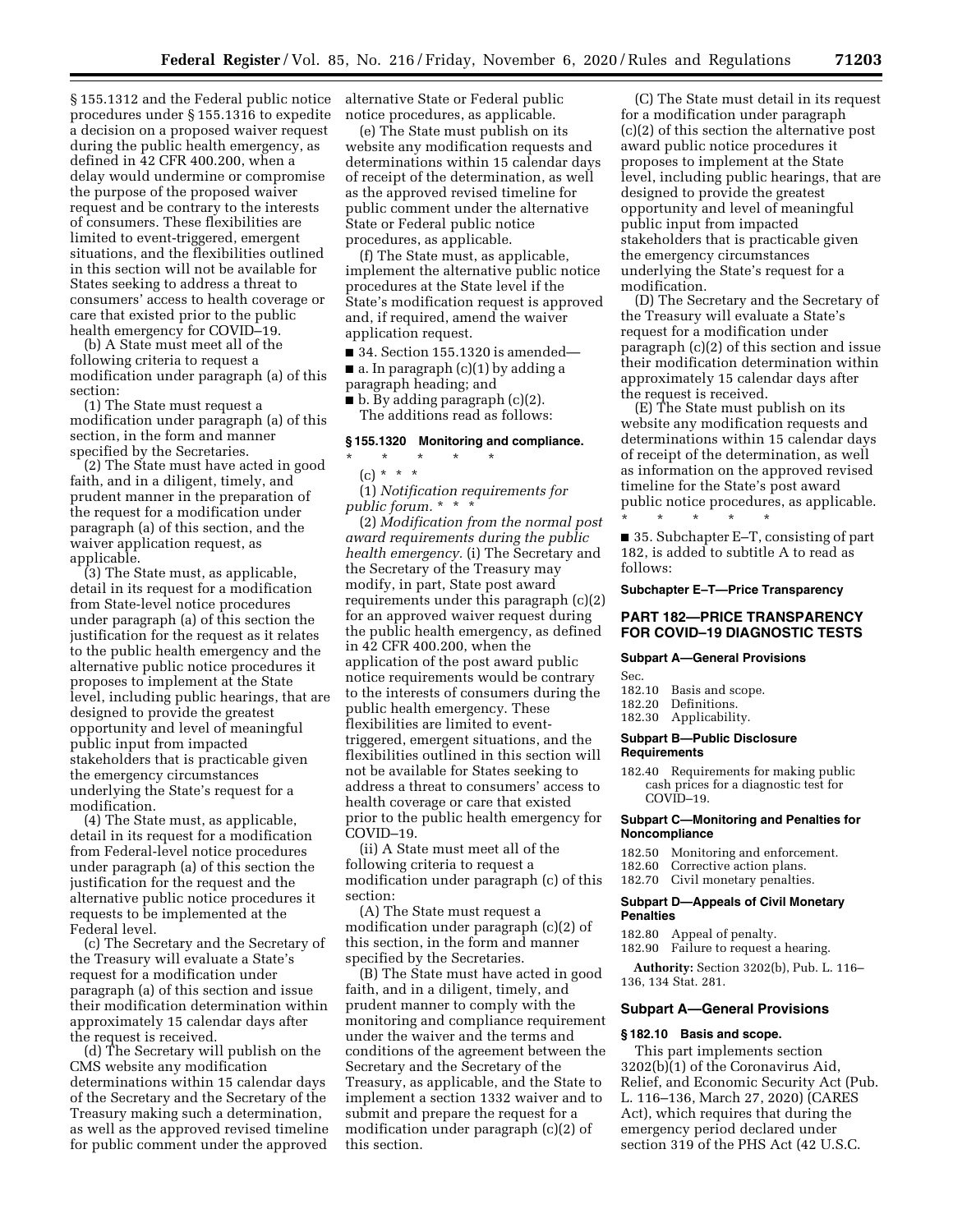§ 155.1312 and the Federal public notice procedures under § 155.1316 to expedite a decision on a proposed waiver request during the public health emergency, as defined in 42 CFR 400.200, when a delay would undermine or compromise the purpose of the proposed waiver request and be contrary to the interests of consumers. These flexibilities are limited to event-triggered, emergent situations, and the flexibilities outlined in this section will not be available for States seeking to address a threat to consumers' access to health coverage or care that existed prior to the public health emergency for COVID–19.

(b) A State must meet all of the following criteria to request a modification under paragraph (a) of this section:

(1) The State must request a modification under paragraph (a) of this section, in the form and manner specified by the Secretaries.

(2) The State must have acted in good faith, and in a diligent, timely, and prudent manner in the preparation of the request for a modification under paragraph (a) of this section, and the waiver application request, as applicable.

(3) The State must, as applicable, detail in its request for a modification from State-level notice procedures under paragraph (a) of this section the justification for the request as it relates to the public health emergency and the alternative public notice procedures it proposes to implement at the State level, including public hearings, that are designed to provide the greatest opportunity and level of meaningful public input from impacted stakeholders that is practicable given the emergency circumstances underlying the State's request for a modification.

(4) The State must, as applicable, detail in its request for a modification from Federal-level notice procedures under paragraph (a) of this section the justification for the request and the alternative public notice procedures it requests to be implemented at the Federal level.

(c) The Secretary and the Secretary of the Treasury will evaluate a State's request for a modification under paragraph (a) of this section and issue their modification determination within approximately 15 calendar days after the request is received.

(d) The Secretary will publish on the CMS website any modification determinations within 15 calendar days of the Secretary and the Secretary of the Treasury making such a determination, as well as the approved revised timeline for public comment under the approved

alternative State or Federal public notice procedures, as applicable.

(e) The State must publish on its website any modification requests and determinations within 15 calendar days of receipt of the determination, as well as the approved revised timeline for public comment under the alternative State or Federal public notice procedures, as applicable.

(f) The State must, as applicable, implement the alternative public notice procedures at the State level if the State's modification request is approved and, if required, amend the waiver application request.

■ 34. Section 155.1320 is amended— ■ a. In paragraph (c)(1) by adding a

paragraph heading; and

■ b. By adding paragraph (c)(2). The additions read as follows:

#### **§ 155.1320 Monitoring and compliance.**

- \* \* \* \* \*
- $(c) * * * *$

(1) *Notification requirements for public forum.* \* \* \*

(2) *Modification from the normal post award requirements during the public health emergency.* (i) The Secretary and the Secretary of the Treasury may modify, in part, State post award requirements under this paragraph (c)(2) for an approved waiver request during the public health emergency, as defined in 42 CFR 400.200, when the application of the post award public notice requirements would be contrary to the interests of consumers during the public health emergency. These flexibilities are limited to eventtriggered, emergent situations, and the flexibilities outlined in this section will not be available for States seeking to address a threat to consumers' access to health coverage or care that existed prior to the public health emergency for COVID–19.

(ii) A State must meet all of the following criteria to request a modification under paragraph (c) of this section:

(A) The State must request a modification under paragraph (c)(2) of this section, in the form and manner specified by the Secretaries.

(B) The State must have acted in good faith, and in a diligent, timely, and prudent manner to comply with the monitoring and compliance requirement under the waiver and the terms and conditions of the agreement between the Secretary and the Secretary of the Treasury, as applicable, and the State to implement a section 1332 waiver and to submit and prepare the request for a modification under paragraph (c)(2) of this section.

(C) The State must detail in its request for a modification under paragraph (c)(2) of this section the alternative post award public notice procedures it proposes to implement at the State level, including public hearings, that are designed to provide the greatest opportunity and level of meaningful public input from impacted stakeholders that is practicable given the emergency circumstances underlying the State's request for a modification.

(D) The Secretary and the Secretary of the Treasury will evaluate a State's request for a modification under paragraph (c)(2) of this section and issue their modification determination within approximately 15 calendar days after the request is received.

(E) The State must publish on its website any modification requests and determinations within 15 calendar days of receipt of the determination, as well as information on the approved revised timeline for the State's post award public notice procedures, as applicable. \* \* \* \* \*

■ 35. Subchapter E–T, consisting of part 182, is added to subtitle A to read as follows:

#### **Subchapter E–T—Price Transparency**

# **PART 182—PRICE TRANSPARENCY FOR COVID–19 DIAGNOSTIC TESTS**

# **Subpart A—General Provisions**

Sec.

- 182.10 Basis and scope.
- 182.20 Definitions.
- 182.30 Applicability.

#### **Subpart B—Public Disclosure Requirements**

182.40 Requirements for making public cash prices for a diagnostic test for COVID–19.

#### **Subpart C—Monitoring and Penalties for Noncompliance**

- 182.50 Monitoring and enforcement.
- 182.60 Corrective action plans.
- 182.70 Civil monetary penalties.

#### **Subpart D—Appeals of Civil Monetary Penalties**

182.80 Appeal of penalty.

182.90 Failure to request a hearing.

**Authority:** Section 3202(b), Pub. L. 116– 136, 134 Stat. 281.

#### **Subpart A—General Provisions**

#### **§ 182.10 Basis and scope.**

This part implements section 3202(b)(1) of the Coronavirus Aid, Relief, and Economic Security Act (Pub. L. 116–136, March 27, 2020) (CARES Act), which requires that during the emergency period declared under section 319 of the PHS Act (42 U.S.C.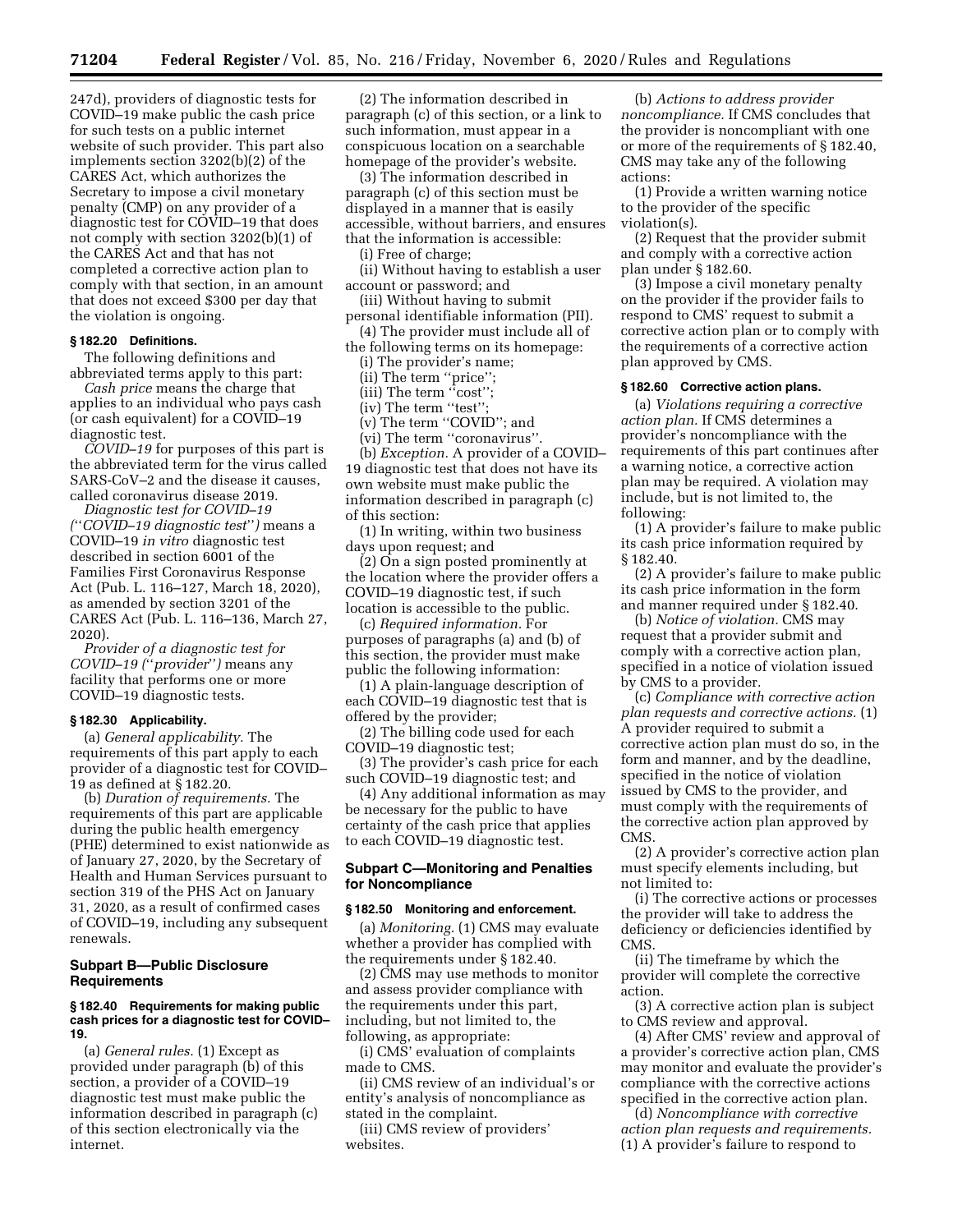247d), providers of diagnostic tests for COVID–19 make public the cash price for such tests on a public internet website of such provider. This part also implements section 3202(b)(2) of the CARES Act, which authorizes the Secretary to impose a civil monetary penalty (CMP) on any provider of a diagnostic test for COVID–19 that does not comply with section 3202(b)(1) of the CARES Act and that has not completed a corrective action plan to comply with that section, in an amount that does not exceed \$300 per day that the violation is ongoing.

### **§ 182.20 Definitions.**

The following definitions and abbreviated terms apply to this part:

*Cash price* means the charge that applies to an individual who pays cash (or cash equivalent) for a COVID–19 diagnostic test.

*COVID–19* for purposes of this part is the abbreviated term for the virus called SARS-CoV–2 and the disease it causes, called coronavirus disease 2019.

*Diagnostic test for COVID–19 (*''*COVID–19 diagnostic test*''*)* means a COVID–19 *in vitro* diagnostic test described in section 6001 of the Families First Coronavirus Response Act (Pub. L. 116–127, March 18, 2020), as amended by section 3201 of the CARES Act (Pub. L. 116–136, March 27, 2020).

*Provider of a diagnostic test for COVID–19 (*''*provider*''*)* means any facility that performs one or more COVID–19 diagnostic tests.

#### **§ 182.30 Applicability.**

(a) *General applicability.* The requirements of this part apply to each provider of a diagnostic test for COVID– 19 as defined at § 182.20.

(b) *Duration of requirements.* The requirements of this part are applicable during the public health emergency (PHE) determined to exist nationwide as of January 27, 2020, by the Secretary of Health and Human Services pursuant to section 319 of the PHS Act on January 31, 2020, as a result of confirmed cases of COVID–19, including any subsequent renewals.

# **Subpart B—Public Disclosure Requirements**

#### **§ 182.40 Requirements for making public cash prices for a diagnostic test for COVID– 19.**

(a) *General rules.* (1) Except as provided under paragraph (b) of this section, a provider of a COVID–19 diagnostic test must make public the information described in paragraph (c) of this section electronically via the internet.

(2) The information described in paragraph (c) of this section, or a link to such information, must appear in a conspicuous location on a searchable homepage of the provider's website.

(3) The information described in paragraph (c) of this section must be displayed in a manner that is easily accessible, without barriers, and ensures that the information is accessible:

(i) Free of charge;

(ii) Without having to establish a user account or password; and

(iii) Without having to submit personal identifiable information (PII).

(4) The provider must include all of the following terms on its homepage:

(i) The provider's name;

(ii) The term ''price'';

(iii) The term ''cost'';

(iv) The term "test"

(v) The term ''COVID''; and

(vi) The term ''coronavirus''. (b) *Exception.* A provider of a COVID– 19 diagnostic test that does not have its own website must make public the information described in paragraph (c) of this section:

(1) In writing, within two business days upon request; and

(2) On a sign posted prominently at the location where the provider offers a COVID–19 diagnostic test, if such location is accessible to the public.

(c) *Required information.* For purposes of paragraphs (a) and (b) of this section, the provider must make public the following information:

(1) A plain-language description of each COVID–19 diagnostic test that is offered by the provider;

(2) The billing code used for each COVID–19 diagnostic test;

(3) The provider's cash price for each such COVID–19 diagnostic test; and

(4) Any additional information as may be necessary for the public to have certainty of the cash price that applies to each COVID–19 diagnostic test.

# **Subpart C—Monitoring and Penalties for Noncompliance**

## **§ 182.50 Monitoring and enforcement.**

(a) *Monitoring.* (1) CMS may evaluate whether a provider has complied with the requirements under § 182.40.

(2) CMS may use methods to monitor and assess provider compliance with the requirements under this part, including, but not limited to, the following, as appropriate:

(i) CMS' evaluation of complaints made to CMS.

(ii) CMS review of an individual's or entity's analysis of noncompliance as stated in the complaint.

(iii) CMS review of providers' websites.

(b) *Actions to address provider noncompliance.* If CMS concludes that the provider is noncompliant with one or more of the requirements of § 182.40, CMS may take any of the following actions:

(1) Provide a written warning notice to the provider of the specific violation(s).

(2) Request that the provider submit and comply with a corrective action plan under § 182.60.

(3) Impose a civil monetary penalty on the provider if the provider fails to respond to CMS' request to submit a corrective action plan or to comply with the requirements of a corrective action plan approved by CMS.

## **§ 182.60 Corrective action plans.**

(a) *Violations requiring a corrective action plan.* If CMS determines a provider's noncompliance with the requirements of this part continues after a warning notice, a corrective action plan may be required. A violation may include, but is not limited to, the following:

(1) A provider's failure to make public its cash price information required by § 182.40.

(2) A provider's failure to make public its cash price information in the form and manner required under § 182.40.

(b) *Notice of violation.* CMS may request that a provider submit and comply with a corrective action plan, specified in a notice of violation issued by CMS to a provider.

(c) *Compliance with corrective action plan requests and corrective actions.* (1) A provider required to submit a corrective action plan must do so, in the form and manner, and by the deadline, specified in the notice of violation issued by CMS to the provider, and must comply with the requirements of the corrective action plan approved by CMS.

(2) A provider's corrective action plan must specify elements including, but not limited to:

(i) The corrective actions or processes the provider will take to address the deficiency or deficiencies identified by CMS.

(ii) The timeframe by which the provider will complete the corrective action.

(3) A corrective action plan is subject to CMS review and approval.

(4) After CMS' review and approval of a provider's corrective action plan, CMS may monitor and evaluate the provider's compliance with the corrective actions specified in the corrective action plan.

(d) *Noncompliance with corrective action plan requests and requirements.*  (1) A provider's failure to respond to